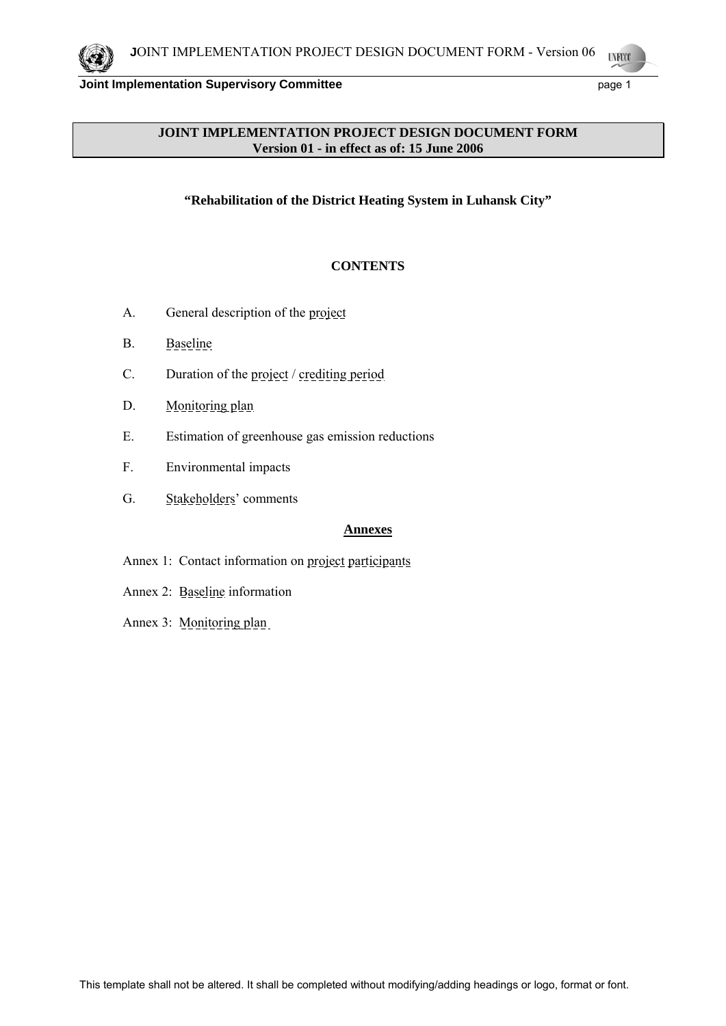## **JOINT IMPLEMENTATION PROJECT DESIGN DOCUMENT FORM Version 01 - in effect as of: 15 June 2006**

**"Rehabilitation of the District Heating System in Luhansk City"** 

# **CONTENTS**

- A. General description of the project
- B. Baseline
- C. Duration of the project / crediting period
- D. Monitoring plan
- E. Estimation of greenhouse gas emission reductions
- F. Environmental impacts
- G. Stakeholders' comments

### **Annexes**

- Annex 1: Contact information on project participants
- Annex 2: Baseline information
- Annex 3: Monitoring plan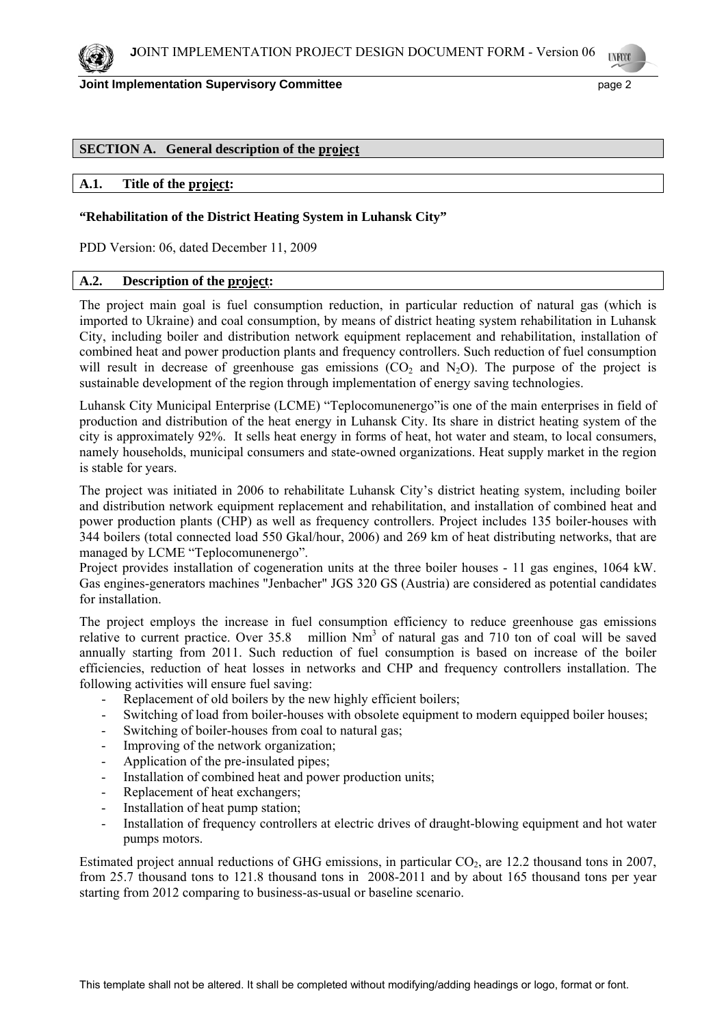

### **SECTION A. General description of the project**

# **A.1. Title of the project:**

### **"Rehabilitation of the District Heating System in Luhansk City"**

PDD Version: 06, dated December 11, 2009

#### **A.2. Description of the project:**

The project main goal is fuel consumption reduction, in particular reduction of natural gas (which is imported to Ukraine) and coal consumption, by means of district heating system rehabilitation in Luhansk City, including boiler and distribution network equipment replacement and rehabilitation, installation of combined heat and power production plants and frequency controllers. Such reduction of fuel consumption will result in decrease of greenhouse gas emissions  $(CO_2)$  and  $N_2O$ . The purpose of the project is sustainable development of the region through implementation of energy saving technologies.

Luhansk City Municipal Enterprise (LCME) "Teplocomunenergo"is one of the main enterprises in field of production and distribution of the heat energy in Luhansk City. Its share in district heating system of the city is approximately 92%. It sells heat energy in forms of heat, hot water and steam, to local consumers, namely households, municipal consumers and state-owned organizations. Heat supply market in the region is stable for years.

The project was initiated in 2006 to rehabilitate Luhansk City's district heating system, including boiler and distribution network equipment replacement and rehabilitation, and installation of combined heat and power production plants (CHP) as well as frequency controllers. Project includes 135 boiler-houses with 344 boilers (total connected load 550 Gkal/hour, 2006) and 269 km of heat distributing networks, that are managed by LCME "Teplocomunenergo".

Project provides installation of cogeneration units at the three boiler houses - 11 gas engines, 1064 kW. Gas engines-generators machines "Jenbacher" JGS 320 GS (Austria) are considered as potential candidates for installation.

The project employs the increase in fuel consumption efficiency to reduce greenhouse gas emissions relative to current practice. Over  $35.8$  million  $\mathrm{Nm}^3$  of natural gas and 710 ton of coal will be saved annually starting from 2011. Such reduction of fuel consumption is based on increase of the boiler efficiencies, reduction of heat losses in networks and CHP and frequency controllers installation. The following activities will ensure fuel saving:

- Replacement of old boilers by the new highly efficient boilers;
- Switching of load from boiler-houses with obsolete equipment to modern equipped boiler houses;
- Switching of boiler-houses from coal to natural gas;
- Improving of the network organization;
- Application of the pre-insulated pipes;
- Installation of combined heat and power production units;
- Replacement of heat exchangers;
- Installation of heat pump station;
- Installation of frequency controllers at electric drives of draught-blowing equipment and hot water pumps motors.

Estimated project annual reductions of GHG emissions, in particular  $CO<sub>2</sub>$ , are 12.2 thousand tons in 2007, from 25.7 thousand tons to 121.8 thousand tons in 2008-2011 and by about 165 thousand tons per year starting from 2012 comparing to business-as-usual or baseline scenario.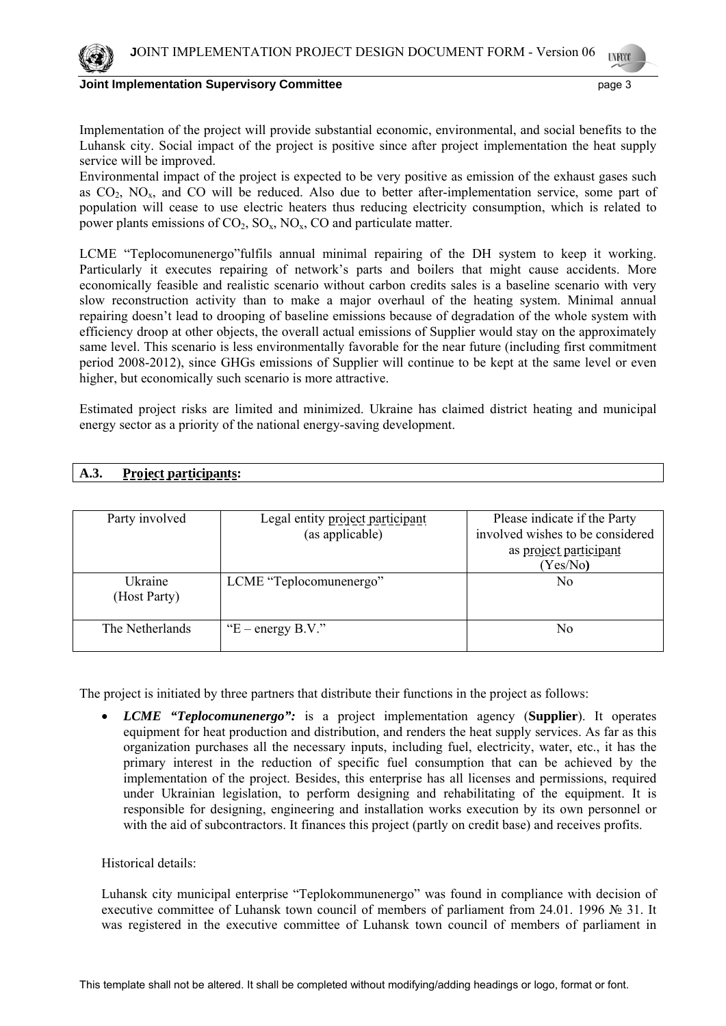

Implementation of the project will provide substantial economic, environmental, and social benefits to the Luhansk city. Social impact of the project is positive since after project implementation the heat supply service will be improved.

Environmental impact of the project is expected to be very positive as emission of the exhaust gases such as  $CO<sub>2</sub>$ ,  $NO<sub>x</sub>$ , and  $CO$  will be reduced. Also due to better after-implementation service, some part of population will cease to use electric heaters thus reducing electricity consumption, which is related to power plants emissions of  $CO_2$ ,  $SO_x$ ,  $NO_x$ ,  $CO$  and particulate matter.

LCME "Teplocomunenergo"fulfils annual minimal repairing of the DH system to keep it working. Particularly it executes repairing of network's parts and boilers that might cause accidents. More economically feasible and realistic scenario without carbon credits sales is a baseline scenario with very slow reconstruction activity than to make a major overhaul of the heating system. Minimal annual repairing doesn't lead to drooping of baseline emissions because of degradation of the whole system with efficiency droop at other objects, the overall actual emissions of Supplier would stay on the approximately same level. This scenario is less environmentally favorable for the near future (including first commitment period 2008-2012), since GHGs emissions of Supplier will continue to be kept at the same level or even higher, but economically such scenario is more attractive.

Estimated project risks are limited and minimized. Ukraine has claimed district heating and municipal energy sector as a priority of the national energy-saving development.

# **A.3. Project participants:**

| Party involved  | Legal entity project participant | Please indicate if the Party     |
|-----------------|----------------------------------|----------------------------------|
|                 | (as applicable)                  | involved wishes to be considered |
|                 |                                  |                                  |
|                 |                                  | as project participant           |
|                 |                                  | (Yes/No)                         |
| Ukraine         | LCME "Teplocomunenergo"          | No                               |
| (Host Party)    |                                  |                                  |
|                 |                                  |                                  |
|                 |                                  |                                  |
| The Netherlands | " $E$ – energy B.V."             | No                               |
|                 |                                  |                                  |
|                 |                                  |                                  |

The project is initiated by three partners that distribute their functions in the project as follows:

• *LCME "Teplocomunenergo":* is a project implementation agency (**Supplier**). It operates equipment for heat production and distribution, and renders the heat supply services. As far as this organization purchases all the necessary inputs, including fuel, electricity, water, etc., it has the primary interest in the reduction of specific fuel consumption that can be achieved by the implementation of the project. Besides, this enterprise has all licenses and permissions, required under Ukrainian legislation, to perform designing and rehabilitating of the equipment. It is responsible for designing, engineering and installation works execution by its own personnel or with the aid of subcontractors. It finances this project (partly on credit base) and receives profits.

Historical details:

Luhansk city municipal enterprise "Teplokommunenergo" was found in compliance with decision of executive committee of Luhansk town council of members of parliament from 24.01. 1996 № 31. It was registered in the executive committee of Luhansk town council of members of parliament in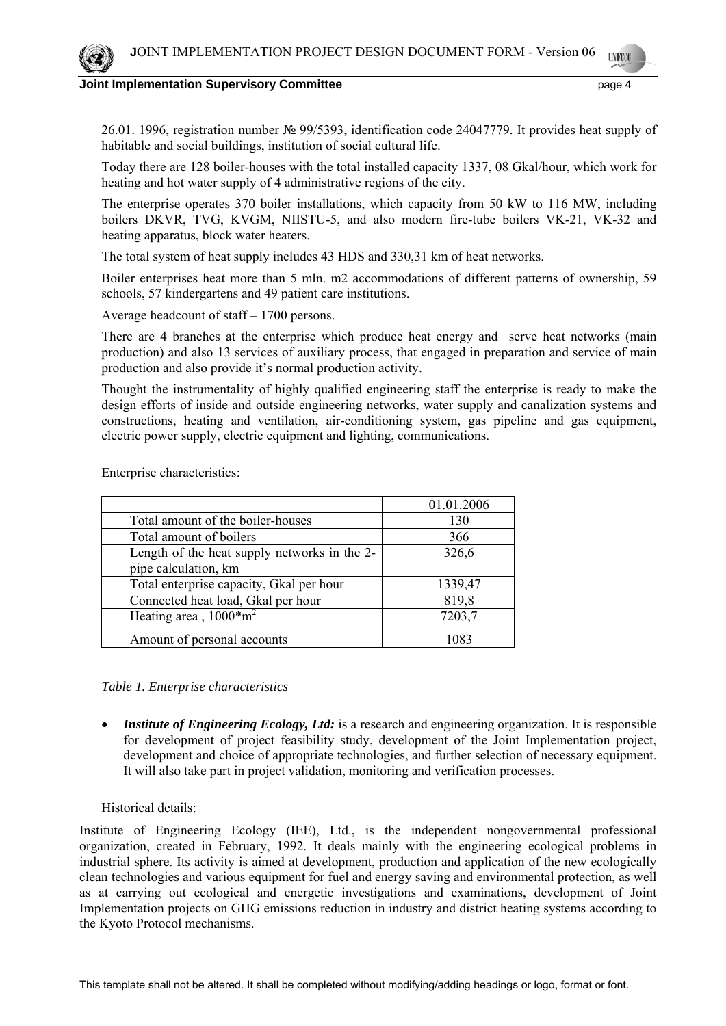26.01. 1996, registration number № 99/5393, identification code 24047779. It provides heat supply of habitable and social buildings, institution of social cultural life.

Today there are 128 boiler-houses with the total installed capacity 1337, 08 Gkal/hour, which work for heating and hot water supply of 4 administrative regions of the city.

The enterprise operates 370 boiler installations, which capacity from 50 kW to 116 MW, including boilers DKVR, TVG, KVGM, NIISTU-5, and also modern fire-tube boilers VK-21, VK-32 and heating apparatus, block water heaters.

The total system of heat supply includes 43 HDS and 330,31 km of heat networks.

Boiler enterprises heat more than 5 mln. m2 accommodations of different patterns of ownership, 59 schools, 57 kindergartens and 49 patient care institutions.

Average headcount of staff – 1700 persons.

There are 4 branches at the enterprise which produce heat energy and serve heat networks (main production) and also 13 services of auxiliary process, that engaged in preparation and service of main production and also provide it's normal production activity.

Thought the instrumentality of highly qualified engineering staff the enterprise is ready to make the design efforts of inside and outside engineering networks, water supply and canalization systems and constructions, heating and ventilation, air-conditioning system, gas pipeline and gas equipment, electric power supply, electric equipment and lighting, communications.

Enterprise characteristics:

|                                              | 01.01.2006 |
|----------------------------------------------|------------|
| Total amount of the boiler-houses            | 130        |
| Total amount of boilers                      | 366        |
| Length of the heat supply networks in the 2- | 326,6      |
| pipe calculation, km                         |            |
| Total enterprise capacity, Gkal per hour     | 1339,47    |
| Connected heat load, Gkal per hour           | 819,8      |
| Heating area, $1000*$ m <sup>2</sup>         | 7203,7     |
| Amount of personal accounts                  | 1083       |

## *Table 1. Enterprise characteristics*

• *Institute of Engineering Ecology, Ltd:* is a research and engineering organization. It is responsible for development of project feasibility study, development of the Joint Implementation project, development and choice of appropriate technologies, and further selection of necessary equipment. It will also take part in project validation, monitoring and verification processes.

### Historical details:

Institute of Engineering Ecology (IEE), Ltd., is the independent nongovernmental professional organization, created in February, 1992. It deals mainly with the engineering ecological problems in industrial sphere. Its activity is aimed at development, production and application of the new ecologically clean technologies and various equipment for fuel and energy saving and environmental protection, as well as at carrying out ecological and energetic investigations and examinations, development of Joint Implementation projects on GHG emissions reduction in industry and district heating systems according to the Kyoto Protocol mechanisms.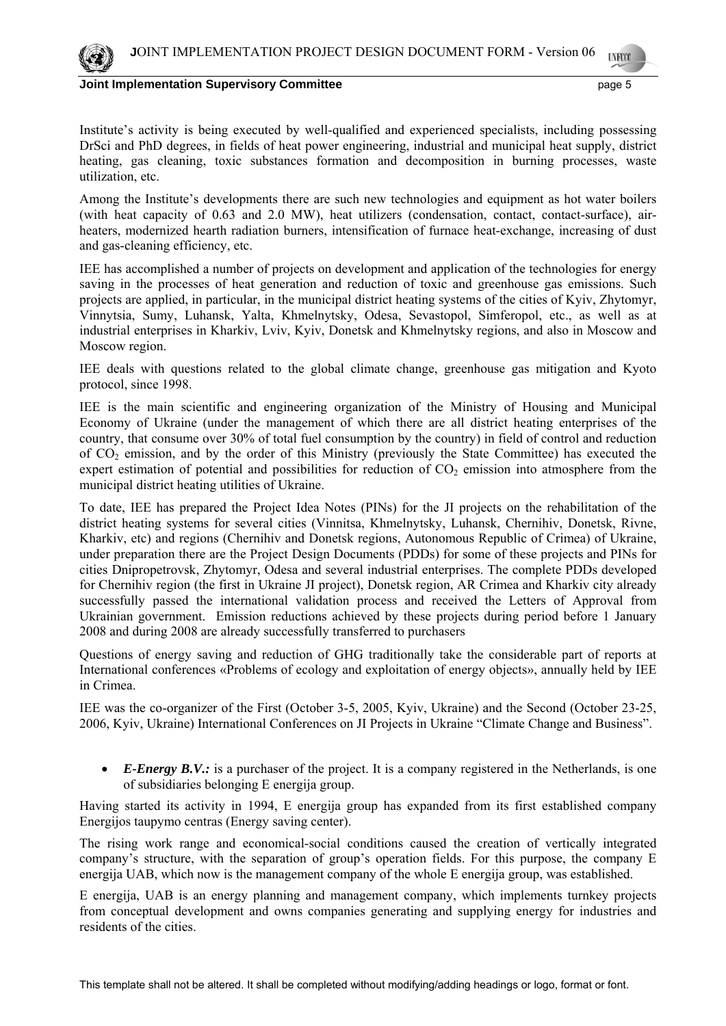

Institute's activity is being executed by well-qualified and experienced specialists, including possessing DrSci and PhD degrees, in fields of heat power engineering, industrial and municipal heat supply, district heating, gas cleaning, toxic substances formation and decomposition in burning processes, waste utilization, etc.

Among the Institute's developments there are such new technologies and equipment as hot water boilers (with heat capacity of 0.63 and 2.0 MW), heat utilizers (condensation, contact, contact-surface), airheaters, modernized hearth radiation burners, intensification of furnace heat-exchange, increasing of dust and gas-cleaning efficiency, etc.

IEE has accomplished a number of projects on development and application of the technologies for energy saving in the processes of heat generation and reduction of toxic and greenhouse gas emissions. Such projects are applied, in particular, in the municipal district heating systems of the cities of Kyiv, Zhytomyr, Vinnytsia, Sumy, Luhansk, Yalta, Khmelnytsky, Odesa, Sevastopol, Simferopol, etc., as well as at industrial enterprises in Kharkiv, Lviv, Kyiv, Donetsk and Khmelnytsky regions, and also in Moscow and Moscow region.

IEE deals with questions related to the global climate change, greenhouse gas mitigation and Kyoto protocol, since 1998.

IEE is the main scientific and engineering organization of the Ministry of Housing and Municipal Economy of Ukraine (under the management of which there are all district heating enterprises of the country, that consume over 30% of total fuel consumption by the country) in field of control and reduction of СО2 emission, and by the order of this Ministry (previously the State Committee) has executed the expert estimation of potential and possibilities for reduction of  $CO<sub>2</sub>$  emission into atmosphere from the municipal district heating utilities of Ukraine.

To date, IEE has prepared the Project Idea Notes (PINs) for the JI projects on the rehabilitation of the district heating systems for several cities (Vinnitsa, Khmelnytsky, Luhansk, Chernihiv, Donetsk, Rivne, Kharkiv, etc) and regions (Chernihiv and Donetsk regions, Autonomous Republic of Crimea) of Ukraine, under preparation there are the Project Design Documents (PDDs) for some of these projects and PINs for cities Dnipropetrovsk, Zhytomyr, Odesa and several industrial enterprises. The complete PDDs developed for Chernihiv region (the first in Ukraine JI project), Donetsk region, AR Crimea and Kharkiv city already successfully passed the international validation process and received the Letters of Approval from Ukrainian government. Emission reductions achieved by these projects during period before 1 January 2008 and during 2008 are already successfully transferred to purchasers

Questions of energy saving and reduction of GHG traditionally take the considerable part of reports at International conferences «Problems of ecology and exploitation of energy objects», annually held by IEE in Crimea.

IEE was the co-organizer of the First (October 3-5, 2005, Kyiv, Ukraine) and the Second (October 23-25, 2006, Kyiv, Ukraine) International Conferences on JI Projects in Ukraine "Climate Change and Business".

• *E-Energy B.V.:* is a purchaser of the project. It is a company registered in the Netherlands, is one of subsidiaries belonging E energija group.

Having started its activity in 1994, E energija group has expanded from its first established company Energijos taupymo centras (Energy saving center).

The rising work range and economical-social conditions caused the creation of vertically integrated company's structure, with the separation of group's operation fields. For this purpose, the company E energija UAB, which now is the management company of the whole E energija group, was established.

E energija, UAB is an energy planning and management company, which implements turnkey projects from conceptual development and owns companies generating and supplying energy for industries and residents of the cities.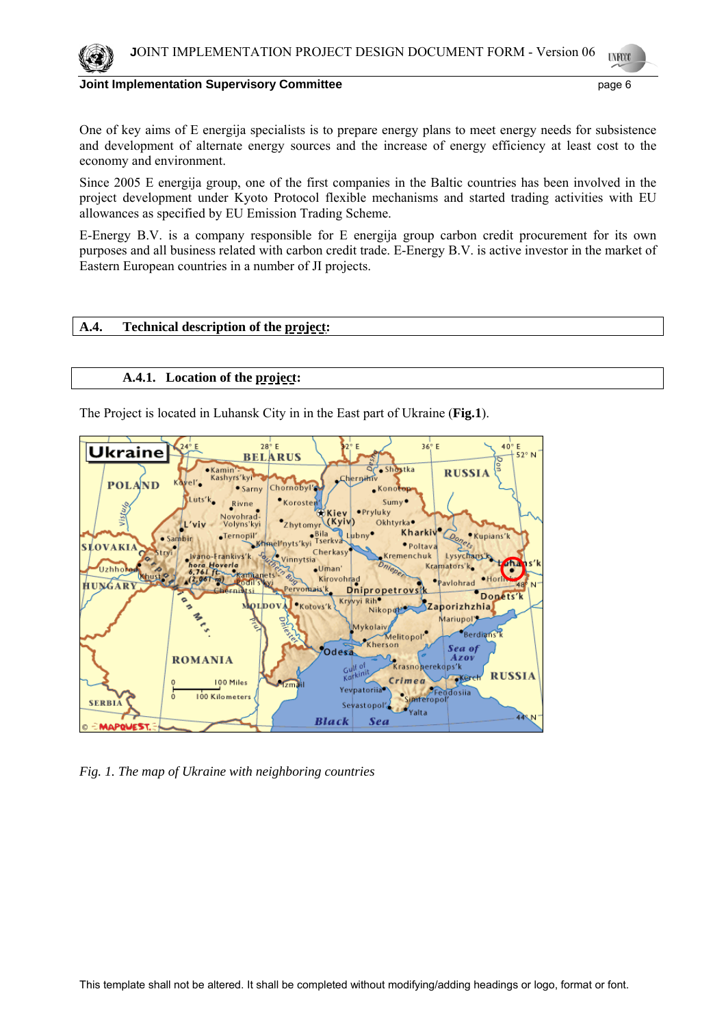

One of key aims of E energija specialists is to prepare energy plans to meet energy needs for subsistence and development of alternate energy sources and the increase of energy efficiency at least cost to the economy and environment.

Since 2005 E energija group, one of the first companies in the Baltic countries has been involved in the project development under Kyoto Protocol flexible mechanisms and started trading activities with EU allowances as specified by EU Emission Trading Scheme.

E-Energy B.V. is a company responsible for E energija group carbon credit procurement for its own purposes and all business related with carbon credit trade. E-Energy B.V. is active investor in the market of Eastern European countries in a number of JI projects.

## **A.4. Technical description of the project:**

### **A.4.1. Location of the project:**

The Project is located in Luhansk City in in the East part of Ukraine (**Fig.1**).



*Fig. 1. The map of Ukraine with neighboring countries*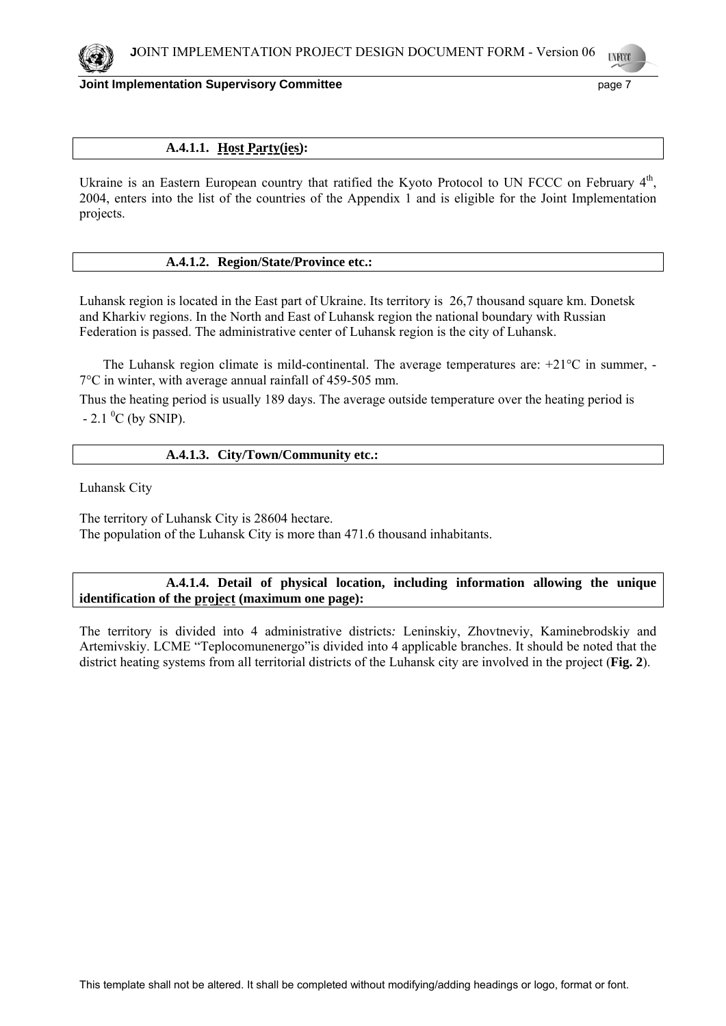

## **A.4.1.1. Host Party(ies):**

Ukraine is an Eastern European country that ratified the Kyoto Protocol to UN FCCC on February 4<sup>th</sup>, 2004, enters into the list of the countries of the Appendix 1 and is eligible for the Joint Implementation projects.

### **A.4.1.2. Region/State/Province etc.:**

Luhansk region is located in the East part of Ukraine. Its territory is 26,7 thousand square km. Donetsk and Kharkiv regions. In the North and East of Luhansk region the national boundary with Russian Federation is passed. The administrative center of Luhansk region is the city of Luhansk.

 The Luhansk region climate is mild-continental. The average temperatures are: +21°С in summer, - 7°С in winter, with average annual rainfall of 459-505 mm.

Thus the heating period is usually 189 days. The average outside temperature over the heating period is  $- 2.1 \, {}^{0}C$  (by SNIP).

### **A.4.1.3. City/Town/Community etc.:**

Luhansk City

The territory of Luhansk City is 28604 hectare. The population of the Luhansk City is more than 471.6 thousand inhabitants.

## **A.4.1.4. Detail of physical location, including information allowing the unique identification of the project (maximum one page):**

The territory is divided into 4 administrative districts*:* Leninskiy, Zhovtneviy, Kaminebrodskiy and Artemivskiy. LCME "Teplocomunenergo"is divided into 4 applicable branches. It should be noted that the district heating systems from all territorial districts of the Luhansk city are involved in the project (**Fig. 2**).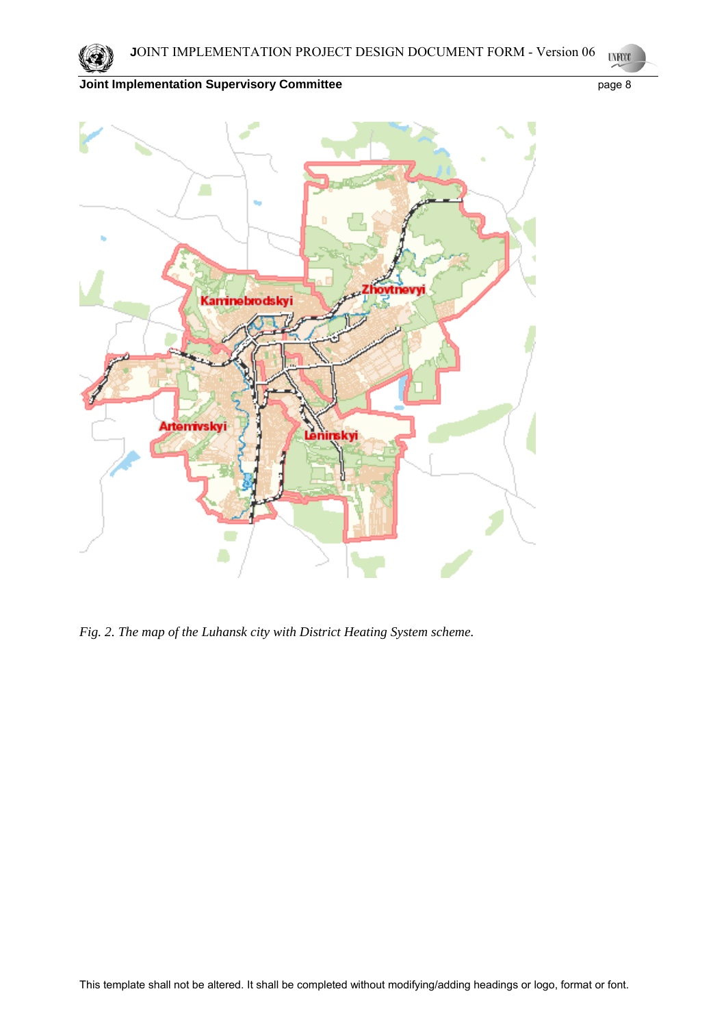

*Fig. 2. The map of the Luhansk city with District Heating System scheme.*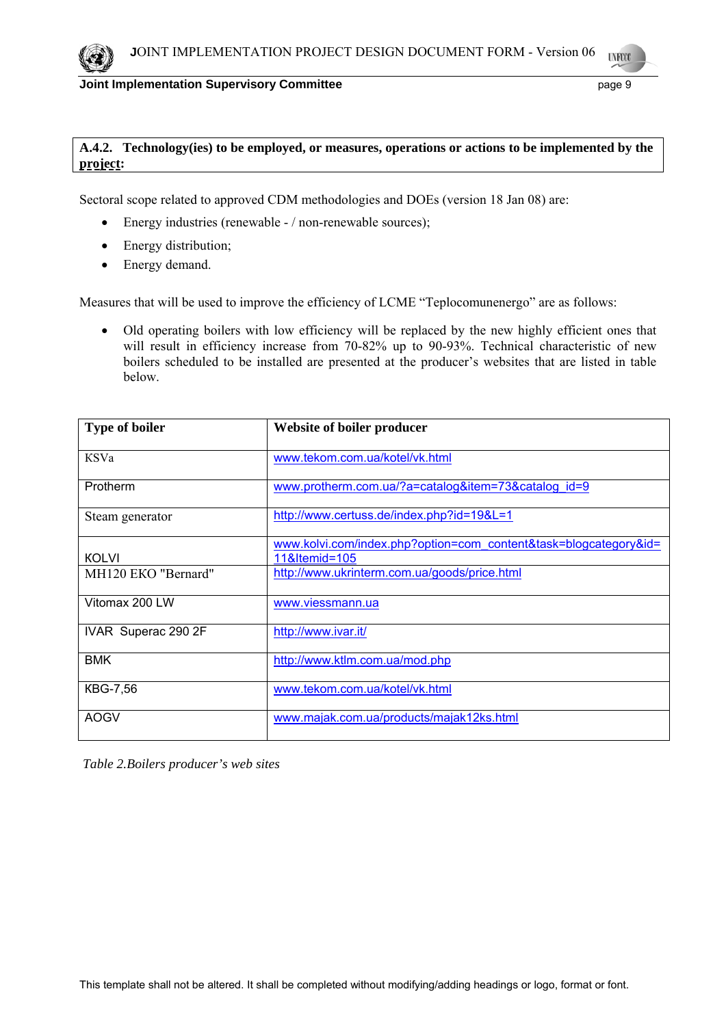# **A.4.2. Technology(ies) to be employed, or measures, operations or actions to be implemented by the project:**

Sectoral scope related to approved CDM methodologies and DOEs (version 18 Jan 08) are:

- Energy industries (renewable / non-renewable sources);
- Energy distribution;
- Energy demand.

Measures that will be used to improve the efficiency of LCME "Teplocomunenergo" are as follows:

• Old operating boilers with low efficiency will be replaced by the new highly efficient ones that will result in efficiency increase from 70-82% up to 90-93%. Technical characteristic of new boilers scheduled to be installed are presented at the producer's websites that are listed in table below.

| <b>Type of boiler</b>           | Website of boiler producer                                       |
|---------------------------------|------------------------------------------------------------------|
| KSVa                            | www.tekom.com.ua/kotel/vk.html                                   |
| Protherm                        | www.protherm.com.ua/?a=catalog&item=73&catalog id=9              |
| Steam generator                 | http://www.certuss.de/index.php?id=19&L=1                        |
|                                 | www.kolvi.com/index.php?option=com_content&task=blogcategory&id= |
| <b>KOLVI</b>                    | 11&Itemid=105                                                    |
| MH <sub>120</sub> EKO "Bernard" | http://www.ukrinterm.com.ua/goods/price.html                     |
| Vitomax 200 LW                  | www.viessmann.ua                                                 |
| IVAR Superac 290 2F             | http://www.ivar.it/                                              |
| <b>BMK</b>                      | http://www.ktlm.com.ua/mod.php                                   |
| <b>KBG-7,56</b>                 | www.tekom.com.ua/kotel/vk.html                                   |
| <b>AOGV</b>                     | www.majak.com.ua/products/majak12ks.html                         |

 *Table 2.Boilers producer's web sites*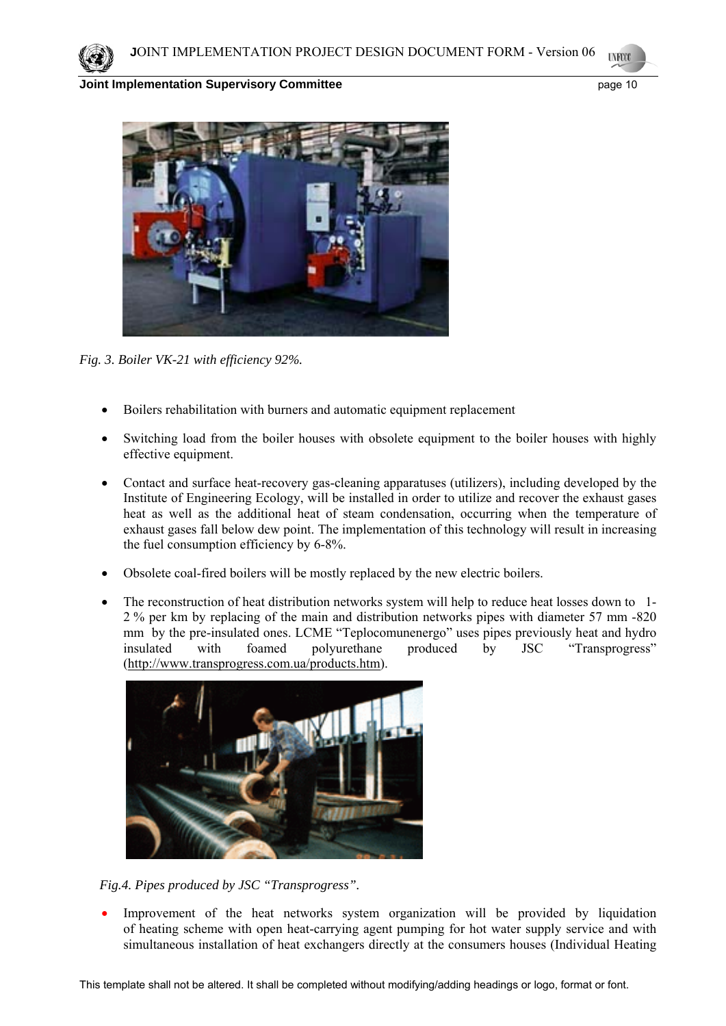



*Fig. 3. Boiler VK-21 with efficiency 92%.* 

- Boilers rehabilitation with burners and automatic equipment replacement
- Switching load from the boiler houses with obsolete equipment to the boiler houses with highly effective equipment.
- Contact and surface heat-recovery gas-cleaning apparatuses (utilizers), including developed by the Institute of Engineering Ecology, will be installed in order to utilize and recover the exhaust gases heat as well as the additional heat of steam condensation, occurring when the temperature of exhaust gases fall below dew point. The implementation of this technology will result in increasing the fuel consumption efficiency by 6-8%.
- Obsolete coal-fired boilers will be mostly replaced by the new electric boilers.
- The reconstruction of heat distribution networks system will help to reduce heat losses down to 1-2 % per km by replacing of the main and distribution networks pipes with diameter 57 mm -820 mm by the pre-insulated ones. LCME "Teplocomunenergo" uses pipes previously heat and hydro insulated with foamed polyurethane produced by JSC "Transprogress" (http://www.transprogress.com.ua/products.htm).



 *Fig.4. Pipes produced by JSC "Transprogress".* 

Improvement of the heat networks system organization will be provided by liquidation of heating scheme with open heat-carrying agent pumping for hot water supply service and with simultaneous installation of heat exchangers directly at the consumers houses (Individual Heating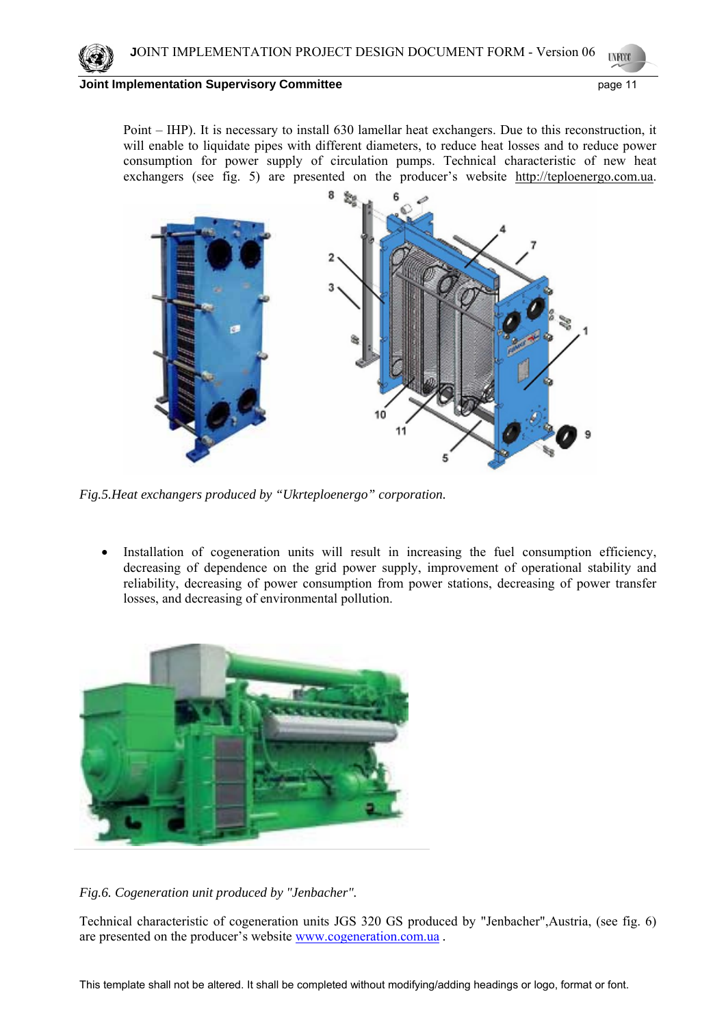Point – IHP). It is necessary to install 630 lamellar heat exchangers. Due to this reconstruction, it will enable to liquidate pipes with different diameters, to reduce heat losses and to reduce power consumption for power supply of circulation pumps. Technical characteristic of new heat exchangers (see fig. 5) are presented on the producer's website http://teploenergo.com.ua.



*Fig.5.Heat exchangers produced by "Ukrteploenergo" corporation.* 

• Installation of cogeneration units will result in increasing the fuel consumption efficiency, decreasing of dependence on the grid power supply, improvement of operational stability and reliability, decreasing of power consumption from power stations, decreasing of power transfer losses, and decreasing of environmental pollution.



# *Fig.6. Cogeneration unit produced by "Jenbacher".*

Technical characteristic of cogeneration units JGS 320 GS produced by "Jenbacher",Austria, (see fig. 6) are presented on the producer's website www.cogeneration.com.ua *.*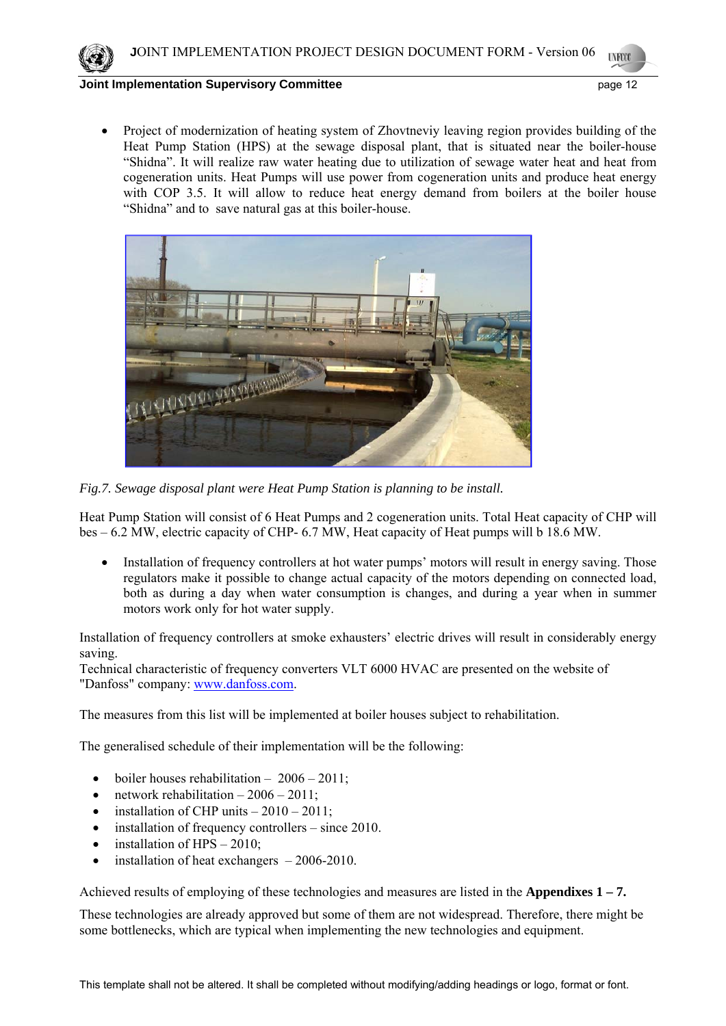

• Project of modernization of heating system of Zhovtneviy leaving region provides building of the Heat Pump Station (HPS) at the sewage disposal plant, that is situated near the boiler-house "Shidna". It will realize raw water heating due to utilization of sewage water heat and heat from cogeneration units. Heat Pumps will use power from cogeneration units and produce heat energy with COP 3.5. It will allow to reduce heat energy demand from boilers at the boiler house "Shidna" and to save natural gas at this boiler-house.



*Fig.7. Sewage disposal plant were Heat Pump Station is planning to be install.* 

Heat Pump Station will consist of 6 Heat Pumps and 2 cogeneration units. Total Heat capacity of CHP will bes – 6.2 MW, electric capacity of CHP- 6.7 MW, Heat capacity of Heat pumps will b 18.6 MW.

• Installation of frequency controllers at hot water pumps' motors will result in energy saving. Those regulators make it possible to change actual capacity of the motors depending on connected load, both as during a day when water consumption is changes, and during a year when in summer motors work only for hot water supply.

Installation of frequency controllers at smoke exhausters' electric drives will result in considerably energy saving.

Technical characteristic of frequency converters VLT 6000 HVAC are presented on the website of "Danfoss" company: www.danfoss.com.

The measures from this list will be implemented at boiler houses subject to rehabilitation.

The generalised schedule of their implementation will be the following:

- boiler houses rehabilitation  $-2006 2011$ ;
- network rehabilitation  $-2006 2011$ ;
- installation of CHP units  $-2010-2011$ ;
- installation of frequency controllers since 2010.
- installation of  $HPS 2010$ ;
- installation of heat exchangers  $-2006-2010$ .

Achieved results of employing of these technologies and measures are listed in the **Appendixes 1 – 7.** 

These technologies are already approved but some of them are not widespread. Therefore, there might be some bottlenecks, which are typical when implementing the new technologies and equipment.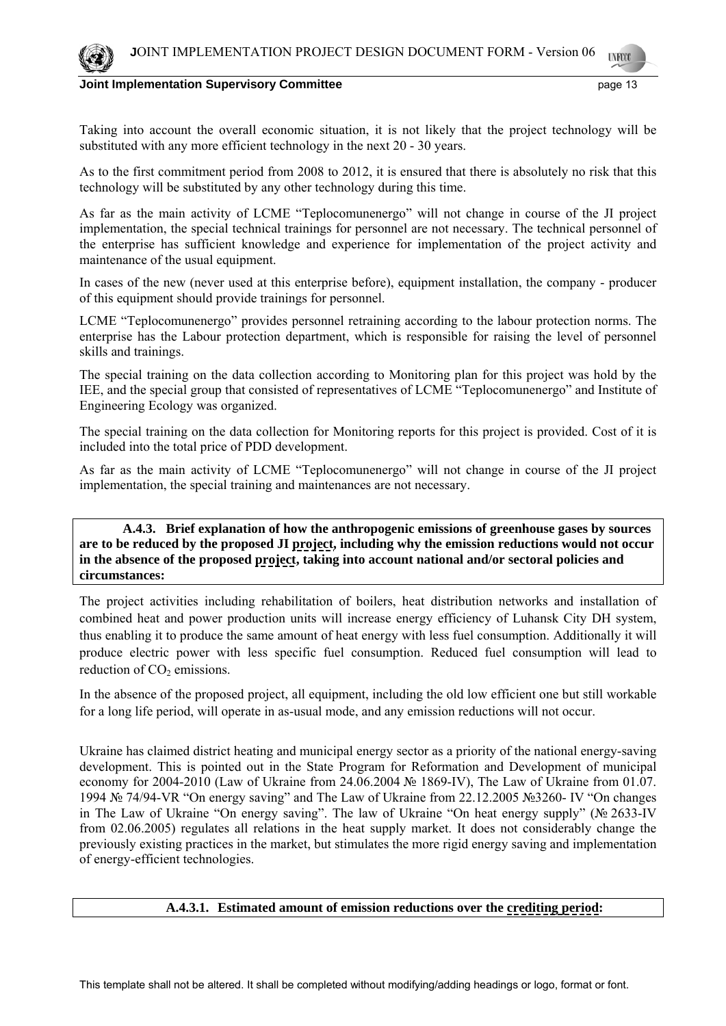

Taking into account the overall economic situation, it is not likely that the project technology will be substituted with any more efficient technology in the next 20 - 30 years.

As to the first commitment period from 2008 to 2012, it is ensured that there is absolutely no risk that this technology will be substituted by any other technology during this time.

As far as the main activity of LCME "Teplocomunenergo" will not change in course of the JI project implementation, the special technical trainings for personnel are not necessary. The technical personnel of the enterprise has sufficient knowledge and experience for implementation of the project activity and maintenance of the usual equipment.

In cases of the new (never used at this enterprise before), equipment installation, the company - producer of this equipment should provide trainings for personnel.

LCME "Teplocomunenergo" provides personnel retraining according to the labour protection norms. The enterprise has the Labour protection department, which is responsible for raising the level of personnel skills and trainings.

The special training on the data collection according to Monitoring plan for this project was hold by the IEE, and the special group that consisted of representatives of LCME "Teplocomunenergo" and Institute of Engineering Ecology was organized.

The special training on the data collection for Monitoring reports for this project is provided. Cost of it is included into the total price of PDD development.

As far as the main activity of LCME "Teplocomunenergo" will not change in course of the JI project implementation, the special training and maintenances are not necessary.

 **A.4.3. Brief explanation of how the anthropogenic emissions of greenhouse gases by sources are to be reduced by the proposed JI project, including why the emission reductions would not occur in the absence of the proposed project, taking into account national and/or sectoral policies and circumstances:** 

The project activities including rehabilitation of boilers, heat distribution networks and installation of combined heat and power production units will increase energy efficiency of Luhansk City DH system, thus enabling it to produce the same amount of heat energy with less fuel consumption. Additionally it will produce electric power with less specific fuel consumption. Reduced fuel consumption will lead to reduction of  $CO<sub>2</sub>$  emissions.

In the absence of the proposed project, all equipment, including the old low efficient one but still workable for a long life period, will operate in as-usual mode, and any emission reductions will not occur.

Ukraine has claimed district heating and municipal energy sector as a priority of the national energy-saving development. This is pointed out in the State Program for Reformation and Development of municipal economy for 2004-2010 (Law of Ukraine from 24.06.2004 № 1869-IV), The Law of Ukraine from 01.07. 1994 № 74/94-VR "On energy saving" and The Law of Ukraine from 22.12.2005 №3260- IV "On changes in The Law of Ukraine "On energy saving". The law of Ukraine "On heat energy supply" (№ 2633-IV from 02.06.2005) regulates all relations in the heat supply market. It does not considerably change the previously existing practices in the market, but stimulates the more rigid energy saving and implementation of energy-efficient technologies.

## **A.4.3.1. Estimated amount of emission reductions over the crediting period:**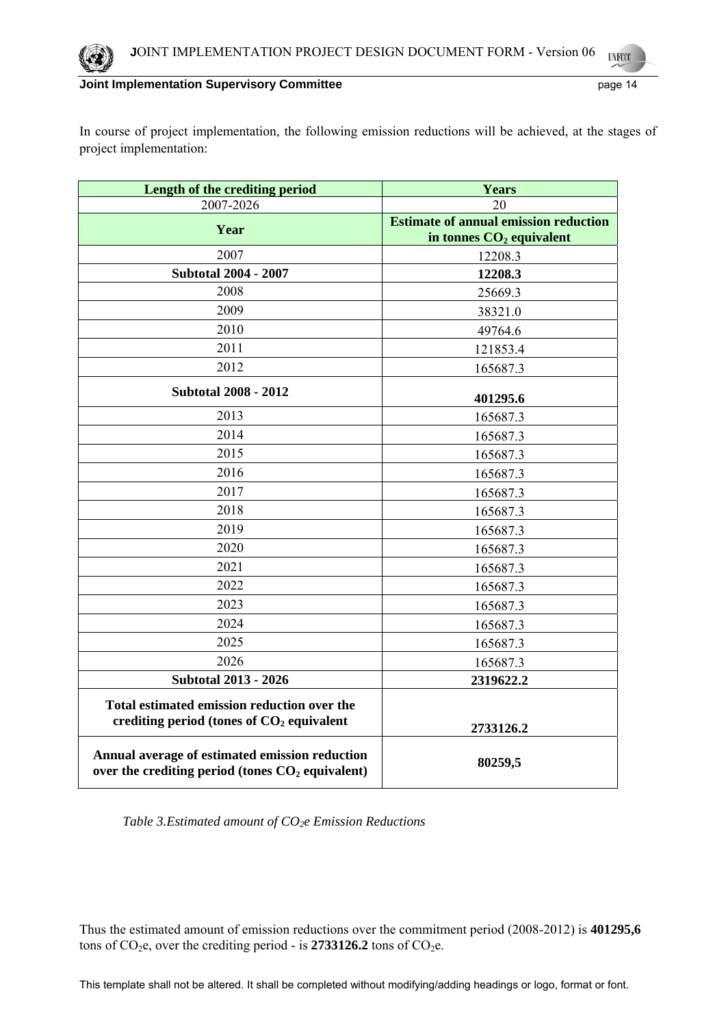In course of project implementation, the following emission reductions will be achieved, at the stages of project implementation:

| Length of the crediting period                                                                       | <b>Years</b>                                 |  |  |
|------------------------------------------------------------------------------------------------------|----------------------------------------------|--|--|
| 2007-2026                                                                                            | 20                                           |  |  |
| Year                                                                                                 | <b>Estimate of annual emission reduction</b> |  |  |
|                                                                                                      | in tonnes $CO2$ equivalent                   |  |  |
| 2007                                                                                                 | 12208.3                                      |  |  |
| <b>Subtotal 2004 - 2007</b>                                                                          | 12208.3                                      |  |  |
| 2008                                                                                                 | 25669.3                                      |  |  |
| 2009                                                                                                 | 38321.0                                      |  |  |
| 2010                                                                                                 | 49764.6                                      |  |  |
| 2011                                                                                                 | 121853.4                                     |  |  |
| 2012                                                                                                 | 165687.3                                     |  |  |
| <b>Subtotal 2008 - 2012</b>                                                                          | 401295.6                                     |  |  |
| 2013                                                                                                 | 165687.3                                     |  |  |
| 2014                                                                                                 | 165687.3                                     |  |  |
| 2015                                                                                                 | 165687.3                                     |  |  |
| 2016                                                                                                 | 165687.3                                     |  |  |
| 2017                                                                                                 | 165687.3                                     |  |  |
| 2018                                                                                                 | 165687.3                                     |  |  |
| 2019                                                                                                 | 165687.3                                     |  |  |
| 2020                                                                                                 | 165687.3                                     |  |  |
| 2021                                                                                                 | 165687.3                                     |  |  |
| 2022                                                                                                 | 165687.3                                     |  |  |
| 2023                                                                                                 | 165687.3                                     |  |  |
| 2024                                                                                                 | 165687.3                                     |  |  |
| 2025                                                                                                 | 165687.3                                     |  |  |
| 2026                                                                                                 | 165687.3                                     |  |  |
| <b>Subtotal 2013 - 2026</b>                                                                          | 2319622.2                                    |  |  |
| Total estimated emission reduction over the<br>crediting period (tones of $CO2$ equivalent           | 2733126.2                                    |  |  |
| Annual average of estimated emission reduction<br>over the crediting period (tones $CO2$ equivalent) | 80259,5                                      |  |  |

Table 3.Estimated amount of CO<sub>2</sub>e Emission Reductions

Thus the estimated amount of emission reductions over the commitment period (2008-2012) is **401295,6**  tons of CO<sub>2</sub>e, over the crediting period - is 2733126.2 tons of CO<sub>2</sub>e.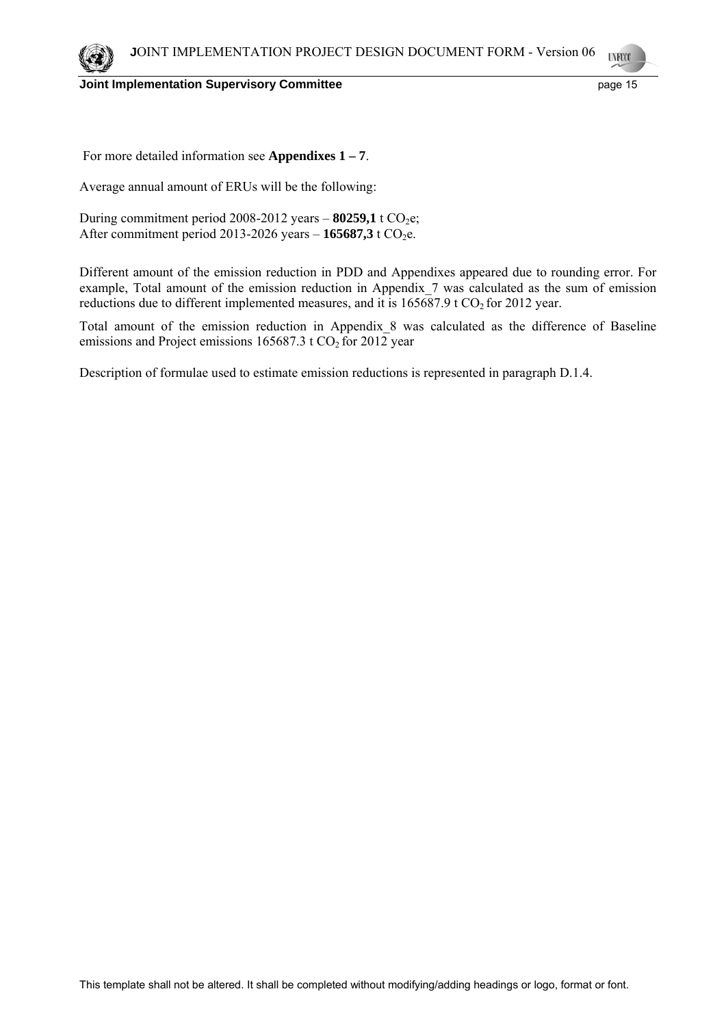For more detailed information see **Appendixes 1 – 7**.

Average annual amount of ERUs will be the following:

During commitment period 2008-2012 years  $-$  80259,1 t CO<sub>2</sub>e; After commitment period 2013-2026 years  $-$  **165687,3** t CO<sub>2</sub>e.

Different amount of the emission reduction in PDD and Appendixes appeared due to rounding error. For example, Total amount of the emission reduction in Appendix\_7 was calculated as the sum of emission reductions due to different implemented measures, and it is  $165687.9$  t  $CO<sub>2</sub>$  for 2012 year.

Total amount of the emission reduction in Appendix\_8 was calculated as the difference of Baseline emissions and Project emissions  $165687.3$  t CO<sub>2</sub> for 2012 year

Description of formulae used to estimate emission reductions is represented in paragraph D.1.4.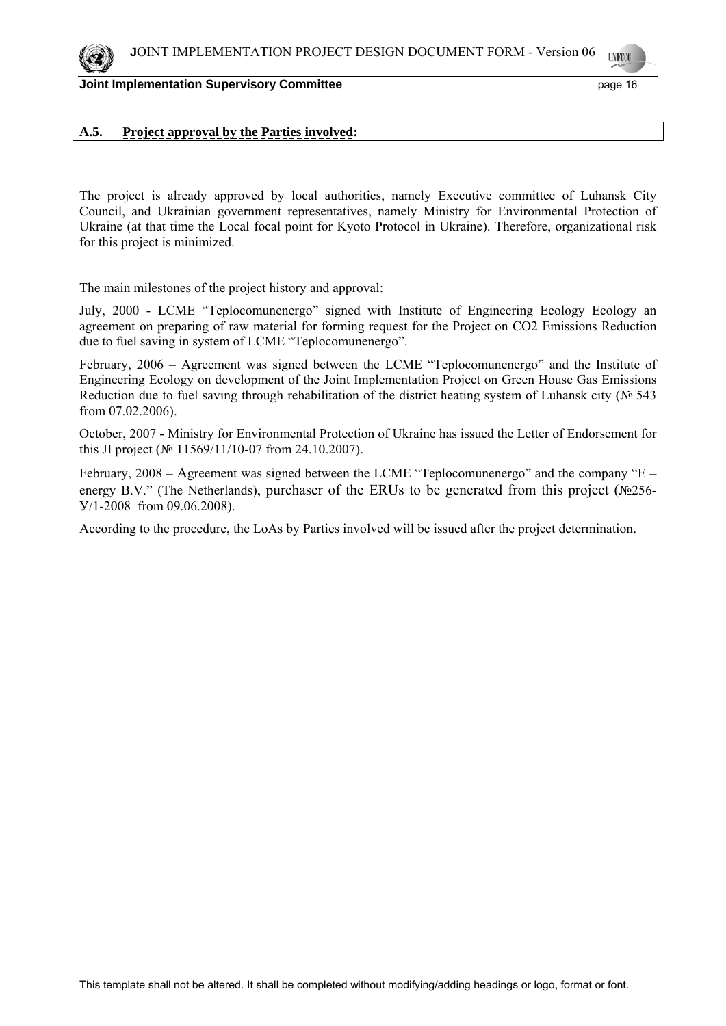**Joint Implementation Supervisory Committee** *page* **16 and 16 and 16 and 16 and 16 and 16 and 16 and 16 and 16 and 16 and 16 and 16 and 16 and 16 and 16 and 16 and 16 and 16 and 16 and 16 and 16 and 16 and 16 and 16 and 16** 

# **A.5. Project approval by the Parties involved:**

The project is already approved by local authorities, namely Executive committee of Luhansk City Council, and Ukrainian government representatives, namely Ministry for Environmental Protection of Ukraine (at that time the Local focal point for Kyoto Protocol in Ukraine). Therefore, organizational risk for this project is minimized.

The main milestones of the project history and approval:

July, 2000 - LCME "Teplocomunenergo" signed with Institute of Engineering Ecology Ecology an agreement on preparing of raw material for forming request for the Project on CO2 Emissions Reduction due to fuel saving in system of LCME "Teplocomunenergo".

February, 2006 – Agreement was signed between the LCME "Teplocomunenergo" and the Institute of Engineering Ecology on development of the Joint Implementation Project on Green House Gas Emissions Reduction due to fuel saving through rehabilitation of the district heating system of Luhansk city (№ 543 from 07.02.2006).

October, 2007 - Ministry for Environmental Protection of Ukraine has issued the Letter of Endorsement for this JI project ( $N<sub>2</sub>$  11569/11/10-07 from 24.10.2007).

February, 2008 – Agreement was signed between the LCME "Teplocomunenergo" and the company "E – energy B.V." (The Netherlands), purchaser of the ERUs to be generated from this project (№256- У/1-2008 from 09.06.2008).

According to the procedure, the LoAs by Parties involved will be issued after the project determination.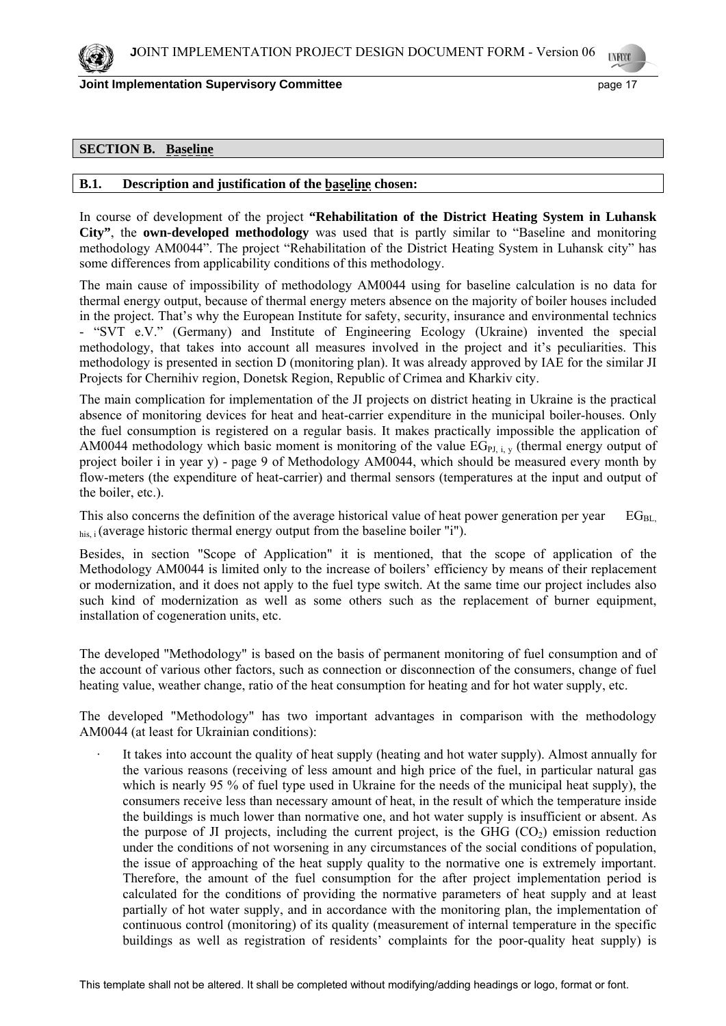

**Joint Implementation Supervisory Committee** *page 17* **and the state of the state of the state of the state of the state of the state of the state of the state of the state of the state of the state of the state of the stat** 

# **SECTION B. Baseline**

### **B.1. Description and justification of the baseline chosen:**

In course of development of the project **"Rehabilitation of the District Heating System in Luhansk City"**, the **own-developed methodology** was used that is partly similar to "Baseline and monitoring methodology AM0044". The project "Rehabilitation of the District Heating System in Luhansk city" has some differences from applicability conditions of this methodology.

The main cause of impossibility of methodology AM0044 using for baseline calculation is no data for thermal energy output, because of thermal energy meters absence on the majority of boiler houses included in the project. That's why the European Institute for safety, security, insurance and environmental technics - "SVT e.V." (Germany) and Institute of Engineering Ecology (Ukraine) invented the special methodology, that takes into account all measures involved in the project and it's peculiarities. This methodology is presented in section D (monitoring plan). It was already approved by IAE for the similar JI Projects for Chernihiv region, Donetsk Region, Republic of Crimea and Kharkiv city.

The main complication for implementation of the JI projects on district heating in Ukraine is the practical absence of monitoring devices for heat and heat-carrier expenditure in the municipal boiler-houses. Only the fuel consumption is registered on a regular basis. It makes practically impossible the application of AM0044 methodology which basic moment is monitoring of the value  $EG_{PI}$ ,  $\overline{y}$  (thermal energy output of project boiler i in year y) - page 9 of Methodology AM0044, which should be measured every month by flow-meters (the expenditure of heat-carrier) and thermal sensors (temperatures at the input and output of the boiler, etc.).

This also concerns the definition of the average historical value of heat power generation per year  $EG_{BL}$  $h_{\text{his}}$  i (average historic thermal energy output from the baseline boiler "i").

Besides, in section "Scope of Application" it is mentioned, that the scope of application of the Methodology АМ0044 is limited only to the increase of boilers' efficiency by means of their replacement or modernization, and it does not apply to the fuel type switch. At the same time our project includes also such kind of modernization as well as some others such as the replacement of burner equipment, installation of cogeneration units, etc.

The developed "Methodology" is based on the basis of permanent monitoring of fuel consumption and of the account of various other factors, such as connection or disconnection of the consumers, change of fuel heating value, weather change, ratio of the heat consumption for heating and for hot water supply, etc.

The developed "Methodology" has two important advantages in comparison with the methodology АМ0044 (at least for Ukrainian conditions):

It takes into account the quality of heat supply (heating and hot water supply). Almost annually for the various reasons (receiving of less amount and high price of the fuel, in particular natural gas which is nearly 95 % of fuel type used in Ukraine for the needs of the municipal heat supply), the consumers receive less than necessary amount of heat, in the result of which the temperature inside the buildings is much lower than normative one, and hot water supply is insufficient or absent. As the purpose of JI projects, including the current project, is the GHG  $(CO<sub>2</sub>)$  emission reduction under the conditions of not worsening in any circumstances of the social conditions of population, the issue of approaching of the heat supply quality to the normative one is extremely important. Therefore, the amount of the fuel consumption for the after project implementation period is calculated for the conditions of providing the normative parameters of heat supply and at least partially of hot water supply, and in accordance with the monitoring plan, the implementation of continuous control (monitoring) of its quality (measurement of internal temperature in the specific buildings as well as registration of residents' complaints for the poor-quality heat supply) is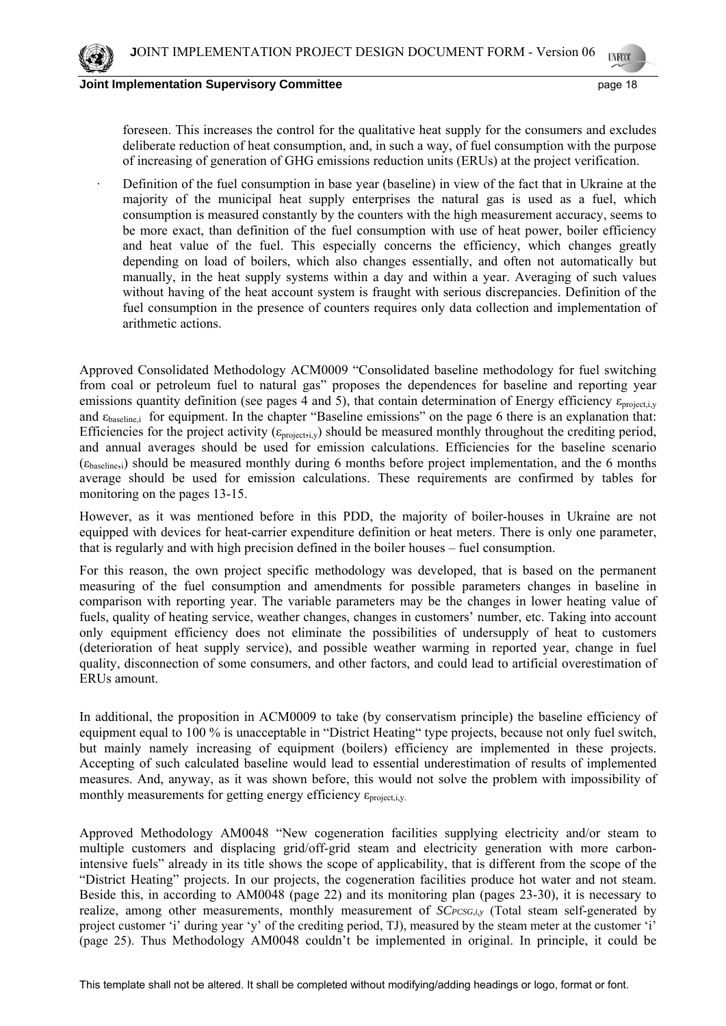foreseen. This increases the control for the qualitative heat supply for the consumers and excludes deliberate reduction of heat consumption, and, in such a way, of fuel consumption with the purpose of increasing of generation of GHG emissions reduction units (ERUs) at the project verification.

· Definition of the fuel consumption in base year (baseline) in view of the fact that in Ukraine at the majority of the municipal heat supply enterprises the natural gas is used as a fuel, which consumption is measured constantly by the counters with the high measurement accuracy, seems to be more exact, than definition of the fuel consumption with use of heat power, boiler efficiency and heat value of the fuel. This especially concerns the efficiency, which changes greatly depending on load of boilers, which also changes essentially, and often not automatically but manually, in the heat supply systems within a day and within a year. Averaging of such values without having of the heat account system is fraught with serious discrepancies. Definition of the fuel consumption in the presence of counters requires only data collection and implementation of arithmetic actions.

Approved Consolidated Methodology ACM0009 "Consolidated baseline methodology for fuel switching from coal or petroleum fuel to natural gas" proposes the dependences for baseline and reporting year emissions quantity definition (see pages 4 and 5), that contain determination of Energy efficiency  $\varepsilon_{projectiv}$ and  $\varepsilon_{\text{baseline}}$  for equipment. In the chapter "Baseline emissions" on the page 6 there is an explanation that: Efficiencies for the project activity ( $\varepsilon_{\text{project,}i,y}$ ) should be measured monthly throughout the crediting period, and annual averages should be used for emission calculations. Efficiencies for the baseline scenario  $(\epsilon_{\text{baseline,i}})$  should be measured monthly during 6 months before project implementation, and the 6 months average should be used for emission calculations. These requirements are confirmed by tables for monitoring on the pages 13-15.

However, as it was mentioned before in this PDD, the majority of boiler-houses in Ukraine are not equipped with devices for heat-carrier expenditure definition or heat meters. There is only one parameter, that is regularly and with high precision defined in the boiler houses – fuel consumption.

For this reason, the own project specific methodology was developed, that is based on the permanent measuring of the fuel consumption and amendments for possible parameters changes in baseline in comparison with reporting year. The variable parameters may be the changes in lower heating value of fuels, quality of heating service, weather changes, changes in customers' number, etc. Taking into account only equipment efficiency does not eliminate the possibilities of undersupply of heat to customers (deterioration of heat supply service), and possible weather warming in reported year, change in fuel quality, disconnection of some consumers, and other factors, and could lead to artificial overestimation of ERUs amount.

In additional, the proposition in ACM0009 to take (by conservatism principle) the baseline efficiency of equipment equal to 100 % is unacceptable in "District Heating" type projects, because not only fuel switch, but mainly namely increasing of equipment (boilers) efficiency are implemented in these projects. Accepting of such calculated baseline would lead to essential underestimation of results of implemented measures. And, anyway, as it was shown before, this would not solve the problem with impossibility of monthly measurements for getting energy efficiency  $\varepsilon_{\text{project,i,v}}$ .

Approved Methodology AM0048 "New cogeneration facilities supplying electricity and/or steam to multiple customers and displacing grid/off-grid steam and electricity generation with more carbonintensive fuels" already in its title shows the scope of applicability, that is different from the scope of the "District Heating" projects. In our projects, the cogeneration facilities produce hot water and not steam. Beside this, in according to AM0048 (page 22) and its monitoring plan (pages 23-30), it is necessary to realize, among other measurements, monthly measurement of *SCPCSG,i,y* (Total steam self-generated by project customer 'i' during year 'y' of the crediting period, TJ), measured by the steam meter at the customer 'i' (page 25). Thus Methodology AM0048 couldn't be implemented in original. In principle, it could be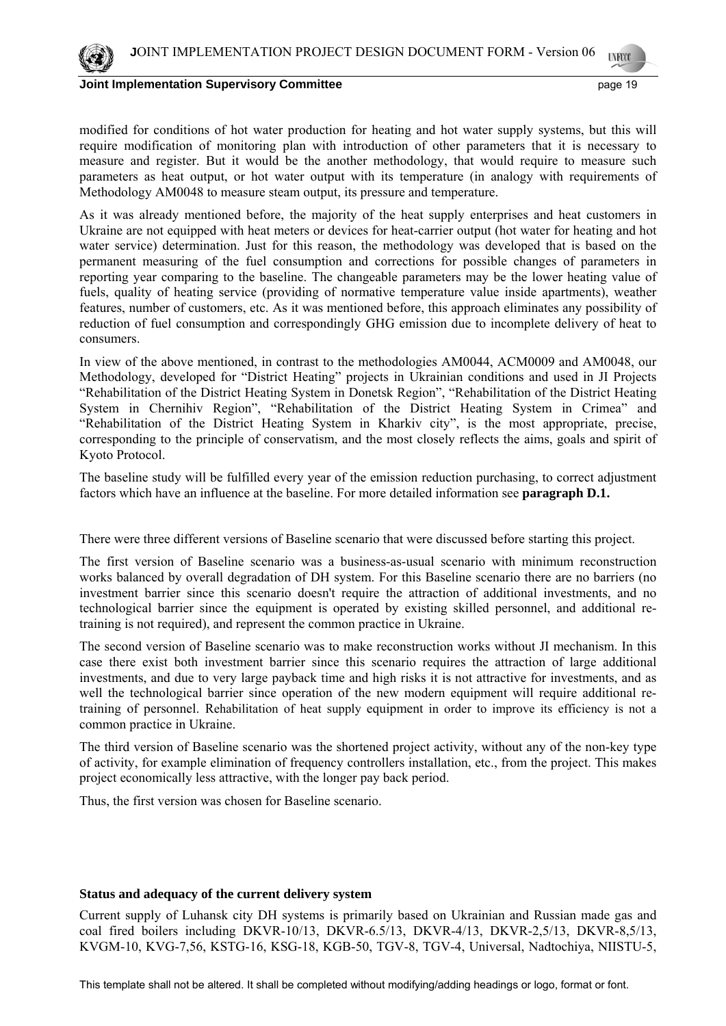

**Joint Implementation Supervisory Committee** *page 19* **page 19 and the page 19 and the page 19 and the page 19 and the page 19 and the page 19 and the page 19 and the page 19 and the page 19 and the page 19 and the page 19** 

modified for conditions of hot water production for heating and hot water supply systems, but this will require modification of monitoring plan with introduction of other parameters that it is necessary to measure and register. But it would be the another methodology, that would require to measure such parameters as heat output, or hot water output with its temperature (in analogy with requirements of Methodology AM0048 to measure steam output, its pressure and temperature.

As it was already mentioned before, the majority of the heat supply enterprises and heat customers in Ukraine are not equipped with heat meters or devices for heat-carrier output (hot water for heating and hot water service) determination. Just for this reason, the methodology was developed that is based on the permanent measuring of the fuel consumption and corrections for possible changes of parameters in reporting year comparing to the baseline. The changeable parameters may be the lower heating value of fuels, quality of heating service (providing of normative temperature value inside apartments), weather features, number of customers, etc. As it was mentioned before, this approach eliminates any possibility of reduction of fuel consumption and correspondingly GHG emission due to incomplete delivery of heat to consumers.

In view of the above mentioned, in contrast to the methodologies AM0044, ACM0009 and AM0048, our Methodology, developed for "District Heating" projects in Ukrainian conditions and used in JI Projects "Rehabilitation of the District Heating System in Donetsk Region", "Rehabilitation of the District Heating System in Chernihiv Region", "Rehabilitation of the District Heating System in Crimea" and "Rehabilitation of the District Heating System in Kharkiv city", is the most appropriate, precise, corresponding to the principle of conservatism, and the most closely reflects the aims, goals and spirit of Kyoto Protocol.

The baseline study will be fulfilled every year of the emission reduction purchasing, to correct adjustment factors which have an influence at the baseline. For more detailed information see **paragraph D.1.** 

There were three different versions of Baseline scenario that were discussed before starting this project.

The first version of Baseline scenario was a business-as-usual scenario with minimum reconstruction works balanced by overall degradation of DH system. For this Baseline scenario there are no barriers (no investment barrier since this scenario doesn't require the attraction of additional investments, and no technological barrier since the equipment is operated by existing skilled personnel, and additional retraining is not required), and represent the common practice in Ukraine.

The second version of Baseline scenario was to make reconstruction works without JI mechanism. In this case there exist both investment barrier since this scenario requires the attraction of large additional investments, and due to very large payback time and high risks it is not attractive for investments, and as well the technological barrier since operation of the new modern equipment will require additional retraining of personnel. Rehabilitation of heat supply equipment in order to improve its efficiency is not a common practice in Ukraine.

The third version of Baseline scenario was the shortened project activity, without any of the non-key type of activity, for example elimination of frequency controllers installation, etc., from the project. This makes project economically less attractive, with the longer pay back period.

Thus, the first version was chosen for Baseline scenario.

## **Status and adequacy of the current delivery system**

Current supply of Luhansk city DH systems is primarily based on Ukrainian and Russian made gas and coal fired boilers including DKVR-10/13, DKVR-6.5/13, DKVR-4/13, DKVR-2,5/13, DKVR-8,5/13, KVGM-10, KVG-7,56, KSTG-16, KSG-18, KGB-50, TGV-8, TGV-4, Universal, Nadtochiya, NIISTU-5,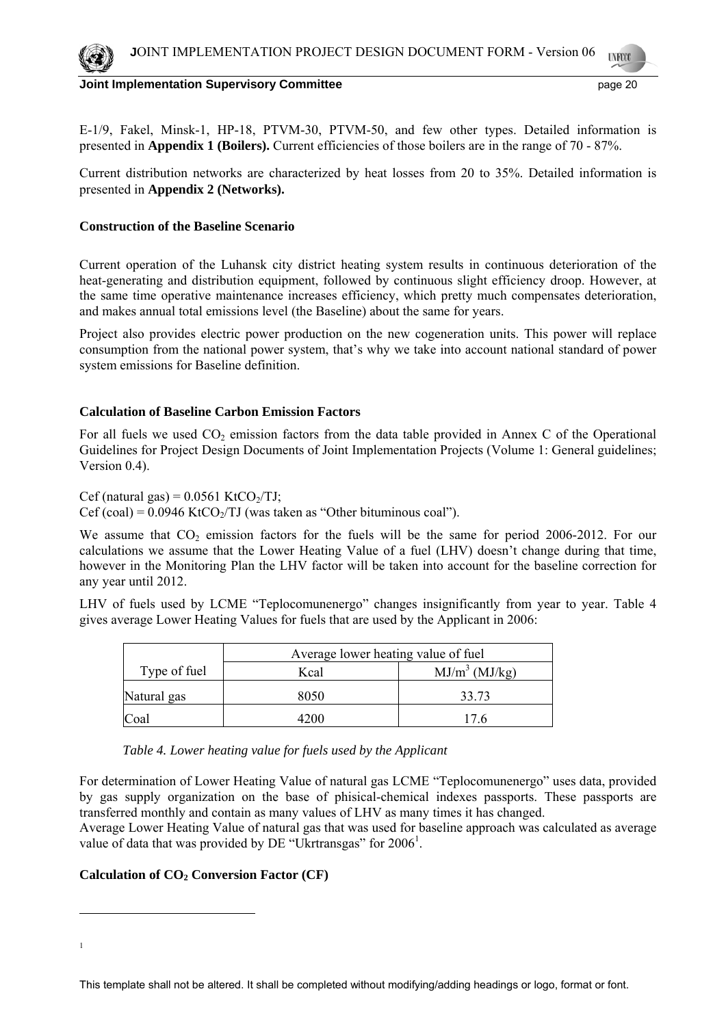Е-1/9, Fakel, Minsk-1, HP-18, PTVM-30, PTVM-50, and few other types. Detailed information is presented in **Appendix 1 (Boilers).** Current efficiencies of those boilers are in the range of 70 - 87%.

Current distribution networks are characterized by heat losses from 20 to 35%. Detailed information is presented in **Appendix 2 (Networks).** 

### **Construction of the Baseline Scenario**

Current operation of the Luhansk city district heating system results in continuous deterioration of the heat-generating and distribution equipment, followed by continuous slight efficiency droop. However, at the same time operative maintenance increases efficiency, which pretty much compensates deterioration, and makes annual total emissions level (the Baseline) about the same for years.

Project also provides electric power production on the new cogeneration units. This power will replace consumption from the national power system, that's why we take into account national standard of power system emissions for Baseline definition.

### **Calculation of Baseline Carbon Emission Factors**

For all fuels we used  $CO_2$  emission factors from the data table provided in Annex C of the Operational Guidelines for Project Design Documents of Joint Implementation Projects (Volume 1: General guidelines; Version 0.4).

Cef (natural gas) =  $0.0561$  KtCO<sub>2</sub>/TJ;

 $Cef (coal) = 0.0946$  Kt $CO<sub>2</sub>/TJ$  (was taken as "Other bituminous coal").

We assume that  $CO<sub>2</sub>$  emission factors for the fuels will be the same for period 2006-2012. For our calculations we assume that the Lower Heating Value of a fuel (LHV) doesn't change during that time, however in the Monitoring Plan the LHV factor will be taken into account for the baseline correction for any year until 2012.

LHV of fuels used by LCME "Teplocomunenergo" changes insignificantly from year to year. Table 4 gives average Lower Heating Values for fuels that are used by the Applicant in 2006:

|              | Average lower heating value of fuel |                  |  |  |
|--------------|-------------------------------------|------------------|--|--|
| Type of fuel | Kcal                                | $MJ/m^3$ (MJ/kg) |  |  |
| Natural gas  | 8050                                | 33.73            |  |  |
| lCoal        |                                     | 17 R             |  |  |

*Table 4. Lower heating value for fuels used by the Applicant* 

For determination of Lower Heating Value of natural gas LCME "Teplocomunenergo" uses data, provided by gas supply organization on the base of phisical-chemical indexes passports. These passports are transferred monthly and contain as many values of LHV as many times it has changed.

Average Lower Heating Value of natural gas that was used for baseline approach was calculated as average value of data that was provided by DE "Ukrtransgas" for 2006<sup>1</sup>.

## Calculation of CO<sub>2</sub> Conversion Factor (CF)

1

1

This template shall not be altered. It shall be completed without modifying/adding headings or logo, format or font.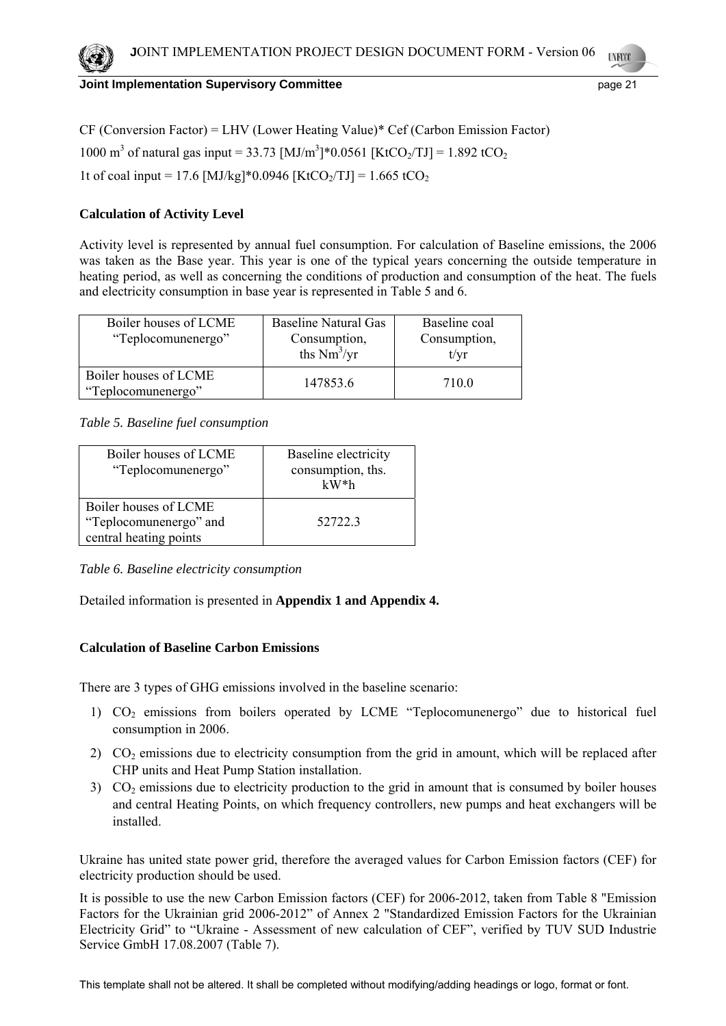CF (Conversion Factor) = LHV (Lower Heating Value)\* Cef (Carbon Emission Factor) 1000 m<sup>3</sup> of natural gas input = 33.73 [MJ/m<sup>3</sup>]\*0.0561 [KtCO<sub>2</sub>/TJ] = 1.892 tCO<sub>2</sub> 1t of coal input = 17.6 [MJ/kg]\*0.0946 [KtCO<sub>2</sub>/TJ] = 1.665 tCO<sub>2</sub>

# **Calculation of Activity Level**

Activity level is represented by annual fuel consumption. For calculation of Baseline emissions, the 2006 was taken as the Base year. This year is one of the typical years concerning the outside temperature in heating period, as well as concerning the conditions of production and consumption of the heat. The fuels and electricity consumption in base year is represented in Table 5 and 6.

| Boiler houses of LCME<br>"Teplocomunenergo" | <b>Baseline Natural Gas</b><br>Consumption,<br>ths $Nm^3/yr$ | Baseline coal<br>Consumption,<br>t/vr |
|---------------------------------------------|--------------------------------------------------------------|---------------------------------------|
| Boiler houses of LCME<br>"Teplocomunenergo" | 147853.6                                                     | 710 <sup>0</sup>                      |

*Table 5. Baseline fuel consumption* 

| Boiler houses of LCME<br>"Teplocomunenergo"                               | Baseline electricity<br>consumption, ths.<br>$kW^*h$ |
|---------------------------------------------------------------------------|------------------------------------------------------|
| Boiler houses of LCME<br>"Teplocomunenergo" and<br>central heating points | 527223                                               |

*Table 6. Baseline electricity consumption* 

Detailed information is presented in **Appendix 1 and Appendix 4.** 

# **Calculation of Baseline Carbon Emissions**

There are 3 types of GHG emissions involved in the baseline scenario:

- 1) CO2 emissions from boilers operated by LCME "Teplocomunenergo" due to historical fuel consumption in 2006.
- 2)  $CO<sub>2</sub>$  emissions due to electricity consumption from the grid in amount, which will be replaced after CHP units and Heat Pump Station installation.
- 3)  $CO<sub>2</sub>$  emissions due to electricity production to the grid in amount that is consumed by boiler houses and central Heating Points, on which frequency controllers, new pumps and heat exchangers will be installed.

Ukraine has united state power grid, therefore the averaged values for Carbon Emission factors (CEF) for electricity production should be used.

It is possible to use the new Carbon Emission factors (CEF) for 2006-2012, taken from Table 8 "Emission Factors for the Ukrainian grid 2006-2012" of Annex 2 "Standardized Emission Factors for the Ukrainian Electricity Grid" to "Ukraine - Assessment of new calculation of CEF", verified by TUV SUD Industrie Service GmbH 17.08.2007 (Table 7).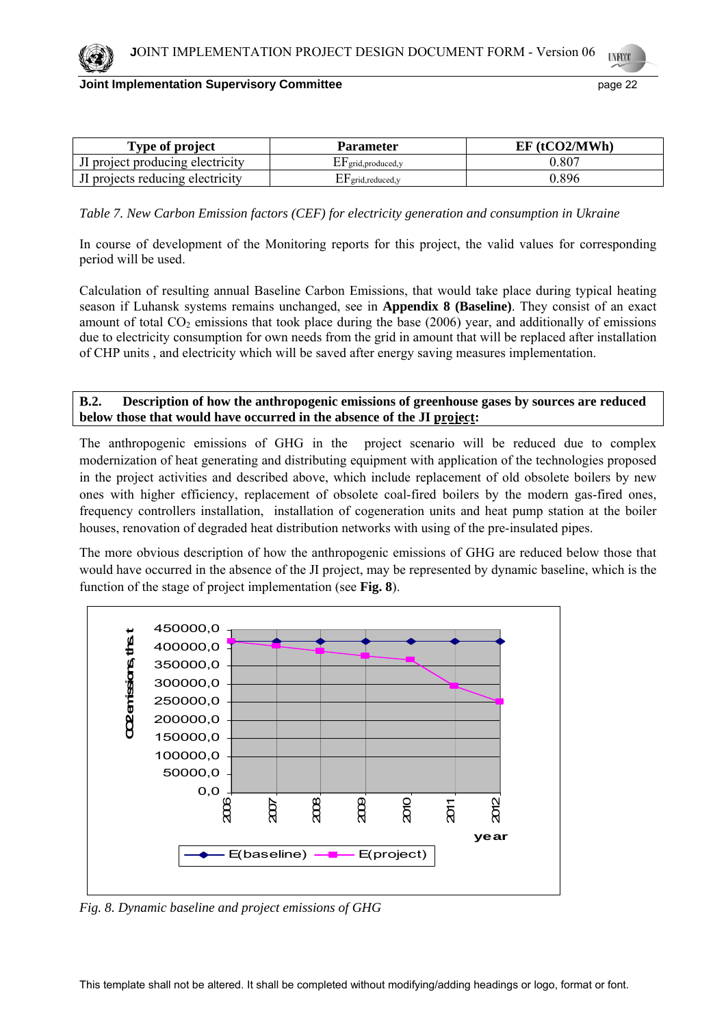| Type of project                  | Parameter                       | $EF$ (tCO2/MWh) |  |
|----------------------------------|---------------------------------|-----------------|--|
| If project producing electricity | $\triangle$ P grid, produced, y | $0.80^{-}$      |  |
| If projects reducing electricity | $EF$ grid, reduced, y           | 0.896           |  |

*Table 7. New Carbon Emission factors (CEF) for electricity generation and consumption in Ukraine* 

In course of development of the Monitoring reports for this project, the valid values for corresponding period will be used.

Calculation of resulting annual Baseline Carbon Emissions, that would take place during typical heating season if Luhansk systems remains unchanged, see in **Appendix 8 (Baseline)**. They consist of an exact amount of total  $CO<sub>2</sub>$  emissions that took place during the base (2006) year, and additionally of emissions due to electricity consumption for own needs from the grid in amount that will be replaced after installation of CHP units , and electricity which will be saved after energy saving measures implementation.

## **B.2. Description of how the anthropogenic emissions of greenhouse gases by sources are reduced below those that would have occurred in the absence of the JI project:**

The anthropogenic emissions of GHG in the project scenario will be reduced due to complex modernization of heat generating and distributing equipment with application of the technologies proposed in the project activities and described above, which include replacement of old obsolete boilers by new ones with higher efficiency, replacement of obsolete coal-fired boilers by the modern gas-fired ones, frequency controllers installation, installation of cogeneration units and heat pump station at the boiler houses, renovation of degraded heat distribution networks with using of the pre-insulated pipes.

The more obvious description of how the anthropogenic emissions of GHG are reduced below those that would have occurred in the absence of the JI project, may be represented by dynamic baseline, which is the function of the stage of project implementation (see **Fig. 8**).



*Fig. 8. Dynamic baseline and project emissions of GHG*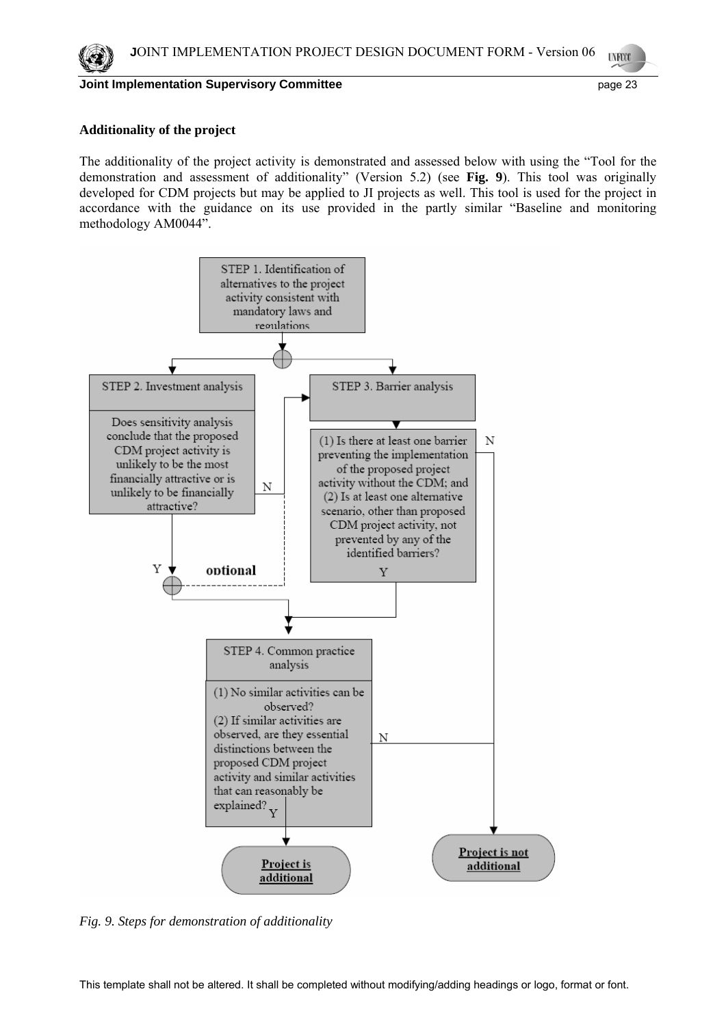

### **Additionality of the project**

The additionality of the project activity is demonstrated and assessed below with using the "Tool for the demonstration and assessment of additionality" (Version 5.2) (see **Fig. 9**). This tool was originally developed for CDM projects but may be applied to JI projects as well. This tool is used for the project in accordance with the guidance on its use provided in the partly similar "Baseline and monitoring methodology AM0044".



*Fig. 9. Steps for demonstration of additionality*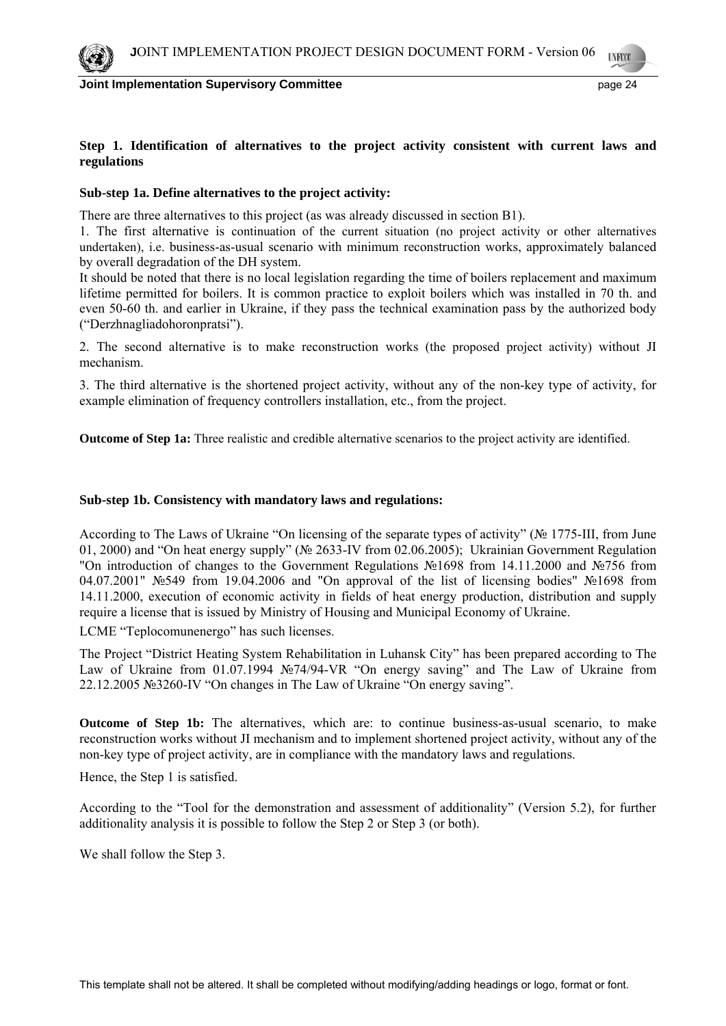



## **Step 1. Identification of alternatives to the project activity consistent with current laws and regulations**

## **Sub-step 1a. Define alternatives to the project activity:**

There are three alternatives to this project (as was already discussed in section B1).

1. The first alternative is continuation of the current situation (no project activity or other alternatives undertaken), i.e. business-as-usual scenario with minimum reconstruction works, approximately balanced by overall degradation of the DH system.

It should be noted that there is no local legislation regarding the time of boilers replacement and maximum lifetime permitted for boilers. It is common practice to exploit boilers which was installed in 70 th. and even 50-60 th. and earlier in Ukraine, if they pass the technical examination pass by the authorized body ("Derzhnagliadohoronpratsi").

2. The second alternative is to make reconstruction works (the proposed project activity) without JI mechanism.

3. The third alternative is the shortened project activity, without any of the non-key type of activity, for example elimination of frequency controllers installation, etc., from the project.

**Outcome of Step 1a:** Three realistic and credible alternative scenarios to the project activity are identified.

## **Sub-step 1b. Consistency with mandatory laws and regulations:**

According to The Laws of Ukraine "On licensing of the separate types of activity" (№ 1775-III, from June 01, 2000) and "On heat energy supply" (№ 2633-IV from 02.06.2005); Ukrainian Government Regulation "On introduction of changes to the Government Regulations №1698 from 14.11.2000 and №756 from 04.07.2001" №549 from 19.04.2006 and "On approval of the list of licensing bodies" №1698 from 14.11.2000, execution of economic activity in fields of heat energy production, distribution and supply require a license that is issued by Ministry of Housing and Municipal Economy of Ukraine.

LCME "Teplocomunenergo" has such licenses.

The Project "District Heating System Rehabilitation in Luhansk City" has been prepared according to The Law of Ukraine from 01.07.1994 №74/94-VR "On energy saving" and The Law of Ukraine from 22.12.2005 №3260-IV "On changes in The Law of Ukraine "On energy saving".

**Outcome of Step 1b:** The alternatives, which are: to continue business-as-usual scenario, to make reconstruction works without JI mechanism and to implement shortened project activity, without any of the non-key type of project activity, are in compliance with the mandatory laws and regulations.

Hence, the Step 1 is satisfied.

According to the "Tool for the demonstration and assessment of additionality" (Version 5.2), for further additionality analysis it is possible to follow the Step 2 or Step 3 (or both).

We shall follow the Step 3.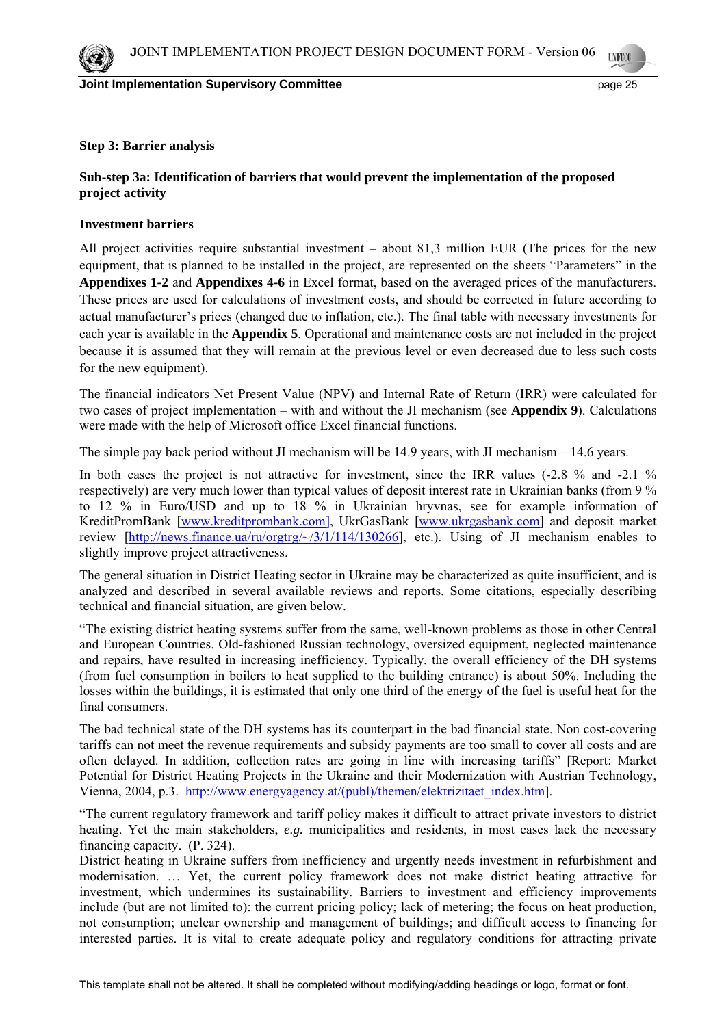

### **Step 3: Barrier analysis**

## **Sub-step 3a: Identification of barriers that would prevent the implementation of the proposed project activity**

### **Investment barriers**

All project activities require substantial investment – about 81,3 million EUR (The prices for the new equipment, that is planned to be installed in the project, are represented on the sheets "Parameters" in the **Appendixes 1-2** and **Appendixes 4-6** in Excel format, based on the averaged prices of the manufacturers. These prices are used for calculations of investment costs, and should be corrected in future according to actual manufacturer's prices (changed due to inflation, etc.). The final table with necessary investments for each year is available in the **Appendix 5**. Operational and maintenance costs are not included in the project because it is assumed that they will remain at the previous level or even decreased due to less such costs for the new equipment).

The financial indicators Net Present Value (NPV) and Internal Rate of Return (IRR) were calculated for two cases of project implementation – with and without the JI mechanism (see **Appendix 9**). Calculations were made with the help of Microsoft office Excel financial functions.

The simple pay back period without JI mechanism will be 14.9 years, with JI mechanism – 14.6 years.

In both cases the project is not attractive for investment, since the IRR values (-2.8 % and -2.1 % respectively) are very much lower than typical values of deposit interest rate in Ukrainian banks (from 9 % to 12 % in Euro/USD and up to 18 % in Ukrainian hryvnas, see for example information of KreditPromBank [www.kreditprombank.com], UkrGasBank [www.ukrgasbank.com] and deposit market review [http://news.finance.ua/ru/orgtrg/~/3/1/114/130266], etc.). Using of JI mechanism enables to slightly improve project attractiveness.

The general situation in District Heating sector in Ukraine may be characterized as quite insufficient, and is analyzed and described in several available reviews and reports. Some citations, especially describing technical and financial situation, are given below.

"The existing district heating systems suffer from the same, well-known problems as those in other Central and European Countries. Old-fashioned Russian technology, oversized equipment, neglected maintenance and repairs, have resulted in increasing inefficiency. Typically, the overall efficiency of the DH systems (from fuel consumption in boilers to heat supplied to the building entrance) is about 50%. Including the losses within the buildings, it is estimated that only one third of the energy of the fuel is useful heat for the final consumers.

The bad technical state of the DH systems has its counterpart in the bad financial state. Non cost-covering tariffs can not meet the revenue requirements and subsidy payments are too small to cover all costs and are often delayed. In addition, collection rates are going in line with increasing tariffs" [Report: Market Potential for District Heating Projects in the Ukraine and their Modernization with Austrian Technology, Vienna, 2004, p.3. http://www.energyagency.at/(publ)/themen/elektrizitaet\_index.htm].

"The current regulatory framework and tariff policy makes it difficult to attract private investors to district heating. Yet the main stakeholders, *e.g.* municipalities and residents, in most cases lack the necessary financing capacity. (P. 324).

District heating in Ukraine suffers from inefficiency and urgently needs investment in refurbishment and modernisation. … Yet, the current policy framework does not make district heating attractive for investment, which undermines its sustainability. Barriers to investment and efficiency improvements include (but are not limited to): the current pricing policy; lack of metering; the focus on heat production, not consumption; unclear ownership and management of buildings; and difficult access to financing for interested parties. It is vital to create adequate policy and regulatory conditions for attracting private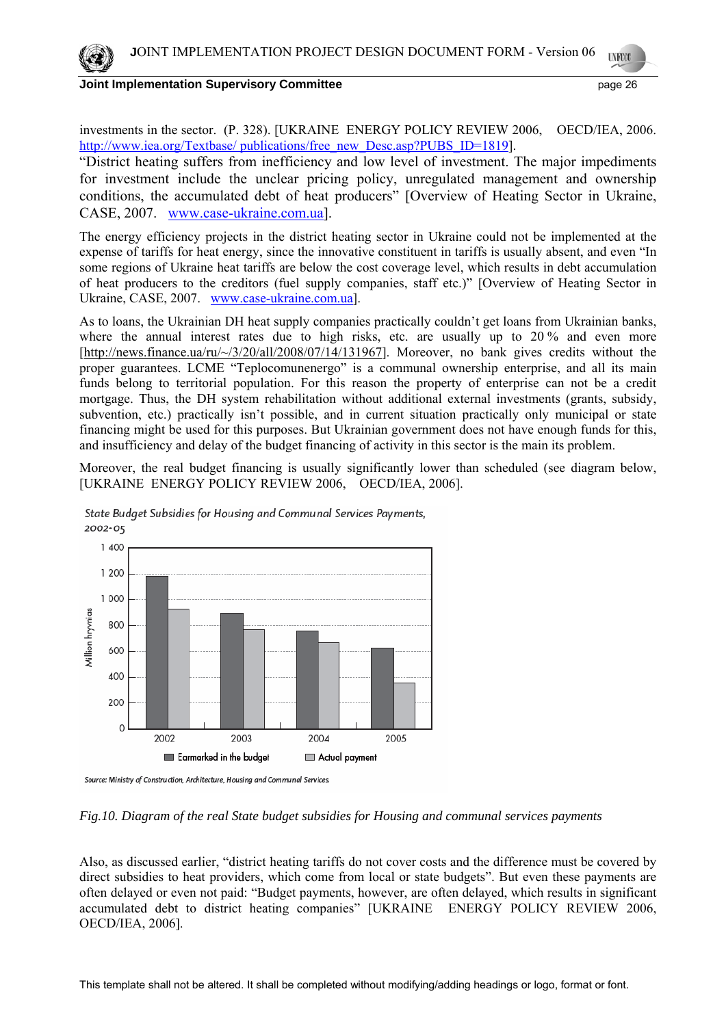**Joint Implementation Supervisory Committee** *page 26* **page 26 page 26** 

"District heating suffers from inefficiency and low level of investment. The major impediments for investment include the unclear pricing policy, unregulated management and ownership conditions, the accumulated debt of heat producers" [Overview of Heating Sector in Ukraine, CASE, 2007. www.case-ukraine.com.ua].

The energy efficiency projects in the district heating sector in Ukraine could not be implemented at the expense of tariffs for heat energy, since the innovative constituent in tariffs is usually absent, and even "In some regions of Ukraine heat tariffs are below the cost coverage level, which results in debt accumulation of heat producers to the creditors (fuel supply companies, staff etc.)" [Overview of Heating Sector in Ukraine, CASE, 2007. www.case-ukraine.com.ua].

As to loans, the Ukrainian DH heat supply companies practically couldn't get loans from Ukrainian banks, where the annual interest rates due to high risks, etc. are usually up to 20% and even more [http://news.finance.ua/ru/~/3/20/all/2008/07/14/131967]. Moreover, no bank gives credits without the proper guarantees. LCME "Teplocomunenergo" is a communal ownership enterprise, and all its main funds belong to territorial population. For this reason the property of enterprise can not be a credit mortgage. Thus, the DH system rehabilitation without additional external investments (grants, subsidy, subvention, etc.) practically isn't possible, and in current situation practically only municipal or state financing might be used for this purposes. But Ukrainian government does not have enough funds for this, and insufficiency and delay of the budget financing of activity in this sector is the main its problem.

Moreover, the real budget financing is usually significantly lower than scheduled (see diagram below, [UKRAINE ENERGY POLICY REVIEW 2006, OECD/IEA, 2006].



State Budget Subsidies for Housing and Communal Services Payments, 2002-05

## *Fig.10. Diagram of the real State budget subsidies for Housing and communal services payments*

Also, as discussed earlier, "district heating tariffs do not cover costs and the difference must be covered by direct subsidies to heat providers, which come from local or state budgets". But even these payments are often delayed or even not paid: "Budget payments, however, are often delayed, which results in significant accumulated debt to district heating companies" [UKRAINE ENERGY POLICY REVIEW 2006, OECD/IEA, 2006].

Source: Ministry of Construction, Architecture, Housing and Communal Services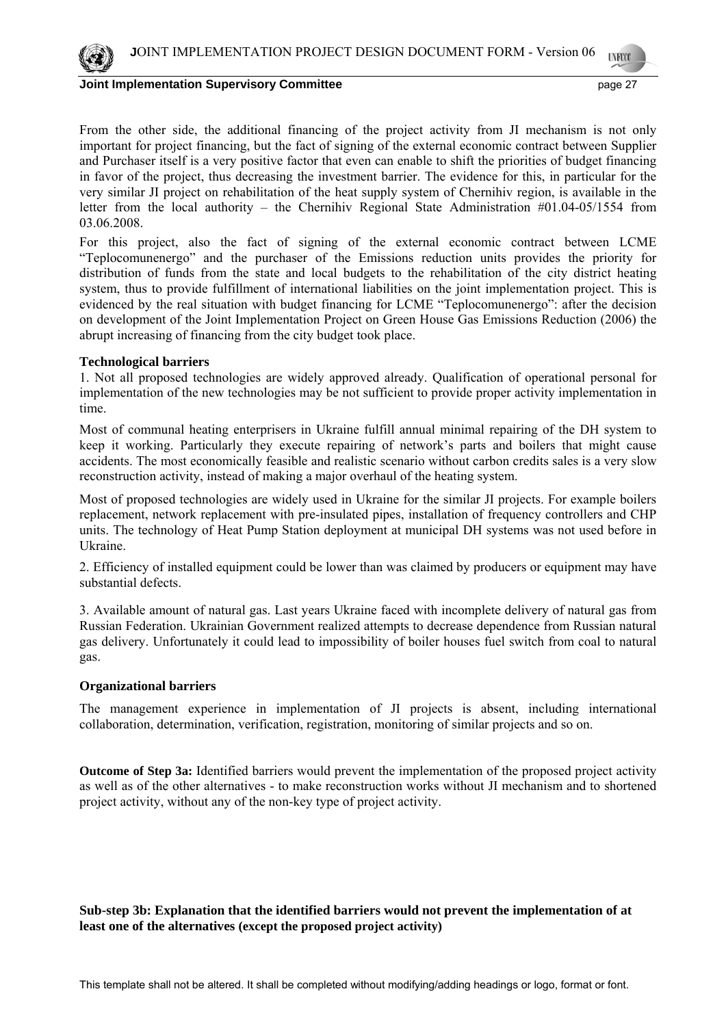

#### **Joint Implementation Supervisory Committee** *page 27* **and the state of the state of the state of the state of the state of the state of the state of the state of the state of the state of the state of the state of the stat**

From the other side, the additional financing of the project activity from JI mechanism is not only important for project financing, but the fact of signing of the external economic contract between Supplier and Purchaser itself is a very positive factor that even can enable to shift the priorities of budget financing in favor of the project, thus decreasing the investment barrier. The evidence for this, in particular for the very similar JI project on rehabilitation of the heat supply system of Chernihiv region, is available in the letter from the local authority – the Chernihiv Regional State Administration #01.04-05/1554 from 03.06.2008.

For this project, also the fact of signing of the external economic contract between LCME "Teplocomunenergo" and the purchaser of the Emissions reduction units provides the priority for distribution of funds from the state and local budgets to the rehabilitation of the city district heating system, thus to provide fulfillment of international liabilities on the joint implementation project. This is evidenced by the real situation with budget financing for LCME "Teplocomunenergo": after the decision on development of the Joint Implementation Project on Green House Gas Emissions Reduction (2006) the abrupt increasing of financing from the city budget took place.

### **Technological barriers**

1. Not all proposed technologies are widely approved already. Qualification of operational personal for implementation of the new technologies may be not sufficient to provide proper activity implementation in time.

Most of communal heating enterprisers in Ukraine fulfill annual minimal repairing of the DH system to keep it working. Particularly they execute repairing of network's parts and boilers that might cause accidents. The most economically feasible and realistic scenario without carbon credits sales is a very slow reconstruction activity, instead of making a major overhaul of the heating system.

Most of proposed technologies are widely used in Ukraine for the similar JI projects. For example boilers replacement, network replacement with pre-insulated pipes, installation of frequency controllers and CHP units. The technology of Heat Pump Station deployment at municipal DH systems was not used before in Ukraine.

2. Efficiency of installed equipment could be lower than was claimed by producers or equipment may have substantial defects.

3. Available amount of natural gas. Last years Ukraine faced with incomplete delivery of natural gas from Russian Federation. Ukrainian Government realized attempts to decrease dependence from Russian natural gas delivery. Unfortunately it could lead to impossibility of boiler houses fuel switch from coal to natural gas.

## **Organizational barriers**

The management experience in implementation of JI projects is absent, including international collaboration, determination, verification, registration, monitoring of similar projects and so on.

**Outcome of Step 3a:** Identified barriers would prevent the implementation of the proposed project activity as well as of the other alternatives - to make reconstruction works without JI mechanism and to shortened project activity, without any of the non-key type of project activity.

# **Sub-step 3b: Explanation that the identified barriers would not prevent the implementation of at least one of the alternatives (except the proposed project activity)**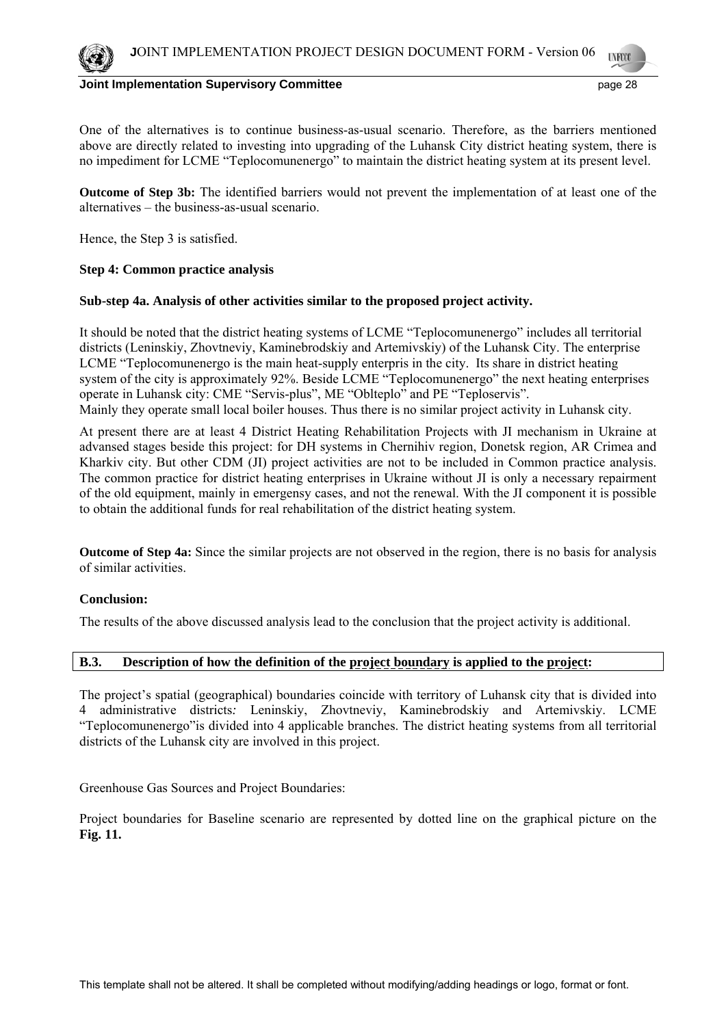One of the alternatives is to continue business-as-usual scenario. Therefore, as the barriers mentioned above are directly related to investing into upgrading of the Luhansk City district heating system, there is no impediment for LCME "Teplocomunenergo" to maintain the district heating system at its present level.

**Outcome of Step 3b:** The identified barriers would not prevent the implementation of at least one of the alternatives – the business-as-usual scenario.

Hence, the Step 3 is satisfied.

### **Step 4: Common practice analysis**

### **Sub-step 4a. Analysis of other activities similar to the proposed project activity.**

It should be noted that the district heating systems of LCME "Teplocomunenergo" includes all territorial districts (Leninskiy, Zhovtneviy, Kaminebrodskiy and Artemivskiy) of the Luhansk City. The enterprise LCME "Teplocomunenergo is the main heat-supply enterpris in the city. Its share in district heating system of the city is approximately 92%. Beside LCME "Teplocomunenergo" the next heating enterprises operate in Luhansk city: CME "Servis-plus", ME "Oblteplo" and PE "Teploservis". Mainly they operate small local boiler houses. Thus there is no similar project activity in Luhansk city.

At present there are at least 4 District Heating Rehabilitation Projects with JI mechanism in Ukraine at advansed stages beside this project: for DH systems in Chernihiv region, Donetsk region, AR Crimea and Kharkiv city. But other CDM (JI) project activities are not to be included in Common practice analysis. The common practice for district heating enterprises in Ukraine without JI is only a necessary repairment of the old equipment, mainly in emergensy cases, and not the renewal. With the JI component it is possible to obtain the additional funds for real rehabilitation of the district heating system.

**Outcome of Step 4a:** Since the similar projects are not observed in the region, there is no basis for analysis of similar activities.

## **Conclusion:**

The results of the above discussed analysis lead to the conclusion that the project activity is additional.

# **B.3. Description of how the definition of the project boundary is applied to the project:**

The project's spatial (geographical) boundaries coincide with territory of Luhansk city that is divided into 4 administrative districts*:* Leninskiy, Zhovtneviy, Kaminebrodskiy and Artemivskiy. LCME "Teplocomunenergo"is divided into 4 applicable branches. The district heating systems from all territorial districts of the Luhansk city are involved in this project.

Greenhouse Gas Sources and Project Boundaries:

Project boundaries for Baseline scenario are represented by dotted line on the graphical picture on the **Fig. 11.**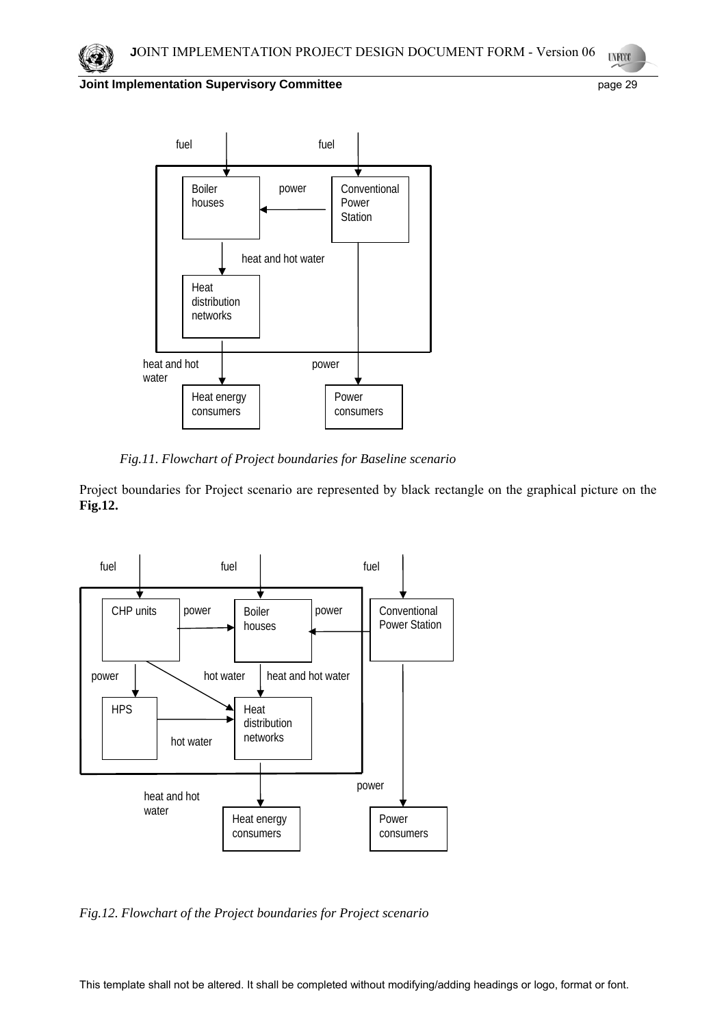



 *Fig.11. Flowchart of Project boundaries for Baseline scenario* 

Project boundaries for Project scenario are represented by black rectangle on the graphical picture on the **Fig.12.**



*Fig.12. Flowchart of the Project boundaries for Project scenario*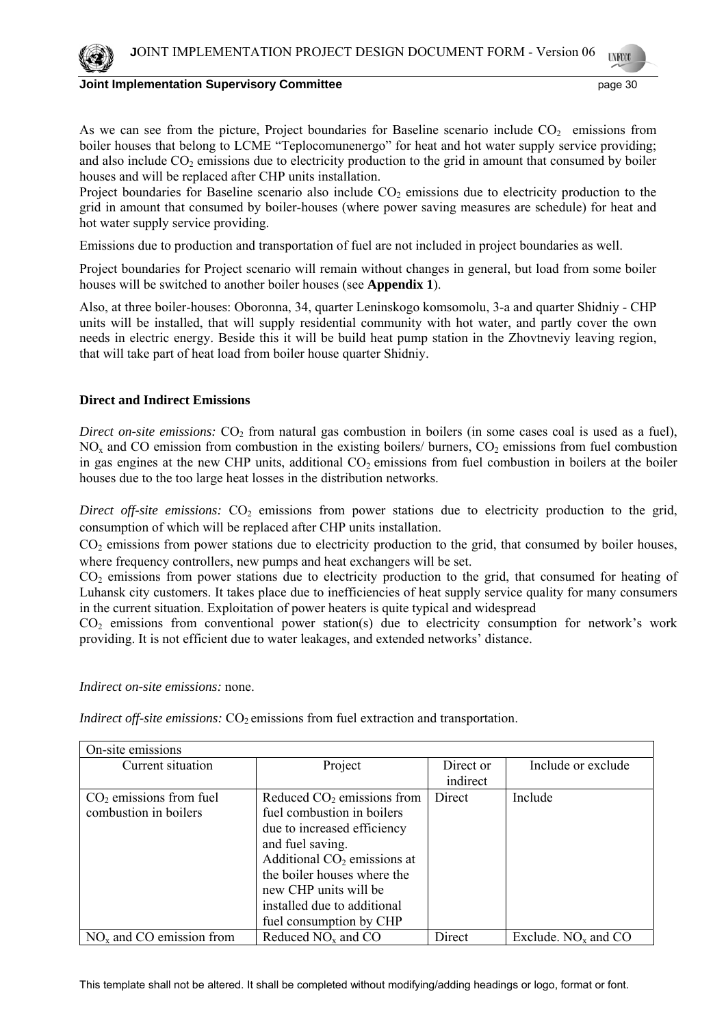

As we can see from the picture, Project boundaries for Baseline scenario include  $CO<sub>2</sub>$  emissions from boiler houses that belong to LCME "Teplocomunenergo" for heat and hot water supply service providing; and also include  $CO<sub>2</sub>$  emissions due to electricity production to the grid in amount that consumed by boiler houses and will be replaced after CHP units installation.

Project boundaries for Baseline scenario also include  $CO<sub>2</sub>$  emissions due to electricity production to the grid in amount that consumed by boiler-houses (where power saving measures are schedule) for heat and hot water supply service providing.

Emissions due to production and transportation of fuel are not included in project boundaries as well.

Project boundaries for Project scenario will remain without changes in general, but load from some boiler houses will be switched to another boiler houses (see **Appendix 1**).

Also, at three boiler-houses: Oboronna, 34, quarter Leninskogo komsomolu, 3-а and quarter Shidniy - CHP units will be installed, that will supply residential community with hot water, and partly cover the own needs in electric energy. Beside this it will be build heat pump station in the Zhovtneviy leaving region, that will take part of heat load from boiler house quarter Shidniy.

# **Direct and Indirect Emissions**

*Direct on-site emissions:*  $CO<sub>2</sub>$  from natural gas combustion in boilers (in some cases coal is used as a fuel),  $NO<sub>x</sub>$  and CO emission from combustion in the existing boilers/ burners, CO<sub>2</sub> emissions from fuel combustion in gas engines at the new CHP units, additional  $CO<sub>2</sub>$  emissions from fuel combustion in boilers at the boiler houses due to the too large heat losses in the distribution networks.

*Direct off-site emissions:*  $CO<sub>2</sub>$  emissions from power stations due to electricity production to the grid, consumption of which will be replaced after CHP units installation.

CO2 emissions from power stations due to electricity production to the grid, that consumed by boiler houses, where frequency controllers, new pumps and heat exchangers will be set.

 $CO<sub>2</sub>$  emissions from power stations due to electricity production to the grid, that consumed for heating of Luhansk city customers. It takes place due to inefficiencies of heat supply service quality for many consumers in the current situation. Exploitation of power heaters is quite typical and widespread

 $CO<sub>2</sub>$  emissions from conventional power station(s) due to electricity consumption for network's work providing. It is not efficient due to water leakages, and extended networks' distance.

*Indirect on-site emissions:* none.

*Indirect off-site emissions:*  $CO<sub>2</sub>$  emissions from fuel extraction and transportation.

| On-site emissions          |                               |           |                         |  |
|----------------------------|-------------------------------|-----------|-------------------------|--|
| Current situation          | Project                       | Direct or | Include or exclude      |  |
|                            |                               | indirect  |                         |  |
| $CO2$ emissions from fuel  | Reduced $CO2$ emissions from  | Direct    | Include                 |  |
| combustion in boilers      | fuel combustion in boilers    |           |                         |  |
|                            | due to increased efficiency   |           |                         |  |
|                            | and fuel saving.              |           |                         |  |
|                            | Additional $CO2$ emissions at |           |                         |  |
|                            | the boiler houses where the   |           |                         |  |
|                            | new CHP units will be         |           |                         |  |
|                            | installed due to additional   |           |                         |  |
|                            | fuel consumption by CHP       |           |                         |  |
| $NOx$ and CO emission from | Reduced $NOx$ and $CO$        | Direct    | Exclude. $NOx$ and $CO$ |  |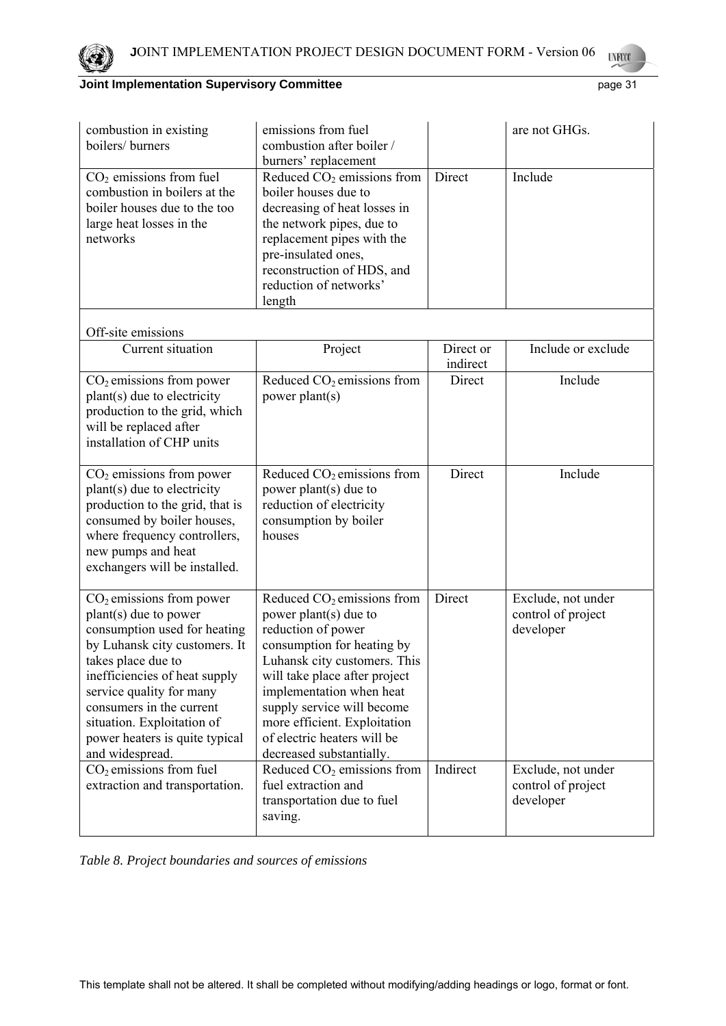

| combustion in existing<br>boilers/burners                                                                                                                                                                                                                                                                              | emissions from fuel<br>combustion after boiler /<br>burners' replacement                                                                                                                                                                                                                                                        |                       | are not GHGs.                                         |
|------------------------------------------------------------------------------------------------------------------------------------------------------------------------------------------------------------------------------------------------------------------------------------------------------------------------|---------------------------------------------------------------------------------------------------------------------------------------------------------------------------------------------------------------------------------------------------------------------------------------------------------------------------------|-----------------------|-------------------------------------------------------|
| $CO2$ emissions from fuel<br>combustion in boilers at the<br>boiler houses due to the too<br>large heat losses in the<br>networks                                                                                                                                                                                      | Reduced $CO2$ emissions from<br>boiler houses due to<br>decreasing of heat losses in<br>the network pipes, due to<br>replacement pipes with the<br>pre-insulated ones,<br>reconstruction of HDS, and<br>reduction of networks'<br>length                                                                                        | Direct                | Include                                               |
| Off-site emissions                                                                                                                                                                                                                                                                                                     |                                                                                                                                                                                                                                                                                                                                 |                       |                                                       |
| Current situation                                                                                                                                                                                                                                                                                                      | Project                                                                                                                                                                                                                                                                                                                         | Direct or<br>indirect | Include or exclude                                    |
| $CO2$ emissions from power<br>plant(s) due to electricity<br>production to the grid, which<br>will be replaced after<br>installation of CHP units                                                                                                                                                                      | Reduced $CO2$ emissions from<br>power plant(s)                                                                                                                                                                                                                                                                                  | Direct                | Include                                               |
| $CO2$ emissions from power<br>plant(s) due to electricity<br>production to the grid, that is<br>consumed by boiler houses,<br>where frequency controllers,<br>new pumps and heat<br>exchangers will be installed.                                                                                                      | Reduced $CO2$ emissions from<br>power plant(s) due to<br>reduction of electricity<br>consumption by boiler<br>houses                                                                                                                                                                                                            | Direct                | Include                                               |
| $CO2$ emissions from power<br>plant(s) due to power<br>consumption used for heating<br>by Luhansk city customers. It<br>takes place due to<br>inefficiencies of heat supply<br>service quality for many<br>consumers in the current<br>situation. Exploitation of<br>power heaters is quite typical<br>and widespread. | Reduced $CO2$ emissions from<br>power plant(s) due to<br>reduction of power<br>consumption for heating by<br>Luhansk city customers. This<br>will take place after project<br>implementation when heat<br>supply service will become<br>more efficient. Exploitation<br>of electric heaters will be<br>decreased substantially. | Direct                | Exclude, not under<br>control of project<br>developer |
| $CO2$ emissions from fuel<br>extraction and transportation.                                                                                                                                                                                                                                                            | Reduced $CO2$ emissions from<br>fuel extraction and<br>transportation due to fuel<br>saving.                                                                                                                                                                                                                                    | Indirect              | Exclude, not under<br>control of project<br>developer |

*Table 8. Project boundaries and sources of emissions*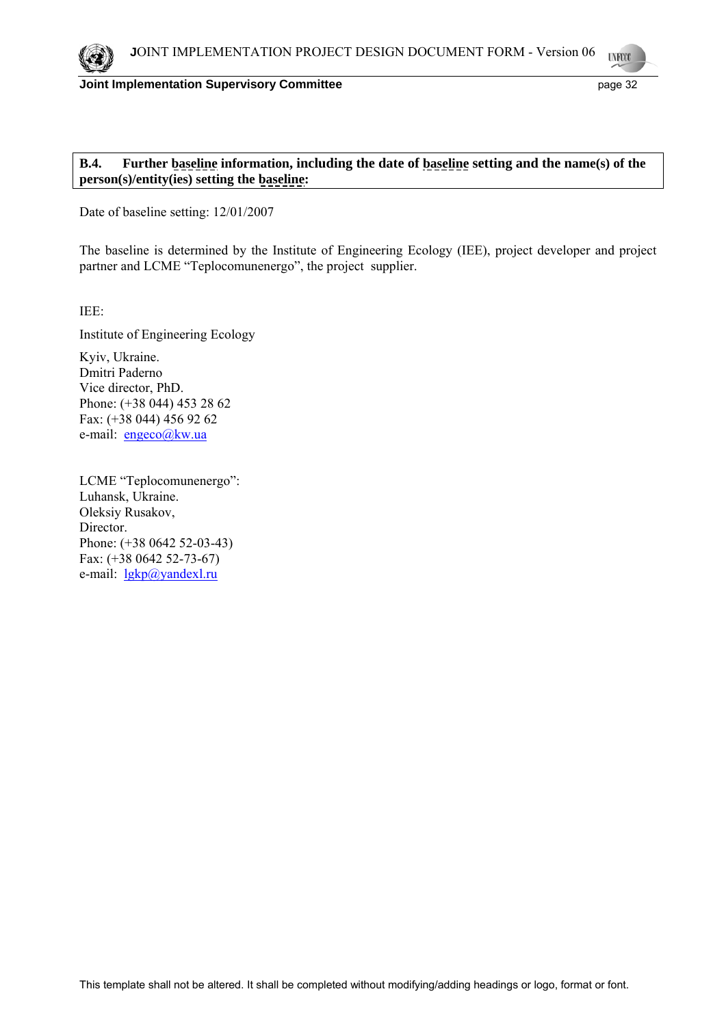

### **Joint Implementation Supervisory Committee** *page* **32 and page 32**

# **B.4. Further baseline information, including the date of baseline setting and the name(s) of the person(s)/entity(ies) setting the baseline:**

Date of baseline setting: 12/01/2007

The baseline is determined by the Institute of Engineering Ecology (IEE), project developer and project partner and LCME "Teplocomunenergo", the project supplier.

IEE:

Institute of Engineering Ecology

Kyiv, Ukraine. Dmitri Paderno Vice director, PhD. Phone: (+38 044) 453 28 62 Fax: (+38 044) 456 92 62 e-mail: engeco@kw.ua

LCME "Teplocomunenergo": Luhansk, Ukraine. Oleksiy Rusakov, Director. Phone: (+38 0642 52-03-43) Fax: (+38 0642 52-73-67) e-mail: lgkp@yandexl.ru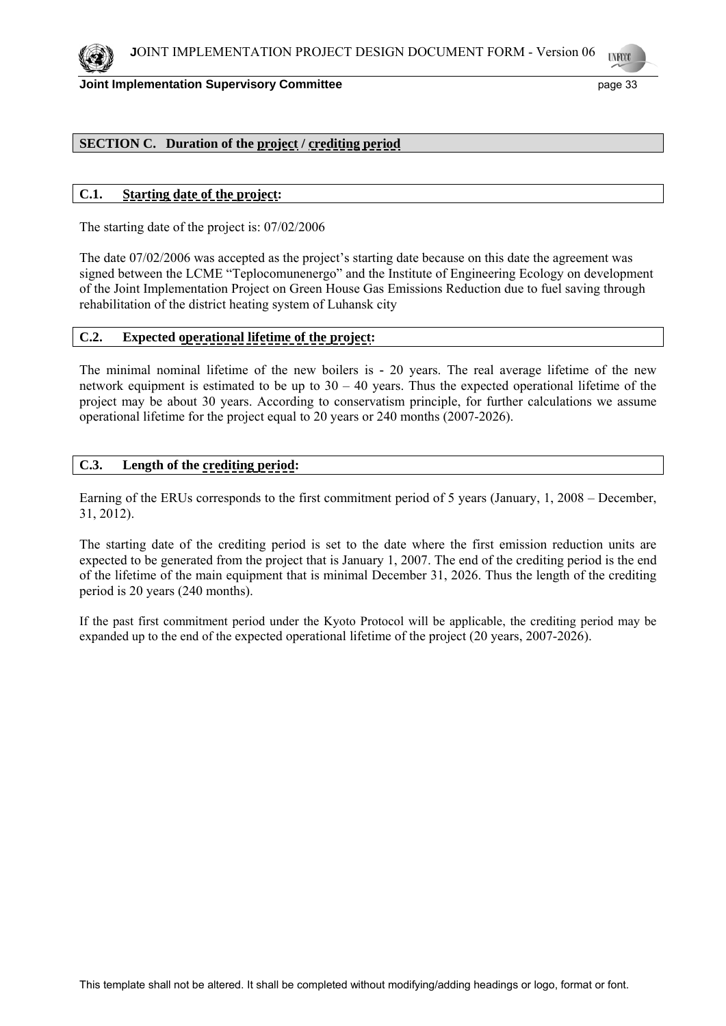

## **SECTION C. Duration of the project / crediting period**

## **C.1. Starting date of the project:**

The starting date of the project is: 07/02/2006

The date 07/02/2006 was accepted as the project's starting date because on this date the agreement was signed between the LCME "Teplocomunenergo" and the Institute of Engineering Ecology on development of the Joint Implementation Project on Green House Gas Emissions Reduction due to fuel saving through rehabilitation of the district heating system of Luhansk city

# **C.2. Expected operational lifetime of the project:**

The minimal nominal lifetime of the new boilers is **-** 20 years. The real average lifetime of the new network equipment is estimated to be up to  $30 - 40$  years. Thus the expected operational lifetime of the project may be about 30 years. According to conservatism principle, for further calculations we assume operational lifetime for the project equal to 20 years or 240 months (2007-2026).

## **C.3. Length of the crediting period:**

Earning of the ERUs corresponds to the first commitment period of 5 years (January, 1, 2008 – December, 31, 2012).

The starting date of the crediting period is set to the date where the first emission reduction units are expected to be generated from the project that is January 1, 2007. The end of the crediting period is the end of the lifetime of the main equipment that is minimal December 31, 2026. Thus the length of the crediting period is 20 years (240 months).

If the past first commitment period under the Kyoto Protocol will be applicable, the crediting period may be expanded up to the end of the expected operational lifetime of the project (20 years, 2007-2026).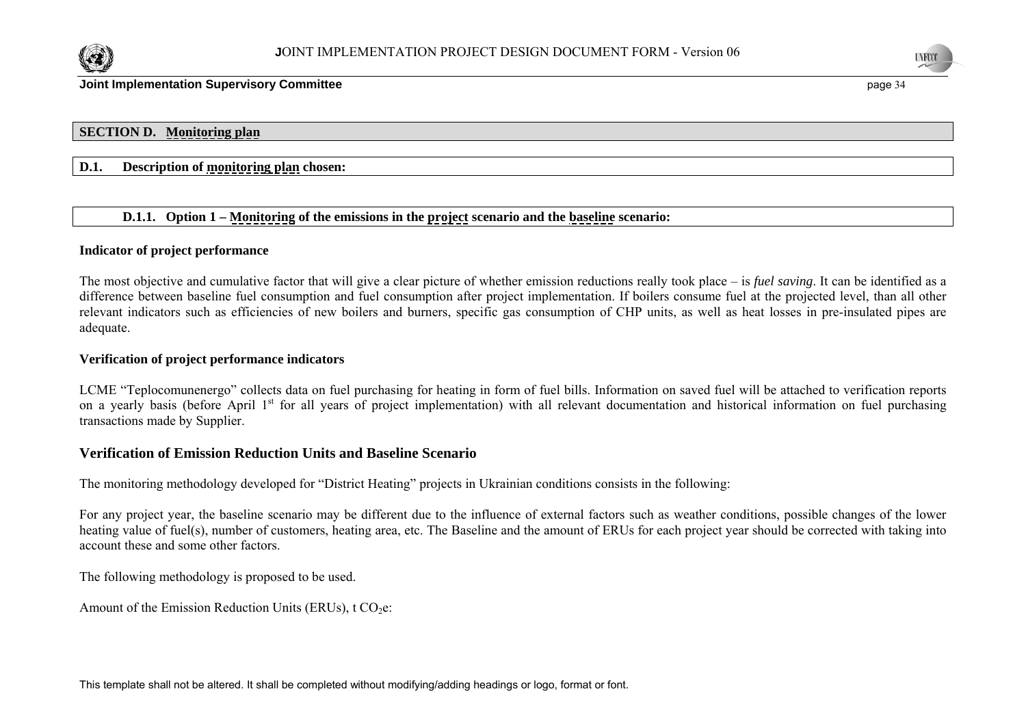



## **SECTION D. Monitoring plan**

### **D.1. Description of monitoring plan chosen:**

### **D.1.1. Option 1 – Monitoring of the emissions in the project scenario and the baseline scenario:**

### **Indicator of project performance**

The most objective and cumulative factor that will give a clear picture of whether emission reductions really took place – is *fuel saving*. It can be identified as a difference between baseline fuel consumption and fuel consumption after project implementation. If boilers consume fuel at the projected level, than all other relevant indicators such as efficiencies of new boilers and burners, specific gas consumption of CHP units, as well as heat losses in pre-insulated pipes are adequate.

#### **Verification of project performance indicators**

LCME "Teplocomunenergo" collects data on fuel purchasing for heating in form of fuel bills. Information on saved fuel will be attached to verification reports on a yearly basis (before April 1<sup>st</sup> for all years of project implementation) with all relevant documentation and historical information on fuel purchasing transactions made by Supplier.

### **Verification of Emission Reduction Units and Baseline Scenario**

The monitoring methodology developed for "District Heating" projects in Ukrainian conditions consists in the following:

For any project year, the baseline scenario may be different due to the influence of external factors such as weather conditions, possible changes of the lower heating value of fuel(s), number of customers, heating area, etc. The Baseline and the amount of ERUs for each project year should be corrected with taking into account these and some other factors.

The following methodology is proposed to be used.

Amount of the Emission Reduction Units (ERUs),  $t CO<sub>2</sub>e$ :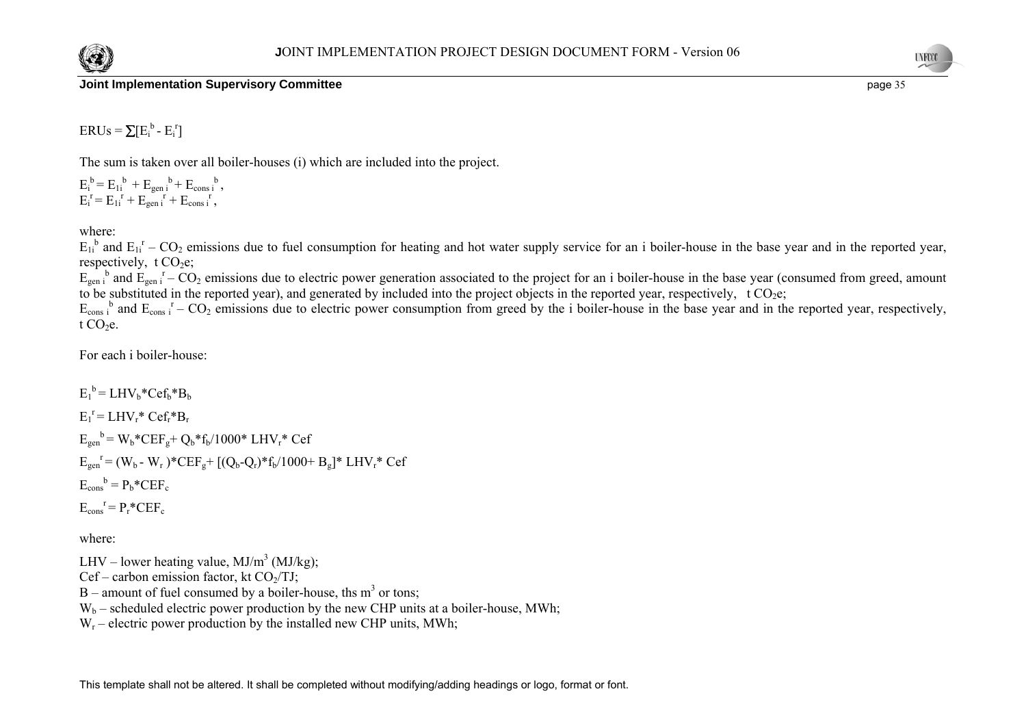



 $ERUs = \sum [E_i^b - E_i^r]$ 

The sum is taken over all boiler-houses (i) which are included into the project.

 $E_i^b = E_{1i}^b + E_{gen i}^b + E_{cons i}^b$  $E_i^{\ r} = E_{1i}^{\ r} + E_{gen i}^{\ r} + E_{cons i}^{\ r}$ 

where:

 $E_{1i}^{b}$  and  $E_{1i}^{r}$  – CO<sub>2</sub> emissions due to fuel consumption for heating and hot water supply service for an i boiler-house in the base year and in the reported year, respectively,  $t CO<sub>2</sub>e$ ;

 $E_{gen i}$ <sup>b</sup> and  $E_{gen i}$ <sup>r</sup> – CO<sub>2</sub> emissions due to electric power generation associated to the project for an i boiler-house in the base year (consumed from greed, amount to be substituted in the reported year), and generated by included into the project objects in the reported year, respectively, t  $CO<sub>2</sub>e$ ;

 $E_{\text{cons}}$  and  $E_{\text{cons}}$   $I - CO_2$  emissions due to electric power consumption from greed by the i boiler-house in the base year and in the reported year, respectively, t  $CO<sub>2</sub>e$ .

For each i boiler-house:

 $E_1^b = LHV_b*Cef_b*B_b$  $E_1^r = LHV_r^* Cef_r^*B_r$  $E_{gen}^{\text{b}} = W_{\text{b}}^* C E F_{\text{b}} + Q_{\text{b}}^* f_{\text{b}} / 1000^* L H V_{\text{r}}^* C e f$  $E_{gen}^{\{r\}} = (W_b - W_r)^* C E F_g + [(Q_b - Q_r)^* f_b / 1000 + B_g]^* L H V_r^* C e f$  $E_{\text{cons}}^{\text{b}} = P_{\text{b}}^* C E F_{\text{c}}$  $E_{\text{cons}}^{\rightharpoonup} = P_r^* C E F_c$ 

where:

LHV – lower heating value,  $MJ/m<sup>3</sup> (MJ/kg)$ ;

 $Cef$  – carbon emission factor, kt  $CO<sub>2</sub>/TJ$ ;

 $B$  – amount of fuel consumed by a boiler-house, ths m<sup>3</sup> or tons;

 $W_b$  – scheduled electric power production by the new CHP units at a boiler-house. MWh:

 $W_r$  – electric power production by the installed new CHP units, MWh;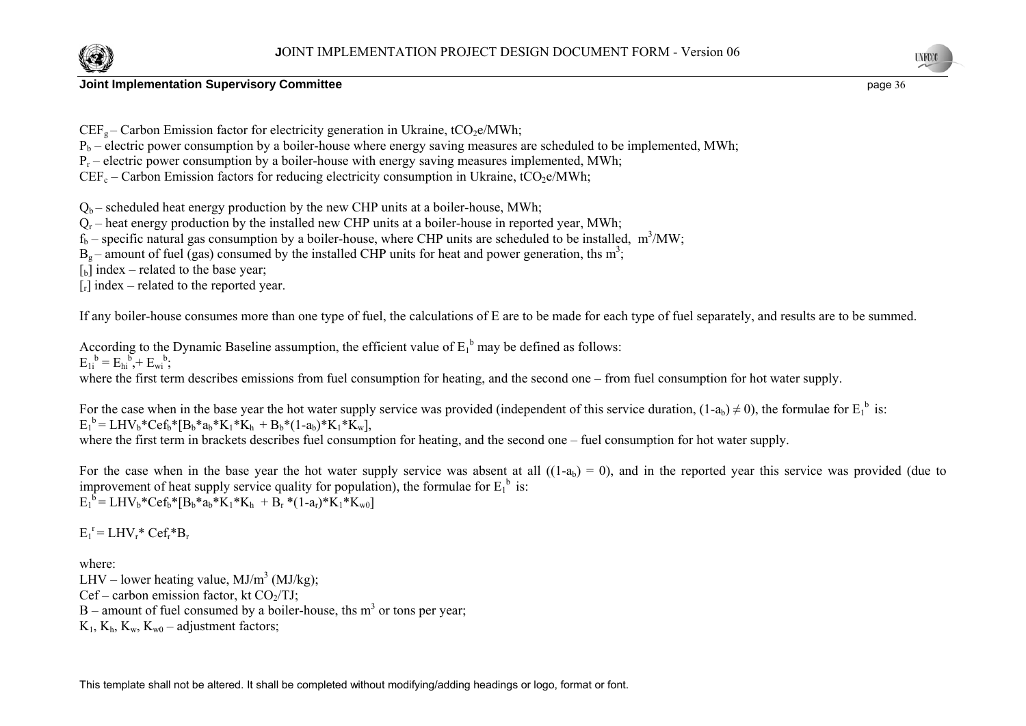

 $CEF_{\sigma}$  – Carbon Emission factor for electricity generation in Ukraine, tCO<sub>2</sub>e/MWh;

 $P_b$  – electric power consumption by a boiler-house where energy saving measures are scheduled to be implemented, MWh;

 $P_r$  – electric power consumption by a boiler-house with energy saving measures implemented, MWh;

 $CEF_c - Carbon Emission factors for reducing electricity consumption in Ukraine, tCO<sub>2</sub>e/MWh;$ 

 $Q_b$  – scheduled heat energy production by the new CHP units at a boiler-house, MWh;

 $Q<sub>r</sub>$  – heat energy production by the installed new CHP units at a boiler-house in reported year, MWh;

 $f_b$  – specific natural gas consumption by a boiler-house, where CHP units are scheduled to be installed, m<sup>3</sup>/MW;

 $B<sub>o</sub>$  – amount of fuel (gas) consumed by the installed CHP units for heat and power generation, ths m<sup>3</sup>;

 $\begin{bmatrix} 1 \\ 2 \end{bmatrix}$  index – related to the base year;

 $[r]$  index – related to the reported year.

If any boiler-house consumes more than one type of fuel, the calculations of E are to be made for each type of fuel separately, and results are to be summed.

According to the Dynamic Baseline assumption, the efficient value of  $E_1^b$  may be defined as follows:  $E_{1i}^{b} = E_{hi}^{b} + E_{wi}^{b}$ ;

where the first term describes emissions from fuel consumption for heating, and the second one – from fuel consumption for hot water supply.

For the case when in the base year the hot water supply service was provided (independent of this service duration,  $(1-a_b) \neq 0$ ), the formulae for  $E_1^b$  is:  $E_1^b = LHV_b*Cef_b* [B_b*a_b*K_1*K_b + B_b*(1-a_b)*K_1*K_w],$ where the first term in brackets describes fuel consumption for heating, and the second one – fuel consumption for hot water supply.

For the case when in the base year the hot water supply service was absent at all  $((1-a<sub>b</sub>) = 0)$ , and in the reported year this service was provided (due to improvement of heat supply service quality for population), the formulae for  $E_1^b$  is:  $E_1^b = LHV_b*Cef_b*[B_b* a_b*K_1*K_b + B_r*(1-a_r)*K_1*K_w)]$ 

 $E_1^r = LHV_r^* Cef_r^*B_r$ 

where: LHV – lower heating value,  $MJ/m<sup>3</sup> (MJ/kg)$ ;  $Cef$  – carbon emission factor, kt  $CO<sub>2</sub>/TJ$ ;  $B$  – amount of fuel consumed by a boiler-house, ths m<sup>3</sup> or tons per year;  $K_1$ ,  $K_h$ ,  $K_w$ ,  $K_{w0}$  – adjustment factors;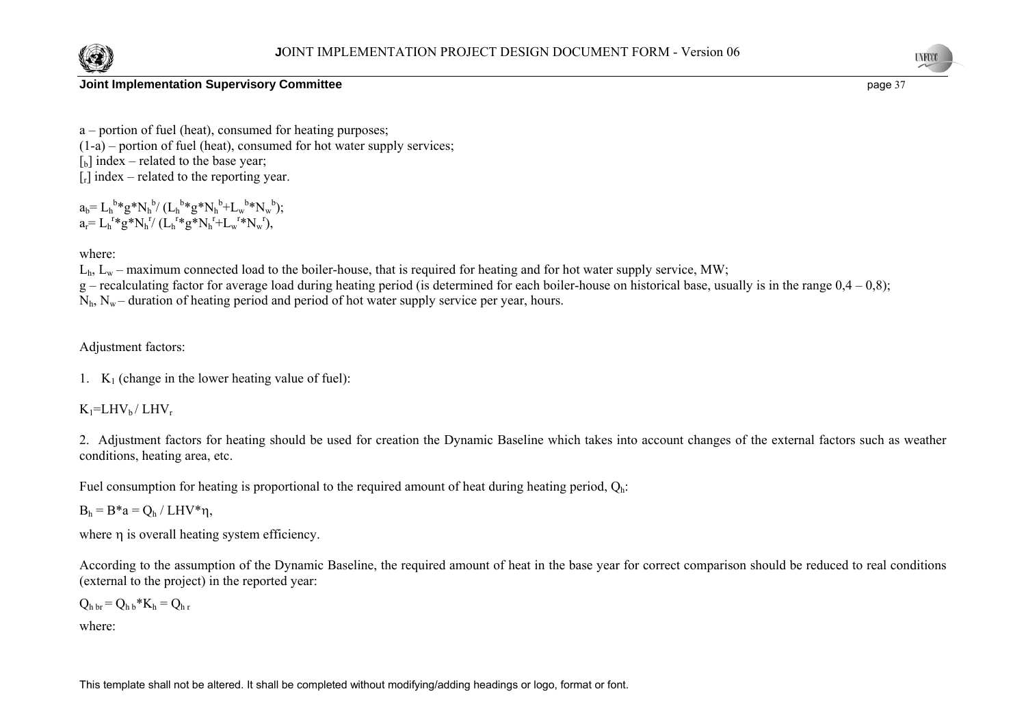



a – portion of fuel (heat), consumed for heating purposes;  $(1-a)$  – portion of fuel (heat), consumed for hot water supply services;  $\lceil b \rceil$  index – related to the base year;  $[r]$  index – related to the reporting year.

 $a_b = L_h^{b*}g^*N_h^{b} / (L_h^{b*}g^*N_h^{b} + L_w^{b*}N_w^{b});$  $a_r = L_h^{r*}g^*N_h^{r} / (L_h^{r*}g^*N_h^{r} + L_w^{r*}N_w^{r}),$ 

where:

 $L<sub>h</sub>$ ,  $L<sub>w</sub>$  – maximum connected load to the boiler-house, that is required for heating and for hot water supply service, MW;

g – recalculating factor for average load during heating period (is determined for each boiler-house on historical base, usually is in the range  $0.4 - 0.8$ );

 $N<sub>b</sub>$ ,  $N<sub>w</sub>$  – duration of heating period and period of hot water supply service per year, hours.

Adjustment factors:

1.  $K_1$  (change in the lower heating value of fuel):

 $K_1$ =LHV<sub>b</sub>/LHV<sub>r</sub>

2. Adjustment factors for heating should be used for creation the Dynamic Baseline which takes into account changes of the external factors such as weather conditions, heating area, etc.

Fuel consumption for heating is proportional to the required amount of heat during heating period,  $Q_h$ :

 $B_h = B^*a = Q_h / LHV^*n$ ,

where n is overall heating system efficiency.

According to the assumption of the Dynamic Baseline, the required amount of heat in the base year for correct comparison should be reduced to real conditions (external to the project) in the reported year:

 $Q_{h h r} = Q_{h h} * K_h = Q_{h r}$ 

where: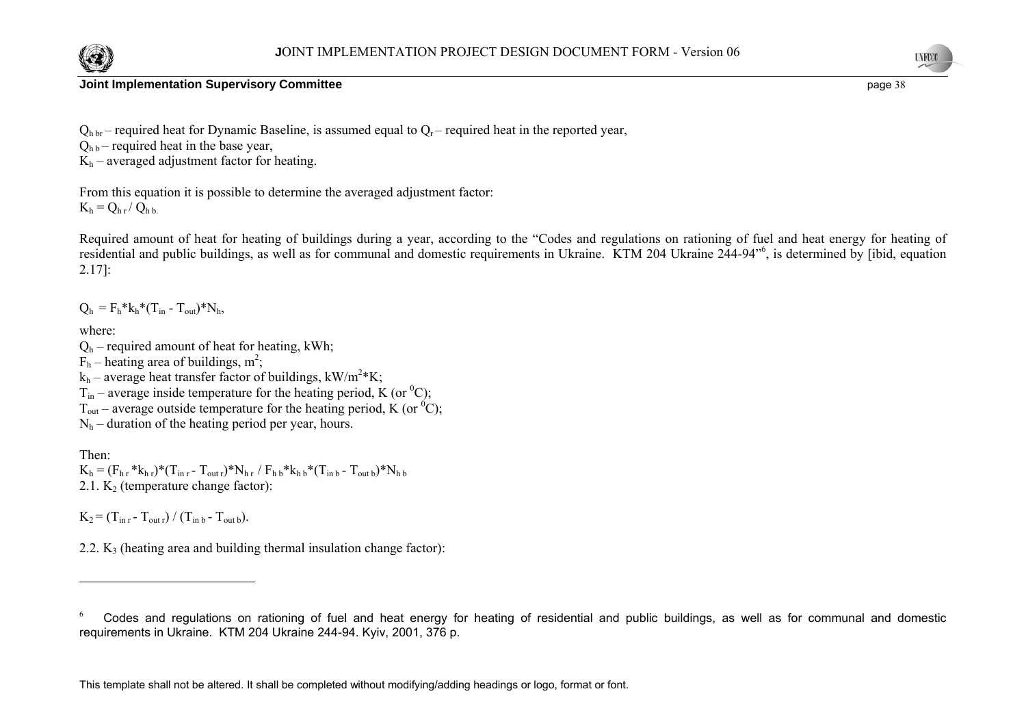



 $Q<sub>b</sub>$ <sub>br</sub> – required heat for Dynamic Baseline, is assumed equal to  $Q<sub>r</sub>$  – required heat in the reported year,

 $Q_{hb}$  – required heat in the base year,

 $K_h$  – averaged adjustment factor for heating.

From this equation it is possible to determine the averaged adjustment factor:  $K_h = Q_{h r} / Q_{h h}$ 

Required amount of heat for heating of buildings during a year, according to the "Codes and regulations on rationing of fuel and heat energy for heating of residential and public buildings, as well as for communal and domestic requirements in Ukraine. KTM 204 Ukraine 244-94"6, is determined by [ibid, equation 2.17]:

 $Q_h = F_h * k_h * (T_{in} - T_{out}) * N_h$ 

where:

- $Q_h$  required amount of heat for heating, kWh;
- $F_h$  heating area of buildings, m<sup>2</sup>;

 $k_h$  – average heat transfer factor of buildings, kW/m<sup>2</sup>\*K;

 $\widetilde{T}_{in}$  – average inside temperature for the heating period, K (or <sup>0</sup>C);

 $T_{\text{out}}$  – average outside temperature for the heating period, K (or <sup>0</sup>C);

 $N_h$  – duration of the heating period per year, hours.

Then:  $K_h = (F_{h,r} * k_{h,r}) * (T_{in,r} - T_{outr}) * N_{h,r} / F_{h,b} * k_{h,b} * (T_{inb} - T_{outb}) * N_{h,b}$ 2.1.  $K<sub>2</sub>$  (temperature change factor):

 $K_2 = (T_{\text{in }r} - T_{\text{out }r}) / (T_{\text{in }b} - T_{\text{out }b}).$ 

2.2.  $K_3$  (heating area and building thermal insulation change factor):

<sup>6</sup> Codes and regulations on rationing of fuel and heat energy for heating of residential and public buildings, as well as for communal and domestic requirements in Ukraine. KTM 204 Ukraine 244-94. Kyiv, 2001, 376 p.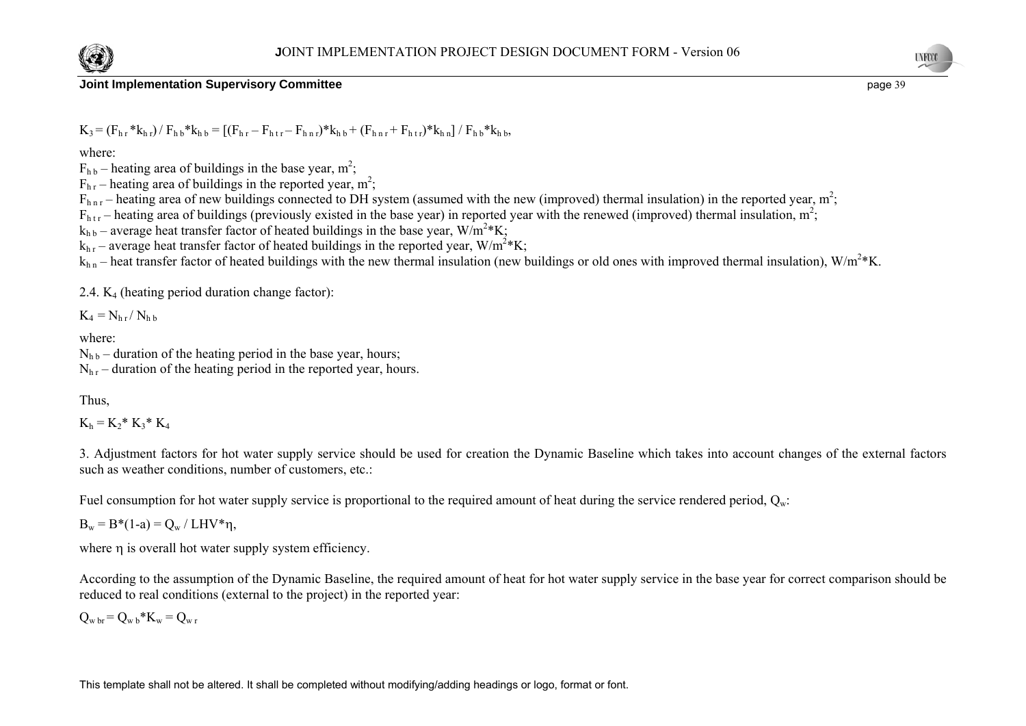



$$
K_3\!=\!(F_{h\,r}*k_{h\,r})/\,F_{h\,b}*k_{h\,b}=\left[(F_{h\,r}-F_{h\,t\,r}-F_{h\,n\,r})*k_{h\,b}+(F_{h\,n\,r}+F_{h\,t\,r})*k_{h\,n}\right]/\,F_{h\,b}*k_{h\,b},
$$

where:

 $F_{hb}$  – heating area of buildings in the base year, m<sup>2</sup>;

 $F_{hr}$  – heating area of buildings in the reported year, m<sup>2</sup>;

 $F_{\text{hnc}}$  – heating area of new buildings connected to DH system (assumed with the new (improved) thermal insulation) in the reported year, m<sup>2</sup>;

 $F<sub>htr</sub>$  – heating area of buildings (previously existed in the base year) in reported year with the renewed (improved) thermal insulation,  $m^2$ ;

 $k_{hh}$  – average heat transfer factor of heated buildings in the base year,  $W/m^2*K$ ;

 $k<sub>hr</sub>$  – average heat transfer factor of heated buildings in the reported year, W/m<sup>2</sup>\*K;

 $k_{h,n}$  – heat transfer factor of heated buildings with the new thermal insulation (new buildings or old ones with improved thermal insulation),  $W/m^2*K$ .

2.4.  $K_4$  (heating period duration change factor):

 $K_4 = N_{hr} / N_{hh}$ 

where:

 $N_{hh}$  – duration of the heating period in the base year, hours;

 $N<sub>hr</sub>$  – duration of the heating period in the reported year, hours.

Thus,

 $K_h = K_2^* K_3^* K_4$ 

3. Adjustment factors for hot water supply service should be used for creation the Dynamic Baseline which takes into account changes of the external factors such as weather conditions, number of customers, etc.:

Fuel consumption for hot water supply service is proportional to the required amount of heat during the service rendered period,  $Q_w$ :

 $B_w = B^*(1-a) = O_w / LHV^*n$ ,

where η is overall hot water supply system efficiency.

According to the assumption of the Dynamic Baseline, the required amount of heat for hot water supply service in the base year for correct comparison should be reduced to real conditions (external to the project) in the reported year:

 $Q_{w\,br} = Q_{w\,b} * K_w = Q_{w\,r}$ 

This template shall not be altered. It shall be completed without modifying/adding headings or logo, format or font.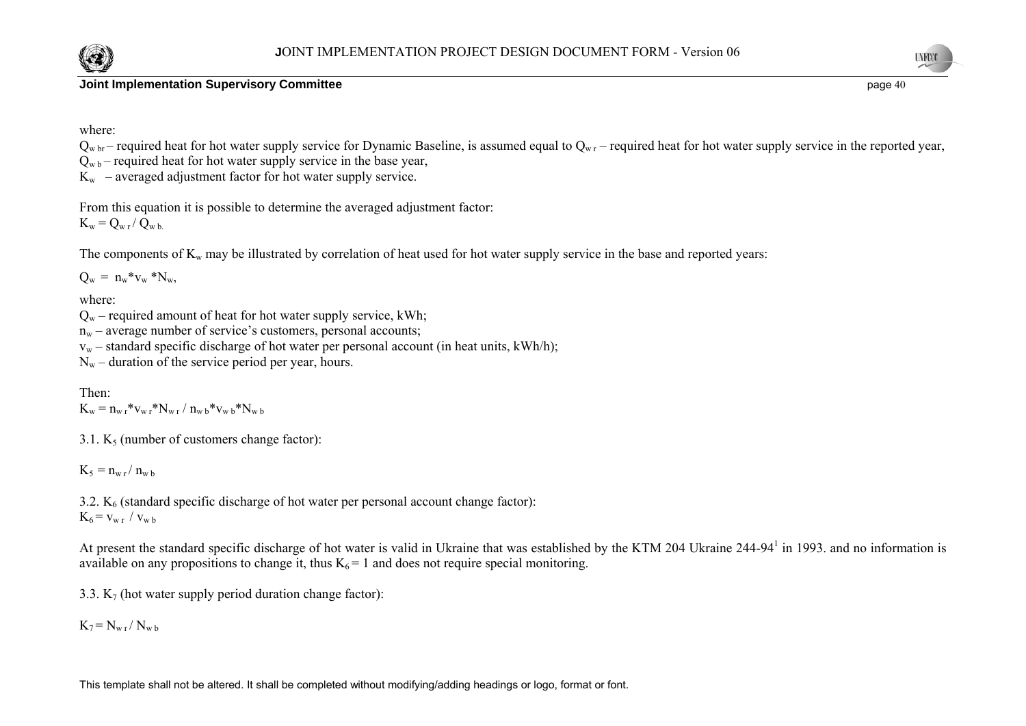

**UNFCCC** 

where:

 $Q_{w h r}$  – required heat for hot water supply service for Dynamic Baseline, is assumed equal to  $Q_{w r}$  – required heat for hot water supply service in the reported year,

 $Q_{\rm wb}$  – required heat for hot water supply service in the base year,  $K_w$  – averaged adjustment factor for hot water supply service.

From this equation it is possible to determine the averaged adjustment factor:  $K_w = Q_{w r} / Q_{w b}$ 

The components of  $K_w$  may be illustrated by correlation of heat used for hot water supply service in the base and reported years:

 $Q_w = n_w * v_w * N_w$ 

where:

 $Q_w$  – required amount of heat for hot water supply service, kWh;

 $n_w$  – average number of service's customers, personal accounts;

 $v_w$  – standard specific discharge of hot water per personal account (in heat units, kWh/h);

 $N_w$  – duration of the service period per year, hours.

Then:  $K_w = n_{w r} * v_{w r} * N_{w r} / n_{w b} * v_{w b} * N_{w b}$ 

3.1.  $K_5$  (number of customers change factor):

 $K_5 = n_{w r}/n_{w b}$ 

3.2.  $K<sub>6</sub>$  (standard specific discharge of hot water per personal account change factor):  $K_6 = v_{w r} / v_{w b}$ 

At present the standard specific discharge of hot water is valid in Ukraine that was established by the KTM 204 Ukraine 244-94<sup>1</sup> in 1993, and no information is available on any propositions to change it, thus  $K_6 = 1$  and does not require special monitoring.

3.3.  $K_7$  (hot water supply period duration change factor):

 $K_7 = N_{w r} / N_{w b}$ 

This template shall not be altered. It shall be completed without modifying/adding headings or logo, format or font.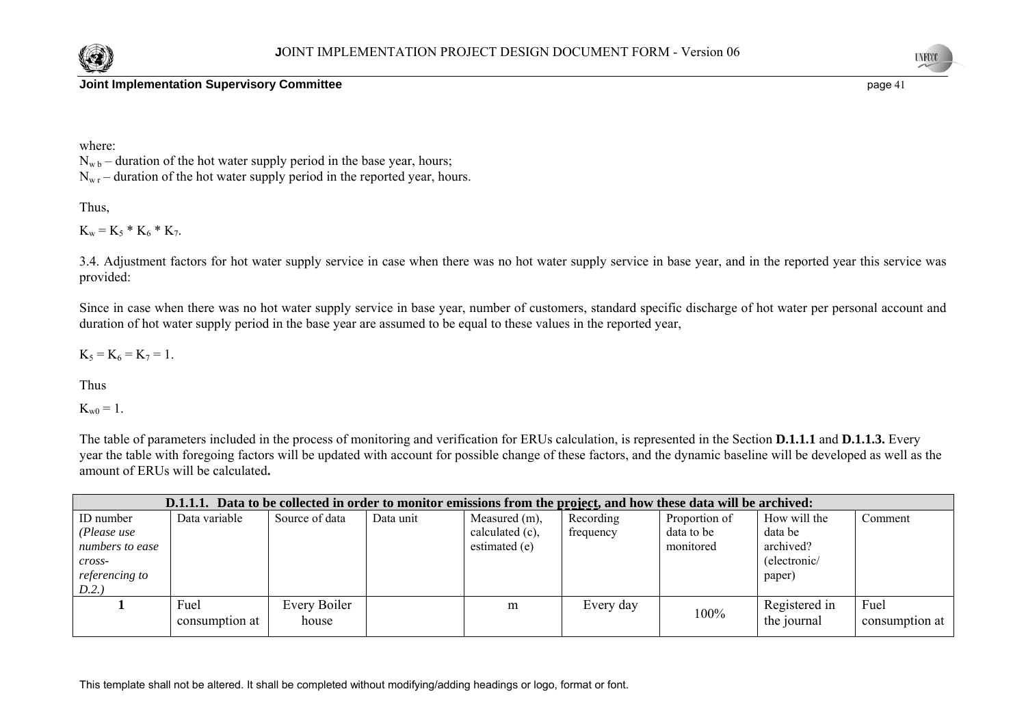



where:

 $N_{\rm wb}$  – duration of the hot water supply period in the base year, hours;  $N_{\rm w r}$  – duration of the hot water supply period in the reported year, hours.

Thus,

 $K_w = K_5 * K_6 * K_7.$ 

3.4. Adjustment factors for hot water supply service in case when there was no hot water supply service in base year, and in the reported year this service was provided:

Since in case when there was no hot water supply service in base year, number of customers, standard specific discharge of hot water per personal account and duration of hot water supply period in the base year are assumed to be equal to these values in the reported year,

 $K_5 = K_6 = K_7 = 1$ .

Thus

 $K_{w0} = 1$ .

The table of parameters included in the process of monitoring and verification for ERUs calculation, is represented in the Section **D.1.1.1** and **D.1.1.3.** Every year the table with foregoing factors will be updated with account for possible change of these factors, and the dynamic baseline will be developed as well as the amount of ERUs will be calculated**.** 

|                                                                                        |                        |                       | D.1.1.1. Data to be collected in order to monitor emissions from the project, and how these data will be archived: |                                                   |                        |                                          |                                                                |                        |
|----------------------------------------------------------------------------------------|------------------------|-----------------------|--------------------------------------------------------------------------------------------------------------------|---------------------------------------------------|------------------------|------------------------------------------|----------------------------------------------------------------|------------------------|
| ID number<br>(Please use<br>numbers to ease<br>cross-<br><i>referencing to</i><br>D.2. | Data variable          | Source of data        | Data unit                                                                                                          | Measured (m),<br>calculated (c),<br>estimated (e) | Recording<br>frequency | Proportion of<br>data to be<br>monitored | How will the<br>data be<br>archived?<br>(electronic/<br>paper) | Comment                |
|                                                                                        | Fuel<br>consumption at | Every Boiler<br>house |                                                                                                                    | m                                                 | Every day              | 100%                                     | Registered in<br>the journal                                   | Fuel<br>consumption at |

This template shall not be altered. It shall be completed without modifying/adding headings or logo, format or font.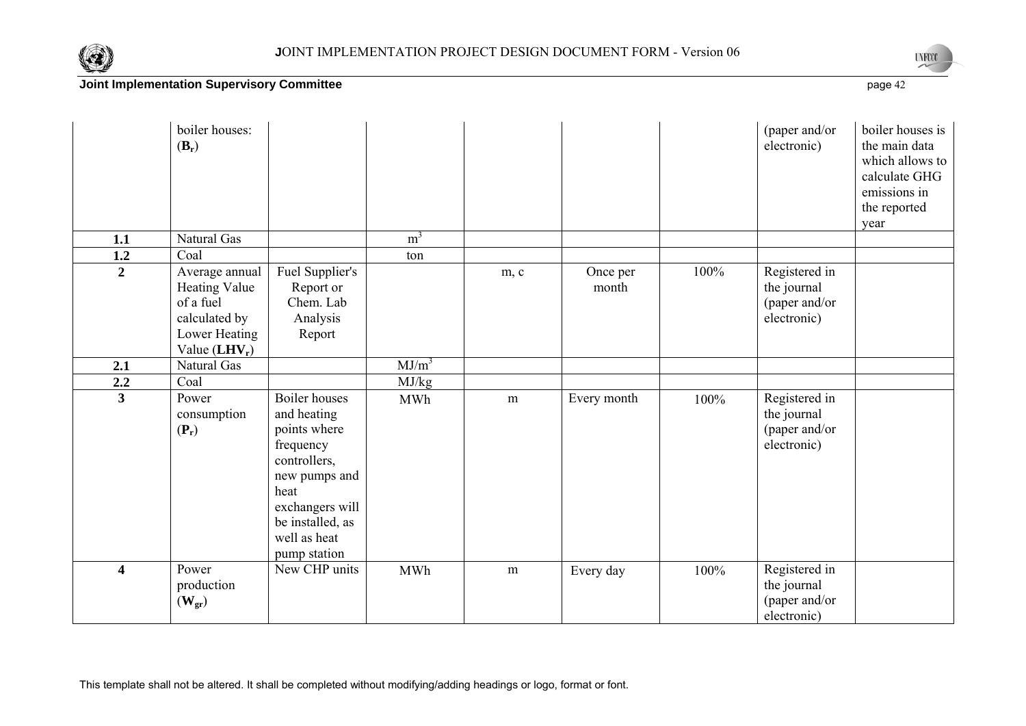



|                         | boiler houses:<br>$(B_r)$                                                                                |                                                                                                                                                                                  |                |      |                   |      | (paper and/or<br>electronic)                                 | boiler houses is<br>the main data<br>which allows to<br>calculate GHG<br>emissions in<br>the reported<br>year |
|-------------------------|----------------------------------------------------------------------------------------------------------|----------------------------------------------------------------------------------------------------------------------------------------------------------------------------------|----------------|------|-------------------|------|--------------------------------------------------------------|---------------------------------------------------------------------------------------------------------------|
| 1.1                     | Natural Gas                                                                                              |                                                                                                                                                                                  | m <sup>3</sup> |      |                   |      |                                                              |                                                                                                               |
| 1.2                     | Coal                                                                                                     |                                                                                                                                                                                  | ton            |      |                   |      |                                                              |                                                                                                               |
| $\overline{2}$          | Average annual<br><b>Heating Value</b><br>of a fuel<br>calculated by<br>Lower Heating<br>Value $(LHV_r)$ | Fuel Supplier's<br>Report or<br>Chem. Lab<br>Analysis<br>Report                                                                                                                  |                | m, c | Once per<br>month | 100% | Registered in<br>the journal<br>(paper and/or<br>electronic) |                                                                                                               |
| 2.1                     | Natural Gas                                                                                              |                                                                                                                                                                                  | $MJ/m^3$       |      |                   |      |                                                              |                                                                                                               |
| 2.2                     | Coal                                                                                                     |                                                                                                                                                                                  | MJ/kg          |      |                   |      |                                                              |                                                                                                               |
| $\overline{3}$          | Power<br>consumption<br>$(\mathbf{P}_r)$                                                                 | <b>Boiler</b> houses<br>and heating<br>points where<br>frequency<br>controllers,<br>new pumps and<br>heat<br>exchangers will<br>be installed, as<br>well as heat<br>pump station | <b>MWh</b>     | m    | Every month       | 100% | Registered in<br>the journal<br>(paper and/or<br>electronic) |                                                                                                               |
| $\overline{\mathbf{4}}$ | Power<br>production<br>$(\mathbf{W}_{\text{gr}})$                                                        | New CHP units                                                                                                                                                                    | <b>MWh</b>     | m    | Every day         | 100% | Registered in<br>the journal<br>(paper and/or<br>electronic) |                                                                                                               |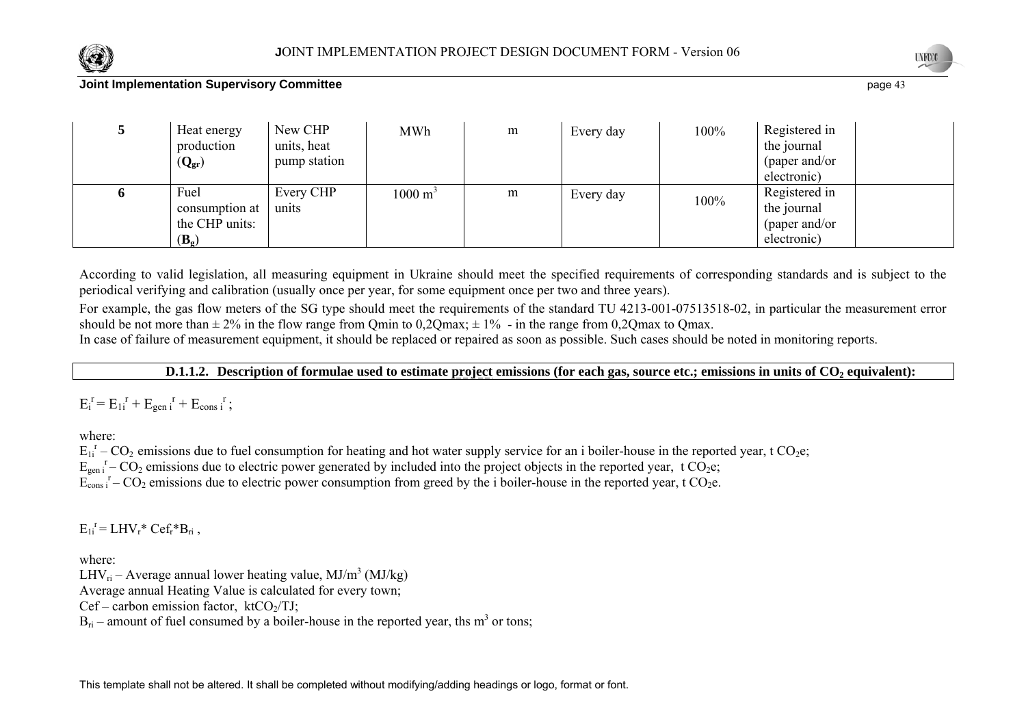



| Fuel<br>Every CHP<br>Registered in<br>$1000 \text{ m}^3$<br>m<br>Every day<br>100%<br>the journal<br>units<br>consumption at<br>the CHP units:<br>(paper and/or | Heat energy<br>production<br>$(Q_{gr})$ | New CHP<br>units, heat<br>pump station | <b>MWh</b> | m | Every day | 100% | Registered in<br>the journal<br>(paper and/or<br>electronic) |  |
|-----------------------------------------------------------------------------------------------------------------------------------------------------------------|-----------------------------------------|----------------------------------------|------------|---|-----------|------|--------------------------------------------------------------|--|
| electronic)<br>$(\mathbf{B}_{\mathfrak{o}})$                                                                                                                    |                                         |                                        |            |   |           |      |                                                              |  |

According to valid legislation, all measuring equipment in Ukraine should meet the specified requirements of corresponding standards and is subject to the periodical verifying and calibration (usually once per year, for some equipment once per two and three years).

For example, the gas flow meters of the SG type should meet the requirements of the standard TU 4213-001-07513518-02, in particular the measurement error should be not more than  $\pm 2\%$  in the flow range from Qmin to 0,2Qmax;  $\pm 1\%$  - in the range from 0,2Qmax to Qmax. In case of failure of measurement equipment, it should be replaced or repaired as soon as possible. Such cases should be noted in monitoring reports.

**D.1.1.2.** Description of formulae used to estimate project emissions (for each gas, source etc.; emissions in units of CO<sub>2</sub> equivalent):

 $E_i^r = E_{1i}^r + E_{gen}^r + E_{cons}^r;$ 

where:

 $E_{1i}^T$  – CO<sub>2</sub> emissions due to fuel consumption for heating and hot water supply service for an i boiler-house in the reported year, t CO<sub>2</sub>e;

 $E_{gen}$ <sup>r</sup> –  $CO_2$  emissions due to electric power generated by included into the project objects in the reported year, t  $CO_2e$ ;

 $\tilde{E_{\text{cons}}}$ <sup>r</sup> –  $CO_2$  emissions due to electric power consumption from greed by the i boiler-house in the reported year, t  $CO_2$ e.

 $E_{1i}^r = LHV_r^*Cef_r^*B_r$ 

where:

LHV<sub>ri</sub> – Average annual lower heating value, MJ/m<sup>3</sup> (MJ/kg)

Average annual Heating Value is calculated for every town;

 $Cef$  – carbon emission factor,  $ktCO<sub>2</sub>/TJ$ ;

 $B_{ri}$  – amount of fuel consumed by a boiler-house in the reported year, ths m<sup>3</sup> or tons;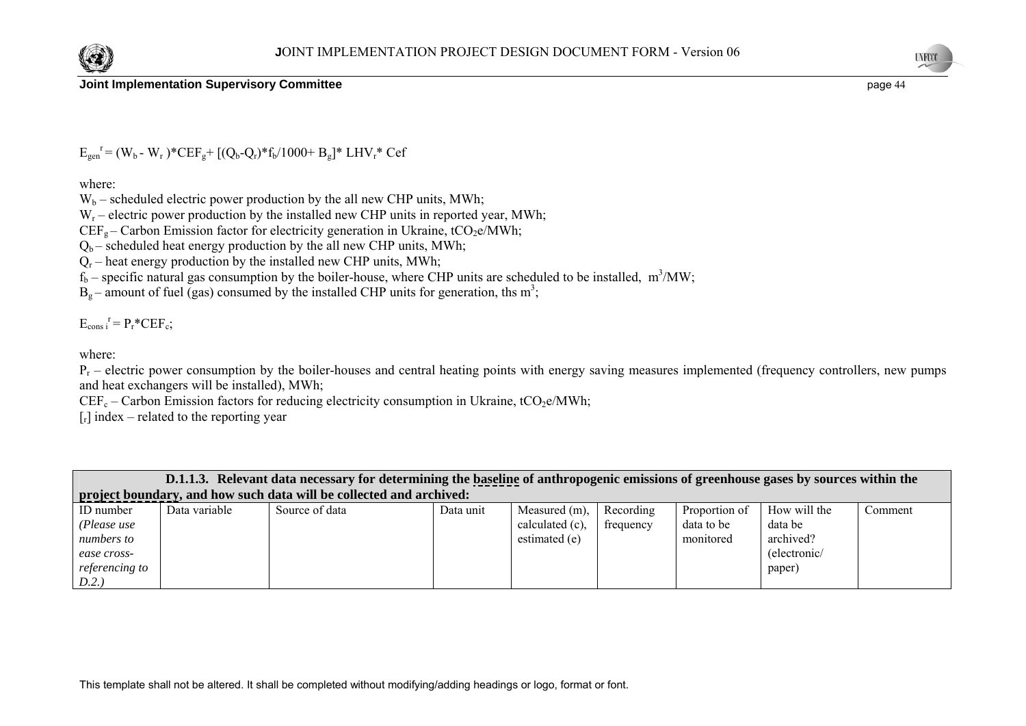



 $E_{gen}^{\{r\}} = (W_b - W_r)^* CEF_g + [(Q_b - Q_r)^* f_b / 1000 + B_g]^* LHV_r^* Cef$ 

where:

 $W_b$  – scheduled electric power production by the all new CHP units, MWh;

 $W_r$  – electric power production by the installed new CHP units in reported year, MWh;

 $CEF<sub>g</sub> - Carbon Emission factor for electricity generation in Ukraine,  $tCO<sub>2</sub>e/MWh$ ;$ 

 $Q_b$  – scheduled heat energy production by the all new CHP units, MWh;

 $Q_r$  – heat energy production by the installed new CHP units, MWh;

 $f_b$  – specific natural gas consumption by the boiler-house, where CHP units are scheduled to be installed, m<sup>3</sup>/MW;

 $B_0$  – amount of fuel (gas) consumed by the installed CHP units for generation, ths m<sup>3</sup>;

 $E_{\text{cons i}}^{\r} = P_r^* C E F_c;$ 

where:

 $P_r$  – electric power consumption by the boiler-houses and central heating points with energy saving measures implemented (frequency controllers, new pumps and heat exchangers will be installed), MWh;

 $CEF_c - Carbon Emission factors for reducing electricity consumption in Ukraine, tCO<sub>2</sub>e/MWh;$ 

 $[r]$  index – related to the reporting year

|                |               | D.1.1.3. Relevant data necessary for determining the baseline of anthropogenic emissions of greenhouse gases by sources within the |           |                 |           |               |              |         |
|----------------|---------------|------------------------------------------------------------------------------------------------------------------------------------|-----------|-----------------|-----------|---------------|--------------|---------|
|                |               | project boundary, and how such data will be collected and archived:                                                                |           |                 |           |               |              |         |
| ID number      | Data variable | Source of data                                                                                                                     | Data unit | Measured (m).   | Recording | Proportion of | How will the | Comment |
| (Please use    |               |                                                                                                                                    |           | calculated (c), | frequency | data to be    | data be      |         |
| numbers to     |               |                                                                                                                                    |           | estimated (e)   |           | monitored     | archived?    |         |
| ease cross-    |               |                                                                                                                                    |           |                 |           |               | (electronic/ |         |
| referencing to |               |                                                                                                                                    |           |                 |           |               | paper)       |         |
| D.2.           |               |                                                                                                                                    |           |                 |           |               |              |         |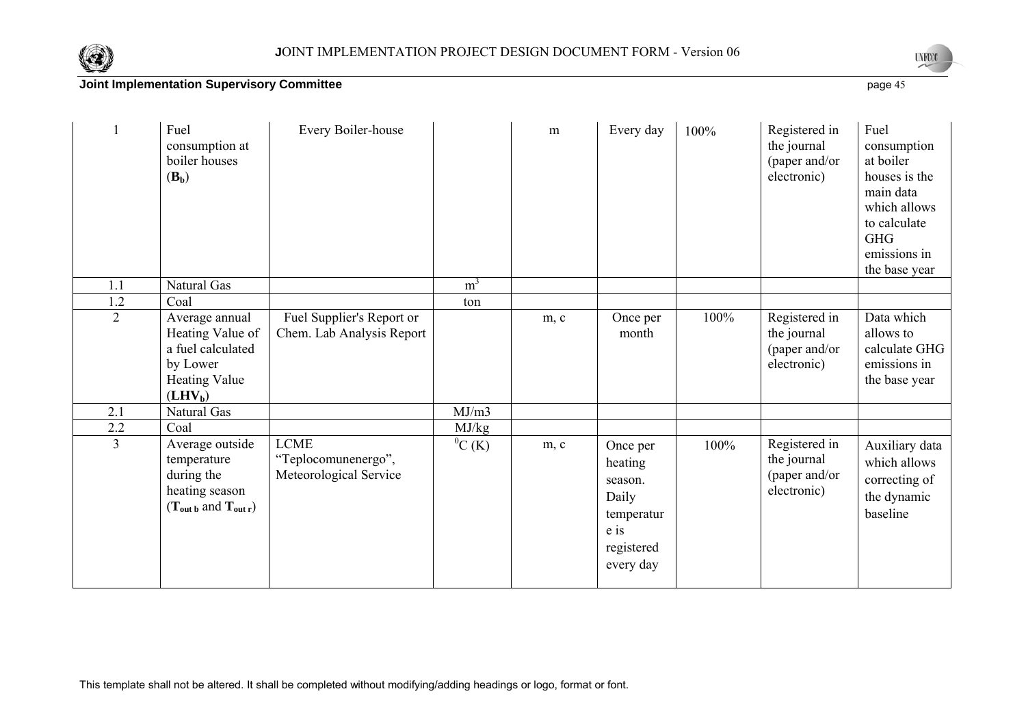



|                | Fuel<br>consumption at<br>boiler houses<br>$(B_b)$                                                                 | Every Boiler-house                                           |                | m    | Every day                                                                                | 100% | Registered in<br>the journal<br>(paper and/or<br>electronic) | Fuel<br>consumption<br>at boiler<br>houses is the<br>main data<br>which allows<br>to calculate<br><b>GHG</b><br>emissions in<br>the base year |
|----------------|--------------------------------------------------------------------------------------------------------------------|--------------------------------------------------------------|----------------|------|------------------------------------------------------------------------------------------|------|--------------------------------------------------------------|-----------------------------------------------------------------------------------------------------------------------------------------------|
| 1.1            | Natural Gas                                                                                                        |                                                              | m <sup>3</sup> |      |                                                                                          |      |                                                              |                                                                                                                                               |
| 1.2            | Coal                                                                                                               |                                                              | ton            |      |                                                                                          |      |                                                              |                                                                                                                                               |
| $\overline{2}$ | Average annual<br>Heating Value of<br>a fuel calculated<br>by Lower<br><b>Heating Value</b><br>(LHV <sub>b</sub> ) | Fuel Supplier's Report or<br>Chem. Lab Analysis Report       |                | m, c | Once per<br>month                                                                        | 100% | Registered in<br>the journal<br>(paper and/or<br>electronic) | Data which<br>allows to<br>calculate GHG<br>emissions in<br>the base year                                                                     |
| 2.1            | <b>Natural Gas</b>                                                                                                 |                                                              | MJ/m3          |      |                                                                                          |      |                                                              |                                                                                                                                               |
| 2.2            | Coal                                                                                                               |                                                              | MJ/kg          |      |                                                                                          |      |                                                              |                                                                                                                                               |
| $\mathfrak{Z}$ | Average outside<br>temperature<br>during the<br>heating season<br>$(T_{\text{out }b}$ and $T_{\text{out }r})$      | <b>LCME</b><br>"Teplocomunenergo",<br>Meteorological Service | ${}^{0}C(K)$   | m, c | Once per<br>heating<br>season.<br>Daily<br>temperatur<br>e is<br>registered<br>every day | 100% | Registered in<br>the journal<br>(paper and/or<br>electronic) | Auxiliary data<br>which allows<br>correcting of<br>the dynamic<br>baseline                                                                    |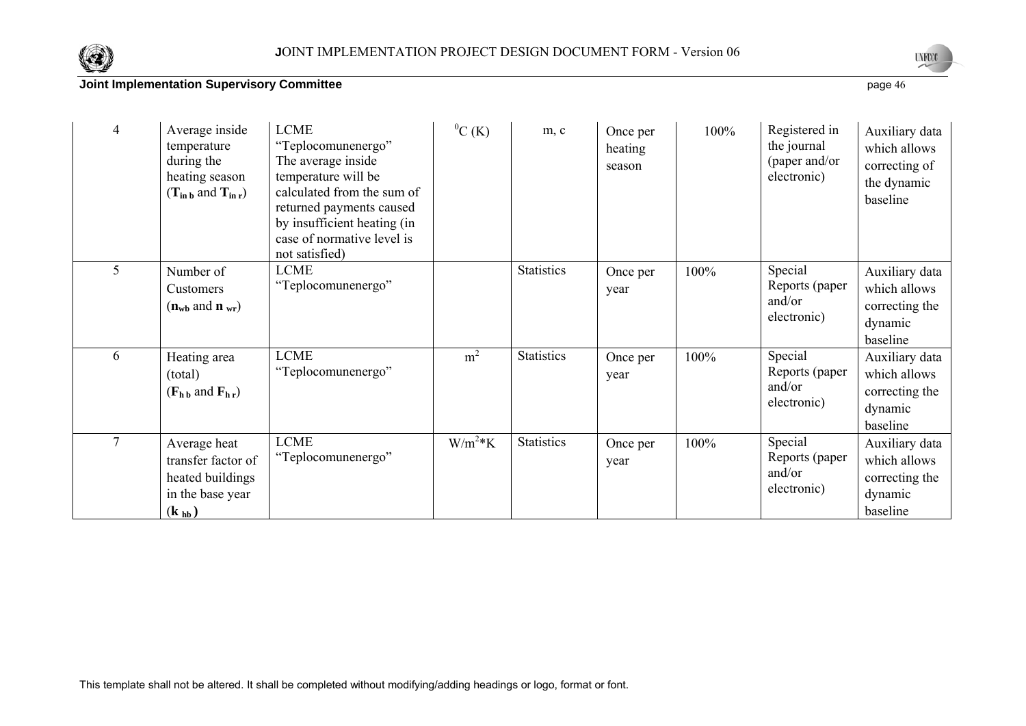



| $\overline{4}$ | Average inside<br>temperature<br>during the<br>heating season<br>$(T_{\text{in }b}$ and $T_{\text{in }r})$          | <b>LCME</b><br>"Teplocomunenergo"<br>The average inside<br>temperature will be<br>calculated from the sum of<br>returned payments caused<br>by insufficient heating (in<br>case of normative level is<br>not satisfied) | ${}^{0}C(K)$   | m, c              | Once per<br>heating<br>season | 100% | Registered in<br>the journal<br>(paper and/or<br>electronic) | Auxiliary data<br>which allows<br>correcting of<br>the dynamic<br>baseline |
|----------------|---------------------------------------------------------------------------------------------------------------------|-------------------------------------------------------------------------------------------------------------------------------------------------------------------------------------------------------------------------|----------------|-------------------|-------------------------------|------|--------------------------------------------------------------|----------------------------------------------------------------------------|
| 5              | Number of<br>Customers<br>$(n_{\rm wb} \text{ and } n_{\rm wr})$                                                    | LCME<br>"Teplocomunenergo"                                                                                                                                                                                              |                | <b>Statistics</b> | Once per<br>year              | 100% | Special<br>Reports (paper<br>and/or<br>electronic)           | Auxiliary data<br>which allows<br>correcting the<br>dynamic<br>baseline    |
| 6              | Heating area<br>(total)<br>$(F_{h\,b}$ and $F_{h\,r})$                                                              | <b>LCME</b><br>"Teplocomunenergo"                                                                                                                                                                                       | m <sup>2</sup> | <b>Statistics</b> | Once per<br>year              | 100% | Special<br>Reports (paper<br>and/or<br>electronic)           | Auxiliary data<br>which allows<br>correcting the<br>dynamic<br>baseline    |
| $\tau$         | Average heat<br>transfer factor of<br>heated buildings<br>in the base year<br>$(\mathbf{k}_{\mathbf{h}\mathbf{b}})$ | <b>LCME</b><br>"Teplocomunenergo"                                                                                                                                                                                       | $W/m^2*K$      | <b>Statistics</b> | Once per<br>year              | 100% | Special<br>Reports (paper<br>and/or<br>electronic)           | Auxiliary data<br>which allows<br>correcting the<br>dynamic<br>baseline    |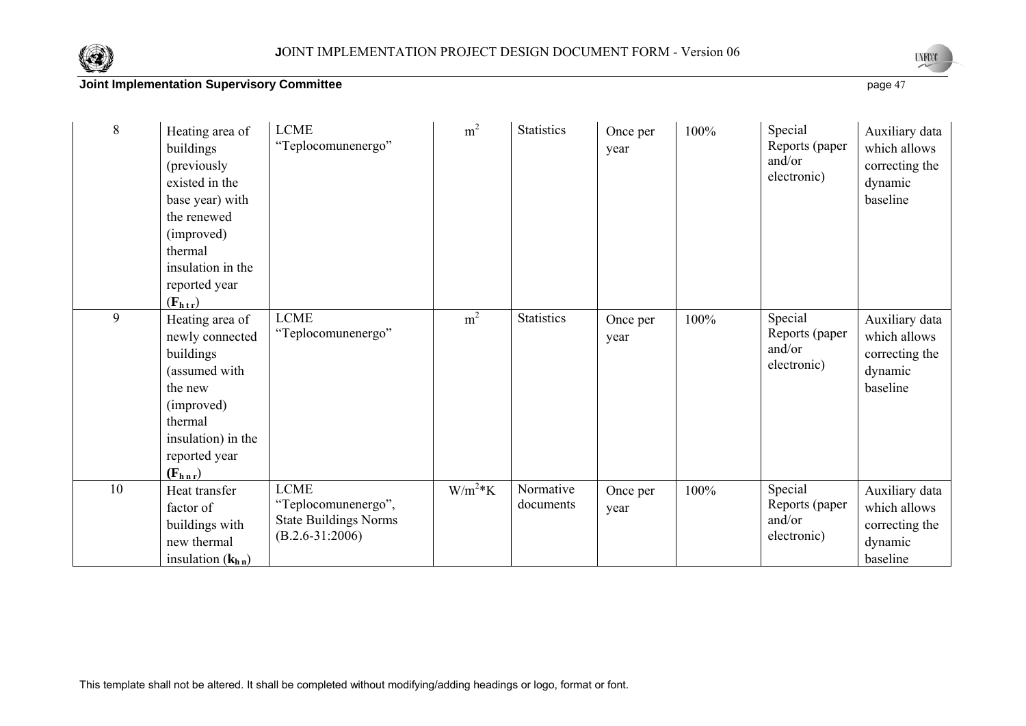



| $8\,$ | Heating area of<br>buildings<br>(previously<br>existed in the<br>base year) with<br>the renewed<br>(improved)<br>thermal<br>insulation in the<br>reported year<br>$(F_{h\,t\,r})$ | <b>LCME</b><br>"Teplocomunenergo"                                                       | m <sup>2</sup> | <b>Statistics</b>      | Once per<br>year | 100% | Special<br>Reports (paper<br>and/or<br>electronic) | Auxiliary data<br>which allows<br>correcting the<br>dynamic<br>baseline |
|-------|-----------------------------------------------------------------------------------------------------------------------------------------------------------------------------------|-----------------------------------------------------------------------------------------|----------------|------------------------|------------------|------|----------------------------------------------------|-------------------------------------------------------------------------|
| 9     | Heating area of<br>newly connected<br>buildings<br>(assumed with<br>the new<br>(improved)<br>thermal<br>insulation) in the<br>reported year<br>$(F_{h n r})$                      | <b>LCME</b><br>"Teplocomunenergo"                                                       | m <sup>2</sup> | <b>Statistics</b>      | Once per<br>year | 100% | Special<br>Reports (paper<br>and/or<br>electronic) | Auxiliary data<br>which allows<br>correcting the<br>dynamic<br>baseline |
| 10    | Heat transfer<br>factor of<br>buildings with<br>new thermal<br>insulation $(kh n)$                                                                                                | <b>LCME</b><br>"Teplocomunenergo",<br><b>State Buildings Norms</b><br>$(B.2.6-31:2006)$ | $W/m^2*K$      | Normative<br>documents | Once per<br>year | 100% | Special<br>Reports (paper<br>and/or<br>electronic) | Auxiliary data<br>which allows<br>correcting the<br>dynamic<br>baseline |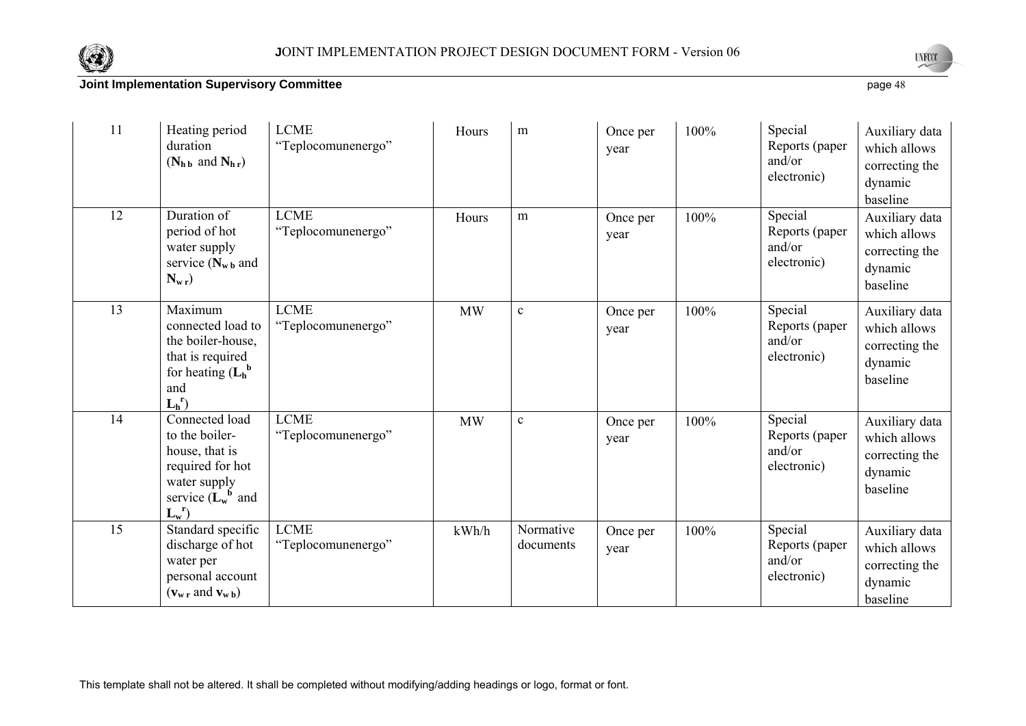



| 11 | Heating period<br>duration<br>$(N_{h\,b}$ and $N_{h\,r})$                                                                                                             | <b>LCME</b><br>"Teplocomunenergo" | Hours     | m                      | Once per<br>year | 100% | Special<br>Reports (paper<br>and/or<br>electronic) | Auxiliary data<br>which allows<br>correcting the<br>dynamic<br>baseline |
|----|-----------------------------------------------------------------------------------------------------------------------------------------------------------------------|-----------------------------------|-----------|------------------------|------------------|------|----------------------------------------------------|-------------------------------------------------------------------------|
| 12 | Duration of<br>period of hot<br>water supply<br>service $(N_{\rm w\,b}$ and<br>$N_{\rm w r}$                                                                          | <b>LCME</b><br>"Teplocomunenergo" | Hours     | m                      | Once per<br>year | 100% | Special<br>Reports (paper<br>and/or<br>electronic) | Auxiliary data<br>which allows<br>correcting the<br>dynamic<br>baseline |
| 13 | Maximum<br>connected load to<br>the boiler-house,<br>that is required<br>for heating $(L_h^b)$<br>and<br>$L_h^r$                                                      | <b>LCME</b><br>"Teplocomunenergo" | <b>MW</b> | $\mathbf c$            | Once per<br>year | 100% | Special<br>Reports (paper<br>and/or<br>electronic) | Auxiliary data<br>which allows<br>correcting the<br>dynamic<br>baseline |
| 14 | Connected load<br>to the boiler-<br>house, that is<br>required for hot<br>water supply<br>service $(L_w^b$ and<br>$L_w^r$                                             | <b>LCME</b><br>"Teplocomunenergo" | <b>MW</b> | $\mathbf c$            | Once per<br>year | 100% | Special<br>Reports (paper<br>and/or<br>electronic) | Auxiliary data<br>which allows<br>correcting the<br>dynamic<br>baseline |
| 15 | Standard specific<br>discharge of hot<br>water per<br>personal account<br>$(\mathbf{v}_{\mathbf{w} \cdot \mathbf{r}}$ and $\mathbf{v}_{\mathbf{w} \cdot \mathbf{b}})$ | <b>LCME</b><br>"Teplocomunenergo" | kWh/h     | Normative<br>documents | Once per<br>year | 100% | Special<br>Reports (paper<br>and/or<br>electronic) | Auxiliary data<br>which allows<br>correcting the<br>dynamic<br>baseline |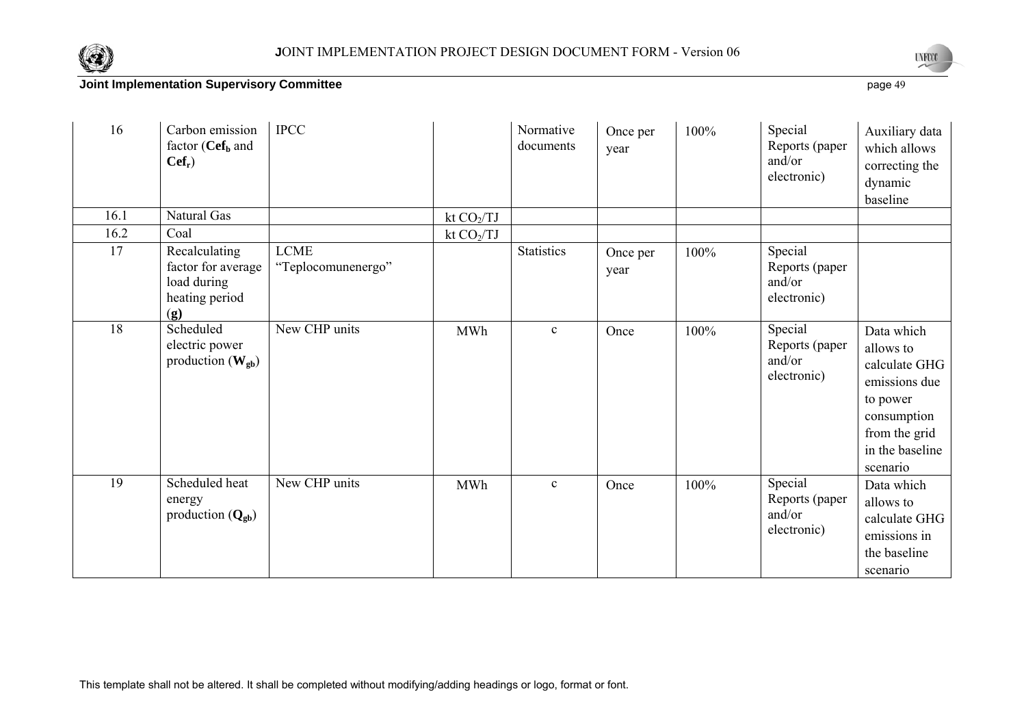



| 16   | Carbon emission<br>factor ( $Cef_b$ and<br>$Cef_r$                              | <b>IPCC</b>                       |             | Normative<br>documents | Once per<br>year | 100% | Special<br>Reports (paper<br>and/or<br>electronic) | Auxiliary data<br>which allows<br>correcting the<br>dynamic<br>baseline                                                              |
|------|---------------------------------------------------------------------------------|-----------------------------------|-------------|------------------------|------------------|------|----------------------------------------------------|--------------------------------------------------------------------------------------------------------------------------------------|
| 16.1 | Natural Gas                                                                     |                                   | kt $CO2/TJ$ |                        |                  |      |                                                    |                                                                                                                                      |
| 16.2 | Coal                                                                            |                                   | kt $CO2/TJ$ |                        |                  |      |                                                    |                                                                                                                                      |
| 17   | Recalculating<br>factor for average<br>load during<br>heating period<br>(g)     | <b>LCME</b><br>"Teplocomunenergo" |             | <b>Statistics</b>      | Once per<br>year | 100% | Special<br>Reports (paper<br>and/or<br>electronic) |                                                                                                                                      |
| 18   | Scheduled<br>electric power<br>production $(\mathbf{W}_{\mathbf{g}\mathbf{b}})$ | New CHP units                     | <b>MWh</b>  | $\mathbf{c}$           | Once             | 100% | Special<br>Reports (paper<br>and/or<br>electronic) | Data which<br>allows to<br>calculate GHG<br>emissions due<br>to power<br>consumption<br>from the grid<br>in the baseline<br>scenario |
| 19   | Scheduled heat<br>energy<br>production $(Q_{gb})$                               | New CHP units                     | <b>MWh</b>  | $\mathbf{c}$           | Once             | 100% | Special<br>Reports (paper<br>and/or<br>electronic) | Data which<br>allows to<br>calculate GHG<br>emissions in<br>the baseline<br>scenario                                                 |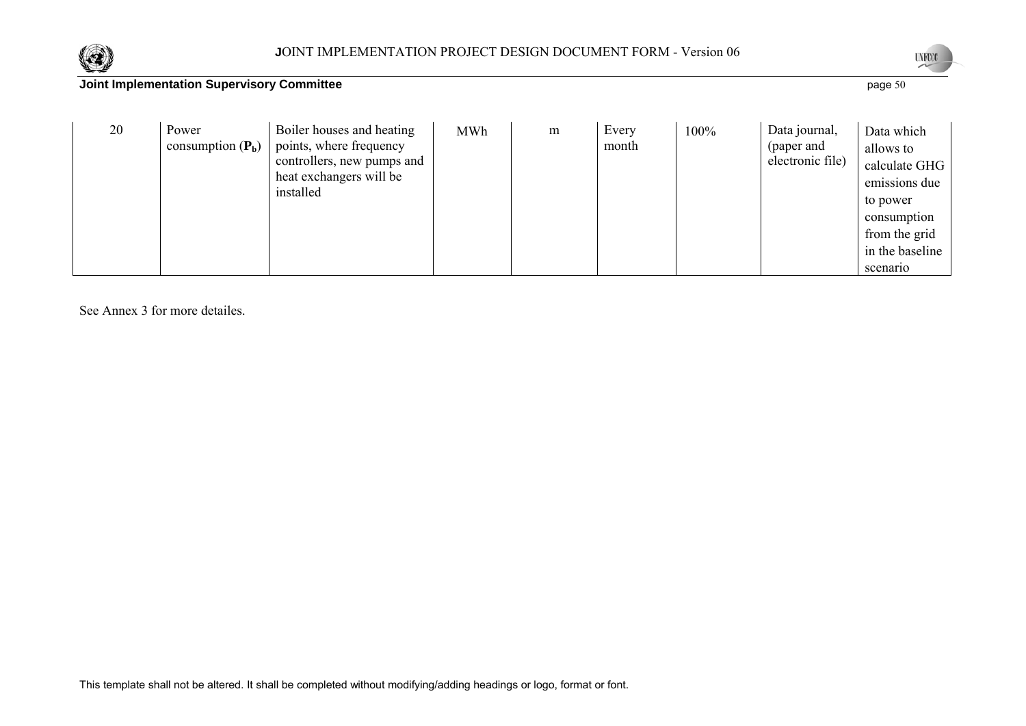



20 Power consumption  $(P_b)$ Boiler houses and heating points, where frequency controllers, new pumps and heat exchangers will be installed MWh m Every month 100% Data journal, (paper and electronic file) Data which allows to calculate GHG emissions due to power consumption from the grid in the baseline scenario

See Annex 3 for more detailes.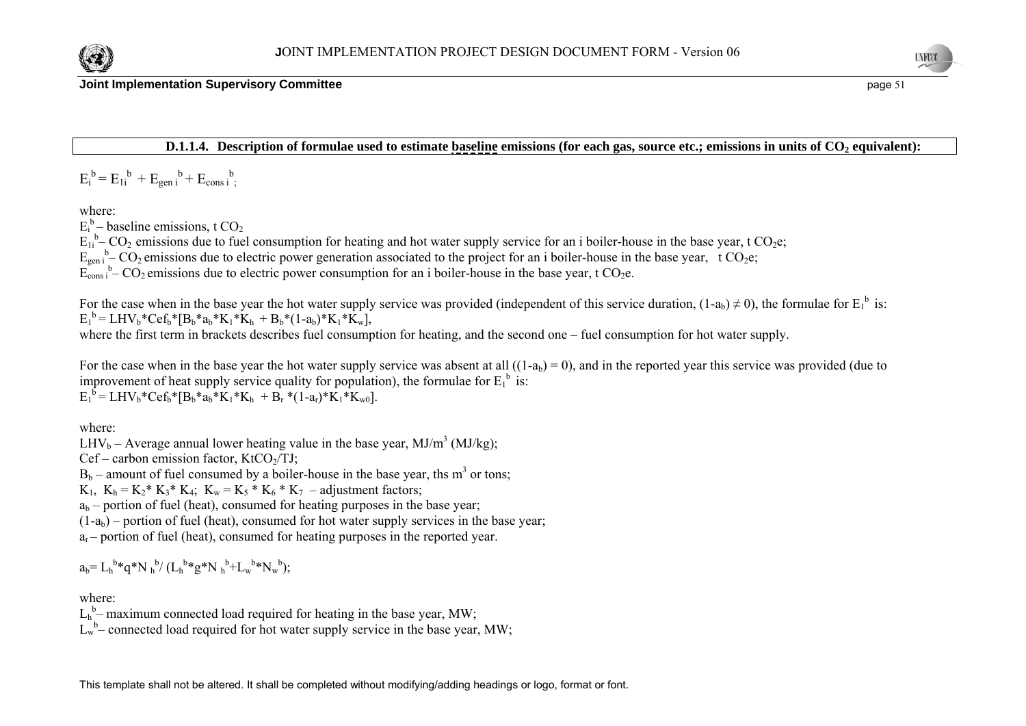

#### **D.1.1.4.** Description of formulae used to estimate baseline emissions (for each gas, source etc.; emissions in units of CO<sub>2</sub> equivalent):

 $E_i^b = E_{1i}^b + E_{gen i}^b + E_{cons i}^b$ 

where:

 $E_i^b$  – baseline emissions, t CO<sub>2</sub>

 $E_{1i}$ <sup>b</sup>– CO<sub>2</sub> emissions due to fuel consumption for heating and hot water supply service for an i boiler-house in the base year, t CO<sub>2</sub>e;

 $E_{gen i}^b - CO_2$  emissions due to electric power generation associated to the project for an i boiler-house in the base year, t  $CO_2e$ ;

 $E_{\text{cons}}^{\dagger}$  – CO<sub>2</sub> emissions due to electric power consumption for an i boiler-house in the base year, t CO<sub>2</sub>e.

For the case when in the base year the hot water supply service was provided (independent of this service duration,  $(1-a_b) \neq 0$ ), the formulae for  $E_1^b$  is:  $E_1^b = LHV_b*Cef_b* [B_b*a_b*K_1*K_b + B_b*(1-a_b)*K_1*K_w],$ 

where the first term in brackets describes fuel consumption for heating, and the second one – fuel consumption for hot water supply.

For the case when in the base year the hot water supply service was absent at all  $((1-a<sub>b</sub>) = 0)$ , and in the reported year this service was provided (due to improvement of heat supply service quality for population), the formulae for  $E_1^b$  is:  $E_1^b = LHV_b*Cef_b*[B_b*a_b*K_1*K_b + B_r*(1-a_r)*K_1*K_w)].$ 

where:

LHV<sub>b</sub> – Average annual lower heating value in the base year, MJ/m<sup>3</sup> (MJ/kg);

 $Cef$  – carbon emission factor, KtCO $\gamma$ TJ;

 $B_b$  – amount of fuel consumed by a boiler-house in the base year, ths m<sup>3</sup> or tons:

K<sub>1</sub>,  $K_h = K_2^* K_3^* K_4$ ;  $K_w = K_5^* K_6^* K_7$  – adjustment factors;

 $a<sub>b</sub>$  – portion of fuel (heat), consumed for heating purposes in the base year;

 $(1-a<sub>b</sub>)$  – portion of fuel (heat), consumed for hot water supply services in the base year;

 $a_r$  – portion of fuel (heat), consumed for heating purposes in the reported year.

 $a_b = L_b^{b*}q^*N_b^{b'}(L_b^{b*}q^*N_b^{b}+L_w^{b*}N_w^{b});$ 

#### where:

 $L_h^b$ – maximum connected load required for heating in the base year, MW;

 $L_w^b$ – connected load required for hot water supply service in the base year, MW;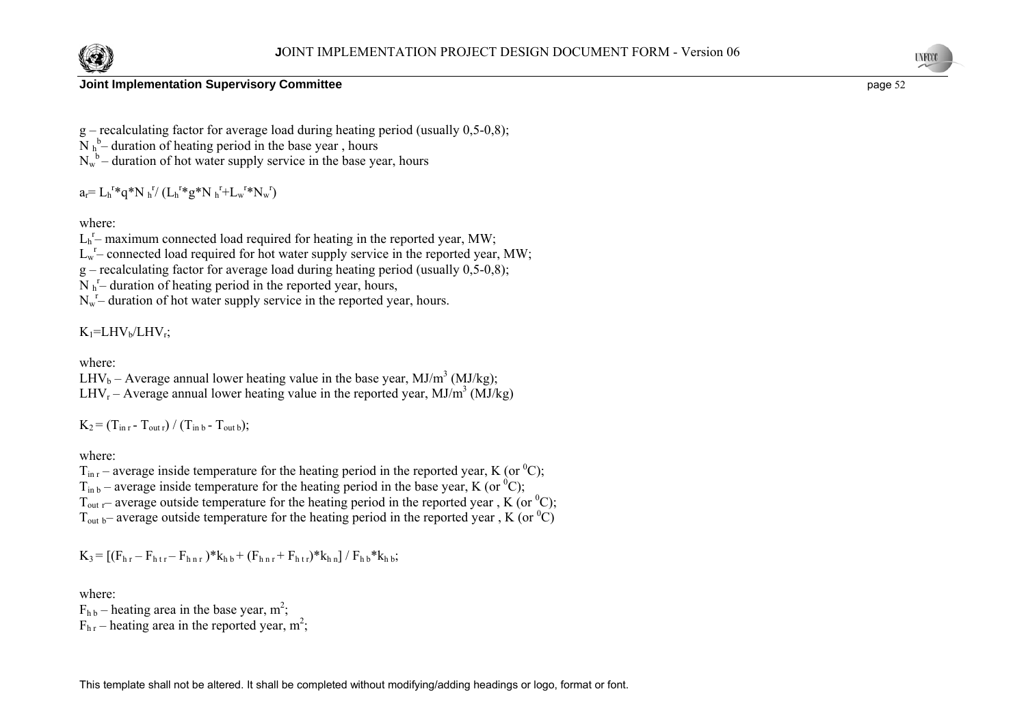



- $g$  recalculating factor for average load during heating period (usually 0,5-0,8);
- $N h<sup>b</sup>$  duration of heating period in the base year, hours
- $N_w^b$  duration of hot water supply service in the base year, hours

 $a_r = L_h^{r*}q^*N_h^{r}$  ( $L_h^{r*}q^*N_h^{r}+L_w^{r*}N_w^{r}$ )

#### where:

 $L_h^r$ – maximum connected load required for heating in the reported year, MW;

 $L_w$ – connected load required for hot water supply service in the reported year, MW;

 $g$  – recalculating factor for average load during heating period (usually 0,5-0,8);

 $N_h^r$ – duration of heating period in the reported year, hours,

 $N_w^r$ – duration of hot water supply service in the reported year, hours.

# $K_1$ =LHV<sub>b</sub>/LHV<sub>r</sub>;

where:

LHV<sub>b</sub> – Average annual lower heating value in the base year, MJ/m<sup>3</sup> (MJ/kg); LHV<sub>r</sub> – Average annual lower heating value in the reported year,  $MJ/m<sup>3</sup> (MJ/kg)$ 

 $K_2 = (T_{\text{in }r} - T_{\text{out }r}) / (T_{\text{in }b} - T_{\text{out }b});$ 

where:

 $T_{\text{in r}}$  – average inside temperature for the heating period in the reported year, K (or <sup>0</sup>C);  $T_{\text{in b}}$  – average inside temperature for the heating period in the base year, K (or <sup>0</sup>C);  $T_{\text{out r}}$  – average outside temperature for the heating period in the reported year, K (or <sup>0</sup>C);  $T_{\text{out b}}$  – average outside temperature for the heating period in the reported year, K (or <sup>0</sup>C)

$$
K_3\!=\! \left[(F_{h\,r}-F_{h\,t\,r}\!-\!F_{h\,n\,r}\,)^*k_{h\,b}\!+\!(F_{h\,n\,r}\!+\!F_{h\,t\,r})^*k_{h\,n}\right]/\,F_{h\,b}^*k_{h\,b};
$$

where:

 $F_{h\,b}$  – heating area in the base year, m<sup>2</sup>;  $F_{hr}$  – heating area in the reported year, m<sup>2</sup>;

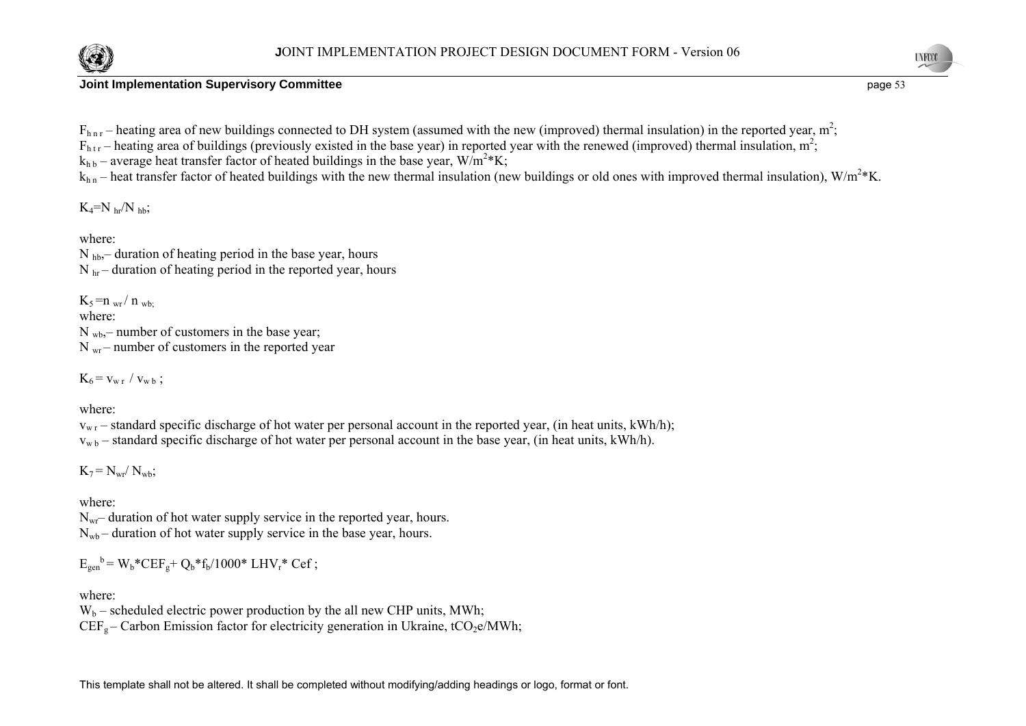



**INFOR** 

 $F_{h n r}$  – heating area of new buildings connected to DH system (assumed with the new (improved) thermal insulation) in the reported year,  $m^2$ ;

 $F_{\text{htr}}$  – heating area of buildings (previously existed in the base year) in reported year with the renewed (improved) thermal insulation, m<sup>2</sup>;

 $k_{hh}$  – average heat transfer factor of heated buildings in the base year,  $W/m^2*K$ ;

 $k_{h n}$  – heat transfer factor of heated buildings with the new thermal insulation (new buildings or old ones with improved thermal insulation),  $W/m^2*K$ .

 $K_4=N_{hr}/N_{hh}$ ;

where:

 $N_{hb}$ , duration of heating period in the base year, hours  $N<sub>hr</sub>$  – duration of heating period in the reported year, hours

 $K_5 = n_{wr}/n_{wb}$ where:  $N_{wb}$ – number of customers in the base year;  $N_{\rm wr}$  – number of customers in the reported year

 $K_6 = v_{w r} / v_{w b}$ ;

where:

 $v_{w,r}$  – standard specific discharge of hot water per personal account in the reported year, (in heat units, kWh/h);  $v_{w b}$  – standard specific discharge of hot water per personal account in the base year, (in heat units, kWh/h).

 $K_7 = N_{wr} / N_{wb};$ 

where:

 $N_{\rm wr}$ – duration of hot water supply service in the reported year, hours.  $N_{\text{wb}}$  – duration of hot water supply service in the base year, hours.

 $E_{gen}^{\text{b}} = W_{\text{b}}^* CEF_{\text{c}} + Q_{\text{b}}^* f_{\text{b}} / 1000^* LHV_{\text{r}}^* Cef$ ;

where:

 $W_b$  – scheduled electric power production by the all new CHP units, MWh;  $CEF<sub>g</sub> - Carbon Emission factor for electricity generation in Ukraine, tCO<sub>2</sub>e/MWh;$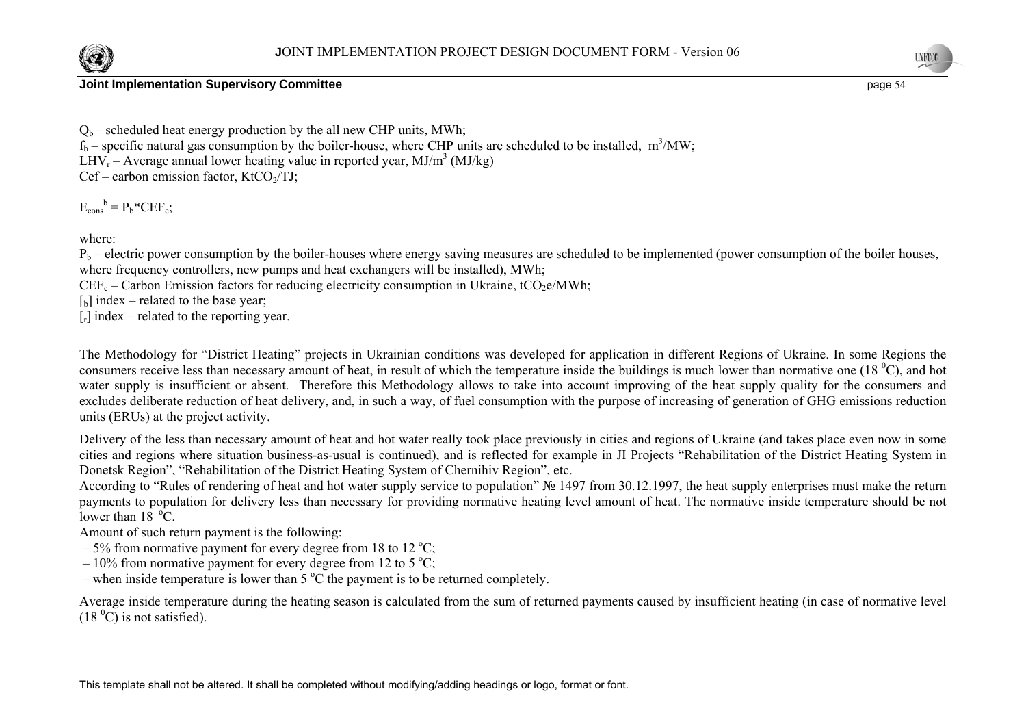

 $Q_b$  – scheduled heat energy production by the all new CHP units, MWh;  $f_b$  – specific natural gas consumption by the boiler-house, where CHP units are scheduled to be installed, m<sup>3</sup>/MW; LHV<sub>r</sub> – Average annual lower heating value in reported year,  $MJ/m<sup>3</sup> (MJ/kg)$  $Cef$  – carbon emission factor, KtCO<sub>2</sub>/TJ;

 $E_{\text{cons}}^{\text{b}} = P_{\text{b}}^* C E F_{\text{c}};$ 

where:

 $P_b$  – electric power consumption by the boiler-houses where energy saving measures are scheduled to be implemented (power consumption of the boiler houses, where frequency controllers, new pumps and heat exchangers will be installed), MWh;

 $CEF_c$  – Carbon Emission factors for reducing electricity consumption in Ukraine, tCO<sub>2</sub>e/MWh;

 $\lceil b \rceil$  index – related to the base year;

 $[r]$  index – related to the reporting year.

The Methodology for "District Heating" projects in Ukrainian conditions was developed for application in different Regions of Ukraine. In some Regions the consumers receive less than necessary amount of heat, in result of which the temperature inside the buildings is much lower than normative one (18 $^{\circ}$ C), and hot water supply is insufficient or absent. Therefore this Methodology allows to take into account improving of the heat supply quality for the consumers and excludes deliberate reduction of heat delivery, and, in such a way, of fuel consumption with the purpose of increasing of generation of GHG emissions reduction units (ERUs) at the project activity.

Delivery of the less than necessary amount of heat and hot water really took place previously in cities and regions of Ukraine (and takes place even now in some cities and regions where situation business-as-usual is continued), and is reflected for example in JI Projects "Rehabilitation of the District Heating System in Donetsk Region", "Rehabilitation of the District Heating System of Chernihiv Region", etc.

According to "Rules of rendering of heat and hot water supply service to population" № 1497 from 30.12.1997, the heat supply enterprises must make the return payments to population for delivery less than necessary for providing normative heating level amount of heat. The normative inside temperature should be not lower than  $18 \text{ °C}$ .

Amount of such return payment is the following:

- $-5\%$  from normative payment for every degree from 18 to 12 °C;
- $-10\%$  from normative payment for every degree from 12 to 5 °C;
- when inside temperature is lower than  $5^{\circ}$ C the payment is to be returned completely.

Average inside temperature during the heating season is calculated from the sum of returned payments caused by insufficient heating (in case of normative level  $(18<sup>0</sup>C)$  is not satisfied).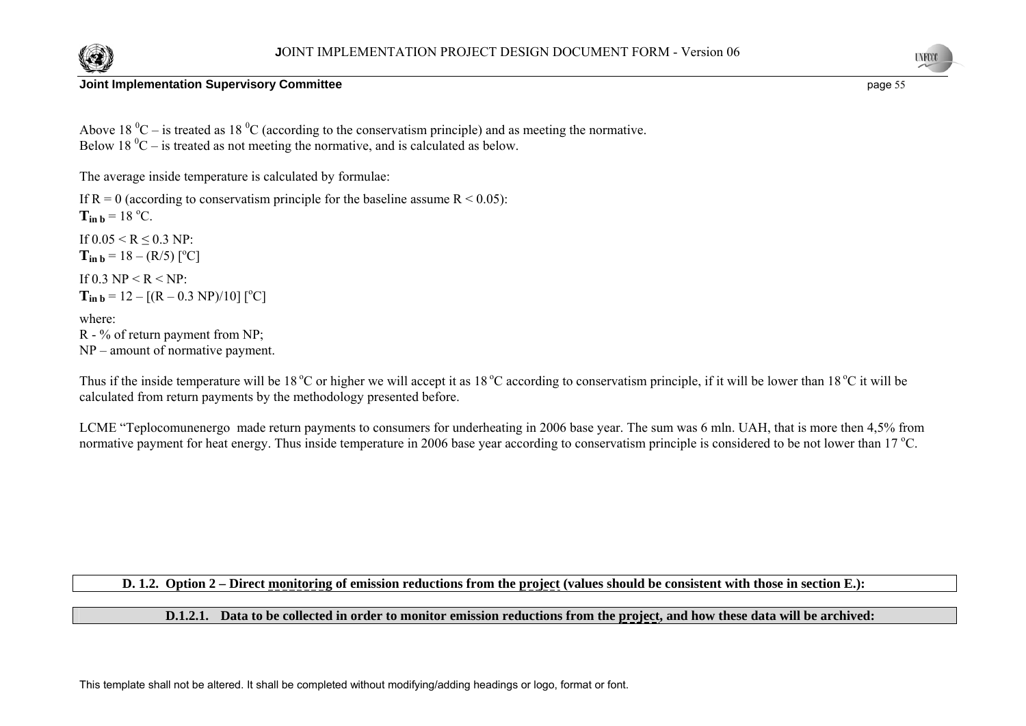



Above 18  $^0C$  – is treated as 18  $^0C$  (according to the conservatism principle) and as meeting the normative. Below 18  $^0C$  – is treated as not meeting the normative, and is calculated as below.

The average inside temperature is calculated by formulae:

If  $R = 0$  (according to conservatism principle for the baseline assume  $R \le 0.05$ ):  $T_{in b} = 18 \degree C$ . If  $0.05 \le R \le 0.3$  NP:  $T_{\text{in }b} = 18 - (R/5)$  [<sup>o</sup>C] If 0.3 NP  $\leq R \leq NP$  $T_{in b} = 12 - [(R - 0.3 \text{ NP})/10] [^{\circ}C]$ where:

R - % of return payment from NP; NP – amount of normative payment.

Thus if the inside temperature will be 18 °C or higher we will accept it as 18 °C according to conservatism principle, if it will be lower than 18 °C it will be calculated from return payments by the methodology presented before.

LCME "Teplocomunenergo made return payments to consumers for underheating in 2006 base year. The sum was 6 mln. UAH, that is more then 4,5% from normative payment for heat energy. Thus inside temperature in 2006 base year according to conservatism principle is considered to be not lower than 17  $^{\circ}$ C.

## **D. 1.2. Option 2 – Direct monitoring of emission reductions from the project (values should be consistent with those in section E.):**

#### **D.1.2.1. Data to be collected in order to monitor emission reductions from the project, and how these data will be archived:**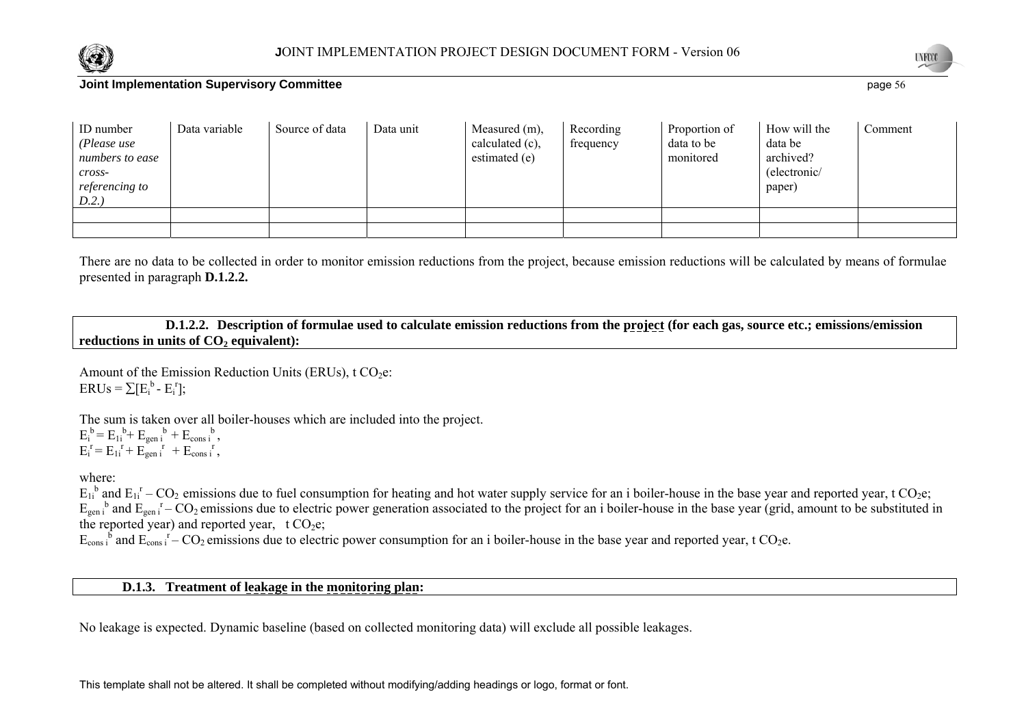



| <b>ID</b> number<br>(Please use<br>numbers to ease<br>cross-<br>referencing to<br>D.2. | Data variable | Source of data | Data unit | Measured (m),<br>calculated (c),<br>estimated (e) | Recording<br>frequency | Proportion of<br>data to be<br>monitored | How will the<br>data be<br>archived?<br>(electronic/<br>paper) | Comment |
|----------------------------------------------------------------------------------------|---------------|----------------|-----------|---------------------------------------------------|------------------------|------------------------------------------|----------------------------------------------------------------|---------|
|                                                                                        |               |                |           |                                                   |                        |                                          |                                                                |         |
|                                                                                        |               |                |           |                                                   |                        |                                          |                                                                |         |

There are no data to be collected in order to monitor emission reductions from the project, because emission reductions will be calculated by means of formulae presented in paragraph **D.1.2.2.** 

 **D.1.2.2. Description of formulae used to calculate emission reductions from the project (for each gas, source etc.; emissions/emission**  reductions in units of  $CO<sub>2</sub>$  equivalent):

Amount of the Emission Reduction Units (ERUs),  $t CO<sub>2</sub>e$ :  $ERUs = \sum [E_i^b - E_i^r]$ ;

The sum is taken over all boiler-houses which are included into the project.  $E_i^b = E_{1i}^b + E_{gen i}^b + E_{cons i}^b$ ,  $E_i^r = E_{1i}^r + E_{gen i}^r + E_{cons i}^r$ 

where:

 $E_{1i}^{b}$  and  $E_{1i}^{r}$  – CO<sub>2</sub> emissions due to fuel consumption for heating and hot water supply service for an i boiler-house in the base year and reported year, t CO<sub>2</sub>e;  $E_{gen}$ <sup>b</sup> and  $E_{gen}$ <sup>r</sup> – CO<sub>2</sub> emissions due to electric power generation associated to the project for an i boiler-house in the base year (grid, amount to be substituted in the reported year) and reported year,  $t CO<sub>2</sub>e$ ;

 $E_{\text{cons}}$  is and  $E_{\text{cons}}$  if – CO<sub>2</sub> emissions due to electric power consumption for an i boiler-house in the base year and reported year, t CO<sub>2</sub>e.

**D.1.3. Treatment of leakage in the monitoring plan:** 

No leakage is expected. Dynamic baseline (based on collected monitoring data) will exclude all possible leakages.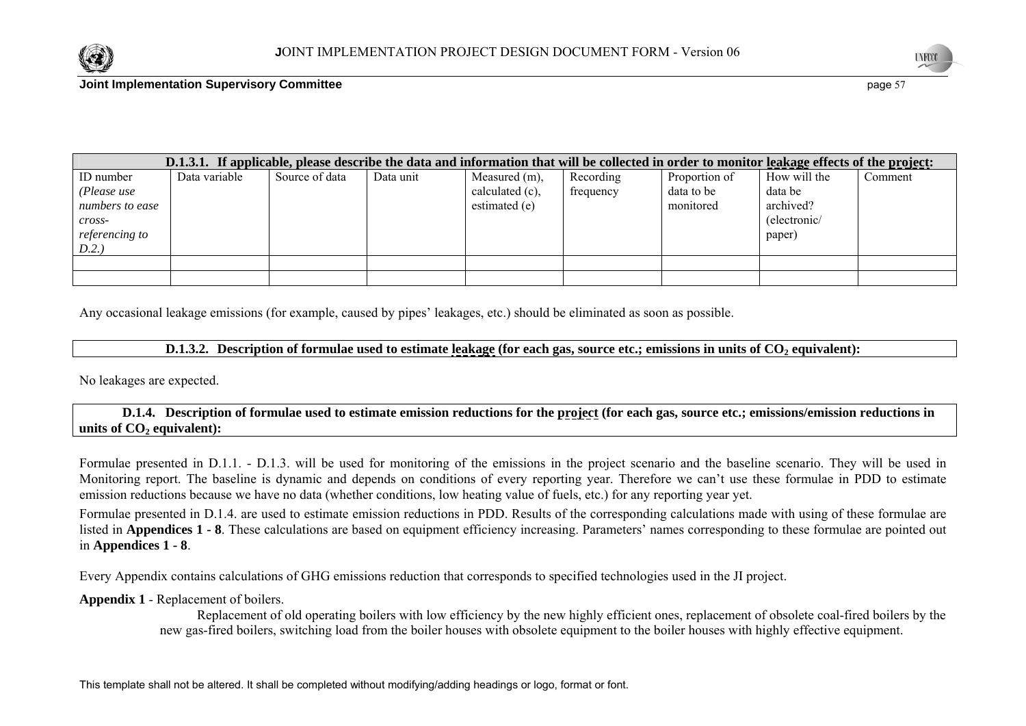



|                                                                                                     |               |                |           | D.1.3.1. If applicable, please describe the data and information that will be collected in order to monitor leakage effects of the project: |                        |                                          |                                                                |         |
|-----------------------------------------------------------------------------------------------------|---------------|----------------|-----------|---------------------------------------------------------------------------------------------------------------------------------------------|------------------------|------------------------------------------|----------------------------------------------------------------|---------|
| ID number<br>(Please use<br>numbers to ease<br>$\mathit{cross}$ -<br><i>referencing to</i><br>D.2.) | Data variable | Source of data | Data unit | Measured (m),<br>calculated (c),<br>estimated (e)                                                                                           | Recording<br>frequency | Proportion of<br>data to be<br>monitored | How will the<br>data be<br>archived?<br>(electronic/<br>paper) | Comment |
|                                                                                                     |               |                |           |                                                                                                                                             |                        |                                          |                                                                |         |
|                                                                                                     |               |                |           |                                                                                                                                             |                        |                                          |                                                                |         |

Any occasional leakage emissions (for example, caused by pipes' leakages, etc.) should be eliminated as soon as possible.

#### **D.1.3.2. Description of formulae used to estimate leakage (for each gas, source etc.; emissions in units of CO<sub>2</sub> equivalent):**

No leakages are expected.

#### **D.1.4. Description of formulae used to estimate emission reductions for the project (for each gas, source etc.; emissions/emission reductions in**  units of CO<sub>2</sub> equivalent):

Formulae presented in D.1.1. - D.1.3. will be used for monitoring of the emissions in the project scenario and the baseline scenario. They will be used in Monitoring report. The baseline is dynamic and depends on conditions of every reporting year. Therefore we can't use these formulae in PDD to estimate emission reductions because we have no data (whether conditions, low heating value of fuels, etc.) for any reporting year yet.

Formulae presented in D.1.4. are used to estimate emission reductions in PDD. Results of the corresponding calculations made with using of these formulae are listed in **Appendices 1 - 8**. These calculations are based on equipment efficiency increasing. Parameters' names corresponding to these formulae are pointed out in **Appendices 1 - 8**.

Every Appendix contains calculations of GHG emissions reduction that corresponds to specified technologies used in the JI project.

#### **Appendix 1** - Replacement of boilers.

Replacement of old operating boilers with low efficiency by the new highly efficient ones, replacement of obsolete coal-fired boilers by the new gas-fired boilers, switching load from the boiler houses with obsolete equipment to the boiler houses with highly effective equipment.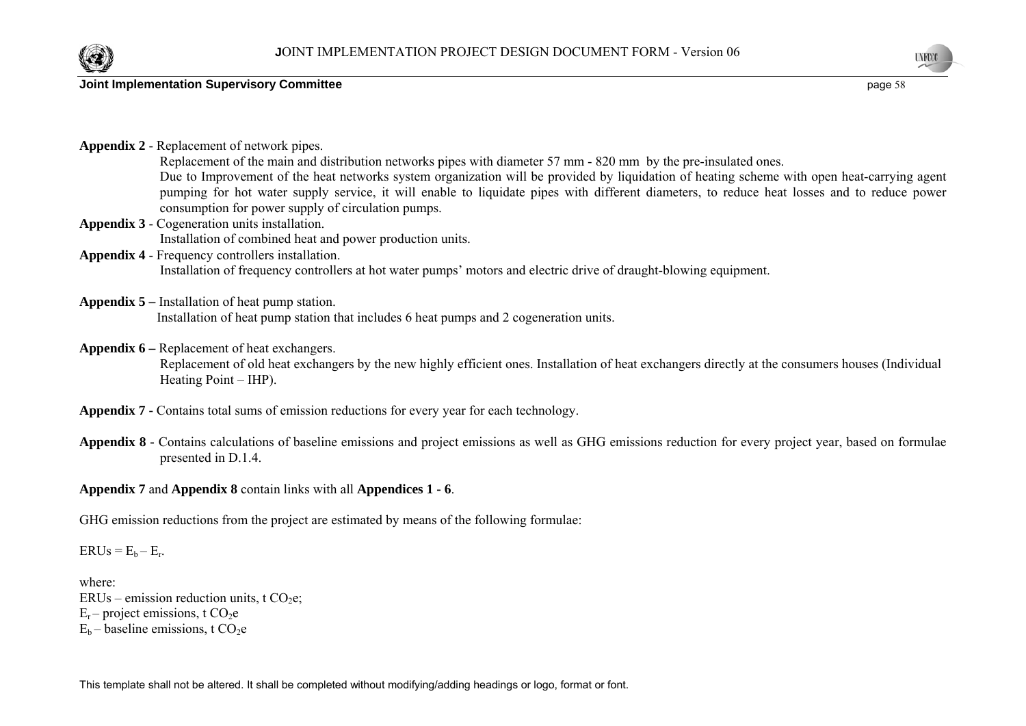





**UNFOOT** 

| Appendix 2 - Replacement of network pipes.<br>Replacement of the main and distribution networks pipes with diameter 57 mm - 820 mm by the pre-insulated ones.<br>Due to Improvement of the heat networks system organization will be provided by liquidation of heating scheme with open heat-carrying agent<br>pumping for hot water supply service, it will enable to liquidate pipes with different diameters, to reduce heat losses and to reduce power<br>consumption for power supply of circulation pumps. |
|-------------------------------------------------------------------------------------------------------------------------------------------------------------------------------------------------------------------------------------------------------------------------------------------------------------------------------------------------------------------------------------------------------------------------------------------------------------------------------------------------------------------|
| <b>Appendix 3 - Cogeneration units installation.</b>                                                                                                                                                                                                                                                                                                                                                                                                                                                              |
| Installation of combined heat and power production units.                                                                                                                                                                                                                                                                                                                                                                                                                                                         |
| <b>Appendix 4 - Frequency controllers installation.</b>                                                                                                                                                                                                                                                                                                                                                                                                                                                           |
| Installation of frequency controllers at hot water pumps' motors and electric drive of draught-blowing equipment.                                                                                                                                                                                                                                                                                                                                                                                                 |
| <b>Appendix 5</b> – Installation of heat pump station.<br>Installation of heat pump station that includes 6 heat pumps and 2 cogeneration units.                                                                                                                                                                                                                                                                                                                                                                  |
| <b>Appendix 6 – Replacement of heat exchangers.</b><br>Replacement of old heat exchangers by the new highly efficient ones. Installation of heat exchangers directly at the consumers houses (Individual<br>Heating Point – IHP).                                                                                                                                                                                                                                                                                 |
| <b>Appendix 7 - Contains total sums of emission reductions for every year for each technology.</b>                                                                                                                                                                                                                                                                                                                                                                                                                |

**Appendix 8 -** Contains calculations of baseline emissions and project emissions as well as GHG emissions reduction for every project year, based on formulae presented in D.1.4.

## **Appendix 7** and **Appendix 8** contain links with all **Appendices 1 - 6**.

GHG emission reductions from the project are estimated by means of the following formulae:

 $ERUs = E_b - E_r.$ 

where:  $ERUs$  – emission reduction units, t  $CO<sub>2</sub>e$ ;  $E_r$  – project emissions, t CO<sub>2</sub>e  $E_b$  – baseline emissions, t CO<sub>2</sub>e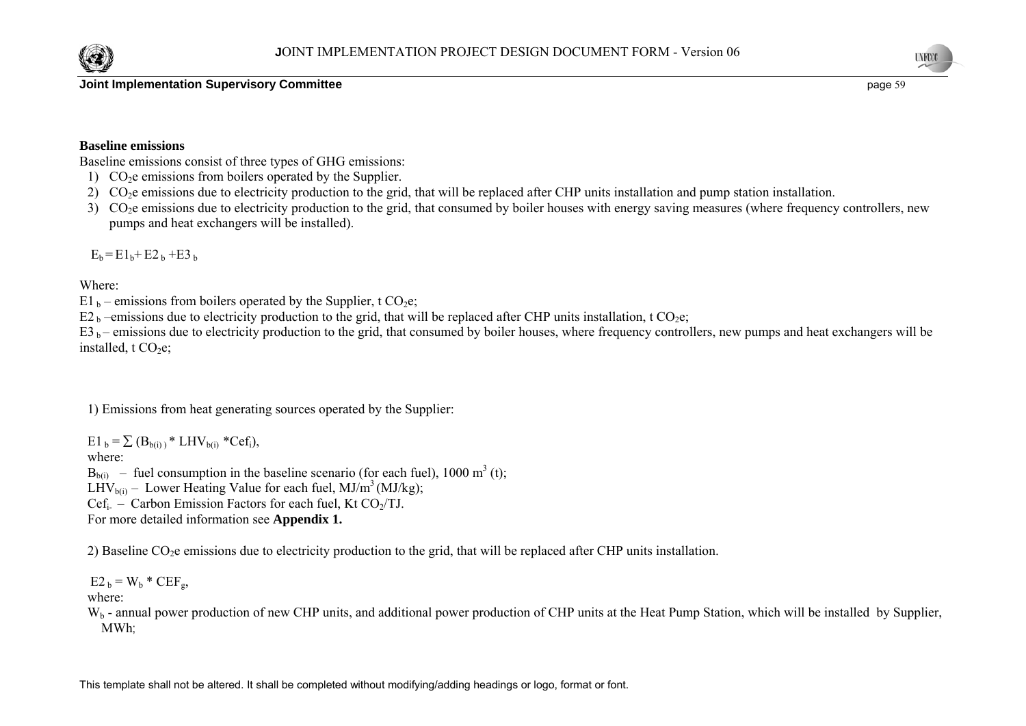



#### **Baseline emissions**

Baseline emissions consist of three types of GHG emissions:

- 1)  $CO<sub>2</sub>e$  emissions from boilers operated by the Supplier.
- 2) CO<sub>2</sub>e emissions due to electricity production to the grid, that will be replaced after CHP units installation and pump station installation.
- 3) CO<sub>2</sub>e emissions due to electricity production to the grid, that consumed by boiler houses with energy saving measures (where frequency controllers, new pumps and heat exchangers will be installed).

 $E_b = E1_b + E2_b + E3_b$ 

Where:

- E1  $_b$  emissions from boilers operated by the Supplier, t CO<sub>2</sub>e;
- E2<sub>b</sub> –emissions due to electricity production to the grid, that will be replaced after CHP units installation, t CO<sub>2</sub>e;

 $E_3$  b – emissions due to electricity production to the grid, that consumed by boiler houses, where frequency controllers, new pumps and heat exchangers will be installed,  $t CO<sub>2</sub>e$ ;

1) Emissions from heat generating sources operated by the Supplier:

 $E1_b = \sum (B_{b(i)})^* LHV_{b(i)} *Cef_i$ where:  $B<sub>b(ii)</sub>$  – fuel consumption in the baseline scenario (for each fuel), 1000 m<sup>3</sup> (t); LHV<sub>b(i)</sub> – Lower Heating Value for each fuel, MJ/m<sup>3</sup> (MJ/kg); Cef<sub>i-</sub> – Carbon Emission Factors for each fuel, Kt CO<sub>2</sub>/TJ. For more detailed information see **Appendix 1.** 

2) Baseline  $CO<sub>2</sub>e$  emissions due to electricity production to the grid, that will be replaced after CHP units installation.

 $E2_b = W_b * CEF_a$ 

where:

 $W_b$  - annual power production of new CHP units, and additional power production of CHP units at the Heat Pump Station, which will be installed by Supplier, MWh;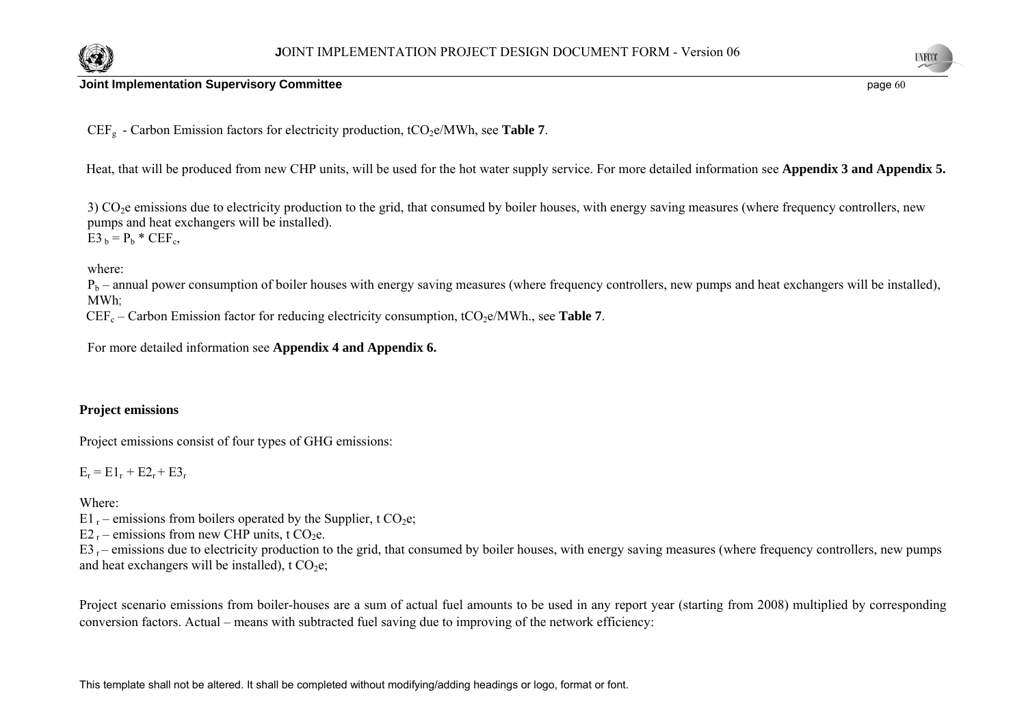



CEF<sub>g</sub> - Carbon Emission factors for electricity production, tCO<sub>2</sub>e/MWh, see **Table 7**.

Heat, that will be produced from new CHP units, will be used for the hot water supply service. For more detailed information see **Appendix 3 and Appendix 5.** 

3) CO<sub>2</sub>e emissions due to electricity production to the grid, that consumed by boiler houses, with energy saving measures (where frequency controllers, new pumps and heat exchangers will be installed).  $E3_b = P_b * CEF_c$ 

where:

 $P_b$  – annual power consumption of boiler houses with energy saving measures (where frequency controllers, new pumps and heat exchangers will be installed), MWh;

 $CEF_c - Carbon Emission factor for reducing electricity consumption, tCO<sub>2</sub>e/MWh, see **Table 7**.$ 

For more detailed information see **Appendix 4 and Appendix 6.** 

#### **Project emissions**

Project emissions consist of four types of GHG emissions:

 $E_r = E1_r + E2_r + E3_r$ 

Where:

E1  $r$  – emissions from boilers operated by the Supplier, t CO<sub>2</sub>e;

 $E2_r$  – emissions from new CHP units, t CO<sub>2</sub>e.

 $E3 -$  emissions due to electricity production to the grid, that consumed by boiler houses, with energy saving measures (where frequency controllers, new pumps and heat exchangers will be installed),  $t CO<sub>2</sub>e$ ;

Project scenario emissions from boiler-houses are a sum of actual fuel amounts to be used in any report year (starting from 2008) multiplied by corresponding conversion factors. Actual – means with subtracted fuel saving due to improving of the network efficiency: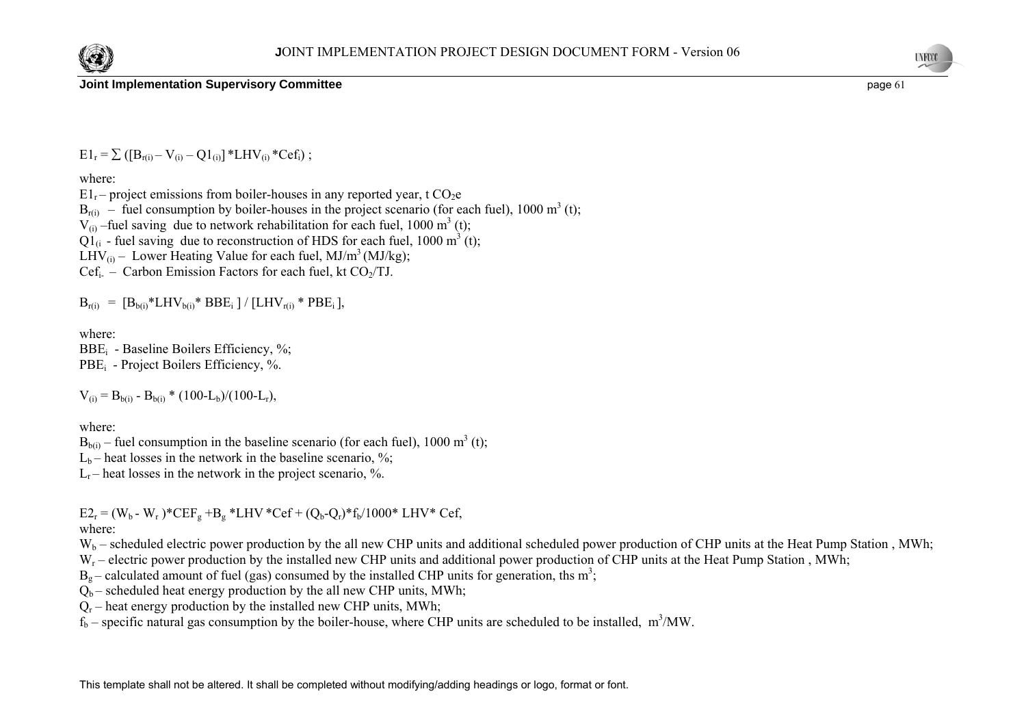



 $E1_r = \sum ( [B_{r(i)} - V_{(i)} - Q1_{(i)}] * LHV_{(i)} *Cef_i);$ 

where:

 $E1_r$  – project emissions from boiler-houses in any reported year, t CO<sub>2</sub>e  $B_{r(i)}$  – fuel consumption by boiler-houses in the project scenario (for each fuel), 1000 m<sup>3</sup> (t);  $V_{(i)}$  –fuel saving due to network rehabilitation for each fuel, 1000 m<sup>3</sup> (t);  $\overline{O1}_6$  - fuel saving due to reconstruction of HDS for each fuel, 1000 m<sup>3</sup> (t); LHV<sub>(i)</sub> – Lower Heating Value for each fuel, MJ/m<sup>3</sup> (MJ/kg);  $Cef_i$  – Carbon Emission Factors for each fuel, kt  $CO<sub>2</sub>/TJ$ .

 $B_{r(i)} = [B_{b(i)} * LHV_{b(i)} * BBE_i] / [LHV_{r(i)} * PBE_i],$ 

where:

BBE<sub>i</sub> - Baseline Boilers Efficiency, %; PBE<sub>i</sub> - Project Boilers Efficiency, %.

 $V_{(i)} = B_{b(i)} - B_{b(i)} * (100-L_b)/(100-L_r),$ 

where:

 $B_{b(i)}$  – fuel consumption in the baseline scenario (for each fuel), 1000 m<sup>3</sup> (t);

 $L<sub>b</sub>$  – heat losses in the network in the baseline scenario, %;

 $L_r$  – heat losses in the network in the project scenario,  $\%$ .

 $E2_r = (W_b - W_r)^* CEF_e + B_e * LHV * Cef + (Q_b - Q_r)^* f_b / 1000 * LHV * Cef,$ where:

 $W_b$  – scheduled electric power production by the all new CHP units and additional scheduled power production of CHP units at the Heat Pump Station, MWh;

W<sub>r</sub> – electric power production by the installed new CHP units and additional power production of CHP units at the Heat Pump Station, MWh;

 $B<sub>o</sub>$  – calculated amount of fuel (gas) consumed by the installed CHP units for generation, ths m<sup>3</sup>;

 $Q_b$  – scheduled heat energy production by the all new CHP units, MWh;

 $Q_r$  – heat energy production by the installed new CHP units, MWh;

 $f_b$  – specific natural gas consumption by the boiler-house, where CHP units are scheduled to be installed, m<sup>3</sup>/MW.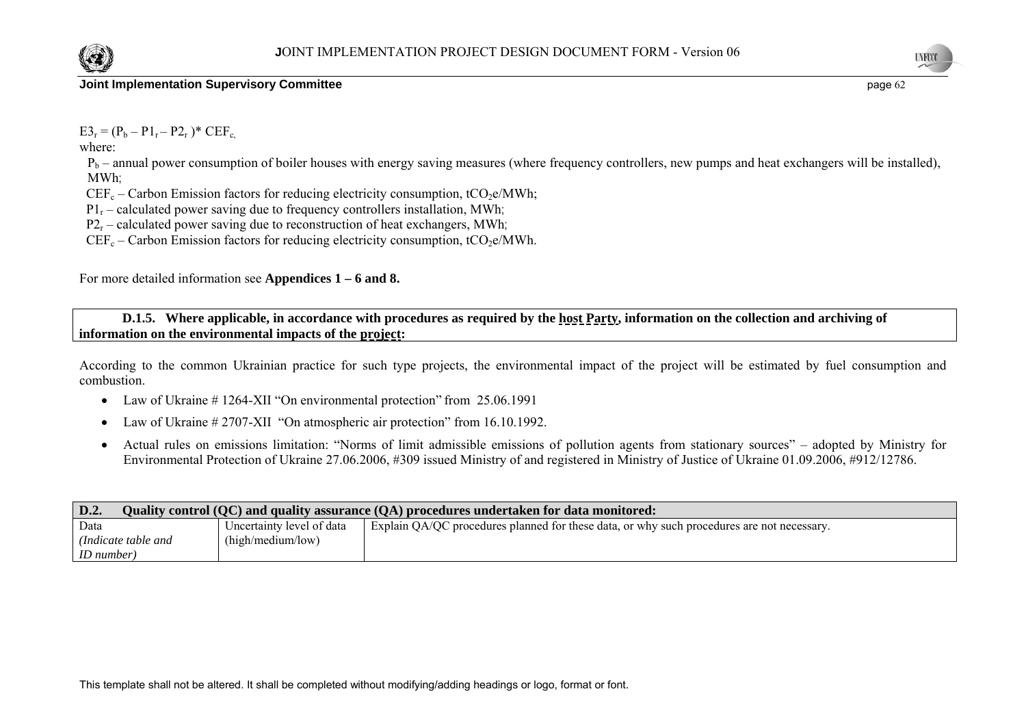

 $E3_r = (P_b - P1_r - P2_r)^* CEF_c$ 

where:

 $P_b$  – annual power consumption of boiler houses with energy saving measures (where frequency controllers, new pumps and heat exchangers will be installed), MWh;

 $CEF_c$  – Carbon Emission factors for reducing electricity consumption, tCO<sub>2</sub>e/MWh;

 $P1_r$  – calculated power saving due to frequency controllers installation, MWh;

 $P2<sub>r</sub>$  – calculated power saving due to reconstruction of heat exchangers, MWh;

 $CEF_c - Carbon Emission factors for reducing electricity consumption, tCO<sub>2</sub>e/MWh.$ 

For more detailed information see **Appendices 1 – 6 and 8.** 

#### **D.1.5. Where applicable, in accordance with procedures as required by the host Party, information on the collection and archiving of information on the environmental impacts of the project:**

According to the common Ukrainian practice for such type projects, the environmental impact of the project will be estimated by fuel consumption and combustion.

- Law of Ukraine #1264-XII "On environmental protection" from 25.06.1991
- •Law of Ukraine # 2707-XII "On atmospheric air protection" from 16.10.1992.
- • Actual rules on emissions limitation: "Norms of limit admissible emissions of pollution agents from stationary sources" – adopted by Ministry for Environmental Protection of Ukraine 27.06.2006, #309 issued Ministry of and registered in Ministry of Justice of Ukraine 01.09.2006, #912/12786.

| $\mathbf{D.2.}$<br>Quality control (QC) and quality assurance (QA) procedures undertaken for data monitored: |                           |                                                                                            |  |
|--------------------------------------------------------------------------------------------------------------|---------------------------|--------------------------------------------------------------------------------------------|--|
| Data                                                                                                         | Uncertainty level of data | Explain QA/QC procedures planned for these data, or why such procedures are not necessary. |  |
| (Indicate table and                                                                                          | (high/medium/low)         |                                                                                            |  |
| ID number)                                                                                                   |                           |                                                                                            |  |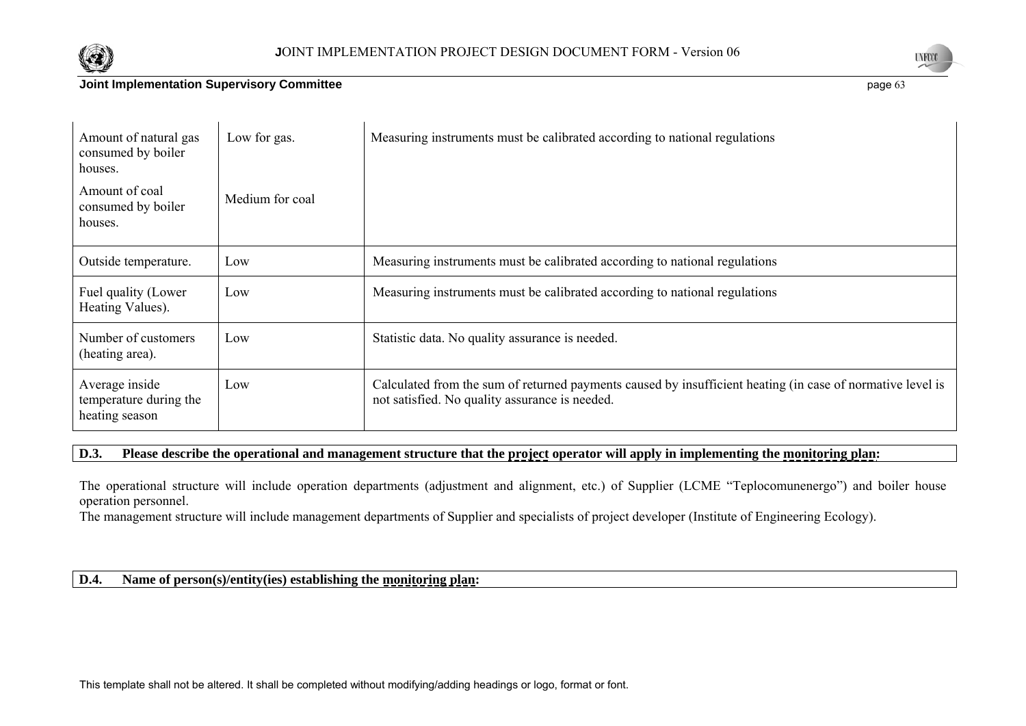



| Amount of natural gas<br>consumed by boiler<br>houses.     | Low for gas.    | Measuring instruments must be calibrated according to national regulations                                                                                   |
|------------------------------------------------------------|-----------------|--------------------------------------------------------------------------------------------------------------------------------------------------------------|
| Amount of coal<br>consumed by boiler<br>houses.            | Medium for coal |                                                                                                                                                              |
| Outside temperature.                                       | Low             | Measuring instruments must be calibrated according to national regulations                                                                                   |
| Fuel quality (Lower<br>Heating Values).                    | Low             | Measuring instruments must be calibrated according to national regulations                                                                                   |
| Number of customers<br>(heating area).                     | Low             | Statistic data. No quality assurance is needed.                                                                                                              |
| Average inside<br>temperature during the<br>heating season | Low             | Calculated from the sum of returned payments caused by insufficient heating (in case of normative level is<br>not satisfied. No quality assurance is needed. |

## **D.3. Please describe the operational and management structure that the project operator will apply in implementing the monitoring plan:**

The operational structure will include operation departments (adjustment and alignment, etc.) of Supplier (LCME "Teplocomunenergo") and boiler house operation personnel.

The management structure will include management departments of Supplier and specialists of project developer (Institute of Engineering Ecology).

## **D.4. Name of person(s)/entity(ies) establishing the monitoring plan:**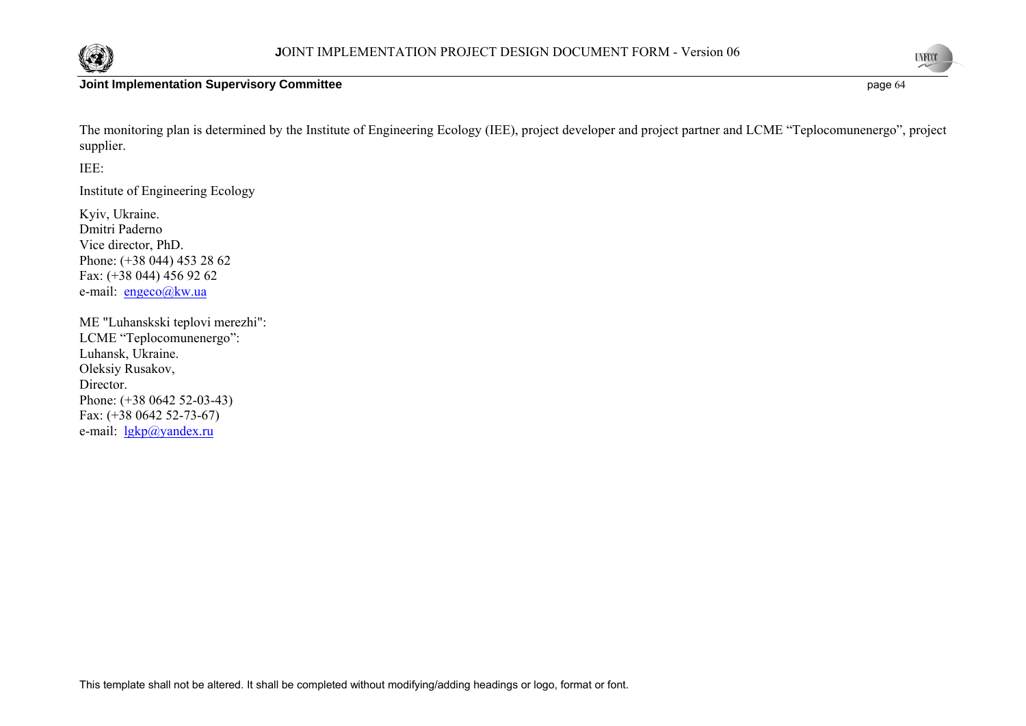



**UNFOCO** 

The monitoring plan is determined by the Institute of Engineering Ecology (IEE), project developer and project partner and LCME "Teplocomunenergo", project supplier.

## IEE:

Institute of Engineering Ecology

Kyiv, Ukraine. Dmitri PadernoVice director, PhD. Phone: (+38 044) 453 28 62 Fax: (+38 044) 456 92 62 e-mail: engeco@kw.ua

ME "Luhanskski teplovi merezhi": LCME "Teplocomunenergo": Luhansk, Ukraine. Oleksiy Rusakov, Director. Phone: (+38 0642 52-03-43) Fax: (+38 0642 52-73-67) e-mail: <u>lgkp@yandex.ru</u>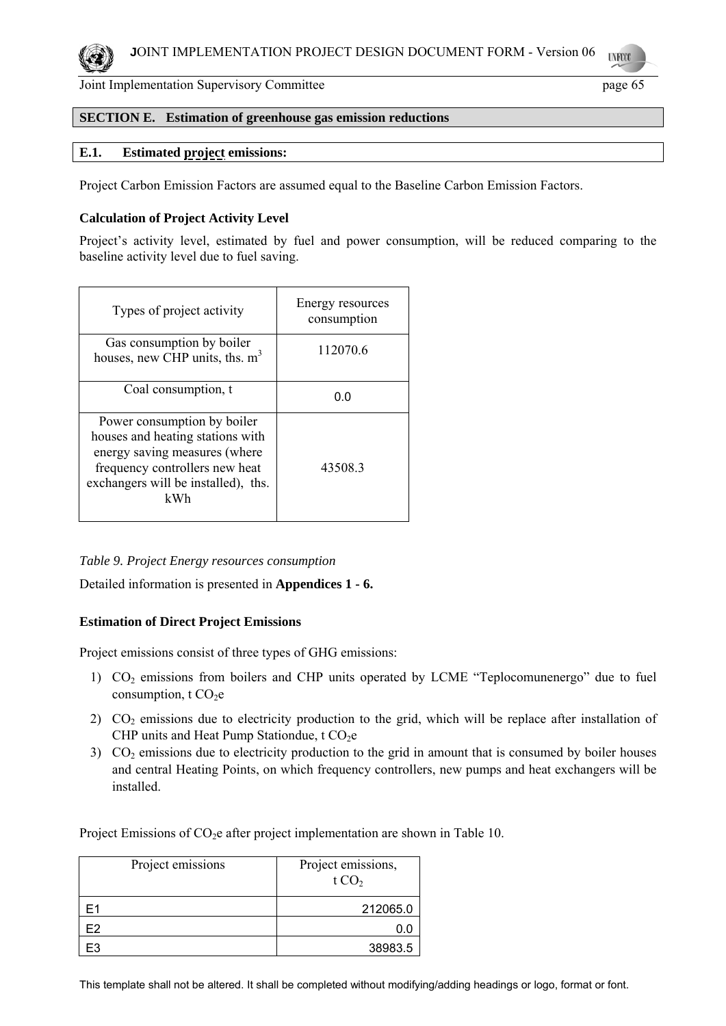

#### **SECTION E. Estimation of greenhouse gas emission reductions**

## **E.1. Estimated project emissions:**

Project Carbon Emission Factors are assumed equal to the Baseline Carbon Emission Factors.

#### **Calculation of Project Activity Level**

Project's activity level, estimated by fuel and power consumption, will be reduced comparing to the baseline activity level due to fuel saving.

| Types of project activity                                                                                                                                                        | Energy resources<br>consumption |
|----------------------------------------------------------------------------------------------------------------------------------------------------------------------------------|---------------------------------|
| Gas consumption by boiler<br>houses, new CHP units, ths. $m3$                                                                                                                    | 112070.6                        |
| Coal consumption, t                                                                                                                                                              | 0.0                             |
| Power consumption by boiler<br>houses and heating stations with<br>energy saving measures (where<br>frequency controllers new heat<br>exchangers will be installed), ths.<br>kWh | 43508.3                         |

*Table 9. Project Energy resources consumption* 

Detailed information is presented in **Appendices 1 - 6.** 

#### **Estimation of Direct Project Emissions**

Project emissions consist of three types of GHG emissions:

- 1) CO2 emissions from boilers and CHP units operated by LCME "Teplocomunenergo" due to fuel consumption,  $t CO<sub>2</sub>e$
- 2)  $CO<sub>2</sub>$  emissions due to electricity production to the grid, which will be replace after installation of CHP units and Heat Pump Stationdue,  $t CO<sub>2</sub>e$
- 3)  $CO<sub>2</sub>$  emissions due to electricity production to the grid in amount that is consumed by boiler houses and central Heating Points, on which frequency controllers, new pumps and heat exchangers will be installed.

Project Emissions of  $CO<sub>2</sub>e$  after project implementation are shown in Table 10.

| Project emissions | Project emissions,<br>t $CO2$ |
|-------------------|-------------------------------|
| F1                | 212065.0                      |
| F2                |                               |
|                   | 38983.5                       |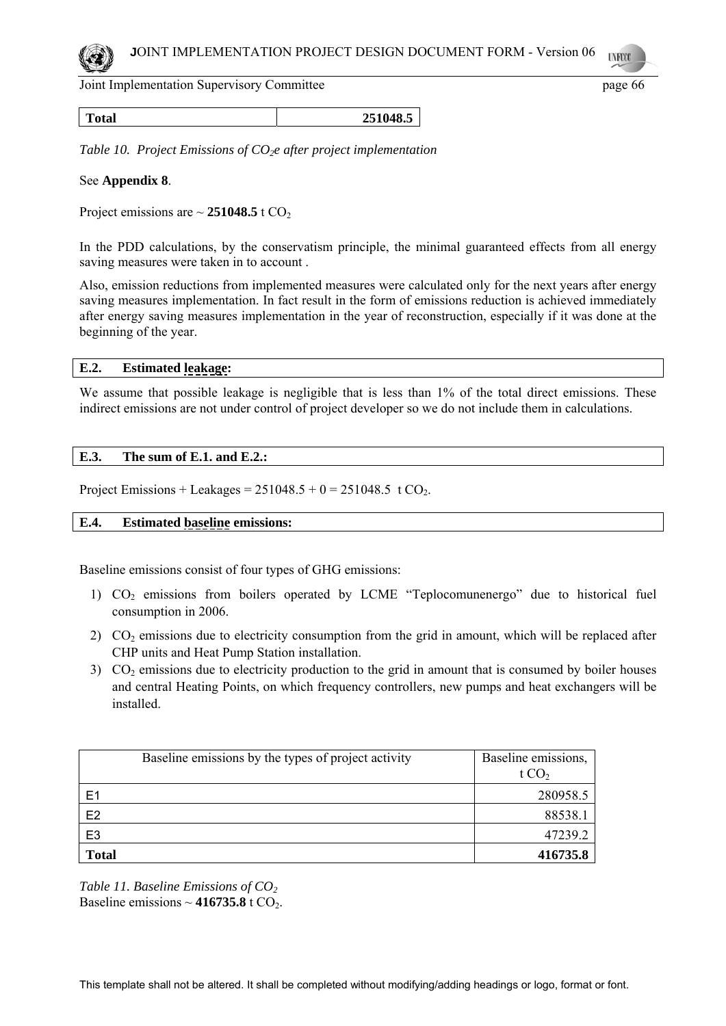

**Total 251048.5**

*Table 10. Project Emissions of CO<sub>2</sub>e after project implementation* 

#### See **Appendix 8**.

Project emissions are  $\sim$  251048.5 t CO<sub>2</sub>

In the PDD calculations, by the conservatism principle, the minimal guaranteed effects from all energy saving measures were taken in to account .

Also, emission reductions from implemented measures were calculated only for the next years after energy saving measures implementation. In fact result in the form of emissions reduction is achieved immediately after energy saving measures implementation in the year of reconstruction, especially if it was done at the beginning of the year.

## **E.2. Estimated leakage:**

We assume that possible leakage is negligible that is less than 1% of the total direct emissions. These indirect emissions are not under control of project developer so we do not include them in calculations.

## **E.3. The sum of E.1. and E.2.:**

Project Emissions + Leakages =  $251048.5 + 0 = 251048.5 \text{ t CO}_2$ .

#### **E.4. Estimated baseline emissions:**

Baseline emissions consist of four types of GHG emissions:

- 1) CO<sub>2</sub> emissions from boilers operated by LCME "Teplocomunenergo" due to historical fuel consumption in 2006.
- 2)  $CO<sub>2</sub>$  emissions due to electricity consumption from the grid in amount, which will be replaced after CHP units and Heat Pump Station installation.
- 3)  $CO<sub>2</sub>$  emissions due to electricity production to the grid in amount that is consumed by boiler houses and central Heating Points, on which frequency controllers, new pumps and heat exchangers will be installed.

| Baseline emissions by the types of project activity | Baseline emissions,<br>t $CO2$ |
|-----------------------------------------------------|--------------------------------|
| E <sub>1</sub>                                      | 280958.5                       |
| E <sub>2</sub>                                      | 88538.1                        |
| E <sub>3</sub>                                      | 47239.2                        |
| <b>Total</b>                                        | 416735.8                       |

*Table 11. Baseline Emissions of CO2*  Baseline emissions  $\sim$  416735.8 t CO<sub>2</sub>.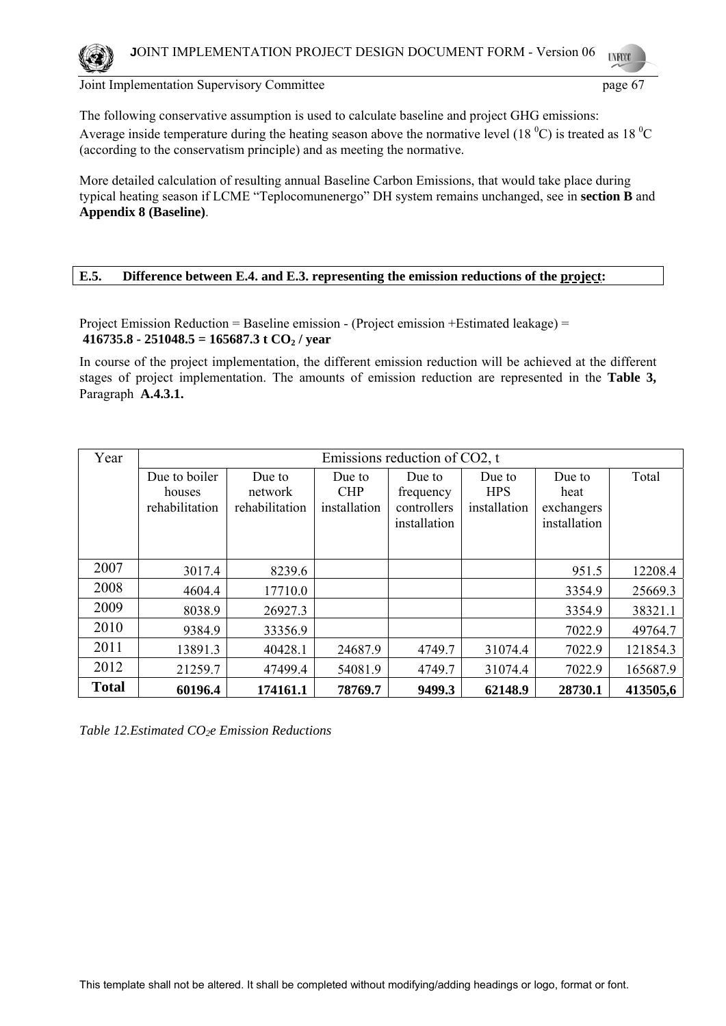

The following conservative assumption is used to calculate baseline and project GHG emissions: Average inside temperature during the heating season above the normative level (18 $\rm ^{0}C$ ) is treated as 18 $\rm ^{0}C$ (according to the conservatism principle) and as meeting the normative.

More detailed calculation of resulting annual Baseline Carbon Emissions, that would take place during typical heating season if LCME "Teplocomunenergo" DH system remains unchanged, see in **section B** and **Appendix 8 (Baseline)**.

## **E.5. Difference between E.4. and E.3. representing the emission reductions of the project:**

Project Emission Reduction = Baseline emission - (Project emission +Estimated leakage) =  $416735.8 - 251048.5 = 165687.3$  **t** CO<sub>2</sub> / year

In course of the project implementation, the different emission reduction will be achieved at the different stages of project implementation. The amounts of emission reduction are represented in the **Table 3,**  Paragraph **A.4.3.1.** 

| Year         | Emissions reduction of CO2, t |                |              |              |              |              |          |
|--------------|-------------------------------|----------------|--------------|--------------|--------------|--------------|----------|
|              | Due to boiler                 | Due to         | Due to       | Due to       | Due to       | Due to       | Total    |
|              | houses                        | network        | <b>CHP</b>   | frequency    | <b>HPS</b>   | heat         |          |
|              | rehabilitation                | rehabilitation | installation | controllers  | installation | exchangers   |          |
|              |                               |                |              | installation |              | installation |          |
|              |                               |                |              |              |              |              |          |
| 2007         | 3017.4                        | 8239.6         |              |              |              | 951.5        | 12208.4  |
| 2008         | 4604.4                        | 17710.0        |              |              |              | 3354.9       | 25669.3  |
| 2009         | 8038.9                        | 26927.3        |              |              |              | 3354.9       | 38321.1  |
| 2010         | 9384.9                        | 33356.9        |              |              |              | 7022.9       | 49764.7  |
| 2011         | 13891.3                       | 40428.1        | 24687.9      | 4749.7       | 31074.4      | 7022.9       | 121854.3 |
| 2012         | 21259.7                       | 47499.4        | 54081.9      | 4749.7       | 31074.4      | 7022.9       | 165687.9 |
| <b>Total</b> | 60196.4                       | 174161.1       | 78769.7      | 9499.3       | 62148.9      | 28730.1      | 413505,6 |

*Table 12.Estimated CO2e Emission Reductions*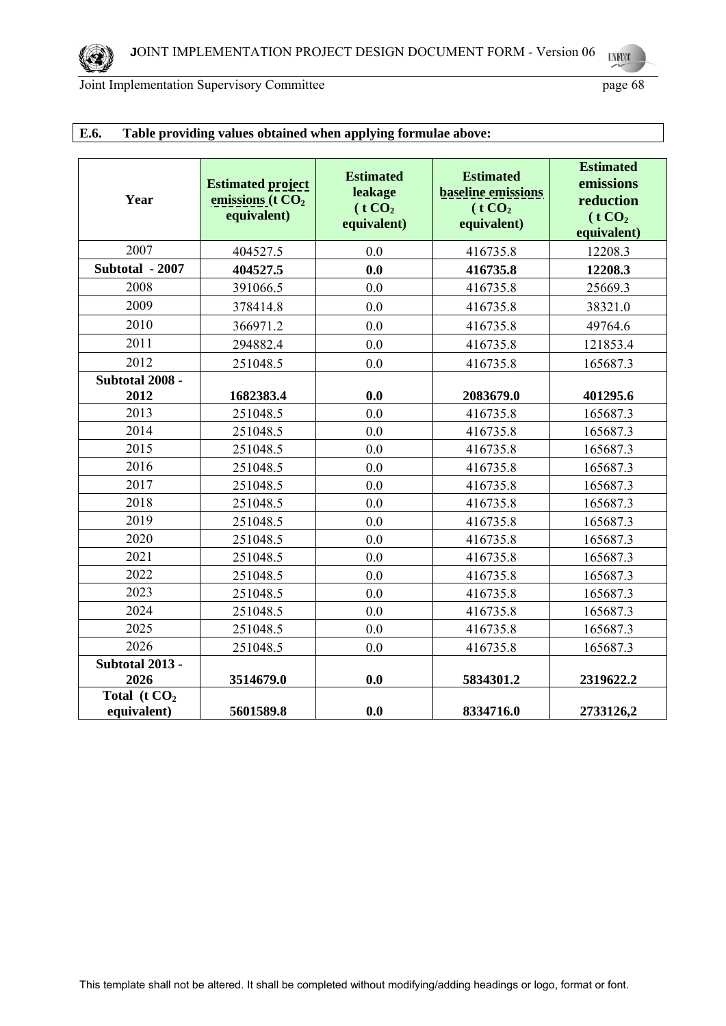| Year                           | <b>Estimated project</b><br>emissions ( $t CO2$<br>equivalent) | <b>Estimated</b><br>leakage<br>(t CO <sub>2</sub> )<br>equivalent) | <b>Estimated</b><br><b>baseline</b> emissions<br>(t CO <sub>2</sub> )<br>equivalent) | <b>Estimated</b><br>emissions<br>reduction<br>(t CO <sub>2</sub> )<br>equivalent) |
|--------------------------------|----------------------------------------------------------------|--------------------------------------------------------------------|--------------------------------------------------------------------------------------|-----------------------------------------------------------------------------------|
| 2007                           | 404527.5                                                       | 0.0                                                                | 416735.8                                                                             | 12208.3                                                                           |
| Subtotal - 2007                | 404527.5                                                       | 0.0                                                                | 416735.8                                                                             | 12208.3                                                                           |
| 2008                           | 391066.5                                                       | 0.0                                                                | 416735.8                                                                             | 25669.3                                                                           |
| 2009                           | 378414.8                                                       | 0.0                                                                | 416735.8                                                                             | 38321.0                                                                           |
| 2010                           | 366971.2                                                       | 0.0                                                                | 416735.8                                                                             | 49764.6                                                                           |
| 2011                           | 294882.4                                                       | 0.0                                                                | 416735.8                                                                             | 121853.4                                                                          |
| 2012                           | 251048.5                                                       | 0.0                                                                | 416735.8                                                                             | 165687.3                                                                          |
| Subtotal 2008 -                |                                                                |                                                                    |                                                                                      |                                                                                   |
| 2012                           | 1682383.4                                                      | 0.0                                                                | 2083679.0                                                                            | 401295.6                                                                          |
| 2013                           | 251048.5                                                       | 0.0                                                                | 416735.8                                                                             | 165687.3                                                                          |
| 2014                           | 251048.5                                                       | 0.0                                                                | 416735.8                                                                             | 165687.3                                                                          |
| 2015                           | 251048.5                                                       | 0.0                                                                | 416735.8                                                                             | 165687.3                                                                          |
| 2016                           | 251048.5                                                       | 0.0                                                                | 416735.8                                                                             | 165687.3                                                                          |
| 2017                           | 251048.5                                                       | 0.0                                                                | 416735.8                                                                             | 165687.3                                                                          |
| 2018                           | 251048.5                                                       | 0.0                                                                | 416735.8                                                                             | 165687.3                                                                          |
| 2019                           | 251048.5                                                       | 0.0                                                                | 416735.8                                                                             | 165687.3                                                                          |
| 2020                           | 251048.5                                                       | 0.0                                                                | 416735.8                                                                             | 165687.3                                                                          |
| 2021                           | 251048.5                                                       | 0.0                                                                | 416735.8                                                                             | 165687.3                                                                          |
| 2022                           | 251048.5                                                       | 0.0                                                                | 416735.8                                                                             | 165687.3                                                                          |
| 2023                           | 251048.5                                                       | 0.0                                                                | 416735.8                                                                             | 165687.3                                                                          |
| 2024                           | 251048.5                                                       | 0.0                                                                | 416735.8                                                                             | 165687.3                                                                          |
| 2025                           | 251048.5                                                       | 0.0                                                                | 416735.8                                                                             | 165687.3                                                                          |
| 2026                           | 251048.5                                                       | 0.0                                                                | 416735.8                                                                             | 165687.3                                                                          |
| Subtotal 2013 -                |                                                                |                                                                    |                                                                                      |                                                                                   |
| 2026                           | 3514679.0                                                      | 0.0                                                                | 5834301.2                                                                            | 2319622.2                                                                         |
| Total ( $t CO2$<br>equivalent) | 5601589.8                                                      | 0.0                                                                | 8334716.0                                                                            | 2733126,2                                                                         |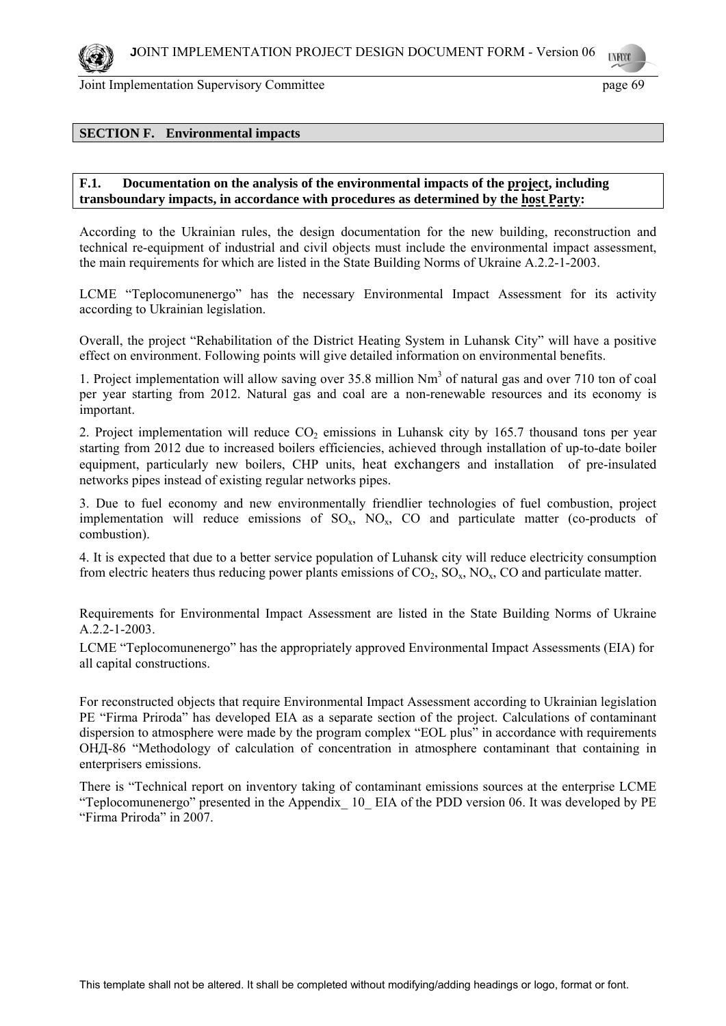

#### **SECTION F. Environmental impacts**

#### **F.1. Documentation on the analysis of the environmental impacts of the project, including transboundary impacts, in accordance with procedures as determined by the host Party:**

According to the Ukrainian rules, the design documentation for the new building, reconstruction and technical re-equipment of industrial and civil objects must include the environmental impact assessment, the main requirements for which are listed in the State Building Norms of Ukraine A.2.2-1-2003.

LCME "Teplocomunenergo" has the necessary Environmental Impact Assessment for its activity according to Ukrainian legislation.

Overall, the project "Rehabilitation of the District Heating System in Luhansk City" will have a positive effect on environment. Following points will give detailed information on environmental benefits.

1. Project implementation will allow saving over 35.8 million Nm<sup>3</sup> of natural gas and over 710 ton of coal per year starting from 2012. Natural gas and coal are a non-renewable resources and its economy is important.

2. Project implementation will reduce  $CO<sub>2</sub>$  emissions in Luhansk city by 165.7 thousand tons per year starting from 2012 due to increased boilers efficiencies, achieved through installation of up-to-date boiler equipment, particularly new boilers, CHP units, heat exchangers and installation of pre-insulated networks pipes instead of existing regular networks pipes.

3. Due to fuel economy and new environmentally friendlier technologies of fuel combustion, project implementation will reduce emissions of  $SO_x$ ,  $NO_x$ ,  $CO$  and particulate matter (co-products of combustion).

4. It is expected that due to a better service population of Luhansk city will reduce electricity consumption from electric heaters thus reducing power plants emissions of  $CO_2$ ,  $SO_x$ ,  $NO_x$ ,  $CO$  and particulate matter.

Requirements for Environmental Impact Assessment are listed in the State Building Norms of Ukraine A.2.2-1-2003.

LCME "Teplocomunenergo" has the appropriately approved Environmental Impact Assessments (EIA) for all capital constructions.

For reconstructed objects that require Environmental Impact Assessment according to Ukrainian legislation PE "Firma Priroda" has developed EIA as a separate section of the project. Calculations of contaminant dispersion to atmosphere were made by the program complex "EOL plus" in accordance with requirements ОНД-86 "Methodology of calculation of concentration in atmosphere contaminant that containing in enterprisers emissions.

There is "Technical report on inventory taking of contaminant emissions sources at the enterprise LCME "Teplocomunenergo" presented in the Appendix\_ 10\_ EIA of the PDD version 06. It was developed by PE "Firma Priroda" in 2007.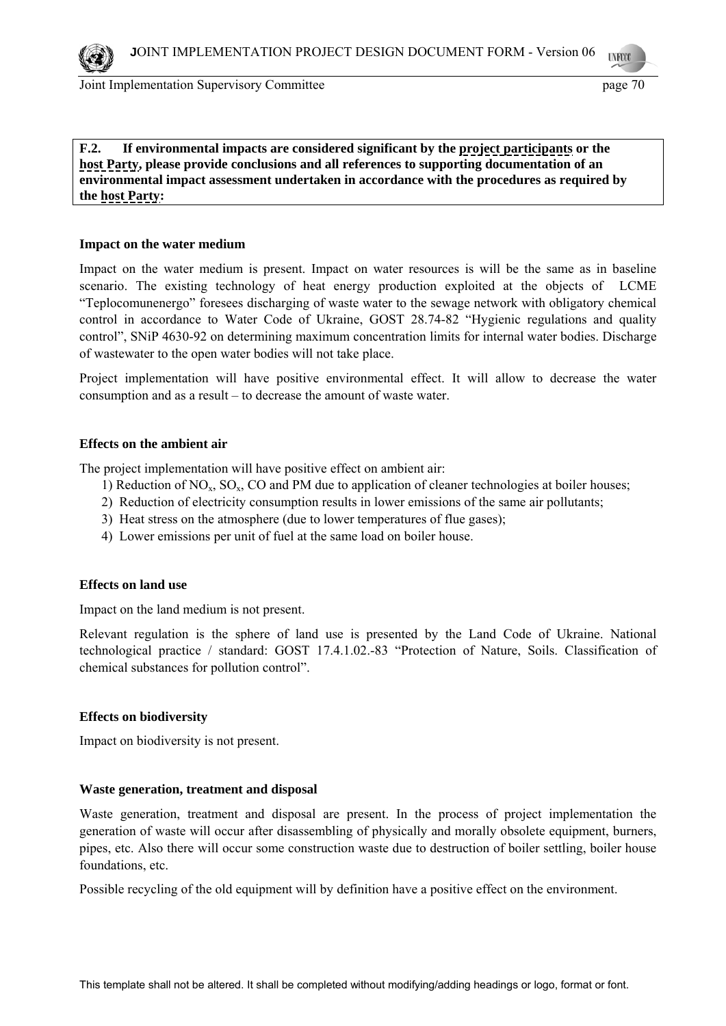

**F.2. If environmental impacts are considered significant by the project participants or the host Party, please provide conclusions and all references to supporting documentation of an environmental impact assessment undertaken in accordance with the procedures as required by the host Party:** 

#### **Impact on the water medium**

Impact on the water medium is present. Impact on water resources is will be the same as in baseline scenario. The existing technology of heat energy production exploited at the objects of LCME "Teplocomunenergo" foresees discharging of waste water to the sewage network with obligatory chemical control in accordance to Water Code of Ukraine, GOST 28.74-82 "Hygienic regulations and quality control", SNiP 4630-92 on determining maximum concentration limits for internal water bodies. Discharge of wastewater to the open water bodies will not take place.

Project implementation will have positive environmental effect. It will allow to decrease the water consumption and as a result – to decrease the amount of waste water.

#### **Effects on the ambient air**

The project implementation will have positive effect on ambient air:

- 1) Reduction of  $NO<sub>x</sub>$ ,  $SO<sub>x</sub>$ ,  $CO$  and PM due to application of cleaner technologies at boiler houses;
- 2) Reduction of electricity consumption results in lower emissions of the same air pollutants;
- 3) Heat stress on the atmosphere (due to lower temperatures of flue gases);
- 4) Lower emissions per unit of fuel at the same load on boiler house.

#### **Effects on land use**

Impact on the land medium is not present.

Relevant regulation is the sphere of land use is presented by the Land Code of Ukraine. National technological practice / standard: GOST 17.4.1.02.-83 "Protection of Nature, Soils. Classification of chemical substances for pollution control".

#### **Effects on biodiversity**

Impact on biodiversity is not present.

#### **Waste generation, treatment and disposal**

Waste generation, treatment and disposal are present. In the process of project implementation the generation of waste will occur after disassembling of physically and morally obsolete equipment, burners, pipes, etc. Also there will occur some construction waste due to destruction of boiler settling, boiler house foundations, etc.

Possible recycling of the old equipment will by definition have a positive effect on the environment.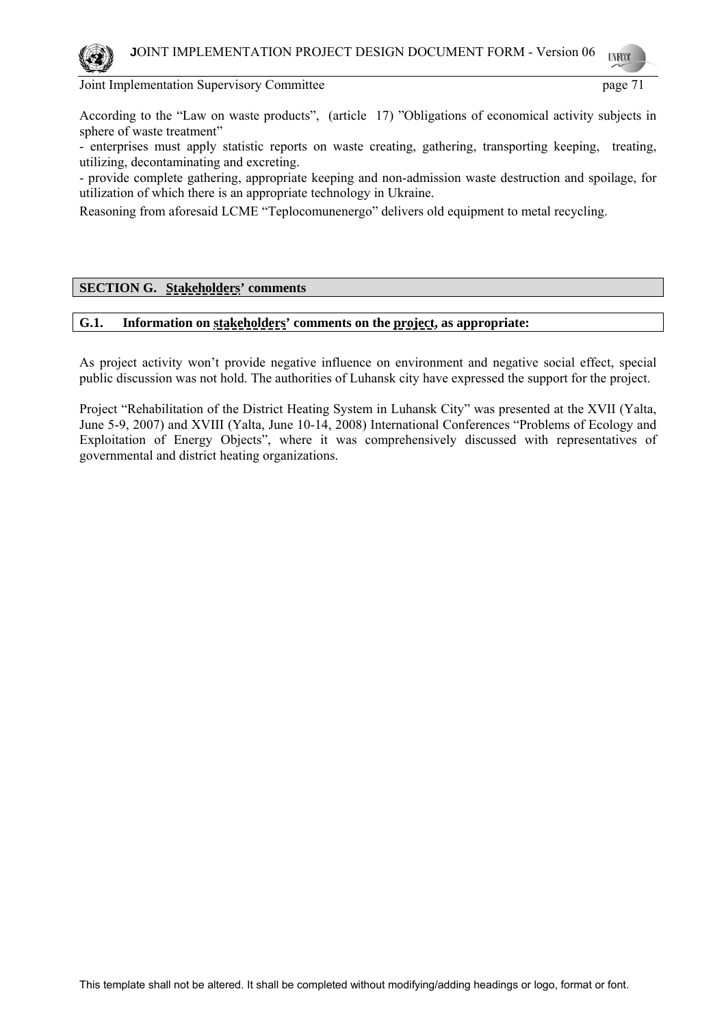

According to the "Law on waste products", (article 17) "Obligations of economical activity subjects in sphere of waste treatment"

- enterprises must apply statistic reports on waste creating, gathering, transporting keeping, treating, utilizing, decontaminating and excreting.

- provide complete gathering, appropriate keeping and non-admission waste destruction and spoilage, for utilization of which there is an appropriate technology in Ukraine.

Reasoning from aforesaid LCME "Teplocomunenergo" delivers old equipment to metal recycling.

## **SECTION G. Stakeholders' comments**

## **G.1. Information on stakeholders' comments on the project, as appropriate:**

As project activity won't provide negative influence on environment and negative social effect, special public discussion was not hold. The authorities of Luhansk city have expressed the support for the project.

Project "Rehabilitation of the District Heating System in Luhansk City" was presented at the ХVII (Yalta, June 5-9, 2007) and ХVIII (Yalta, June 10-14, 2008) International Conferences "Problems of Ecology and Exploitation of Energy Objects", where it was comprehensively discussed with representatives of governmental and district heating organizations.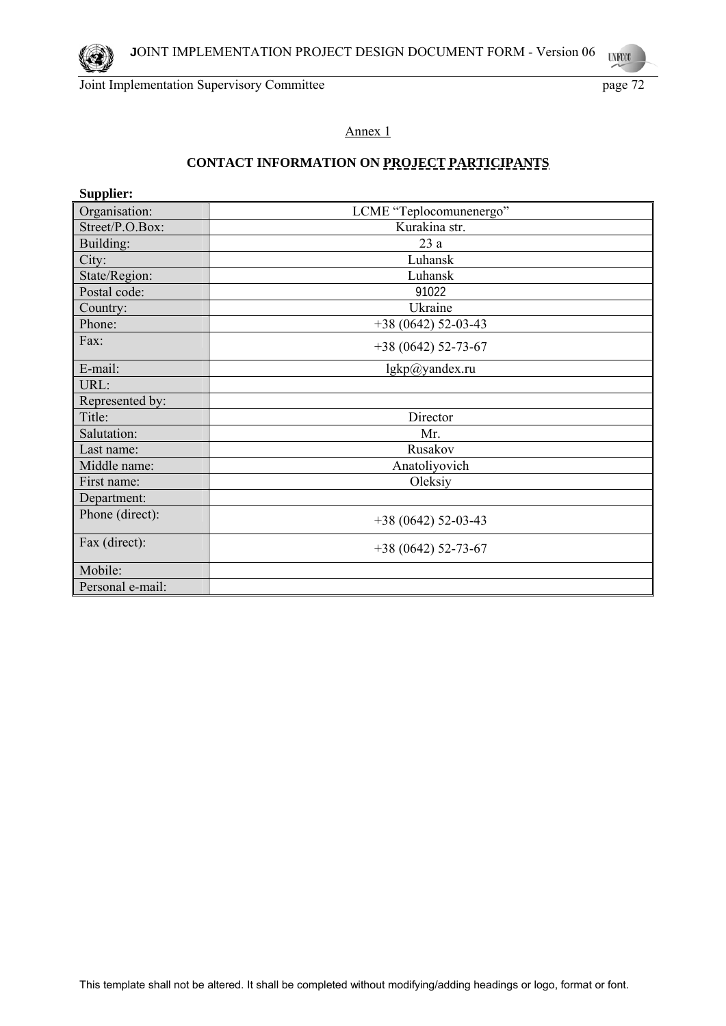**UNFCCC** 

## Annex 1

# **CONTACT INFORMATION ON PROJECT PARTICIPANTS**

| Supplier:        |                         |  |  |  |
|------------------|-------------------------|--|--|--|
| Organisation:    | LCME "Teplocomunenergo" |  |  |  |
| Street/P.O.Box:  | Kurakina str.           |  |  |  |
| Building:        | 23a                     |  |  |  |
| City:            | Luhansk                 |  |  |  |
| State/Region:    | Luhansk                 |  |  |  |
| Postal code:     | 91022                   |  |  |  |
| Country:         | Ukraine                 |  |  |  |
| Phone:           | $+38(0642)$ 52-03-43    |  |  |  |
| Fax:             | $+38(0642)$ 52-73-67    |  |  |  |
| E-mail:          | lgkp@yandex.ru          |  |  |  |
| URL:             |                         |  |  |  |
| Represented by:  |                         |  |  |  |
| Title:           | Director                |  |  |  |
| Salutation:      | Mr.                     |  |  |  |
| Last name:       | Rusakov                 |  |  |  |
| Middle name:     | Anatoliyovich           |  |  |  |
| First name:      | Oleksiy                 |  |  |  |
| Department:      |                         |  |  |  |
| Phone (direct):  | $+38(0642)$ 52-03-43    |  |  |  |
| Fax (direct):    | $+38(0642)$ 52-73-67    |  |  |  |
| Mobile:          |                         |  |  |  |
| Personal e-mail: |                         |  |  |  |

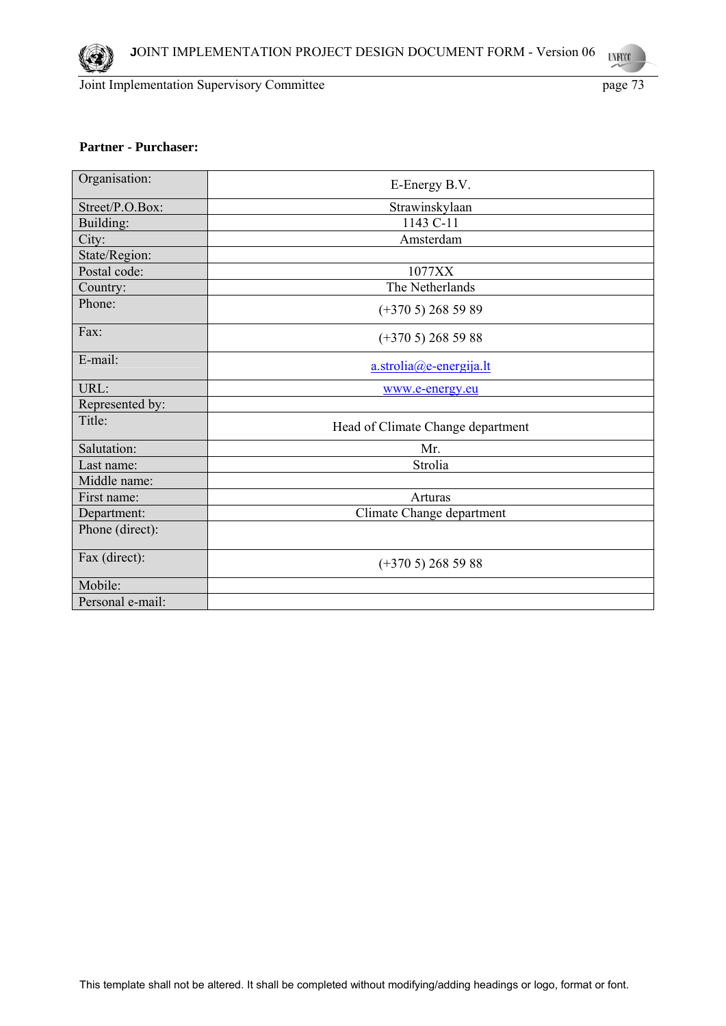

# **Partner - Purchaser:**

| Organisation:    | E-Energy B.V.                     |
|------------------|-----------------------------------|
| Street/P.O.Box:  | Strawinskylaan                    |
| Building:        | 1143 C-11                         |
| City:            | Amsterdam                         |
| State/Region:    |                                   |
| Postal code:     | 1077XX                            |
| Country:         | The Netherlands                   |
| Phone:           | $(+3705)$ 268 59 89               |
| Fax:             | $(+3705)$ 268 59 88               |
| E-mail:          | $a.$ strolia $(a)$ e-energija.lt  |
| URL:             | www.e-energy.eu                   |
| Represented by:  |                                   |
| Title:           | Head of Climate Change department |
| Salutation:      | Mr.                               |
| Last name:       | Strolia                           |
| Middle name:     |                                   |
| First name:      | Arturas                           |
| Department:      | Climate Change department         |
| Phone (direct):  |                                   |
| Fax (direct):    | $(+3705)$ 268 59 88               |
| Mobile:          |                                   |
| Personal e-mail: |                                   |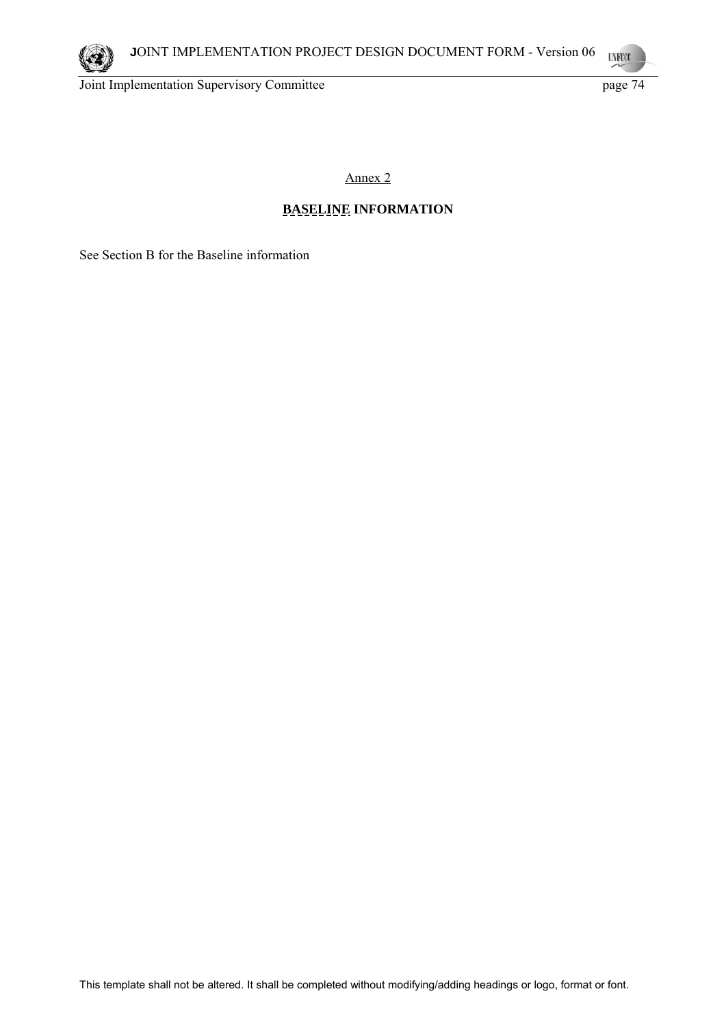

Annex 2

# **BASELINE INFORMATION**

See Section B for the Baseline information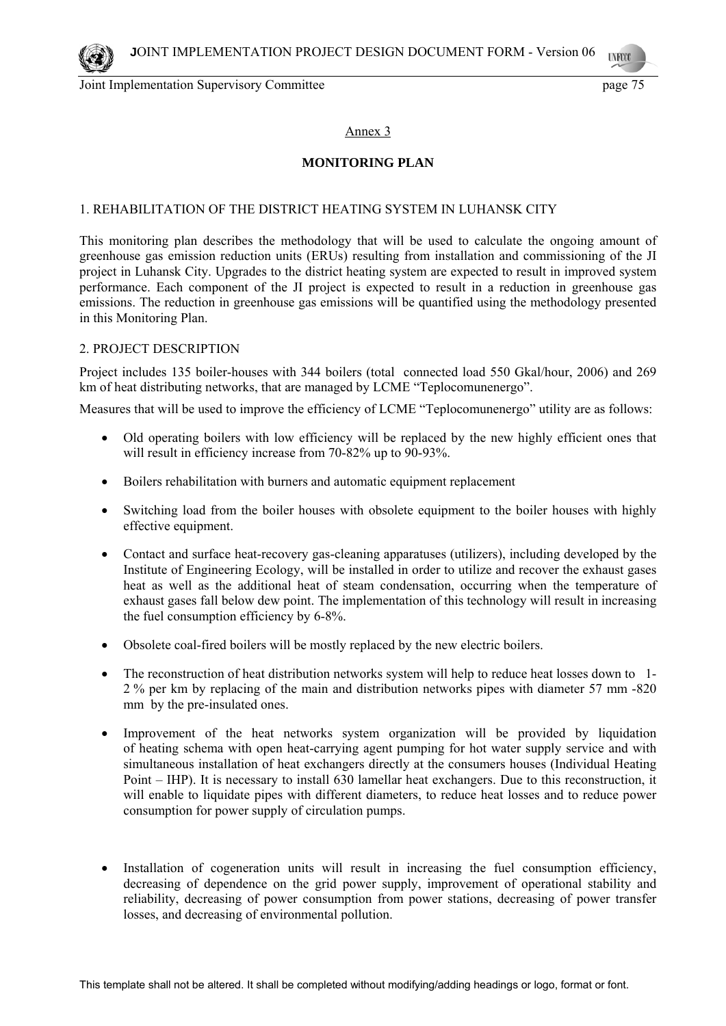# Annex 3

# **MONITORING PLAN**

### 1. REHABILITATION OF THE DISTRICT HEATING SYSTEM IN LUHANSK CITY

This monitoring plan describes the methodology that will be used to calculate the ongoing amount of greenhouse gas emission reduction units (ERUs) resulting from installation and commissioning of the JI project in Luhansk City. Upgrades to the district heating system are expected to result in improved system performance. Each component of the JI project is expected to result in a reduction in greenhouse gas emissions. The reduction in greenhouse gas emissions will be quantified using the methodology presented in this Monitoring Plan.

### 2. PROJECT DESCRIPTION

Project includes 135 boiler-houses with 344 boilers (total connected load 550 Gkal/hour, 2006) and 269 km of heat distributing networks, that are managed by LCME "Teplocomunenergo".

Measures that will be used to improve the efficiency of LCME "Teplocomunenergo" utility are as follows:

- Old operating boilers with low efficiency will be replaced by the new highly efficient ones that will result in efficiency increase from 70-82% up to 90-93%.
- Boilers rehabilitation with burners and automatic equipment replacement
- Switching load from the boiler houses with obsolete equipment to the boiler houses with highly effective equipment.
- Contact and surface heat-recovery gas-cleaning apparatuses (utilizers), including developed by the Institute of Engineering Ecology, will be installed in order to utilize and recover the exhaust gases heat as well as the additional heat of steam condensation, occurring when the temperature of exhaust gases fall below dew point. The implementation of this technology will result in increasing the fuel consumption efficiency by 6-8%.
- Obsolete coal-fired boilers will be mostly replaced by the new electric boilers.
- The reconstruction of heat distribution networks system will help to reduce heat losses down to 1- 2 % per km by replacing of the main and distribution networks pipes with diameter 57 mm -820 mm by the pre-insulated ones.
- Improvement of the heat networks system organization will be provided by liquidation of heating schema with open heat-carrying agent pumping for hot water supply service and with simultaneous installation of heat exchangers directly at the consumers houses (Individual Heating Point – IHP). It is necessary to install 630 lamellar heat exchangers. Due to this reconstruction, it will enable to liquidate pipes with different diameters, to reduce heat losses and to reduce power consumption for power supply of circulation pumps.
- Installation of cogeneration units will result in increasing the fuel consumption efficiency, decreasing of dependence on the grid power supply, improvement of operational stability and reliability, decreasing of power consumption from power stations, decreasing of power transfer losses, and decreasing of environmental pollution.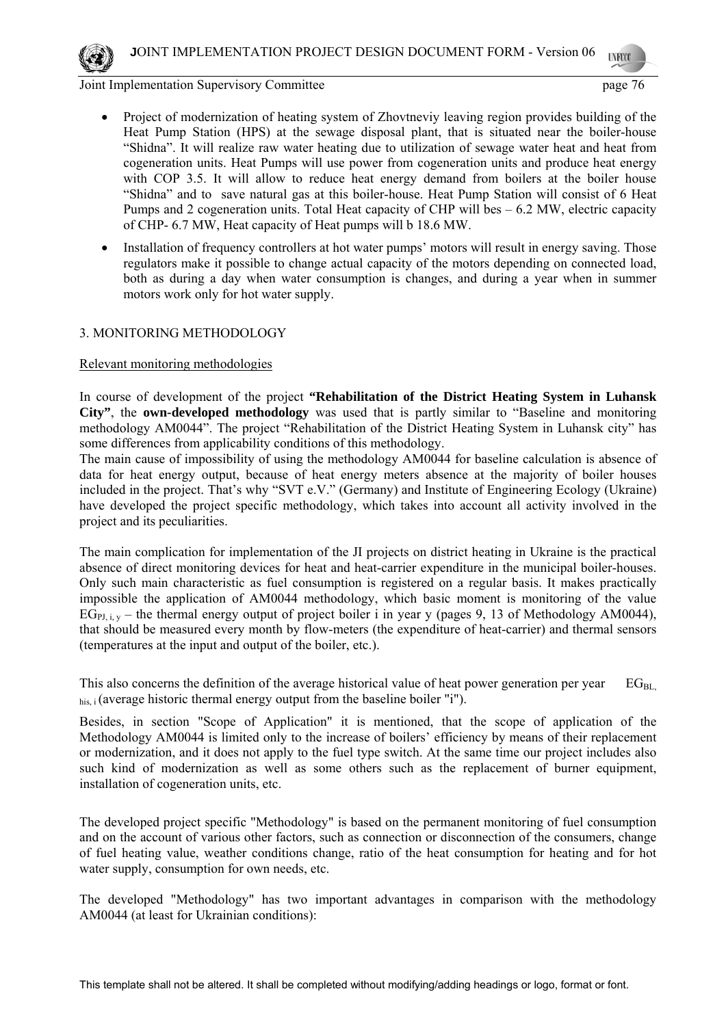

- Project of modernization of heating system of Zhovtneviy leaving region provides building of the Heat Pump Station (HPS) at the sewage disposal plant, that is situated near the boiler-house "Shidna". It will realize raw water heating due to utilization of sewage water heat and heat from cogeneration units. Heat Pumps will use power from cogeneration units and produce heat energy with COP 3.5. It will allow to reduce heat energy demand from boilers at the boiler house "Shidna" and to save natural gas at this boiler-house. Heat Pump Station will consist of 6 Heat Pumps and 2 cogeneration units. Total Heat capacity of CHP will bes – 6.2 MW, electric capacity of CHP- 6.7 MW, Heat capacity of Heat pumps will b 18.6 MW.
- Installation of frequency controllers at hot water pumps' motors will result in energy saving. Those regulators make it possible to change actual capacity of the motors depending on connected load, both as during a day when water consumption is changes, and during a year when in summer motors work only for hot water supply.

# 3. MONITORING METHODOLOGY

# Relevant monitoring methodologies

In course of development of the project **"Rehabilitation of the District Heating System in Luhansk City"**, the **own-developed methodology** was used that is partly similar to "Baseline and monitoring methodology AM0044". The project "Rehabilitation of the District Heating System in Luhansk city" has some differences from applicability conditions of this methodology.

The main cause of impossibility of using the methodology AM0044 for baseline calculation is absence of data for heat energy output, because of heat energy meters absence at the majority of boiler houses included in the project. That's why "SVT e.V." (Germany) and Institute of Engineering Ecology (Ukraine) have developed the project specific methodology, which takes into account all activity involved in the project and its peculiarities.

The main complication for implementation of the JI projects on district heating in Ukraine is the practical absence of direct monitoring devices for heat and heat-carrier expenditure in the municipal boiler-houses. Only such main characteristic as fuel consumption is registered on a regular basis. It makes practically impossible the application of АМ0044 methodology, which basic moment is monitoring of the value  $EG<sub>PI i,v</sub>$  – the thermal energy output of project boiler i in year y (pages 9, 13 of Methodology AM0044), that should be measured every month by flow-meters (the expenditure of heat-carrier) and thermal sensors (temperatures at the input and output of the boiler, etc.).

This also concerns the definition of the average historical value of heat power generation per year  $EG_{BL}$ , his, i (average historic thermal energy output from the baseline boiler "i").

Besides, in section "Scope of Application" it is mentioned, that the scope of application of the Methodology АМ0044 is limited only to the increase of boilers' efficiency by means of their replacement or modernization, and it does not apply to the fuel type switch. At the same time our project includes also such kind of modernization as well as some others such as the replacement of burner equipment, installation of cogeneration units, etc.

The developed project specific "Methodology" is based on the permanent monitoring of fuel consumption and on the account of various other factors, such as connection or disconnection of the consumers, change of fuel heating value, weather conditions change, ratio of the heat consumption for heating and for hot water supply, consumption for own needs, etc.

The developed "Methodology" has two important advantages in comparison with the methodology АМ0044 (at least for Ukrainian conditions):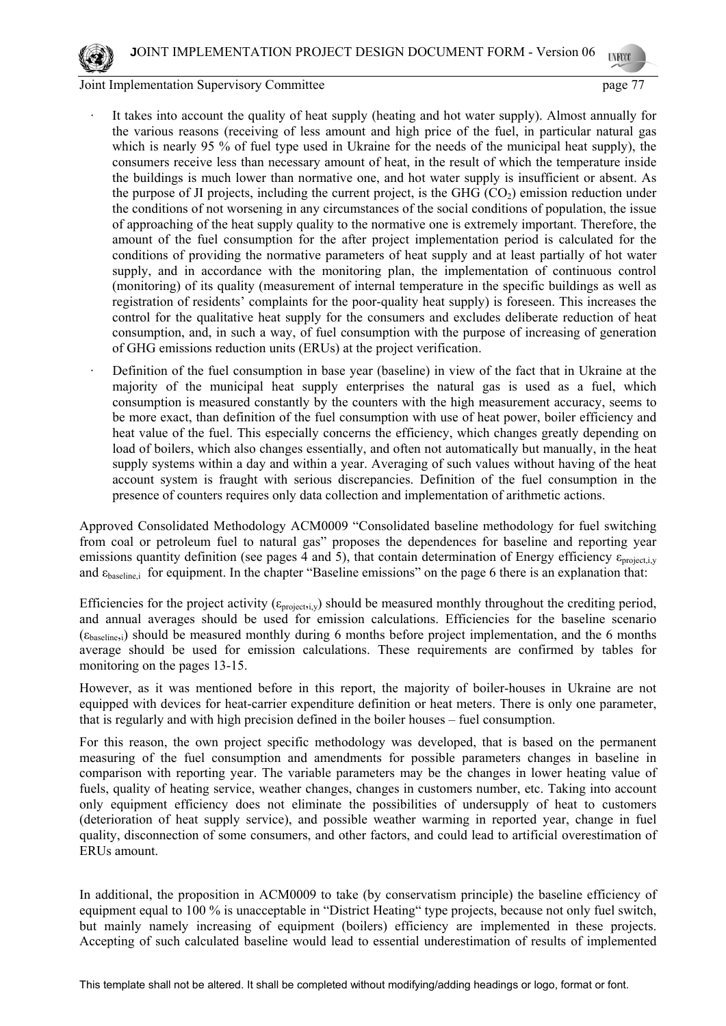- It takes into account the quality of heat supply (heating and hot water supply). Almost annually for the various reasons (receiving of less amount and high price of the fuel, in particular natural gas which is nearly 95 % of fuel type used in Ukraine for the needs of the municipal heat supply), the consumers receive less than necessary amount of heat, in the result of which the temperature inside the buildings is much lower than normative one, and hot water supply is insufficient or absent. As the purpose of JI projects, including the current project, is the GHG  $(CO<sub>2</sub>)$  emission reduction under the conditions of not worsening in any circumstances of the social conditions of population, the issue of approaching of the heat supply quality to the normative one is extremely important. Therefore, the amount of the fuel consumption for the after project implementation period is calculated for the conditions of providing the normative parameters of heat supply and at least partially of hot water supply, and in accordance with the monitoring plan, the implementation of continuous control (monitoring) of its quality (measurement of internal temperature in the specific buildings as well as registration of residents' complaints for the poor-quality heat supply) is foreseen. This increases the control for the qualitative heat supply for the consumers and excludes deliberate reduction of heat consumption, and, in such a way, of fuel consumption with the purpose of increasing of generation of GHG emissions reduction units (ERUs) at the project verification.
- Definition of the fuel consumption in base year (baseline) in view of the fact that in Ukraine at the majority of the municipal heat supply enterprises the natural gas is used as a fuel, which consumption is measured constantly by the counters with the high measurement accuracy, seems to be more exact, than definition of the fuel consumption with use of heat power, boiler efficiency and heat value of the fuel. This especially concerns the efficiency, which changes greatly depending on load of boilers, which also changes essentially, and often not automatically but manually, in the heat supply systems within a day and within a year. Averaging of such values without having of the heat account system is fraught with serious discrepancies. Definition of the fuel consumption in the presence of counters requires only data collection and implementation of arithmetic actions.

Approved Consolidated Methodology ACM0009 "Consolidated baseline methodology for fuel switching from coal or petroleum fuel to natural gas" proposes the dependences for baseline and reporting year emissions quantity definition (see pages 4 and 5), that contain determination of Energy efficiency  $\varepsilon_{project,iv}$ and ε<sub>baseline</sub>, for equipment. In the chapter "Baseline emissions" on the page 6 there is an explanation that:

Efficiencies for the project activity ( $\epsilon_{\text{project,i,v}}$ ) should be measured monthly throughout the crediting period, and annual averages should be used for emission calculations. Efficiencies for the baseline scenario  $(\epsilon_{\text{baseline},i})$  should be measured monthly during 6 months before project implementation, and the 6 months average should be used for emission calculations. These requirements are confirmed by tables for monitoring on the pages 13-15.

However, as it was mentioned before in this report, the majority of boiler-houses in Ukraine are not equipped with devices for heat-carrier expenditure definition or heat meters. There is only one parameter, that is regularly and with high precision defined in the boiler houses – fuel consumption.

For this reason, the own project specific methodology was developed, that is based on the permanent measuring of the fuel consumption and amendments for possible parameters changes in baseline in comparison with reporting year. The variable parameters may be the changes in lower heating value of fuels, quality of heating service, weather changes, changes in customers number, etc. Taking into account only equipment efficiency does not eliminate the possibilities of undersupply of heat to customers (deterioration of heat supply service), and possible weather warming in reported year, change in fuel quality, disconnection of some consumers, and other factors, and could lead to artificial overestimation of ERUs amount.

In additional, the proposition in ACM0009 to take (by conservatism principle) the baseline efficiency of equipment equal to 100 % is unacceptable in "District Heating" type projects, because not only fuel switch, but mainly namely increasing of equipment (boilers) efficiency are implemented in these projects. Accepting of such calculated baseline would lead to essential underestimation of results of implemented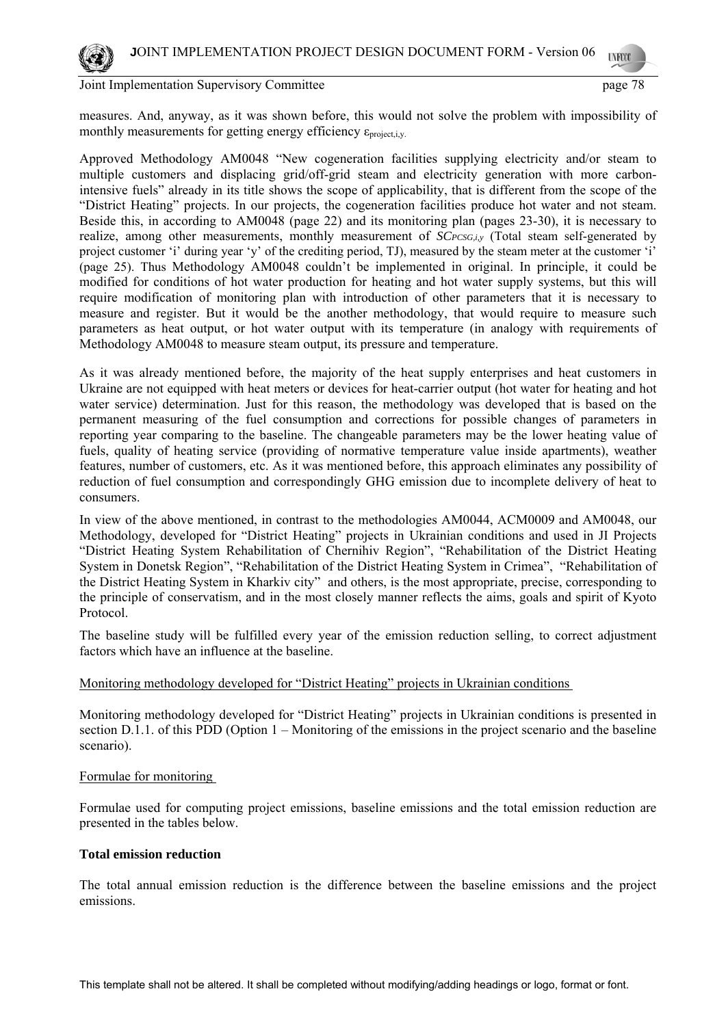

measures. And, anyway, as it was shown before, this would not solve the problem with impossibility of monthly measurements for getting energy efficiency  $\varepsilon_{\text{project,i,v}}$ .

Approved Methodology AM0048 "New cogeneration facilities supplying electricity and/or steam to multiple customers and displacing grid/off-grid steam and electricity generation with more carbonintensive fuels" already in its title shows the scope of applicability, that is different from the scope of the "District Heating" projects. In our projects, the cogeneration facilities produce hot water and not steam. Beside this, in according to AM0048 (page 22) and its monitoring plan (pages 23-30), it is necessary to realize, among other measurements, monthly measurement of *SCPCSG,i,y* (Total steam self-generated by project customer 'i' during year 'y' of the crediting period, TJ), measured by the steam meter at the customer 'i' (page 25). Thus Methodology AM0048 couldn't be implemented in original. In principle, it could be modified for conditions of hot water production for heating and hot water supply systems, but this will require modification of monitoring plan with introduction of other parameters that it is necessary to measure and register. But it would be the another methodology, that would require to measure such parameters as heat output, or hot water output with its temperature (in analogy with requirements of Methodology AM0048 to measure steam output, its pressure and temperature.

As it was already mentioned before, the majority of the heat supply enterprises and heat customers in Ukraine are not equipped with heat meters or devices for heat-carrier output (hot water for heating and hot water service) determination. Just for this reason, the methodology was developed that is based on the permanent measuring of the fuel consumption and corrections for possible changes of parameters in reporting year comparing to the baseline. The changeable parameters may be the lower heating value of fuels, quality of heating service (providing of normative temperature value inside apartments), weather features, number of customers, etc. As it was mentioned before, this approach eliminates any possibility of reduction of fuel consumption and correspondingly GHG emission due to incomplete delivery of heat to consumers.

In view of the above mentioned, in contrast to the methodologies AM0044, ACM0009 and AM0048, our Methodology, developed for "District Heating" projects in Ukrainian conditions and used in JI Projects "District Heating System Rehabilitation of Chernihiv Region", "Rehabilitation of the District Heating System in Donetsk Region", "Rehabilitation of the District Heating System in Crimea", "Rehabilitation of the District Heating System in Kharkiv city" and others, is the most appropriate, precise, corresponding to the principle of conservatism, and in the most closely manner reflects the aims, goals and spirit of Kyoto Protocol.

The baseline study will be fulfilled every year of the emission reduction selling, to correct adjustment factors which have an influence at the baseline.

# Monitoring methodology developed for "District Heating" projects in Ukrainian conditions

Monitoring methodology developed for "District Heating" projects in Ukrainian conditions is presented in section D.1.1. of this PDD (Option 1 – Monitoring of the emissions in the project scenario and the baseline scenario).

#### Formulae for monitoring

Formulae used for computing project emissions, baseline emissions and the total emission reduction are presented in the tables below.

#### **Total emission reduction**

The total annual emission reduction is the difference between the baseline emissions and the project emissions.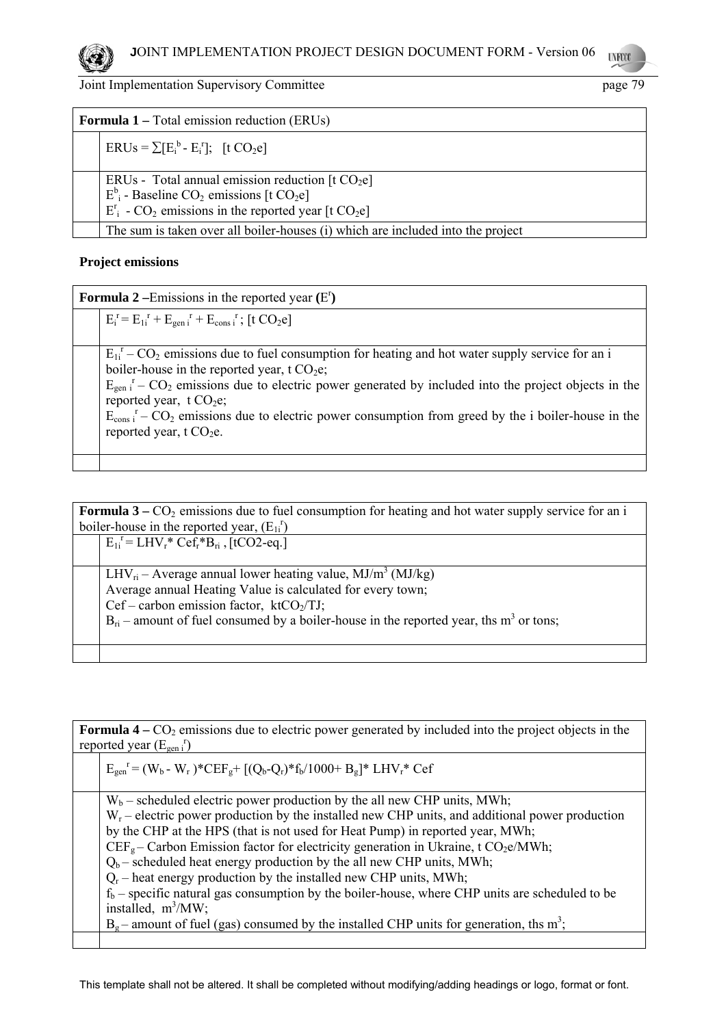

| <b>Formula 1</b> – Total emission reduction (ERUs) |                                                                                                                                                                                                                      |
|----------------------------------------------------|----------------------------------------------------------------------------------------------------------------------------------------------------------------------------------------------------------------------|
|                                                    | $ERUs = \sum [E_i^b - E_i^r];$ [t $CO_2e$ ]                                                                                                                                                                          |
|                                                    | ERUs - Total annual emission reduction $[t CO2e]$<br>$E^b$ <sub>i</sub> - Baseline CO <sub>2</sub> emissions [t CO <sub>2</sub> e]<br>$E_i^r$ - CO <sub>2</sub> emissions in the reported year [t CO <sub>2</sub> e] |
|                                                    | The sum is taken over all boiler-houses (i) which are included into the project                                                                                                                                      |

# **Project emissions**

| <b>Formula 2</b> – Emissions in the reported year $(E^r)$ |                                                                                                                                                |
|-----------------------------------------------------------|------------------------------------------------------------------------------------------------------------------------------------------------|
|                                                           | $E_i^r = E_{1i}^r + E_{gen i}^r + E_{cons i}^r$ ; [t $CO_2e$ ]                                                                                 |
|                                                           | $E_{1i}^T$ – CO <sub>2</sub> emissions due to fuel consumption for heating and hot water supply service for an i                               |
|                                                           | boiler-house in the reported year, t $CO2e$ ;                                                                                                  |
|                                                           | $E_{\text{gen}}$ $I - CO_2$ emissions due to electric power generated by included into the project objects in the<br>reported year, $t CO2e$ ; |
|                                                           | $E_{\rm cons}$ $I - CO_2$ emissions due to electric power consumption from greed by the i boiler-house in the                                  |
|                                                           | reported year, $t CO2e$ .                                                                                                                      |
|                                                           |                                                                                                                                                |

**Formula 3** –  $CO_2$  emissions due to fuel consumption for heating and hot water supply service for an i boiler-house in the reported year,  $(E_{1i}^r)$  $E_{1i}^{\rceil} = LHV_{r}^*Cef_{r}^*B_{ri}$ , [tCO2-eq.] LHV<sub>ri</sub> – Average annual lower heating value, MJ/m<sup>3</sup> (MJ/kg) Average annual Heating Value is calculated for every town;  $Cef$  – carbon emission factor, ktCO<sub>2</sub>/TJ;  $B_{ri}$  – amount of fuel consumed by a boiler-house in the reported year, ths m<sup>3</sup> or tons;

**Formula 4** –  $CO_2$  emissions due to electric power generated by included into the project objects in the reported year  $(E_{gen i}^r)$ 

| $E_{gen}^{\{r\}} = (W_b - W_r)^* C E F_g + [(Q_b - Q_r)^* f_b / 1000 + B_g]^* L H V_r^* C e f$        |
|-------------------------------------------------------------------------------------------------------|
| $W_b$ – scheduled electric power production by the all new CHP units, MWh;                            |
| $W_r$ – electric power production by the installed new CHP units, and additional power production     |
| by the CHP at the HPS (that is not used for Heat Pump) in reported year, MWh;                         |
| $CEFg$ – Carbon Emission factor for electricity generation in Ukraine, t CO <sub>2</sub> e/MWh;       |
| $Q_b$ – scheduled heat energy production by the all new CHP units, MWh;                               |
| $Q_r$ – heat energy production by the installed new CHP units, MWh;                                   |
| $fb$ – specific natural gas consumption by the boiler-house, where CHP units are scheduled to be      |
| installed, $m^3/MW$ ;                                                                                 |
| $B_g$ – amount of fuel (gas) consumed by the installed CHP units for generation, ths m <sup>3</sup> ; |
|                                                                                                       |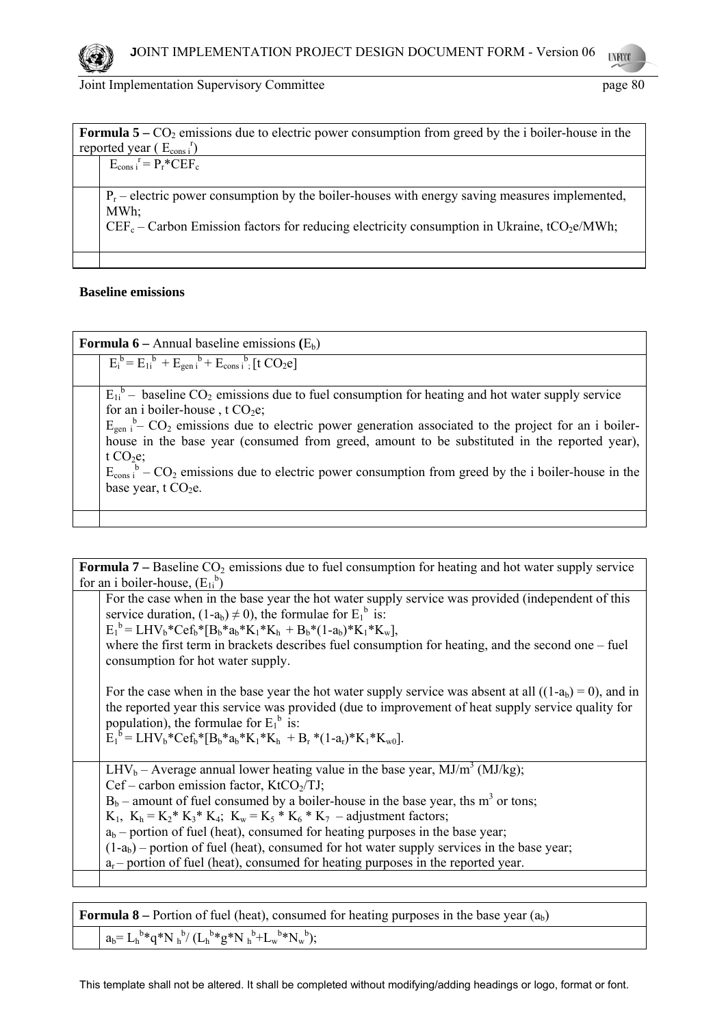

| <b>Formula 5</b> – $CO_2$ emissions due to electric power consumption from greed by the i boiler-house in the |  |
|---------------------------------------------------------------------------------------------------------------|--|
| reported year $(E_{cons}^{\rceil})$                                                                           |  |
| $E_{\text{cons i}}^{\quad r} = P_r^* C E F_c$                                                                 |  |
|                                                                                                               |  |
| $P_r$ – electric power consumption by the boiler-houses with energy saving measures implemented,              |  |
| MWh:                                                                                                          |  |
| $CEF_c -$ Carbon Emission factors for reducing electricity consumption in Ukraine, tCO <sub>2</sub> e/MWh;    |  |
|                                                                                                               |  |
|                                                                                                               |  |

# **Baseline emissions**

| <b>Formula 6</b> – Annual baseline emissions $(E_b)$                                                                                                                                                                                                                                                                                                                                                                                                                                                                                                                    |  |
|-------------------------------------------------------------------------------------------------------------------------------------------------------------------------------------------------------------------------------------------------------------------------------------------------------------------------------------------------------------------------------------------------------------------------------------------------------------------------------------------------------------------------------------------------------------------------|--|
| $E_i^b = E_{1i}^b + E_{gen i}^b + E_{cons i}^b$ [t $CO_2$ e]                                                                                                                                                                                                                                                                                                                                                                                                                                                                                                            |  |
| $E_{1i}^b$ – baseline CO <sub>2</sub> emissions due to fuel consumption for heating and hot water supply service<br>for an i boiler-house, t $CO2e$ ;<br>$E_{\text{gen}}$ <sup>b</sup> $\text{CO}_2$ emissions due to electric power generation associated to the project for an i boiler-<br>house in the base year (consumed from greed, amount to be substituted in the reported year),<br>t $CO2e$ ;<br>$E_{\text{cons}}^{\text{b}}$ – CO <sub>2</sub> emissions due to electric power consumption from greed by the i boiler-house in the<br>base year, t $CO2e$ . |  |
|                                                                                                                                                                                                                                                                                                                                                                                                                                                                                                                                                                         |  |

**Formula 7** – Baseline CO<sub>2</sub> emissions due to fuel consumption for heating and hot water supply service for an i boiler-house,  $(E_{1i}^b)$  For the case when in the base year the hot water supply service was provided (independent of this service duration,  $(1-a_b) \neq 0$ ), the formulae for  $E_1^b$  is:  $E_1^b = LHV_b*Cef_b* [B_b*a_b*K_1*K_h + B_b*(1-a_b)*K_1*K_w],$ where the first term in brackets describes fuel consumption for heating, and the second one – fuel consumption for hot water supply. For the case when in the base year the hot water supply service was absent at all  $((1-a<sub>b</sub>) = 0)$ , and in the reported year this service was provided (due to improvement of heat supply service quality for population), the formulae for  $E_1^b$  is:  $\mathbf{E}_1^{\mathbf{b}} = \mathbf{LHV_b}^* \mathbf{Cef_b}^* [\mathbf{B_b}^* \mathbf{a_b}^* \mathbf{K}_1^* \mathbf{K}_h + \mathbf{B_r}^* (\mathbf{1-a_r})^* \mathbf{K}_1^* \mathbf{K}_{\mathbf{w0}}].$ LHV<sub>b</sub> – Average annual lower heating value in the base year, MJ/m<sup>3</sup> (MJ/kg);  $Cef$  – carbon emission factor, KtCO<sub>2</sub>/TJ;  $B_b$  – amount of fuel consumed by a boiler-house in the base year, ths m<sup>3</sup> or tons;  $K_1$ ,  $K_h = K_2^* K_3^* K_4$ ;  $K_w = K_5^* K_6^* K_7 -$ adjustment factors;  $a<sub>b</sub>$  – portion of fuel (heat), consumed for heating purposes in the base year;  $(1-a<sub>b</sub>)$  – portion of fuel (heat), consumed for hot water supply services in the base year;  $a_r$  – portion of fuel (heat), consumed for heating purposes in the reported year.

**Formula 8** – Portion of fuel (heat), consumed for heating purposes in the base year  $(a<sub>h</sub>)$ 

 $a_b = L_h^{b*} q^* N_h^{b} / (L_h^{b*} g^* N_h^{b} + L_w^{b*} N_w^{b});$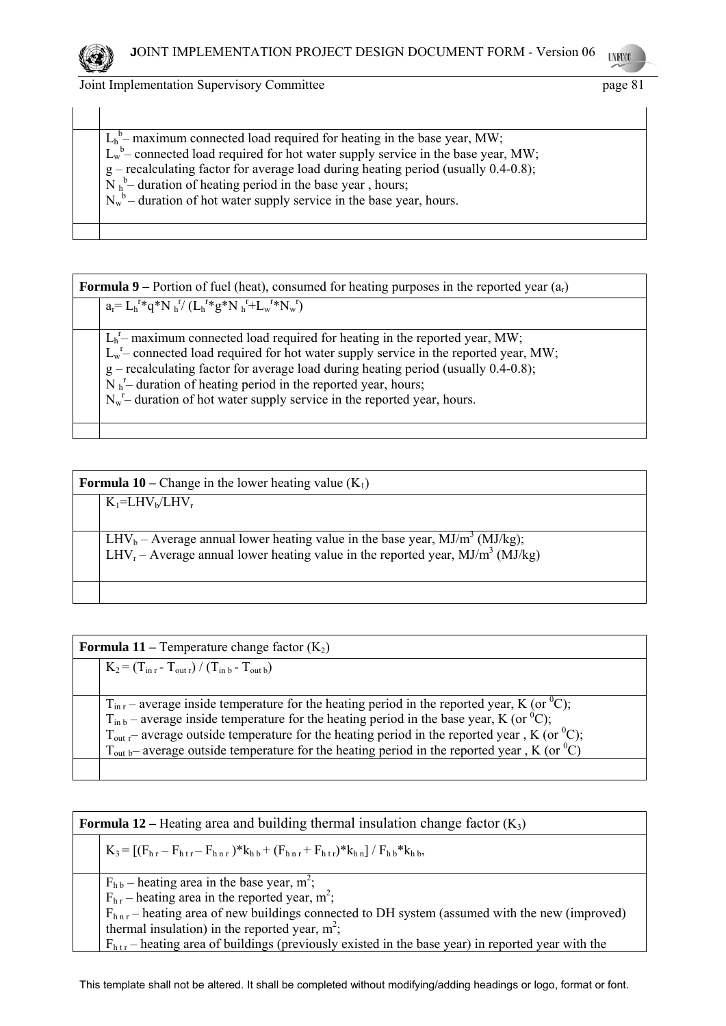

| $Lhb$ – maximum connected load required for heating in the base year, MW;<br>$L_w^b$ connected load required for hot water supply service in the base year, MW;<br>$g$ – recalculating factor for average load during heating period (usually 0.4-0.8);<br>$N_h^b$ – duration of heating period in the base year, hours;<br>$N_w^b$ – duration of hot water supply service in the base year, hours. |
|-----------------------------------------------------------------------------------------------------------------------------------------------------------------------------------------------------------------------------------------------------------------------------------------------------------------------------------------------------------------------------------------------------|
|-----------------------------------------------------------------------------------------------------------------------------------------------------------------------------------------------------------------------------------------------------------------------------------------------------------------------------------------------------------------------------------------------------|

| <b>Formula 9</b> – Portion of fuel (heat), consumed for heating purposes in the reported year $(a_r)$                                                                                                                                                                                                                                                                                                           |  |
|-----------------------------------------------------------------------------------------------------------------------------------------------------------------------------------------------------------------------------------------------------------------------------------------------------------------------------------------------------------------------------------------------------------------|--|
| $a_r = L_h^{r*} q^* N_h^{r} (L_h^{r*} g^* N_h^{r} + L_w^{r*} N_w^{r})$                                                                                                                                                                                                                                                                                                                                          |  |
| $Lhr$ – maximum connected load required for heating in the reported year, MW;<br>$L_w^r$ connected load required for hot water supply service in the reported year, MW;<br>$g$ – recalculating factor for average load during heating period (usually 0.4-0.8);<br>$N_h^r$ duration of heating period in the reported year, hours;<br>$N_w^r$ duration of hot water supply service in the reported year, hours. |  |
|                                                                                                                                                                                                                                                                                                                                                                                                                 |  |

| <b>Formula 10</b> – Change in the lower heating value $(K_1)$                                                                                                                        |  |
|--------------------------------------------------------------------------------------------------------------------------------------------------------------------------------------|--|
| $K_1= LHV_b/LHV_r$                                                                                                                                                                   |  |
|                                                                                                                                                                                      |  |
| $LHV_b$ – Average annual lower heating value in the base year, MJ/m <sup>3</sup> (MJ/kg);<br>$LHV_r$ – Average annual lower heating value in the reported year, $MJ/m^3$ ( $MJ/kg$ ) |  |
|                                                                                                                                                                                      |  |

| <b>Formula 11</b> – Temperature change factor $(K_2)$                                                              |  |
|--------------------------------------------------------------------------------------------------------------------|--|
| $K_2 = (T_{\text{in }r} - T_{\text{out }r}) / (T_{\text{in }b} - T_{\text{out }b})$                                |  |
|                                                                                                                    |  |
| $T_{\text{in r}}$ – average inside temperature for the heating period in the reported year, K (or <sup>0</sup> C); |  |
| $T_{\text{in }b}$ – average inside temperature for the heating period in the base year, K (or <sup>0</sup> C);     |  |
| $T_{\text{out }r}$ average outside temperature for the heating period in the reported year, K (or <sup>0</sup> C); |  |
| $T_{\text{out }b}$ average outside temperature for the heating period in the reported year, K (or <sup>0</sup> C)  |  |
|                                                                                                                    |  |

| <b>Formula 12</b> – Heating area and building thermal insulation change factor $(K_3)$ |                                                                                                                                                                                                                                                                                                                                                                                                                |
|----------------------------------------------------------------------------------------|----------------------------------------------------------------------------------------------------------------------------------------------------------------------------------------------------------------------------------------------------------------------------------------------------------------------------------------------------------------------------------------------------------------|
|                                                                                        | $K_3 = [(F_{hr} - F_{htr} - F_{hhr})^*k_{hb} + (F_{hhr} + F_{htr})^*k_{hn}] / F_{hb}^*k_{hb}$                                                                                                                                                                                                                                                                                                                  |
|                                                                                        | $F_{h,b}$ – heating area in the base year, m <sup>2</sup> ;<br>$F_{hr}$ – heating area in the reported year, m <sup>2</sup> ;<br>$F_{\text{hnr}}$ – heating area of new buildings connected to DH system (assumed with the new (improved)<br>thermal insulation) in the reported year, $m^2$ ;<br>$F_{\text{htr}}$ – heating area of buildings (previously existed in the base year) in reported year with the |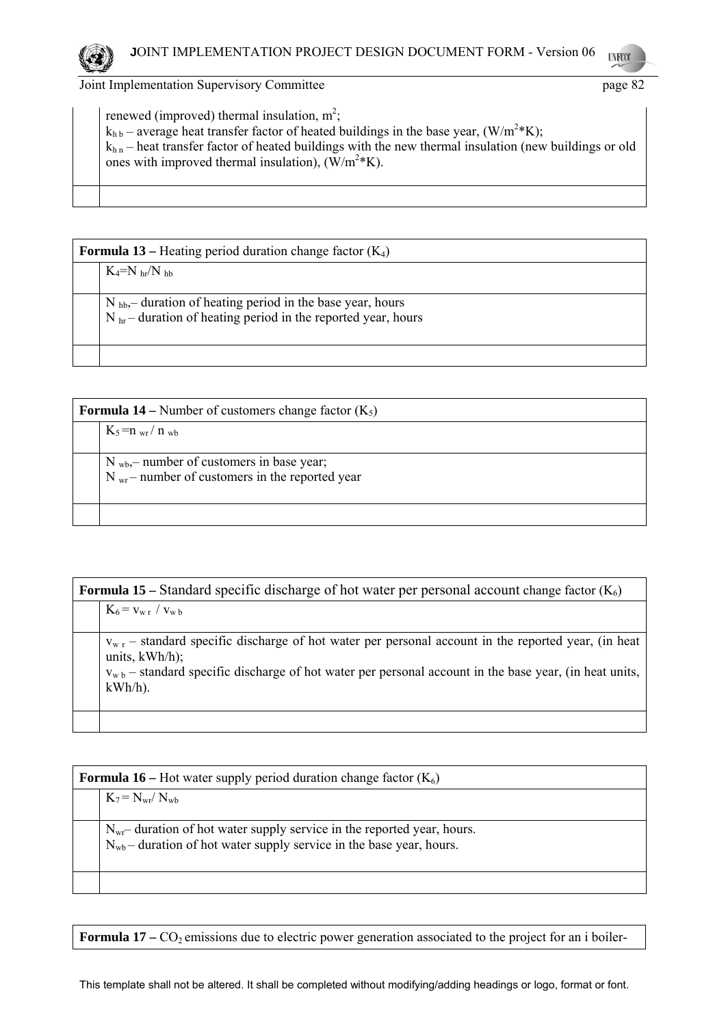renewed (improved) thermal insulation,  $m^2$ ;  $k_{h\,b}$  – average heat transfer factor of heated buildings in the base year, (W/m<sup>2</sup>\*K);  $k_{h n}$  – heat transfer factor of heated buildings with the new thermal insulation (new buildings or old ones with improved thermal insulation),  $(\text{W/m}^2 \text{*K})$ .

| <b>Formula 13</b> – Heating period duration change factor $(K_4)$ |                                                                                                                                  |
|-------------------------------------------------------------------|----------------------------------------------------------------------------------------------------------------------------------|
|                                                                   | $K_4=N_{hr}/N_{hh}$                                                                                                              |
|                                                                   | $N_{hb}$ duration of heating period in the base year, hours<br>$N_{hr}$ – duration of heating period in the reported year, hours |
|                                                                   |                                                                                                                                  |

| <b>Formula 14</b> – Number of customers change factor $(K_5)$ |                                                                                                            |  |
|---------------------------------------------------------------|------------------------------------------------------------------------------------------------------------|--|
|                                                               | $K_5 = n_{wr}/n_{wb}$                                                                                      |  |
|                                                               | $N_{wb}$ , number of customers in base year;<br>$N_{\text{wr}}$ – number of customers in the reported year |  |
|                                                               |                                                                                                            |  |

| <b>Formula 15</b> – Standard specific discharge of hot water per personal account change factor $(K_6)$ |                                                                                                                                                                                                                                                           |  |  |
|---------------------------------------------------------------------------------------------------------|-----------------------------------------------------------------------------------------------------------------------------------------------------------------------------------------------------------------------------------------------------------|--|--|
|                                                                                                         | $K_6 = v_{w r} / v_{w b}$                                                                                                                                                                                                                                 |  |  |
|                                                                                                         | $v_{w,r}$ – standard specific discharge of hot water per personal account in the reported year, (in heat<br>units, $kWh/h$ ;<br>$v_{w,b}$ – standard specific discharge of hot water per personal account in the base year, (in heat units,<br>$kWh/h$ ). |  |  |
|                                                                                                         |                                                                                                                                                                                                                                                           |  |  |

| <b>Formula 16</b> – Hot water supply period duration change factor $(K_6)$ |                                                                                                                                                            |  |
|----------------------------------------------------------------------------|------------------------------------------------------------------------------------------------------------------------------------------------------------|--|
|                                                                            | $K_7 = N_{wr} / N_{wb}$                                                                                                                                    |  |
|                                                                            | $N_{\rm wr}$ duration of hot water supply service in the reported year, hours.<br>$N_{wb}$ – duration of hot water supply service in the base year, hours. |  |
|                                                                            |                                                                                                                                                            |  |

**Formula 17** – CO<sub>2</sub> emissions due to electric power generation associated to the project for an i boiler-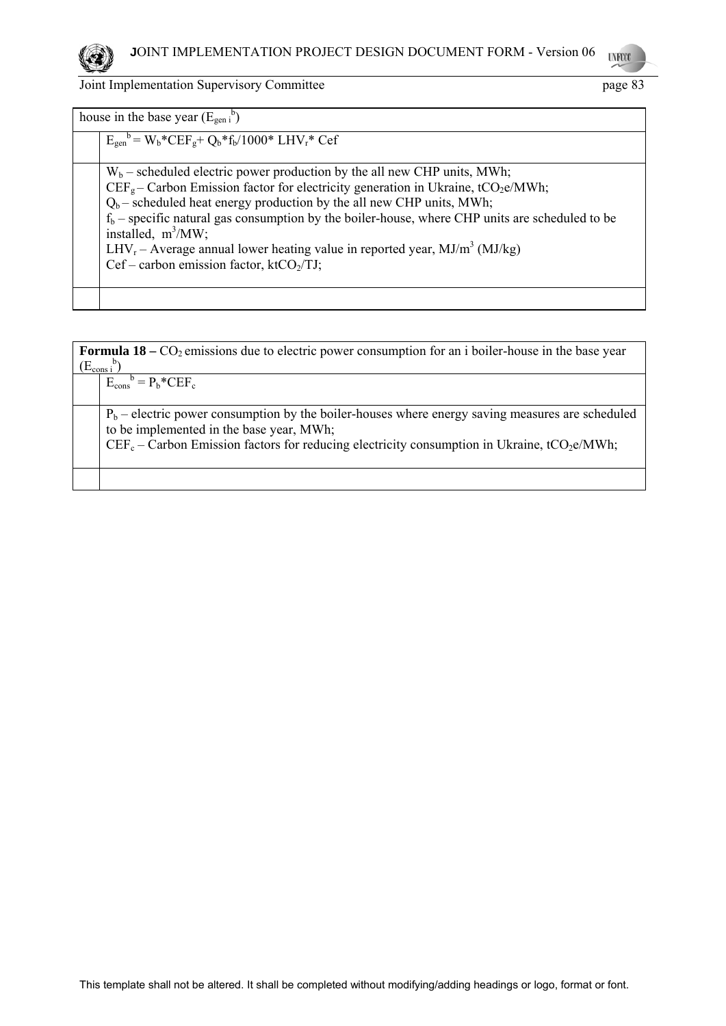

| Joint Implementation Supervisory Committee | page 83 |
|--------------------------------------------|---------|
|--------------------------------------------|---------|

| house in the base year $(E_{\text{gen i}}^b)$                                                                                                                                                                                                                                                                                                                                                                                                                                                                                             |
|-------------------------------------------------------------------------------------------------------------------------------------------------------------------------------------------------------------------------------------------------------------------------------------------------------------------------------------------------------------------------------------------------------------------------------------------------------------------------------------------------------------------------------------------|
| $E_{gen}^{\text{b}} = W_{b}^* C E F_{g} + Q_{b}^* f_{b} / 1000^* L H V_{r}^* C e f$                                                                                                                                                                                                                                                                                                                                                                                                                                                       |
| $W_b$ – scheduled electric power production by the all new CHP units, MWh;<br>$CEFg$ – Carbon Emission factor for electricity generation in Ukraine, tCO <sub>2</sub> e/MWh;<br>$Q_b$ – scheduled heat energy production by the all new CHP units, MWh;<br>$f_b$ – specific natural gas consumption by the boiler-house, where CHP units are scheduled to be<br>installed, $m^3/MW$ ;<br>$LHV_r - Average$ annual lower heating value in reported year, MJ/m <sup>3</sup> (MJ/kg)<br>Cef – carbon emission factor, ktCO <sub>2</sub> /TJ; |
|                                                                                                                                                                                                                                                                                                                                                                                                                                                                                                                                           |

| <b>Formula 18</b> – $CO_2$ emissions due to electric power consumption for an i boiler-house in the base year<br>$(E_{\text{cons i}}^{\qquad b})$ |  |  |
|---------------------------------------------------------------------------------------------------------------------------------------------------|--|--|
| $E_{\text{cons}}^{\text{b}} = P_{\text{b}}^* C E F_{\text{c}}$                                                                                    |  |  |
| $P_b$ – electric power consumption by the boiler-houses where energy saving measures are scheduled<br>to be implemented in the base year, MWh;    |  |  |
| $CEF_c$ – Carbon Emission factors for reducing electricity consumption in Ukraine, tCO <sub>2</sub> e/MWh;                                        |  |  |
|                                                                                                                                                   |  |  |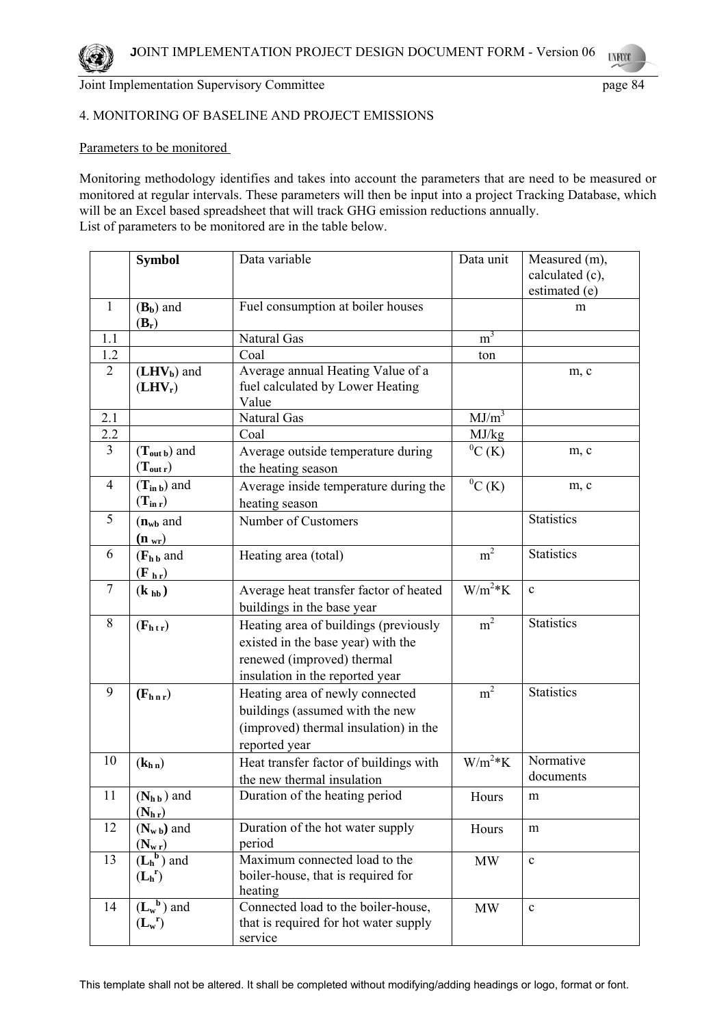# 4. MONITORING OF BASELINE AND PROJECT EMISSIONS

# Parameters to be monitored

Monitoring methodology identifies and takes into account the parameters that are need to be measured or monitored at regular intervals. These parameters will then be input into a project Tracking Database, which will be an Excel based spreadsheet that will track GHG emission reductions annually. List of parameters to be monitored are in the table below.

|                | <b>Symbol</b>                             | Data variable                                                                                                                                | Data unit      | Measured (m),<br>calculated (c),<br>estimated (e) |
|----------------|-------------------------------------------|----------------------------------------------------------------------------------------------------------------------------------------------|----------------|---------------------------------------------------|
| 1              | $(B_b)$ and<br>$(B_r)$                    | Fuel consumption at boiler houses                                                                                                            |                | m                                                 |
| 1.1            |                                           | Natural Gas                                                                                                                                  | m <sup>3</sup> |                                                   |
| 1.2            |                                           | Coal                                                                                                                                         | ton            |                                                   |
| $\overline{2}$ | $(LHV_b)$ and<br>$(LHV_r)$                | Average annual Heating Value of a<br>fuel calculated by Lower Heating<br>Value                                                               |                | m, c                                              |
| 2.1            |                                           | Natural Gas                                                                                                                                  | $MJ/m^3$       |                                                   |
| 2.2            |                                           | Coal                                                                                                                                         | MJ/kg          |                                                   |
| 3              | $(T_{\text{out }b})$ and<br>$(T_{out r})$ | Average outside temperature during<br>the heating season                                                                                     | ${}^{0}C$ (K)  | m, c                                              |
| 4              | $(T_{in b})$ and<br>$(T_{\rm in r})$      | Average inside temperature during the<br>heating season                                                                                      | ${}^{0}C$ (K)  | m, c                                              |
| 5              | $(n_{wb}$ and<br>$(\mathbf{n}_{wr})$      | Number of Customers                                                                                                                          |                | <b>Statistics</b>                                 |
| 6              | $(Fh b$ and<br>$(F_h)$                    | Heating area (total)                                                                                                                         | m <sup>2</sup> | <b>Statistics</b>                                 |
| $\tau$         | $(\mathbf{k}_{\mathbf{h}\mathbf{b}})$     | Average heat transfer factor of heated<br>buildings in the base year                                                                         | $W/m^2*K$      | $\mathbf c$                                       |
| 8              | $(F_{htr})$                               | Heating area of buildings (previously<br>existed in the base year) with the<br>renewed (improved) thermal<br>insulation in the reported year | m <sup>2</sup> | <b>Statistics</b>                                 |
| 9              | $(F_{h n r})$                             | Heating area of newly connected<br>buildings (assumed with the new<br>(improved) thermal insulation) in the<br>reported year                 | m <sup>2</sup> | <b>Statistics</b>                                 |
| 10             | (k <sub>h n</sub> )                       | Heat transfer factor of buildings with<br>the new thermal insulation                                                                         | $W/m^2*K$      | Normative<br>documents                            |
| 11             | $(N_{h\,b})$ and<br>$(N_{h r})$           | Duration of the heating period                                                                                                               | Hours          | $\mathbf{m}$                                      |
| 12             | $(N_{w b})$ and<br>$(N_{\rm w r})$        | Duration of the hot water supply<br>period                                                                                                   | Hours          | m                                                 |
| 13             | $(L_h^b)$ and<br>$(L_h^r)$                | Maximum connected load to the<br>boiler-house, that is required for<br>heating                                                               | <b>MW</b>      | $\mathbf c$                                       |
| 14             | $(L_w^b)$ and<br>$(L_w^r)$                | Connected load to the boiler-house,<br>that is required for hot water supply<br>service                                                      | <b>MW</b>      | $\mathbf c$                                       |

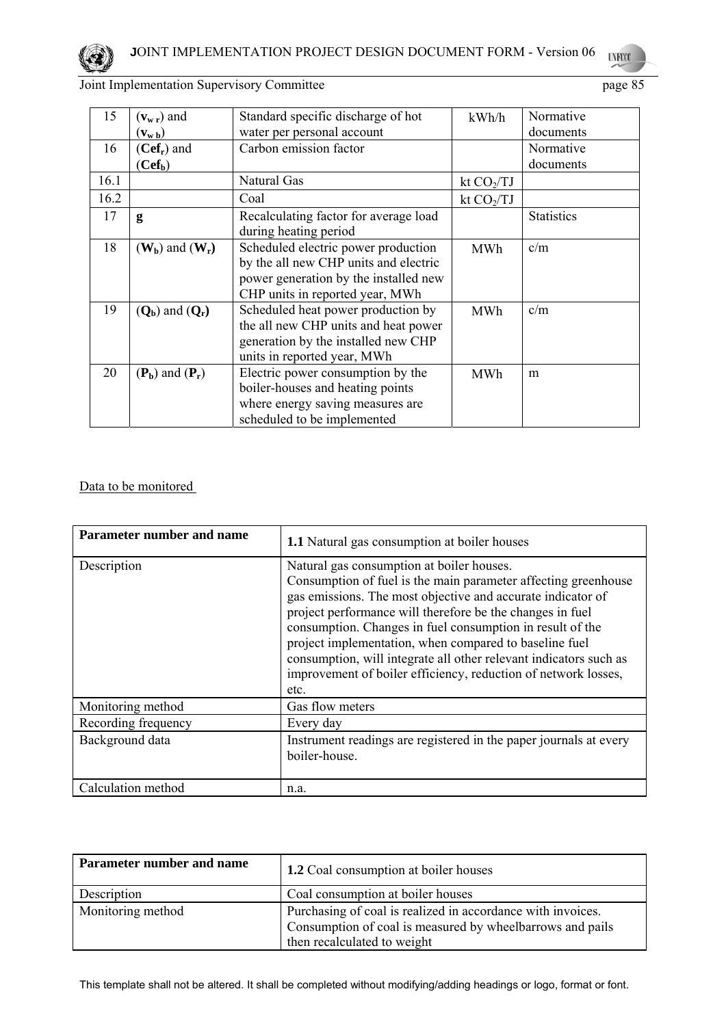

| 15   | $(v_{w r})$ and                                             | Standard specific discharge of hot    | kWh/h        | Normative         |
|------|-------------------------------------------------------------|---------------------------------------|--------------|-------------------|
|      | $(\mathbf{v}_{\mathbf{w}\,\mathbf{b}})$                     | water per personal account            |              | documents         |
| 16   | $(Cef_r)$ and                                               | Carbon emission factor                |              | Normative         |
|      | (Cef <sub>b</sub> )                                         |                                       |              | documents         |
| 16.1 |                                                             | Natural Gas                           | kt $CO2/TJ$  |                   |
| 16.2 |                                                             | Coal                                  | kt $CO_2/TJ$ |                   |
| 17   | g                                                           | Recalculating factor for average load |              | <b>Statistics</b> |
|      |                                                             | during heating period                 |              |                   |
| 18   | $(W_b)$ and $(W_r)$                                         | Scheduled electric power production   | MWh          | c/m               |
|      |                                                             | by the all new CHP units and electric |              |                   |
|      |                                                             | power generation by the installed new |              |                   |
|      |                                                             | CHP units in reported year, MWh       |              |                   |
| 19   | $(Q_b)$ and $(Q_r)$                                         | Scheduled heat power production by    | <b>MWh</b>   | c/m               |
|      |                                                             | the all new CHP units and heat power  |              |                   |
|      |                                                             | generation by the installed new CHP   |              |                   |
|      |                                                             | units in reported year, MWh           |              |                   |
| 20   | $(\mathbf{P}_{\mathbf{b}})$ and $(\mathbf{P}_{\mathbf{r}})$ | Electric power consumption by the     | <b>MWh</b>   | m                 |
|      |                                                             | boiler-houses and heating points      |              |                   |
|      |                                                             | where energy saving measures are      |              |                   |
|      |                                                             | scheduled to be implemented           |              |                   |

Data to be monitored

| Parameter number and name | <b>1.1</b> Natural gas consumption at boiler houses                                                                                                                                                                                                                                                                                                                                                                                                                                                           |
|---------------------------|---------------------------------------------------------------------------------------------------------------------------------------------------------------------------------------------------------------------------------------------------------------------------------------------------------------------------------------------------------------------------------------------------------------------------------------------------------------------------------------------------------------|
| Description               | Natural gas consumption at boiler houses.<br>Consumption of fuel is the main parameter affecting greenhouse<br>gas emissions. The most objective and accurate indicator of<br>project performance will therefore be the changes in fuel<br>consumption. Changes in fuel consumption in result of the<br>project implementation, when compared to baseline fuel<br>consumption, will integrate all other relevant indicators such as<br>improvement of boiler efficiency, reduction of network losses,<br>etc. |
| Monitoring method         | Gas flow meters                                                                                                                                                                                                                                                                                                                                                                                                                                                                                               |
| Recording frequency       | Every day                                                                                                                                                                                                                                                                                                                                                                                                                                                                                                     |
| Background data           | Instrument readings are registered in the paper journals at every<br>boiler-house.                                                                                                                                                                                                                                                                                                                                                                                                                            |
| Calculation method        | n.a.                                                                                                                                                                                                                                                                                                                                                                                                                                                                                                          |

| Parameter number and name | <b>1.2</b> Coal consumption at boiler houses                                                                                                            |
|---------------------------|---------------------------------------------------------------------------------------------------------------------------------------------------------|
| Description               | Coal consumption at boiler houses                                                                                                                       |
| Monitoring method         | Purchasing of coal is realized in accordance with invoices.<br>Consumption of coal is measured by wheelbarrows and pails<br>then recalculated to weight |

This template shall not be altered. It shall be completed without modifying/adding headings or logo, format or font.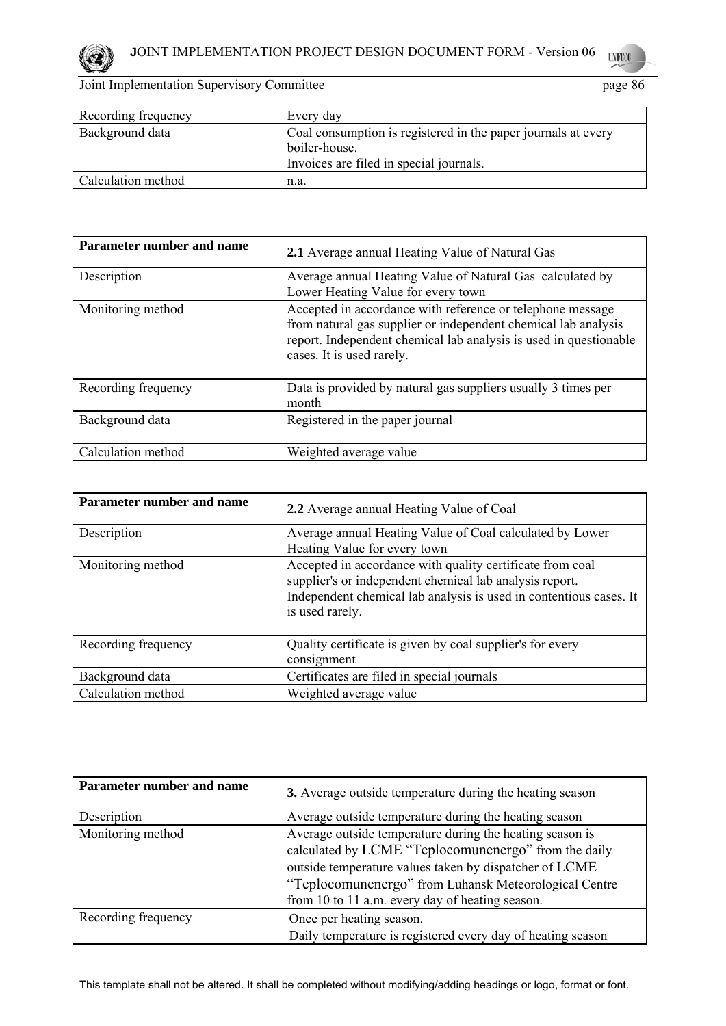

| Recording frequency | Every day                                                                                                                 |
|---------------------|---------------------------------------------------------------------------------------------------------------------------|
| Background data     | Coal consumption is registered in the paper journals at every<br>boiler-house.<br>Invoices are filed in special journals. |
| Calculation method  | n.a.                                                                                                                      |

| Parameter number and name | 2.1 Average annual Heating Value of Natural Gas                                                                                                                                                                                |
|---------------------------|--------------------------------------------------------------------------------------------------------------------------------------------------------------------------------------------------------------------------------|
| Description               | Average annual Heating Value of Natural Gas calculated by<br>Lower Heating Value for every town                                                                                                                                |
| Monitoring method         | Accepted in accordance with reference or telephone message<br>from natural gas supplier or independent chemical lab analysis<br>report. Independent chemical lab analysis is used in questionable<br>cases. It is used rarely. |
| Recording frequency       | Data is provided by natural gas suppliers usually 3 times per<br>month                                                                                                                                                         |
| Background data           | Registered in the paper journal                                                                                                                                                                                                |
| Calculation method        | Weighted average value                                                                                                                                                                                                         |

| Parameter number and name | 2.2 Average annual Heating Value of Coal                                                                                                                                                                      |
|---------------------------|---------------------------------------------------------------------------------------------------------------------------------------------------------------------------------------------------------------|
| Description               | Average annual Heating Value of Coal calculated by Lower<br>Heating Value for every town                                                                                                                      |
| Monitoring method         | Accepted in accordance with quality certificate from coal<br>supplier's or independent chemical lab analysis report.<br>Independent chemical lab analysis is used in contentious cases. It<br>is used rarely. |
| Recording frequency       | Quality certificate is given by coal supplier's for every<br>consignment                                                                                                                                      |
| Background data           | Certificates are filed in special journals                                                                                                                                                                    |
| Calculation method        | Weighted average value                                                                                                                                                                                        |

| Parameter number and name | 3. Average outside temperature during the heating season                                                                                                                                                                                                                               |
|---------------------------|----------------------------------------------------------------------------------------------------------------------------------------------------------------------------------------------------------------------------------------------------------------------------------------|
| Description               | Average outside temperature during the heating season                                                                                                                                                                                                                                  |
| Monitoring method         | Average outside temperature during the heating season is<br>calculated by LCME "Teplocomunenergo" from the daily<br>outside temperature values taken by dispatcher of LCME<br>"Teplocomunenergo" from Luhansk Meteorological Centre<br>from 10 to 11 a.m. every day of heating season. |
| Recording frequency       | Once per heating season.<br>Daily temperature is registered every day of heating season                                                                                                                                                                                                |

This template shall not be altered. It shall be completed without modifying/adding headings or logo, format or font.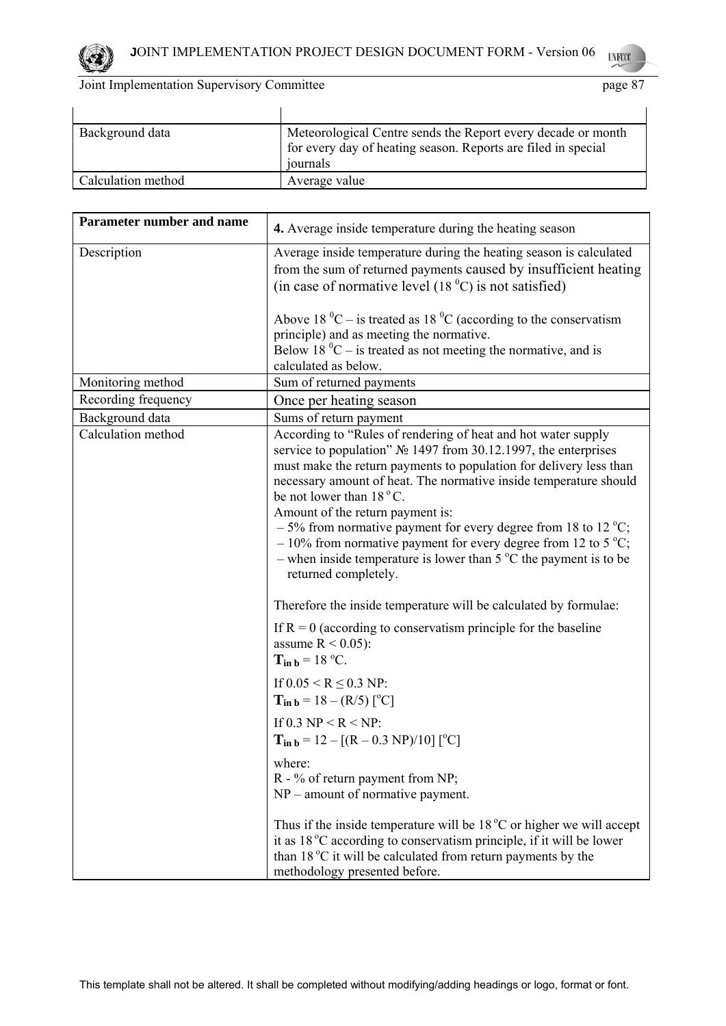

| Background data    | Meteorological Centre sends the Report every decade or month<br>for every day of heating season. Reports are filed in special<br>journals |
|--------------------|-------------------------------------------------------------------------------------------------------------------------------------------|
| Calculation method | Average value                                                                                                                             |

| <b>Parameter number and name</b> | 4. Average inside temperature during the heating season                                                                                                                                                                                                                                                                                                                                                                                                                                                                                                                                  |
|----------------------------------|------------------------------------------------------------------------------------------------------------------------------------------------------------------------------------------------------------------------------------------------------------------------------------------------------------------------------------------------------------------------------------------------------------------------------------------------------------------------------------------------------------------------------------------------------------------------------------------|
| Description                      | Average inside temperature during the heating season is calculated<br>from the sum of returned payments caused by insufficient heating<br>(in case of normative level $(180C)$ is not satisfied)                                                                                                                                                                                                                                                                                                                                                                                         |
|                                  | Above 18 $^0C$ – is treated as 18 $^0C$ (according to the conservatism<br>principle) and as meeting the normative.<br>Below 18 $^0C$ – is treated as not meeting the normative, and is                                                                                                                                                                                                                                                                                                                                                                                                   |
|                                  | calculated as below.                                                                                                                                                                                                                                                                                                                                                                                                                                                                                                                                                                     |
| Monitoring method                | Sum of returned payments                                                                                                                                                                                                                                                                                                                                                                                                                                                                                                                                                                 |
| Recording frequency              | Once per heating season                                                                                                                                                                                                                                                                                                                                                                                                                                                                                                                                                                  |
| Background data                  | Sums of return payment                                                                                                                                                                                                                                                                                                                                                                                                                                                                                                                                                                   |
| Calculation method               | According to "Rules of rendering of heat and hot water supply<br>service to population" № 1497 from 30.12.1997, the enterprises<br>must make the return payments to population for delivery less than<br>necessary amount of heat. The normative inside temperature should<br>be not lower than 18 °C.<br>Amount of the return payment is:<br>$-5\%$ from normative payment for every degree from 18 to 12 °C;<br>$-10\%$ from normative payment for every degree from 12 to 5 °C;<br>- when inside temperature is lower than $5^{\circ}$ C the payment is to be<br>returned completely. |
|                                  | Therefore the inside temperature will be calculated by formulae:                                                                                                                                                                                                                                                                                                                                                                                                                                                                                                                         |
|                                  | If $R = 0$ (according to conservatism principle for the baseline<br>assume $R < 0.05$ ):<br>$T_{in b} = 18 \degree C$ .                                                                                                                                                                                                                                                                                                                                                                                                                                                                  |
|                                  | If $0.05 \le R \le 0.3$ NP:<br>$T_{in b} = 18 - (R/5)$ [ <sup>o</sup> C]                                                                                                                                                                                                                                                                                                                                                                                                                                                                                                                 |
|                                  | If 0.3 NP < R < NP:<br>$T_{in b} = 12 - [(R - 0.3 \text{ NP})/10] [^{\circ}C]$                                                                                                                                                                                                                                                                                                                                                                                                                                                                                                           |
|                                  | where:<br>R - % of return payment from NP;<br>$NP$ – amount of normative payment.                                                                                                                                                                                                                                                                                                                                                                                                                                                                                                        |
|                                  | Thus if the inside temperature will be $18\degree C$ or higher we will accept<br>it as 18 °C according to conservatism principle, if it will be lower<br>than 18 °C it will be calculated from return payments by the<br>methodology presented before.                                                                                                                                                                                                                                                                                                                                   |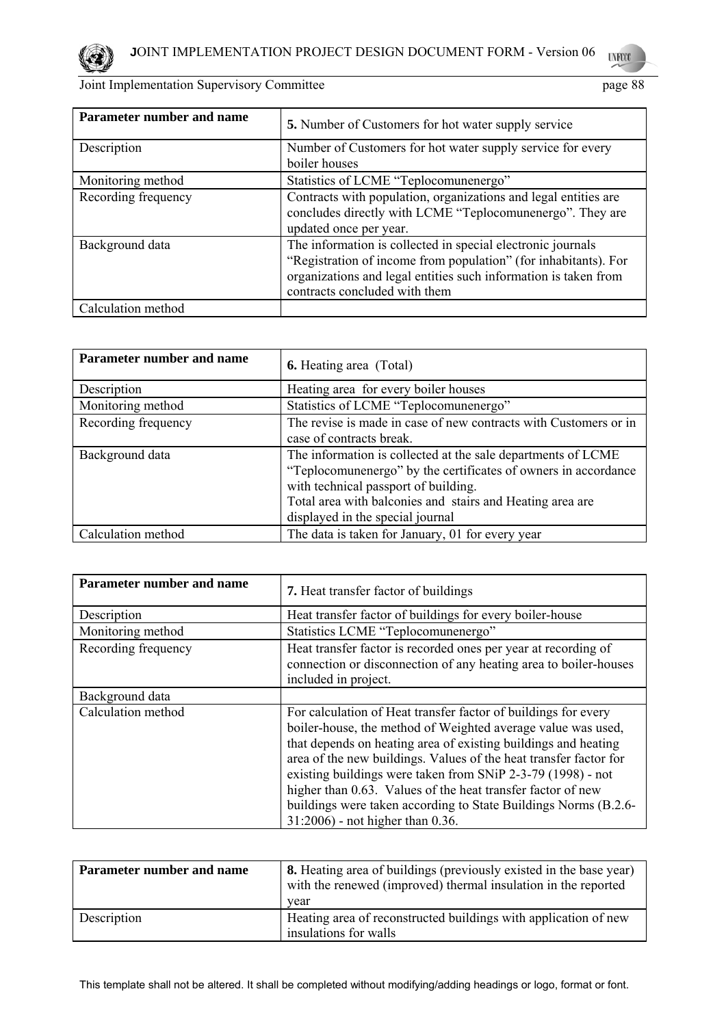

| Parameter number and name | <b>5.</b> Number of Customers for hot water supply service                                                                                                                                                                         |
|---------------------------|------------------------------------------------------------------------------------------------------------------------------------------------------------------------------------------------------------------------------------|
| Description               | Number of Customers for hot water supply service for every<br>boiler houses                                                                                                                                                        |
| Monitoring method         | Statistics of LCME "Teplocomunenergo"                                                                                                                                                                                              |
| Recording frequency       | Contracts with population, organizations and legal entities are<br>concludes directly with LCME "Teplocomunenergo". They are<br>updated once per year.                                                                             |
| Background data           | The information is collected in special electronic journals<br>"Registration of income from population" (for inhabitants). For<br>organizations and legal entities such information is taken from<br>contracts concluded with them |
| Calculation method        |                                                                                                                                                                                                                                    |

| Parameter number and name | <b>6.</b> Heating area (Total)                                                                                                                                                                                                                                          |
|---------------------------|-------------------------------------------------------------------------------------------------------------------------------------------------------------------------------------------------------------------------------------------------------------------------|
| Description               | Heating area for every boiler houses                                                                                                                                                                                                                                    |
| Monitoring method         | Statistics of LCME "Teplocomunenergo"                                                                                                                                                                                                                                   |
| Recording frequency       | The revise is made in case of new contracts with Customers or in<br>case of contracts break.                                                                                                                                                                            |
| Background data           | The information is collected at the sale departments of LCME<br>"Teplocomunenergo" by the certificates of owners in accordance<br>with technical passport of building.<br>Total area with balconies and stairs and Heating area are<br>displayed in the special journal |
| Calculation method        | The data is taken for January, 01 for every year                                                                                                                                                                                                                        |

| Parameter number and name | <b>7.</b> Heat transfer factor of buildings                                                                                                                                                                                                                                                                                                                                                                                                                                                                |
|---------------------------|------------------------------------------------------------------------------------------------------------------------------------------------------------------------------------------------------------------------------------------------------------------------------------------------------------------------------------------------------------------------------------------------------------------------------------------------------------------------------------------------------------|
| Description               | Heat transfer factor of buildings for every boiler-house                                                                                                                                                                                                                                                                                                                                                                                                                                                   |
| Monitoring method         | Statistics LCME "Teplocomunenergo"                                                                                                                                                                                                                                                                                                                                                                                                                                                                         |
| Recording frequency       | Heat transfer factor is recorded ones per year at recording of<br>connection or disconnection of any heating area to boiler-houses<br>included in project.                                                                                                                                                                                                                                                                                                                                                 |
| Background data           |                                                                                                                                                                                                                                                                                                                                                                                                                                                                                                            |
| Calculation method        | For calculation of Heat transfer factor of buildings for every<br>boiler-house, the method of Weighted average value was used,<br>that depends on heating area of existing buildings and heating<br>area of the new buildings. Values of the heat transfer factor for<br>existing buildings were taken from SNiP 2-3-79 (1998) - not<br>higher than 0.63. Values of the heat transfer factor of new<br>buildings were taken according to State Buildings Norms (B.2.6-<br>31:2006) - not higher than 0.36. |

| Parameter number and name | <b>8.</b> Heating area of buildings (previously existed in the base year)<br>with the renewed (improved) thermal insulation in the reported<br>vear |
|---------------------------|-----------------------------------------------------------------------------------------------------------------------------------------------------|
| Description               | Heating area of reconstructed buildings with application of new<br>insulations for walls                                                            |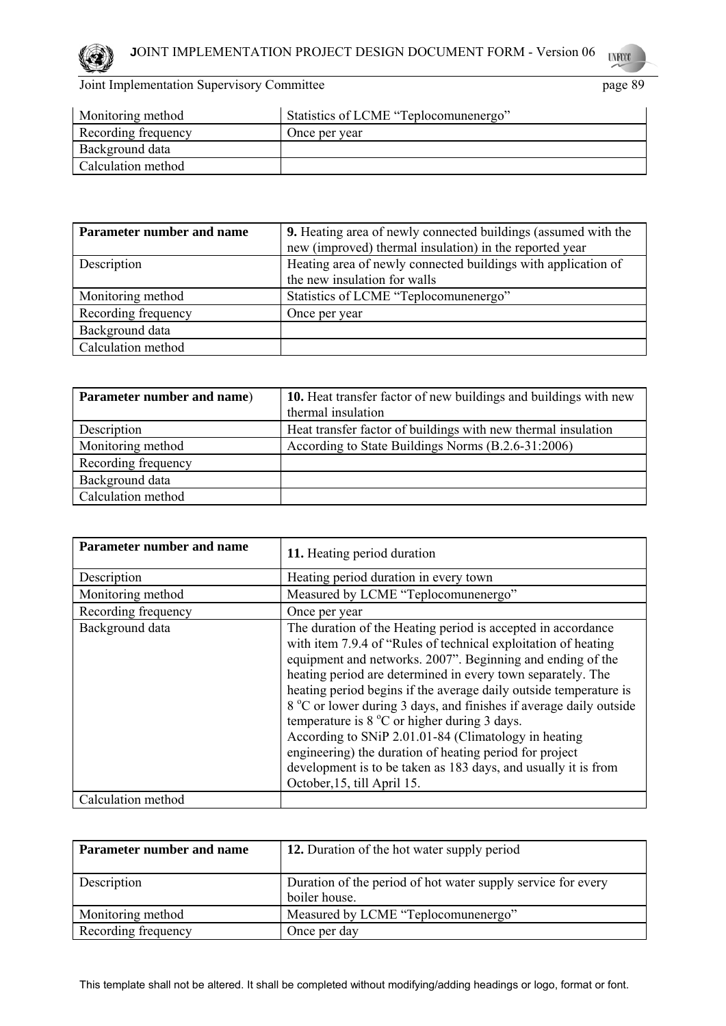

| Monitoring method   | Statistics of LCME "Teplocomunenergo" |
|---------------------|---------------------------------------|
| Recording frequency | Once per year                         |
| Background data     |                                       |
| Calculation method  |                                       |

| Parameter number and name | <b>9.</b> Heating area of newly connected buildings (assumed with the<br>new (improved) thermal insulation) in the reported year |
|---------------------------|----------------------------------------------------------------------------------------------------------------------------------|
| Description               | Heating area of newly connected buildings with application of                                                                    |
|                           | the new insulation for walls                                                                                                     |
| Monitoring method         | Statistics of LCME "Teplocomunenergo"                                                                                            |
| Recording frequency       | Once per year                                                                                                                    |
| Background data           |                                                                                                                                  |
| Calculation method        |                                                                                                                                  |

| Parameter number and name) | 10. Heat transfer factor of new buildings and buildings with new |
|----------------------------|------------------------------------------------------------------|
|                            | thermal insulation                                               |
| Description                | Heat transfer factor of buildings with new thermal insulation    |
| Monitoring method          | According to State Buildings Norms (B.2.6-31:2006)               |
| Recording frequency        |                                                                  |
| Background data            |                                                                  |
| Calculation method         |                                                                  |

| <b>Parameter number and name</b> | 11. Heating period duration                                                                                                                                                                                                                                                                                                                                                                                                                                                                                                                                                                                                                                                          |
|----------------------------------|--------------------------------------------------------------------------------------------------------------------------------------------------------------------------------------------------------------------------------------------------------------------------------------------------------------------------------------------------------------------------------------------------------------------------------------------------------------------------------------------------------------------------------------------------------------------------------------------------------------------------------------------------------------------------------------|
| Description                      | Heating period duration in every town                                                                                                                                                                                                                                                                                                                                                                                                                                                                                                                                                                                                                                                |
| Monitoring method                | Measured by LCME "Teplocomunenergo"                                                                                                                                                                                                                                                                                                                                                                                                                                                                                                                                                                                                                                                  |
| Recording frequency              | Once per year                                                                                                                                                                                                                                                                                                                                                                                                                                                                                                                                                                                                                                                                        |
| Background data                  | The duration of the Heating period is accepted in accordance<br>with item 7.9.4 of "Rules of technical exploitation of heating"<br>equipment and networks. 2007". Beginning and ending of the<br>heating period are determined in every town separately. The<br>heating period begins if the average daily outside temperature is<br>8 °C or lower during 3 days, and finishes if average daily outside<br>temperature is $8^{\circ}$ C or higher during 3 days.<br>According to SNiP 2.01.01-84 (Climatology in heating<br>engineering) the duration of heating period for project<br>development is to be taken as 183 days, and usually it is from<br>October, 15, till April 15. |
| Calculation method               |                                                                                                                                                                                                                                                                                                                                                                                                                                                                                                                                                                                                                                                                                      |

| Parameter number and name | 12. Duration of the hot water supply period                                   |
|---------------------------|-------------------------------------------------------------------------------|
| Description               | Duration of the period of hot water supply service for every<br>boiler house. |
| Monitoring method         | Measured by LCME "Teplocomunenergo"                                           |
| Recording frequency       | Once per day                                                                  |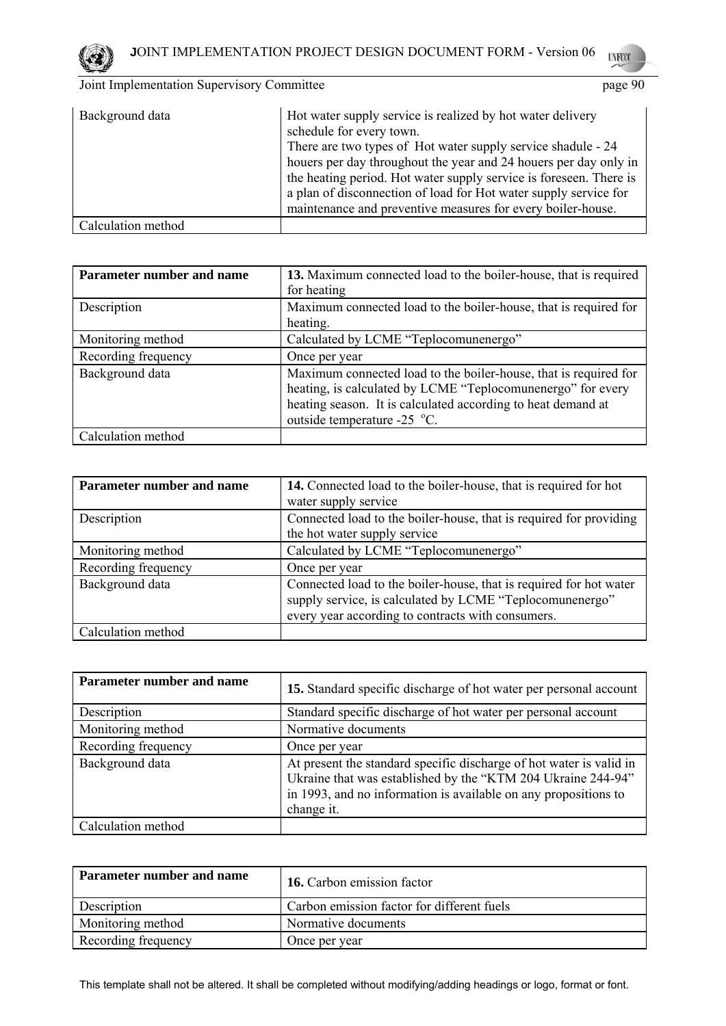

| Background data    | Hot water supply service is realized by hot water delivery<br>schedule for every town.<br>There are two types of Hot water supply service shadule - 24<br>houers per day throughout the year and 24 houers per day only in<br>the heating period. Hot water supply service is foreseen. There is<br>a plan of disconnection of load for Hot water supply service for<br>maintenance and preventive measures for every boiler-house. |
|--------------------|-------------------------------------------------------------------------------------------------------------------------------------------------------------------------------------------------------------------------------------------------------------------------------------------------------------------------------------------------------------------------------------------------------------------------------------|
| Calculation method |                                                                                                                                                                                                                                                                                                                                                                                                                                     |

| Parameter number and name | 13. Maximum connected load to the boiler-house, that is required |  |  |  |
|---------------------------|------------------------------------------------------------------|--|--|--|
|                           | for heating                                                      |  |  |  |
| Description               | Maximum connected load to the boiler-house, that is required for |  |  |  |
|                           | heating.                                                         |  |  |  |
| Monitoring method         | Calculated by LCME "Teplocomunenergo"                            |  |  |  |
| Recording frequency       | Once per year                                                    |  |  |  |
| Background data           | Maximum connected load to the boiler-house, that is required for |  |  |  |
|                           | heating, is calculated by LCME "Teplocomunenergo" for every      |  |  |  |
|                           | heating season. It is calculated according to heat demand at     |  |  |  |
|                           | outside temperature -25 °C.                                      |  |  |  |
| Calculation method        |                                                                  |  |  |  |

| Parameter number and name | 14. Connected load to the boiler-house, that is required for hot                                                                                                                    |  |  |  |
|---------------------------|-------------------------------------------------------------------------------------------------------------------------------------------------------------------------------------|--|--|--|
|                           | water supply service                                                                                                                                                                |  |  |  |
| Description               | Connected load to the boiler-house, that is required for providing                                                                                                                  |  |  |  |
|                           | the hot water supply service                                                                                                                                                        |  |  |  |
| Monitoring method         | Calculated by LCME "Teplocomunenergo"                                                                                                                                               |  |  |  |
| Recording frequency       | Once per year                                                                                                                                                                       |  |  |  |
| Background data           | Connected load to the boiler-house, that is required for hot water<br>supply service, is calculated by LCME "Teplocomunenergo"<br>every year according to contracts with consumers. |  |  |  |
| Calculation method        |                                                                                                                                                                                     |  |  |  |

| Parameter number and name | 15. Standard specific discharge of hot water per personal account                                                                                                                                                    |
|---------------------------|----------------------------------------------------------------------------------------------------------------------------------------------------------------------------------------------------------------------|
| Description               | Standard specific discharge of hot water per personal account                                                                                                                                                        |
| Monitoring method         | Normative documents                                                                                                                                                                                                  |
| Recording frequency       | Once per year                                                                                                                                                                                                        |
| Background data           | At present the standard specific discharge of hot water is valid in<br>Ukraine that was established by the "KTM 204 Ukraine 244-94"<br>in 1993, and no information is available on any propositions to<br>change it. |
| Calculation method        |                                                                                                                                                                                                                      |

| Parameter number and name | <b>16.</b> Carbon emission factor          |  |
|---------------------------|--------------------------------------------|--|
| Description               | Carbon emission factor for different fuels |  |
| Monitoring method         | Normative documents                        |  |
| Recording frequency       | Once per year                              |  |

This template shall not be altered. It shall be completed without modifying/adding headings or logo, format or font.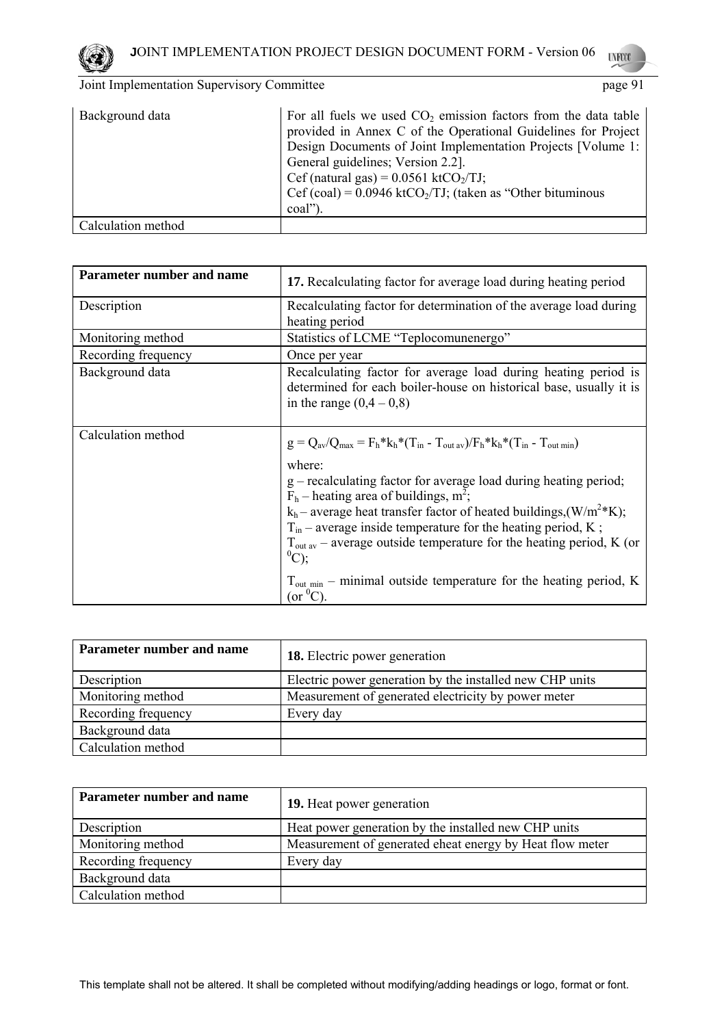

| Background data    | For all fuels we used $CO2$ emission factors from the data table<br>provided in Annex C of the Operational Guidelines for Project<br>Design Documents of Joint Implementation Projects [Volume 1:<br>General guidelines; Version 2.2].<br>Cef (natural gas) = $0.0561$ ktCO <sub>2</sub> /TJ;<br>Cef (coal) = $0.0946$ ktCO <sub>2</sub> /TJ; (taken as "Other bituminous"<br>coal") |
|--------------------|--------------------------------------------------------------------------------------------------------------------------------------------------------------------------------------------------------------------------------------------------------------------------------------------------------------------------------------------------------------------------------------|
| Calculation method |                                                                                                                                                                                                                                                                                                                                                                                      |

| Parameter number and name | 17. Recalculating factor for average load during heating period                                                                                                                                                                                                                                                                                                                                                                                                                                                                                                                                |  |  |  |
|---------------------------|------------------------------------------------------------------------------------------------------------------------------------------------------------------------------------------------------------------------------------------------------------------------------------------------------------------------------------------------------------------------------------------------------------------------------------------------------------------------------------------------------------------------------------------------------------------------------------------------|--|--|--|
| Description               | Recalculating factor for determination of the average load during<br>heating period                                                                                                                                                                                                                                                                                                                                                                                                                                                                                                            |  |  |  |
| Monitoring method         | Statistics of LCME "Teplocomunenergo"                                                                                                                                                                                                                                                                                                                                                                                                                                                                                                                                                          |  |  |  |
| Recording frequency       | Once per year                                                                                                                                                                                                                                                                                                                                                                                                                                                                                                                                                                                  |  |  |  |
| Background data           | Recalculating factor for average load during heating period is<br>determined for each boiler-house on historical base, usually it is<br>in the range $(0,4 - 0,8)$                                                                                                                                                                                                                                                                                                                                                                                                                             |  |  |  |
| Calculation method        | $g = Q_{av}/Q_{max} = F_h * k_h * (T_{in} - T_{out av})/F_h * k_h * (T_{in} - T_{out min})$<br>where:<br>$g$ – recalculating factor for average load during heating period;<br>$F_h$ – heating area of buildings, m <sup>2</sup> ;<br>$k_h$ – average heat transfer factor of heated buildings, (W/m <sup>2</sup> *K);<br>$T_{in}$ – average inside temperature for the heating period, K;<br>$T_{\text{out av}}$ – average outside temperature for the heating period, K (or<br>$^{0}C$ );<br>$T_{\text{out min}}$ – minimal outside temperature for the heating period, K<br>$(or {}^{0}C).$ |  |  |  |

| Parameter number and name | <b>18.</b> Electric power generation                     |  |  |  |
|---------------------------|----------------------------------------------------------|--|--|--|
| Description               | Electric power generation by the installed new CHP units |  |  |  |
| Monitoring method         | Measurement of generated electricity by power meter      |  |  |  |
| Recording frequency       | Every day                                                |  |  |  |
| Background data           |                                                          |  |  |  |
| Calculation method        |                                                          |  |  |  |

| Parameter number and name | <b>19.</b> Heat power generation                         |  |  |
|---------------------------|----------------------------------------------------------|--|--|
| Description               | Heat power generation by the installed new CHP units     |  |  |
| Monitoring method         | Measurement of generated eheat energy by Heat flow meter |  |  |
| Recording frequency       | Every day                                                |  |  |
| Background data           |                                                          |  |  |
| Calculation method        |                                                          |  |  |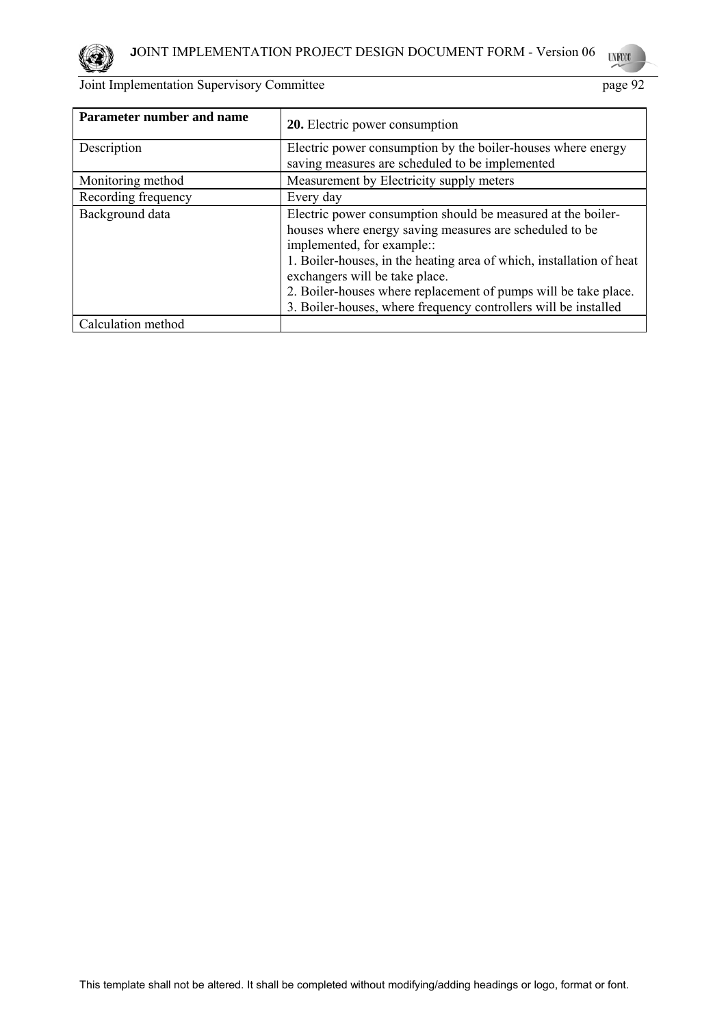

| Parameter number and name | <b>20.</b> Electric power consumption                                                                                                                                                                                                                                                                                                                                                                 |  |  |  |
|---------------------------|-------------------------------------------------------------------------------------------------------------------------------------------------------------------------------------------------------------------------------------------------------------------------------------------------------------------------------------------------------------------------------------------------------|--|--|--|
| Description               | Electric power consumption by the boiler-houses where energy<br>saving measures are scheduled to be implemented                                                                                                                                                                                                                                                                                       |  |  |  |
| Monitoring method         | Measurement by Electricity supply meters                                                                                                                                                                                                                                                                                                                                                              |  |  |  |
| Recording frequency       | Every day                                                                                                                                                                                                                                                                                                                                                                                             |  |  |  |
| Background data           | Electric power consumption should be measured at the boiler-<br>houses where energy saving measures are scheduled to be<br>implemented, for example::<br>1. Boiler-houses, in the heating area of which, installation of heat<br>exchangers will be take place.<br>2. Boiler-houses where replacement of pumps will be take place.<br>3. Boiler-houses, where frequency controllers will be installed |  |  |  |
| Calculation method        |                                                                                                                                                                                                                                                                                                                                                                                                       |  |  |  |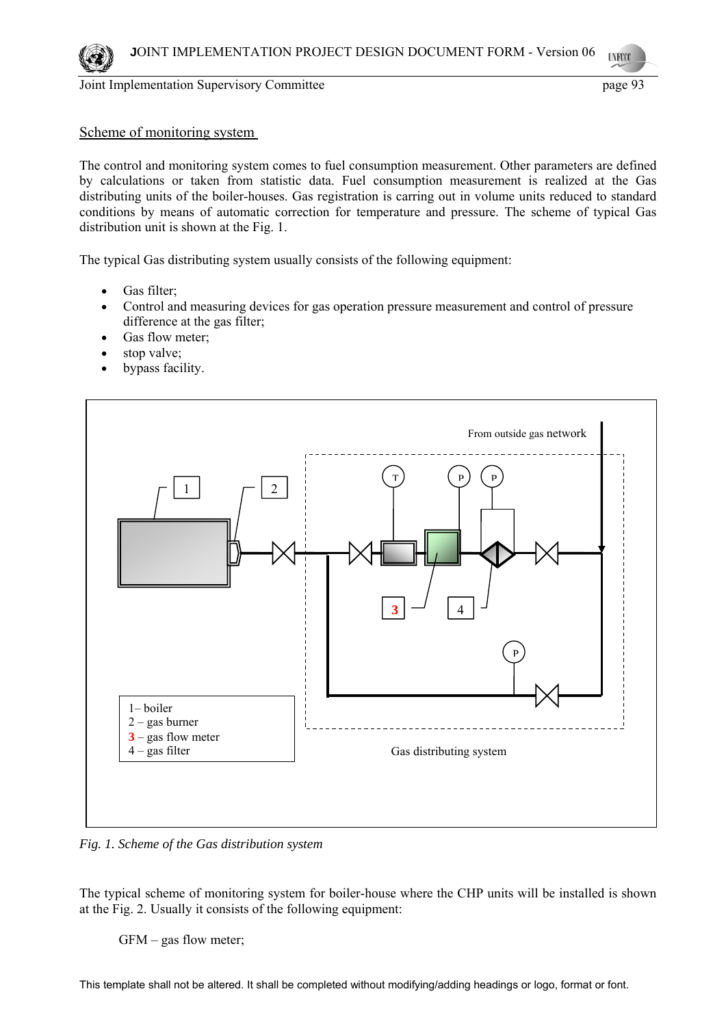# Scheme of monitoring system

The control and monitoring system comes to fuel consumption measurement. Other parameters are defined by calculations or taken from statistic data. Fuel consumption measurement is realized at the Gas distributing units of the boiler-houses. Gas registration is carring out in volume units reduced to standard conditions by means of automatic correction for temperature and pressure. The scheme of typical Gas distribution unit is shown at the Fig. 1.

The typical Gas distributing system usually consists of the following equipment:

- Gas filter:
- Control and measuring devices for gas operation pressure measurement and control of pressure difference at the gas filter;
- Gas flow meter;
- stop valve;
- bypass facility.



*Fig. 1. Scheme of the Gas distribution system* 

The typical scheme of monitoring system for boiler-house where the CHP units will be installed is shown at the Fig. 2. Usually it consists of the following equipment:

GFM – gas flow meter;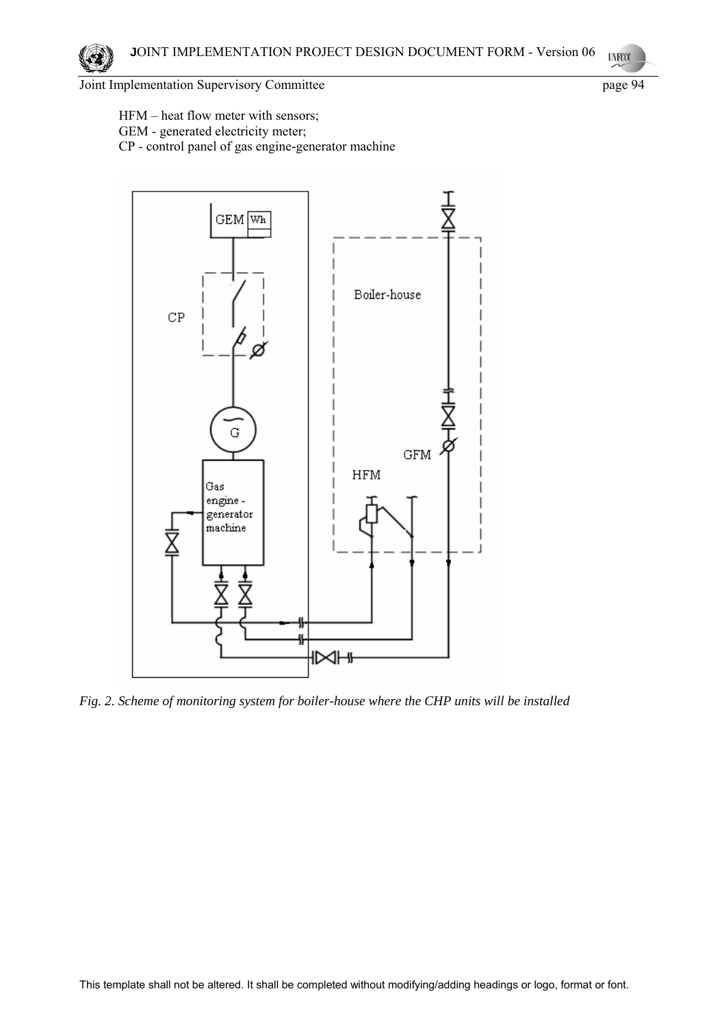HFM – heat flow meter with sensors; GEM - generated electricity meter;

CP - control panel of gas engine-generator machine

 $GEM$   $Wh$ Boiler-house  $CP$ 



*Fig. 2. Scheme of monitoring system for boiler-house where the CHP units will be installed*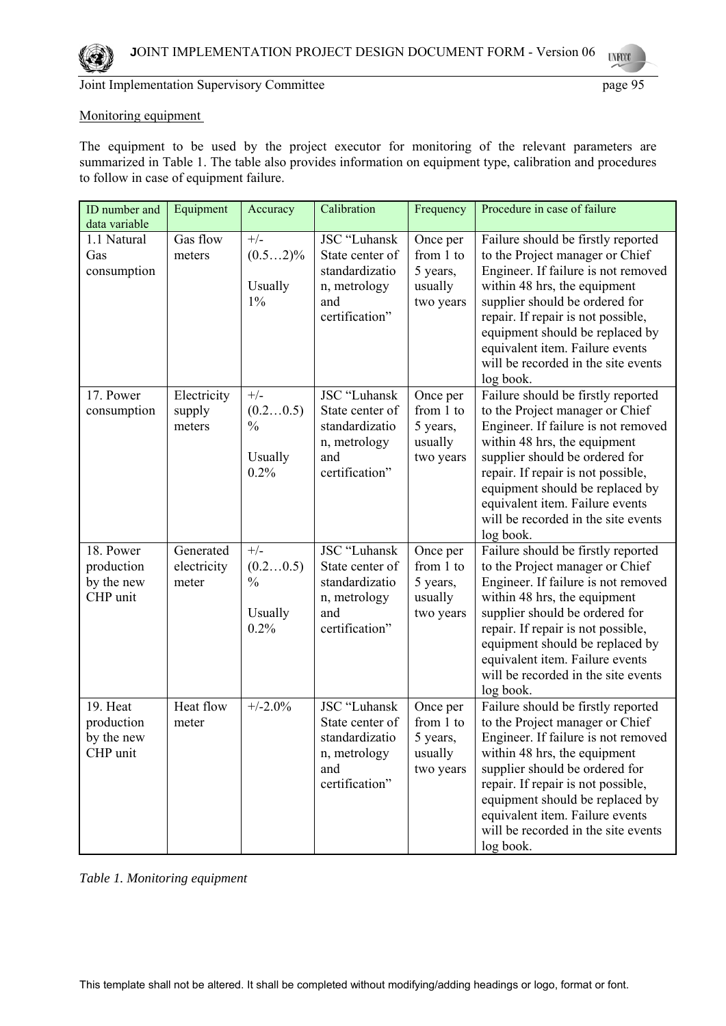

### Monitoring equipment

The equipment to be used by the project executor for monitoring of the relevant parameters are summarized in Table 1. The table also provides information on equipment type, calibration and procedures to follow in case of equipment failure.

| ID number and<br>data variable                    | Equipment                         | Accuracy                                              | Calibration                                                                                | Frequency                                                 | Procedure in case of failure                                                                                                                                                                                                                                                                                                                   |
|---------------------------------------------------|-----------------------------------|-------------------------------------------------------|--------------------------------------------------------------------------------------------|-----------------------------------------------------------|------------------------------------------------------------------------------------------------------------------------------------------------------------------------------------------------------------------------------------------------------------------------------------------------------------------------------------------------|
| 1.1 Natural<br>Gas<br>consumption                 | Gas flow<br>meters                | $+/-$<br>$(0.52)\%$<br>Usually<br>$1\%$               | JSC "Luhansk<br>State center of<br>standardizatio<br>n, metrology<br>and<br>certification" | Once per<br>from 1 to<br>5 years,<br>usually<br>two years | Failure should be firstly reported<br>to the Project manager or Chief<br>Engineer. If failure is not removed<br>within 48 hrs, the equipment<br>supplier should be ordered for<br>repair. If repair is not possible,<br>equipment should be replaced by<br>equivalent item. Failure events<br>will be recorded in the site events<br>log book. |
| 17. Power<br>consumption                          | Electricity<br>supply<br>meters   | $+/-$<br>(0.20.5)<br>$\frac{0}{0}$<br>Usually<br>0.2% | JSC "Luhansk<br>State center of<br>standardizatio<br>n, metrology<br>and<br>certification" | Once per<br>from 1 to<br>5 years,<br>usually<br>two years | Failure should be firstly reported<br>to the Project manager or Chief<br>Engineer. If failure is not removed<br>within 48 hrs, the equipment<br>supplier should be ordered for<br>repair. If repair is not possible,<br>equipment should be replaced by<br>equivalent item. Failure events<br>will be recorded in the site events<br>log book. |
| 18. Power<br>production<br>by the new<br>CHP unit | Generated<br>electricity<br>meter | $+/-$<br>(0.20.5)<br>$\frac{0}{0}$<br>Usually<br>0.2% | JSC "Luhansk<br>State center of<br>standardizatio<br>n, metrology<br>and<br>certification" | Once per<br>from 1 to<br>5 years,<br>usually<br>two years | Failure should be firstly reported<br>to the Project manager or Chief<br>Engineer. If failure is not removed<br>within 48 hrs, the equipment<br>supplier should be ordered for<br>repair. If repair is not possible,<br>equipment should be replaced by<br>equivalent item. Failure events<br>will be recorded in the site events<br>log book. |
| 19. Heat<br>production<br>by the new<br>CHP unit  | Heat flow<br>meter                | $+/-2.0%$                                             | JSC "Luhansk<br>State center of<br>standardizatio<br>n, metrology<br>and<br>certification" | Once per<br>from 1 to<br>5 years,<br>usually<br>two years | Failure should be firstly reported<br>to the Project manager or Chief<br>Engineer. If failure is not removed<br>within 48 hrs, the equipment<br>supplier should be ordered for<br>repair. If repair is not possible,<br>equipment should be replaced by<br>equivalent item. Failure events<br>will be recorded in the site events<br>log book. |

*Table 1. Monitoring equipment*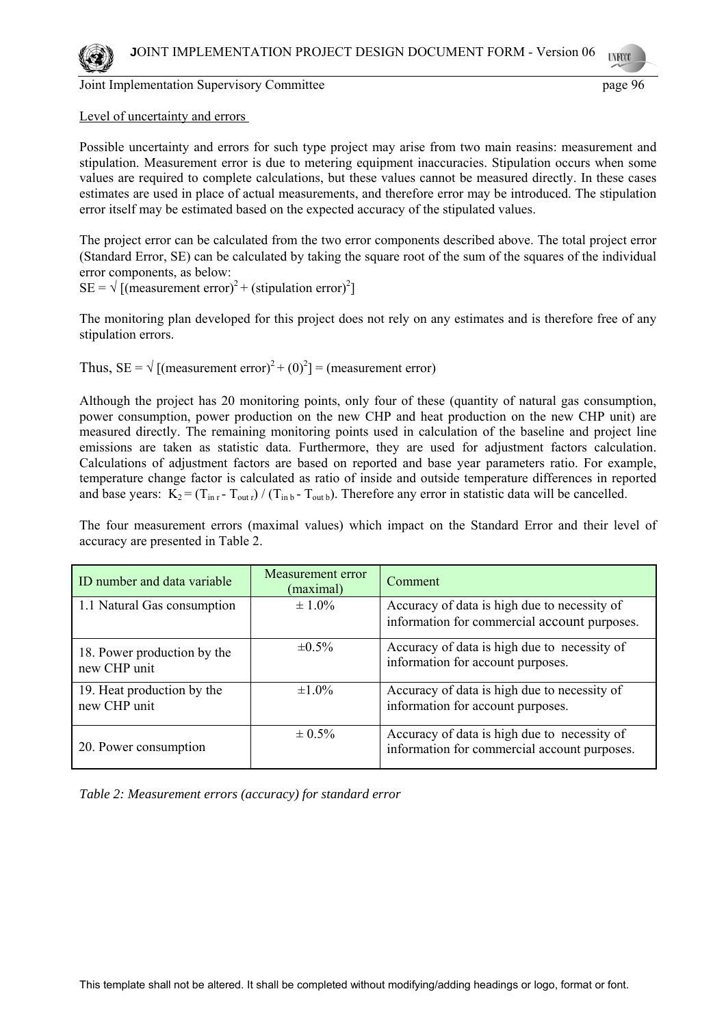

### Level of uncertainty and errors

Possible uncertainty and errors for such type project may arise from two main reasins: measurement and stipulation. Measurement error is due to metering equipment inaccuracies. Stipulation occurs when some values are required to complete calculations, but these values cannot be measured directly. In these cases estimates are used in place of actual measurements, and therefore error may be introduced. The stipulation error itself may be estimated based on the expected accuracy of the stipulated values.

The project error can be calculated from the two error components described above. The total project error (Standard Error, SE) can be calculated by taking the square root of the sum of the squares of the individual error components, as below:

 $SE = \sqrt{\text{[(measurement error)}^2 + (\text{ stipulation error})^2}$ 

The monitoring plan developed for this project does not rely on any estimates and is therefore free of any stipulation errors.

Thus, SE =  $\sqrt{\text{[(measurement error)}^2 + (0)^2}$  = (measurement error)

Although the project has 20 monitoring points, only four of these (quantity of natural gas consumption, power consumption, power production on the new CHP and heat production on the new CHP unit) are measured directly. The remaining monitoring points used in calculation of the baseline and project line emissions are taken as statistic data. Furthermore, they are used for adjustment factors calculation. Calculations of adjustment factors are based on reported and base year parameters ratio. For example, temperature change factor is calculated as ratio of inside and outside temperature differences in reported and base years:  $K_2 = (T_{\text{in }r} - T_{\text{out }r}) / (T_{\text{in }b} - T_{\text{out }b})$ . Therefore any error in statistic data will be cancelled.

The four measurement errors (maximal values) which impact on the Standard Error and their level of accuracy are presented in Table 2.

| ID number and data variable                 | Measurement error<br>(maximal) | Comment                                                                                      |
|---------------------------------------------|--------------------------------|----------------------------------------------------------------------------------------------|
| 1.1 Natural Gas consumption                 | $\pm 1.0\%$                    | Accuracy of data is high due to necessity of<br>information for commercial account purposes. |
|                                             |                                |                                                                                              |
| 18. Power production by the<br>new CHP unit | $\pm 0.5\%$                    | Accuracy of data is high due to necessity of<br>information for account purposes.            |
| 19. Heat production by the<br>new CHP unit  | $\pm 1.0\%$                    | Accuracy of data is high due to necessity of<br>information for account purposes.            |
| 20. Power consumption                       | $\pm 0.5\%$                    | Accuracy of data is high due to necessity of<br>information for commercial account purposes. |

*Table 2: Measurement errors (accuracy) for standard error*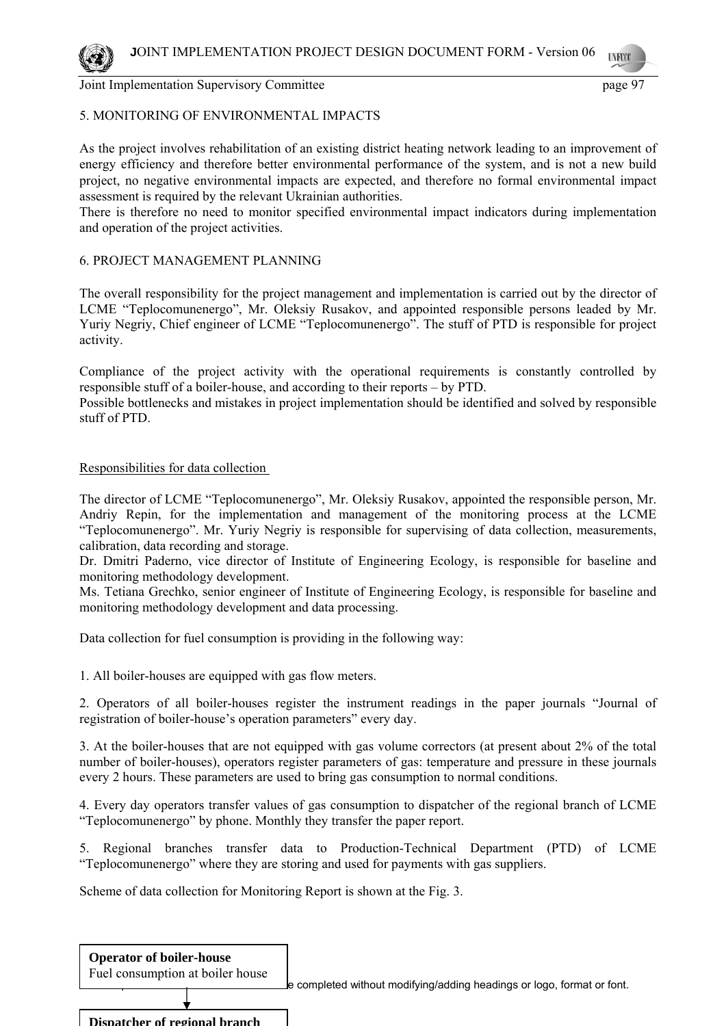# 5. MONITORING OF ENVIRONMENTAL IMPACTS

As the project involves rehabilitation of an existing district heating network leading to an improvement of energy efficiency and therefore better environmental performance of the system, and is not a new build project, no negative environmental impacts are expected, and therefore no formal environmental impact assessment is required by the relevant Ukrainian authorities.

There is therefore no need to monitor specified environmental impact indicators during implementation and operation of the project activities.

# 6. PROJECT MANAGEMENT PLANNING

The overall responsibility for the project management and implementation is carried out by the director of LCME "Teplocomunenergo", Mr. Oleksiy Rusakov, and appointed responsible persons leaded by Mr. Yuriy Negriy, Chief engineer of LCME "Teplocomunenergo". The stuff of PTD is responsible for project activity.

Compliance of the project activity with the operational requirements is constantly controlled by responsible stuff of a boiler-house, and according to their reports – by PTD.

Possible bottlenecks and mistakes in project implementation should be identified and solved by responsible stuff of PTD.

# Responsibilities for data collection

The director of LCME "Teplocomunenergo", Mr. Oleksiy Rusakov, appointed the responsible person, Mr. Andriy Repin, for the implementation and management of the monitoring process at the LCME "Teplocomunenergo". Mr. Yuriy Negriy is responsible for supervising of data collection, measurements, calibration, data recording and storage.

Dr. Dmitri Paderno, vice director of Institute of Engineering Ecology, is responsible for baseline and monitoring methodology development.

Ms. Tetiana Grechko, senior engineer of Institute of Engineering Ecology, is responsible for baseline and monitoring methodology development and data processing.

Data collection for fuel consumption is providing in the following way:

1. All boiler-houses are equipped with gas flow meters.

2. Operators of all boiler-houses register the instrument readings in the paper journals "Journal of registration of boiler-house's operation parameters" every day.

3. At the boiler-houses that are not equipped with gas volume correctors (at present about 2% of the total number of boiler-houses), operators register parameters of gas: temperature and pressure in these journals every 2 hours. These parameters are used to bring gas consumption to normal conditions.

4. Every day operators transfer values of gas consumption to dispatcher of the regional branch of LCME "Teplocomunenergo" by phone. Monthly they transfer the paper report.

5. Regional branches transfer data to Production-Technical Department (PTD) of LCME "Teplocomunenergo" where they are storing and used for payments with gas suppliers.

Scheme of data collection for Monitoring Report is shown at the Fig. 3.

| <b>Operator of boiler-house</b><br>Fuel consumption at boiler house | Le completed without modifying/adding headings or logo, format or font. |
|---------------------------------------------------------------------|-------------------------------------------------------------------------|
|                                                                     |                                                                         |
| Dispatcher of regional branch                                       |                                                                         |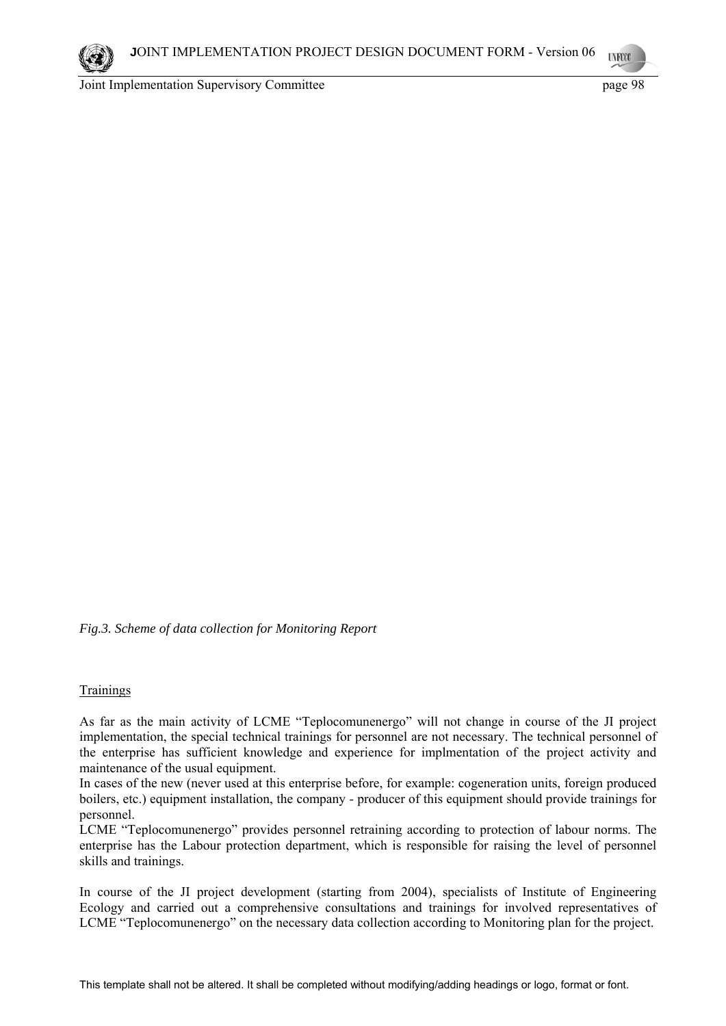# *Fig.3. Scheme of data collection for Monitoring Report*

#### Trainings

As far as the main activity of LCME "Teplocomunenergo" will not change in course of the JI project implementation, the special technical trainings for personnel are not necessary. The technical personnel of the enterprise has sufficient knowledge and experience for implmentation of the project activity and maintenance of the usual equipment.

In cases of the new (never used at this enterprise before, for example: cogeneration units, foreign produced boilers, etc.) equipment installation, the company - producer of this equipment should provide trainings for personnel.

LCME "Teplocomunenergo" provides personnel retraining according to protection of labour norms. The enterprise has the Labour protection department, which is responsible for raising the level of personnel skills and trainings.

In course of the JI project development (starting from 2004), specialists of Institute of Engineering Ecology and carried out a comprehensive consultations and trainings for involved representatives of LCME "Teplocomunenergo" on the necessary data collection according to Monitoring plan for the project.